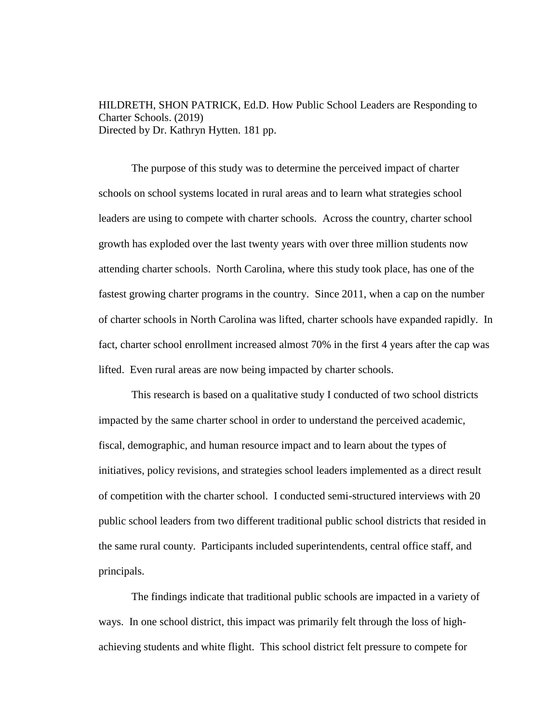HILDRETH, SHON PATRICK, Ed.D. How Public School Leaders are Responding to Charter Schools. (2019) Directed by Dr. Kathryn Hytten. 181 pp.

The purpose of this study was to determine the perceived impact of charter schools on school systems located in rural areas and to learn what strategies school leaders are using to compete with charter schools. Across the country, charter school growth has exploded over the last twenty years with over three million students now attending charter schools. North Carolina, where this study took place, has one of the fastest growing charter programs in the country. Since 2011, when a cap on the number of charter schools in North Carolina was lifted, charter schools have expanded rapidly. In fact, charter school enrollment increased almost 70% in the first 4 years after the cap was lifted. Even rural areas are now being impacted by charter schools.

This research is based on a qualitative study I conducted of two school districts impacted by the same charter school in order to understand the perceived academic, fiscal, demographic, and human resource impact and to learn about the types of initiatives, policy revisions, and strategies school leaders implemented as a direct result of competition with the charter school. I conducted semi-structured interviews with 20 public school leaders from two different traditional public school districts that resided in the same rural county. Participants included superintendents, central office staff, and principals.

The findings indicate that traditional public schools are impacted in a variety of ways. In one school district, this impact was primarily felt through the loss of highachieving students and white flight. This school district felt pressure to compete for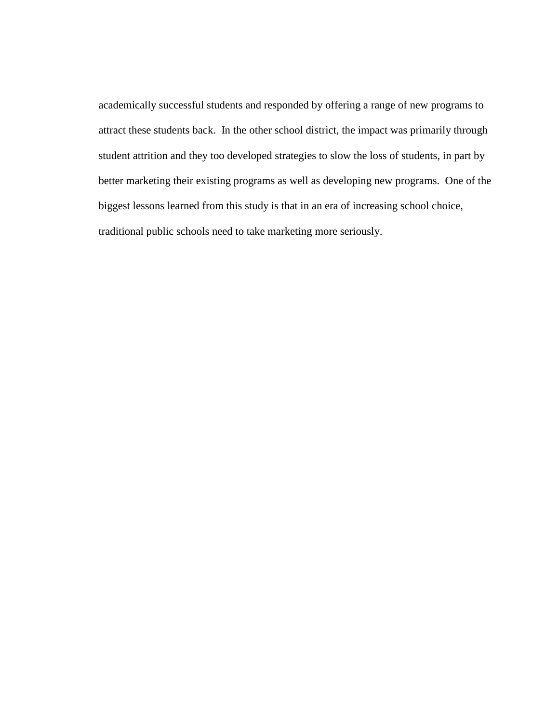academically successful students and responded by offering a range of new programs to attract these students back. In the other school district, the impact was primarily through student attrition and they too developed strategies to slow the loss of students, in part by better marketing their existing programs as well as developing new programs. One of the biggest lessons learned from this study is that in an era of increasing school choice, traditional public schools need to take marketing more seriously.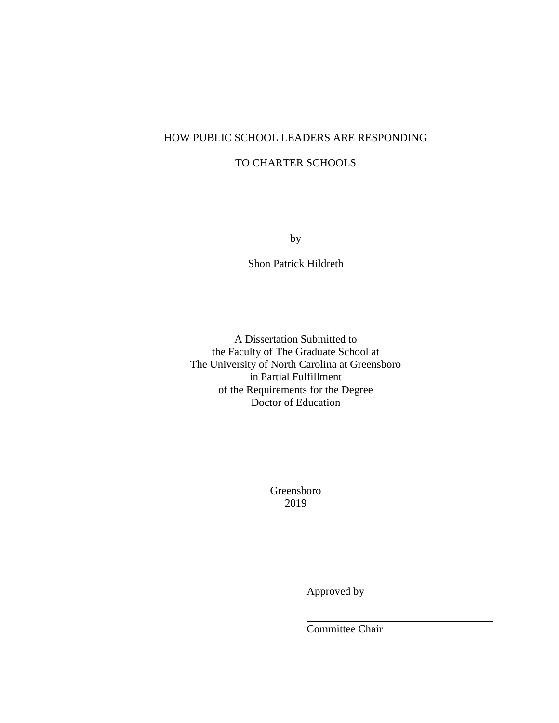# HOW PUBLIC SCHOOL LEADERS ARE RESPONDING

# TO CHARTER SCHOOLS

by

Shon Patrick Hildreth

A Dissertation Submitted to the Faculty of The Graduate School at The University of North Carolina at Greensboro in Partial Fulfillment of the Requirements for the Degree Doctor of Education

> Greensboro 2019

> > Approved by

Committee Chair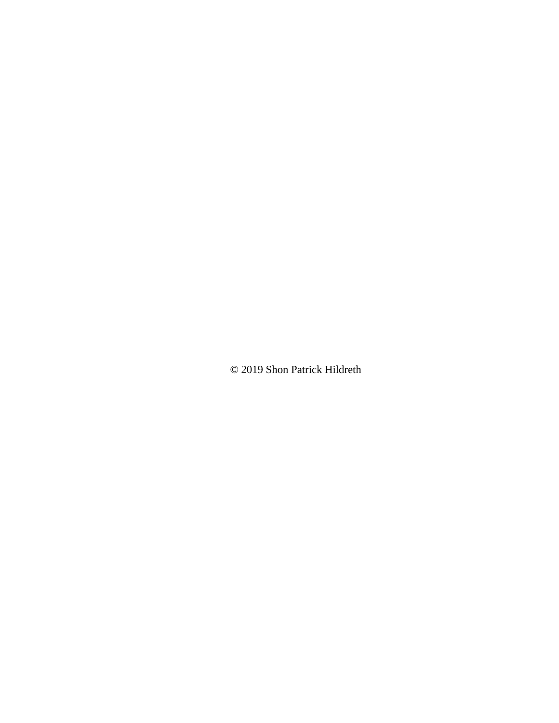© 2019 Shon Patrick Hildreth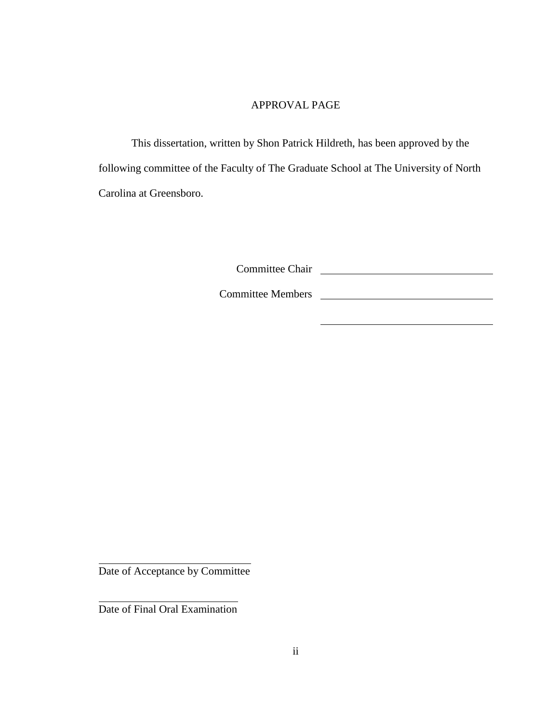# APPROVAL PAGE

This dissertation, written by Shon Patrick Hildreth, has been approved by the following committee of the Faculty of The Graduate School at The University of North Carolina at Greensboro.

Committee Chair

Committee Members

Date of Acceptance by Committee

Date of Final Oral Examination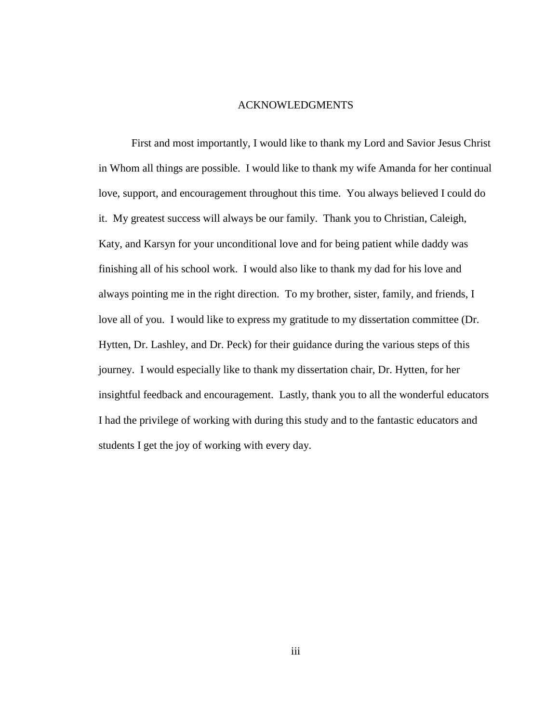## ACKNOWLEDGMENTS

First and most importantly, I would like to thank my Lord and Savior Jesus Christ in Whom all things are possible. I would like to thank my wife Amanda for her continual love, support, and encouragement throughout this time. You always believed I could do it. My greatest success will always be our family. Thank you to Christian, Caleigh, Katy, and Karsyn for your unconditional love and for being patient while daddy was finishing all of his school work. I would also like to thank my dad for his love and always pointing me in the right direction. To my brother, sister, family, and friends, I love all of you. I would like to express my gratitude to my dissertation committee (Dr. Hytten, Dr. Lashley, and Dr. Peck) for their guidance during the various steps of this journey. I would especially like to thank my dissertation chair, Dr. Hytten, for her insightful feedback and encouragement. Lastly, thank you to all the wonderful educators I had the privilege of working with during this study and to the fantastic educators and students I get the joy of working with every day.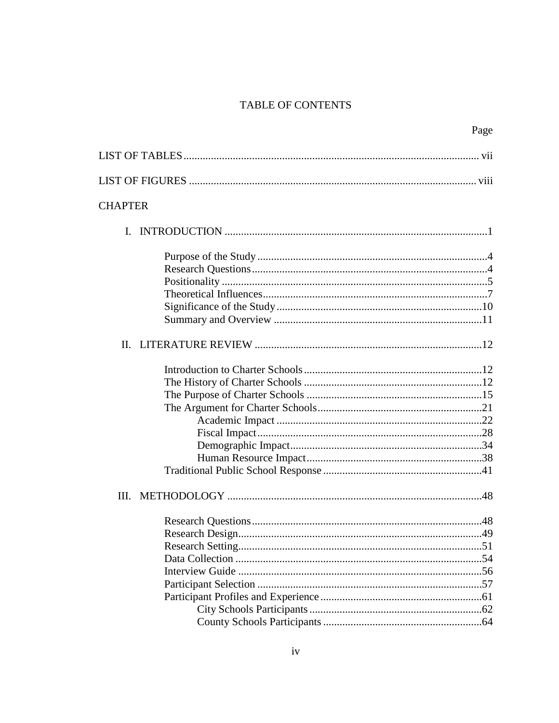# TABLE OF CONTENTS

|                | Page |
|----------------|------|
|                |      |
|                |      |
| <b>CHAPTER</b> |      |
|                |      |
|                |      |
|                |      |
|                |      |
|                |      |
|                |      |
|                |      |
|                |      |
|                |      |
|                |      |
|                |      |
|                |      |
|                |      |
|                |      |
|                |      |
|                |      |
|                |      |
|                |      |
|                |      |
|                |      |
|                |      |
|                |      |
|                |      |
|                |      |
|                |      |
|                |      |
|                |      |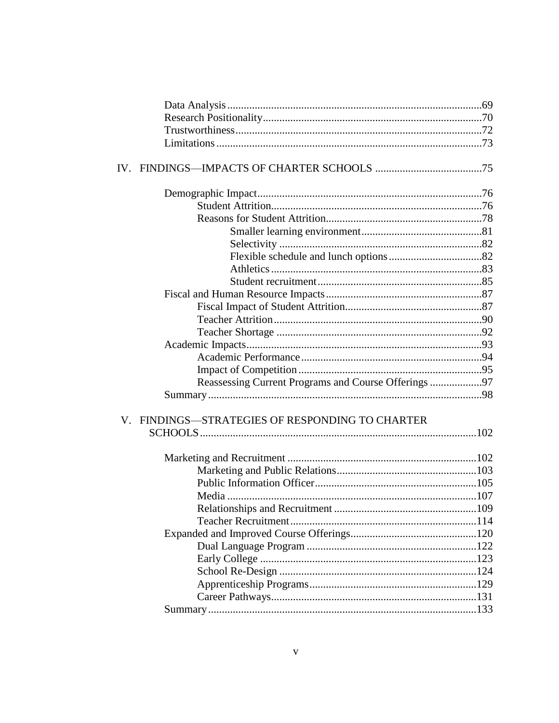| Reassessing Current Programs and Course Offerings 97 |  |
|------------------------------------------------------|--|
|                                                      |  |
| V. FINDINGS-STRATEGIES OF RESPONDING TO CHARTER      |  |
|                                                      |  |
|                                                      |  |
|                                                      |  |
|                                                      |  |
|                                                      |  |
|                                                      |  |
|                                                      |  |
|                                                      |  |
|                                                      |  |
|                                                      |  |
|                                                      |  |
|                                                      |  |
|                                                      |  |
|                                                      |  |
|                                                      |  |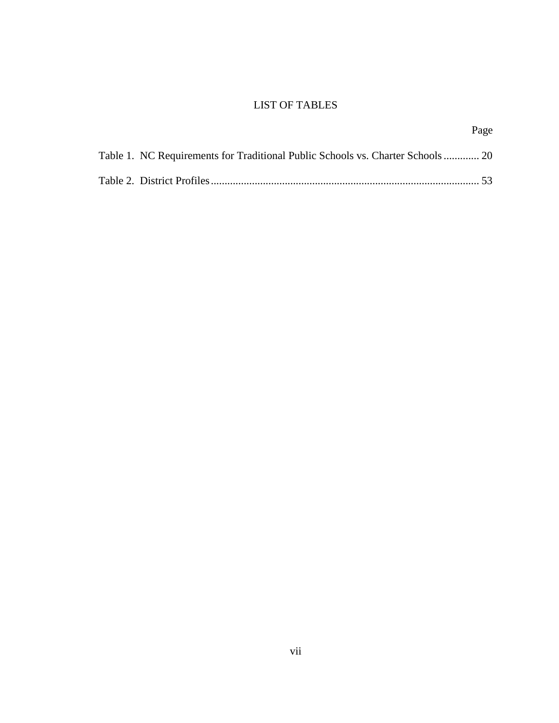# LIST OF TABLES

|                                                                                 | Page |
|---------------------------------------------------------------------------------|------|
| Table 1. NC Requirements for Traditional Public Schools vs. Charter Schools  20 |      |
|                                                                                 |      |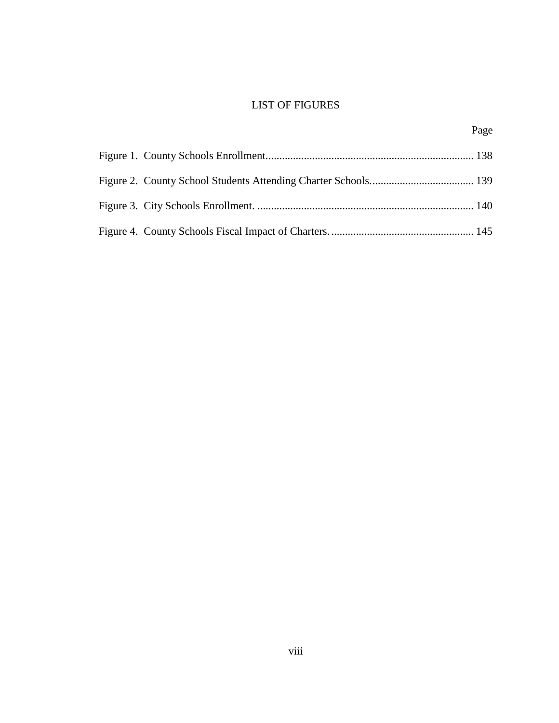# LIST OF FIGURES

Page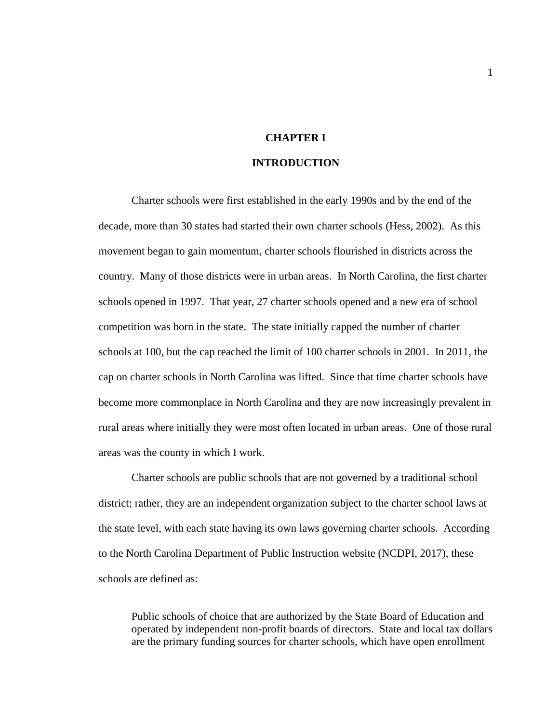# **CHAPTER I**

# **INTRODUCTION**

Charter schools were first established in the early 1990s and by the end of the decade, more than 30 states had started their own charter schools (Hess, 2002). As this movement began to gain momentum, charter schools flourished in districts across the country. Many of those districts were in urban areas. In North Carolina, the first charter schools opened in 1997. That year, 27 charter schools opened and a new era of school competition was born in the state. The state initially capped the number of charter schools at 100, but the cap reached the limit of 100 charter schools in 2001. In 2011, the cap on charter schools in North Carolina was lifted. Since that time charter schools have become more commonplace in North Carolina and they are now increasingly prevalent in rural areas where initially they were most often located in urban areas. One of those rural areas was the county in which I work.

Charter schools are public schools that are not governed by a traditional school district; rather, they are an independent organization subject to the charter school laws at the state level, with each state having its own laws governing charter schools. According to the North Carolina Department of Public Instruction website (NCDPI, 2017), these schools are defined as:

Public schools of choice that are authorized by the State Board of Education and operated by independent non-profit boards of directors. State and local tax dollars are the primary funding sources for charter schools, which have open enrollment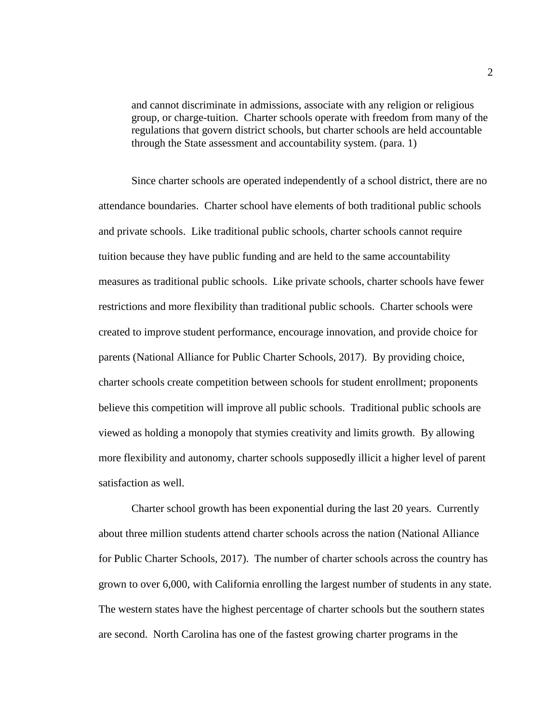and cannot discriminate in admissions, associate with any religion or religious group, or charge-tuition. Charter schools operate with freedom from many of the regulations that govern district schools, but charter schools are held accountable through the State assessment and accountability system. (para. 1)

Since charter schools are operated independently of a school district, there are no attendance boundaries. Charter school have elements of both traditional public schools and private schools. Like traditional public schools, charter schools cannot require tuition because they have public funding and are held to the same accountability measures as traditional public schools. Like private schools, charter schools have fewer restrictions and more flexibility than traditional public schools. Charter schools were created to improve student performance, encourage innovation, and provide choice for parents (National Alliance for Public Charter Schools, 2017). By providing choice, charter schools create competition between schools for student enrollment; proponents believe this competition will improve all public schools. Traditional public schools are viewed as holding a monopoly that stymies creativity and limits growth. By allowing more flexibility and autonomy, charter schools supposedly illicit a higher level of parent satisfaction as well.

Charter school growth has been exponential during the last 20 years. Currently about three million students attend charter schools across the nation (National Alliance for Public Charter Schools, 2017). The number of charter schools across the country has grown to over 6,000, with California enrolling the largest number of students in any state. The western states have the highest percentage of charter schools but the southern states are second. North Carolina has one of the fastest growing charter programs in the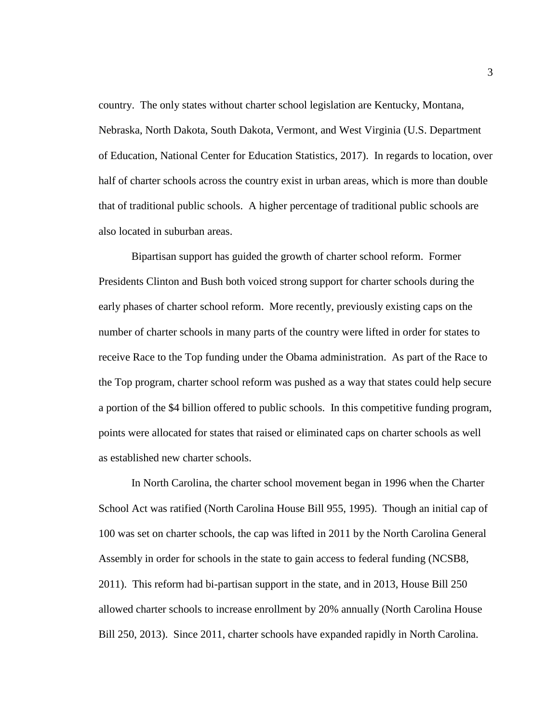country. The only states without charter school legislation are Kentucky, Montana, Nebraska, North Dakota, South Dakota, Vermont, and West Virginia (U.S. Department of Education, National Center for Education Statistics, 2017). In regards to location, over half of charter schools across the country exist in urban areas, which is more than double that of traditional public schools. A higher percentage of traditional public schools are also located in suburban areas.

Bipartisan support has guided the growth of charter school reform. Former Presidents Clinton and Bush both voiced strong support for charter schools during the early phases of charter school reform. More recently, previously existing caps on the number of charter schools in many parts of the country were lifted in order for states to receive Race to the Top funding under the Obama administration. As part of the Race to the Top program, charter school reform was pushed as a way that states could help secure a portion of the \$4 billion offered to public schools. In this competitive funding program, points were allocated for states that raised or eliminated caps on charter schools as well as established new charter schools.

In North Carolina, the charter school movement began in 1996 when the Charter School Act was ratified (North Carolina House Bill 955, 1995). Though an initial cap of 100 was set on charter schools, the cap was lifted in 2011 by the North Carolina General Assembly in order for schools in the state to gain access to federal funding (NCSB8, 2011). This reform had bi-partisan support in the state, and in 2013, House Bill 250 allowed charter schools to increase enrollment by 20% annually (North Carolina House Bill 250, 2013). Since 2011, charter schools have expanded rapidly in North Carolina.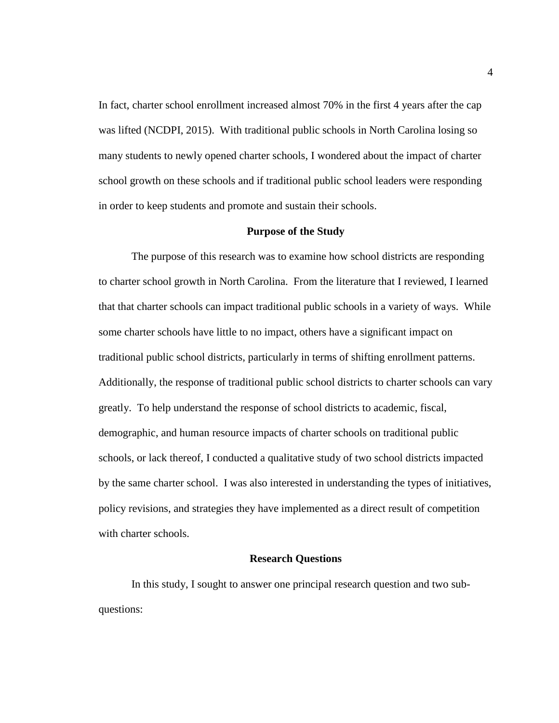In fact, charter school enrollment increased almost 70% in the first 4 years after the cap was lifted (NCDPI, 2015). With traditional public schools in North Carolina losing so many students to newly opened charter schools, I wondered about the impact of charter school growth on these schools and if traditional public school leaders were responding in order to keep students and promote and sustain their schools.

### **Purpose of the Study**

The purpose of this research was to examine how school districts are responding to charter school growth in North Carolina. From the literature that I reviewed, I learned that that charter schools can impact traditional public schools in a variety of ways. While some charter schools have little to no impact, others have a significant impact on traditional public school districts, particularly in terms of shifting enrollment patterns. Additionally, the response of traditional public school districts to charter schools can vary greatly. To help understand the response of school districts to academic, fiscal, demographic, and human resource impacts of charter schools on traditional public schools, or lack thereof, I conducted a qualitative study of two school districts impacted by the same charter school. I was also interested in understanding the types of initiatives, policy revisions, and strategies they have implemented as a direct result of competition with charter schools.

## **Research Questions**

In this study, I sought to answer one principal research question and two subquestions: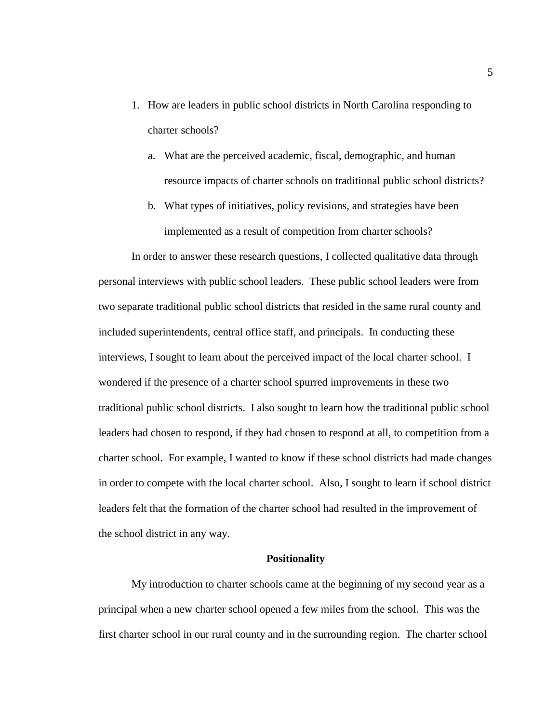- 1. How are leaders in public school districts in North Carolina responding to charter schools?
	- a. What are the perceived academic, fiscal, demographic, and human resource impacts of charter schools on traditional public school districts?
	- b. What types of initiatives, policy revisions, and strategies have been implemented as a result of competition from charter schools?

In order to answer these research questions, I collected qualitative data through personal interviews with public school leaders. These public school leaders were from two separate traditional public school districts that resided in the same rural county and included superintendents, central office staff, and principals. In conducting these interviews, I sought to learn about the perceived impact of the local charter school. I wondered if the presence of a charter school spurred improvements in these two traditional public school districts. I also sought to learn how the traditional public school leaders had chosen to respond, if they had chosen to respond at all, to competition from a charter school. For example, I wanted to know if these school districts had made changes in order to compete with the local charter school. Also, I sought to learn if school district leaders felt that the formation of the charter school had resulted in the improvement of the school district in any way.

### **Positionality**

My introduction to charter schools came at the beginning of my second year as a principal when a new charter school opened a few miles from the school. This was the first charter school in our rural county and in the surrounding region. The charter school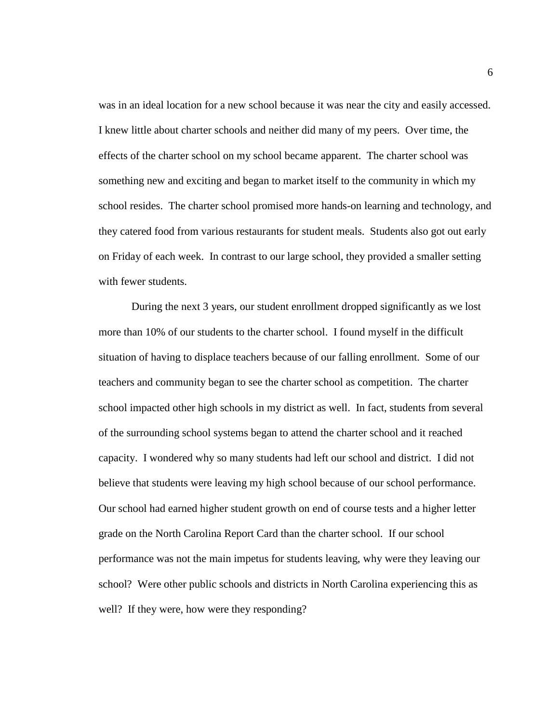was in an ideal location for a new school because it was near the city and easily accessed. I knew little about charter schools and neither did many of my peers. Over time, the effects of the charter school on my school became apparent. The charter school was something new and exciting and began to market itself to the community in which my school resides. The charter school promised more hands-on learning and technology, and they catered food from various restaurants for student meals. Students also got out early on Friday of each week. In contrast to our large school, they provided a smaller setting with fewer students.

During the next 3 years, our student enrollment dropped significantly as we lost more than 10% of our students to the charter school. I found myself in the difficult situation of having to displace teachers because of our falling enrollment. Some of our teachers and community began to see the charter school as competition. The charter school impacted other high schools in my district as well. In fact, students from several of the surrounding school systems began to attend the charter school and it reached capacity. I wondered why so many students had left our school and district. I did not believe that students were leaving my high school because of our school performance. Our school had earned higher student growth on end of course tests and a higher letter grade on the North Carolina Report Card than the charter school. If our school performance was not the main impetus for students leaving, why were they leaving our school? Were other public schools and districts in North Carolina experiencing this as well? If they were, how were they responding?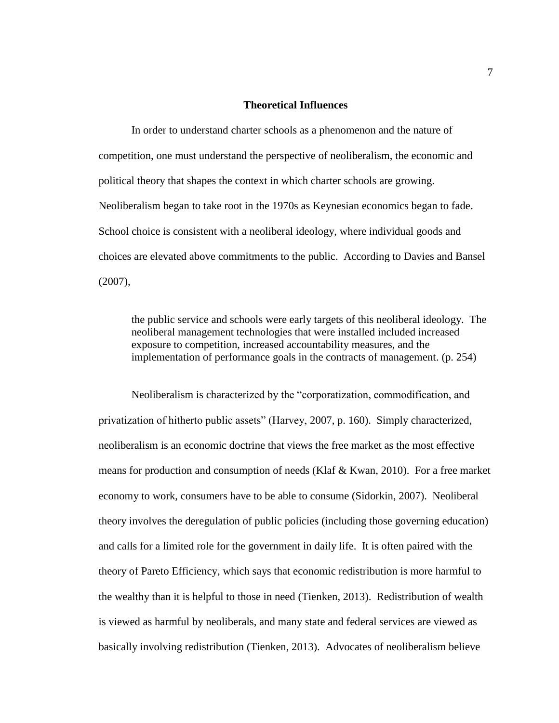## **Theoretical Influences**

In order to understand charter schools as a phenomenon and the nature of competition, one must understand the perspective of neoliberalism, the economic and political theory that shapes the context in which charter schools are growing. Neoliberalism began to take root in the 1970s as Keynesian economics began to fade. School choice is consistent with a neoliberal ideology, where individual goods and choices are elevated above commitments to the public. According to Davies and Bansel (2007),

the public service and schools were early targets of this neoliberal ideology. The neoliberal management technologies that were installed included increased exposure to competition, increased accountability measures, and the implementation of performance goals in the contracts of management. (p. 254)

Neoliberalism is characterized by the "corporatization, commodification, and privatization of hitherto public assets" (Harvey, 2007, p. 160). Simply characterized, neoliberalism is an economic doctrine that views the free market as the most effective means for production and consumption of needs (Klaf & Kwan, 2010). For a free market economy to work, consumers have to be able to consume (Sidorkin, 2007). Neoliberal theory involves the deregulation of public policies (including those governing education) and calls for a limited role for the government in daily life. It is often paired with the theory of Pareto Efficiency, which says that economic redistribution is more harmful to the wealthy than it is helpful to those in need (Tienken, 2013). Redistribution of wealth is viewed as harmful by neoliberals, and many state and federal services are viewed as basically involving redistribution (Tienken, 2013). Advocates of neoliberalism believe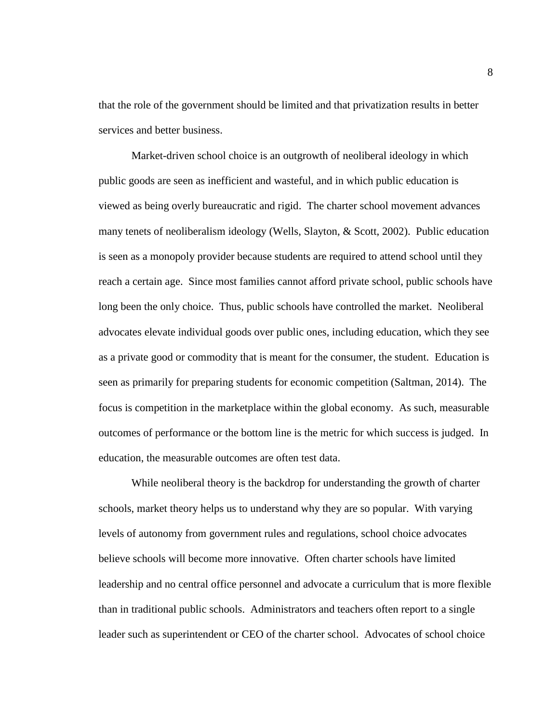that the role of the government should be limited and that privatization results in better services and better business.

Market-driven school choice is an outgrowth of neoliberal ideology in which public goods are seen as inefficient and wasteful, and in which public education is viewed as being overly bureaucratic and rigid. The charter school movement advances many tenets of neoliberalism ideology (Wells, Slayton, & Scott, 2002). Public education is seen as a monopoly provider because students are required to attend school until they reach a certain age. Since most families cannot afford private school, public schools have long been the only choice. Thus, public schools have controlled the market. Neoliberal advocates elevate individual goods over public ones, including education, which they see as a private good or commodity that is meant for the consumer, the student. Education is seen as primarily for preparing students for economic competition (Saltman, 2014). The focus is competition in the marketplace within the global economy. As such, measurable outcomes of performance or the bottom line is the metric for which success is judged. In education, the measurable outcomes are often test data.

While neoliberal theory is the backdrop for understanding the growth of charter schools, market theory helps us to understand why they are so popular. With varying levels of autonomy from government rules and regulations, school choice advocates believe schools will become more innovative. Often charter schools have limited leadership and no central office personnel and advocate a curriculum that is more flexible than in traditional public schools. Administrators and teachers often report to a single leader such as superintendent or CEO of the charter school. Advocates of school choice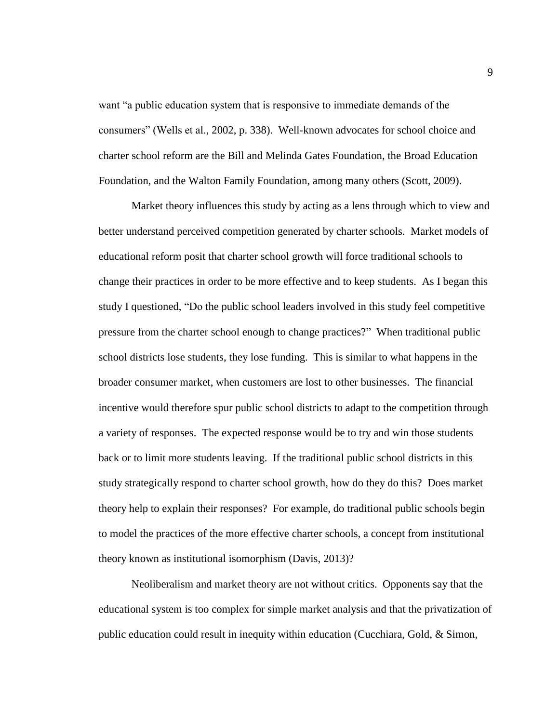want "a public education system that is responsive to immediate demands of the consumers" (Wells et al., 2002, p. 338). Well-known advocates for school choice and charter school reform are the Bill and Melinda Gates Foundation, the Broad Education Foundation, and the Walton Family Foundation, among many others (Scott, 2009).

Market theory influences this study by acting as a lens through which to view and better understand perceived competition generated by charter schools. Market models of educational reform posit that charter school growth will force traditional schools to change their practices in order to be more effective and to keep students. As I began this study I questioned, "Do the public school leaders involved in this study feel competitive pressure from the charter school enough to change practices?" When traditional public school districts lose students, they lose funding. This is similar to what happens in the broader consumer market, when customers are lost to other businesses. The financial incentive would therefore spur public school districts to adapt to the competition through a variety of responses. The expected response would be to try and win those students back or to limit more students leaving. If the traditional public school districts in this study strategically respond to charter school growth, how do they do this? Does market theory help to explain their responses? For example, do traditional public schools begin to model the practices of the more effective charter schools, a concept from institutional theory known as institutional isomorphism (Davis, 2013)?

Neoliberalism and market theory are not without critics. Opponents say that the educational system is too complex for simple market analysis and that the privatization of public education could result in inequity within education (Cucchiara, Gold, & Simon,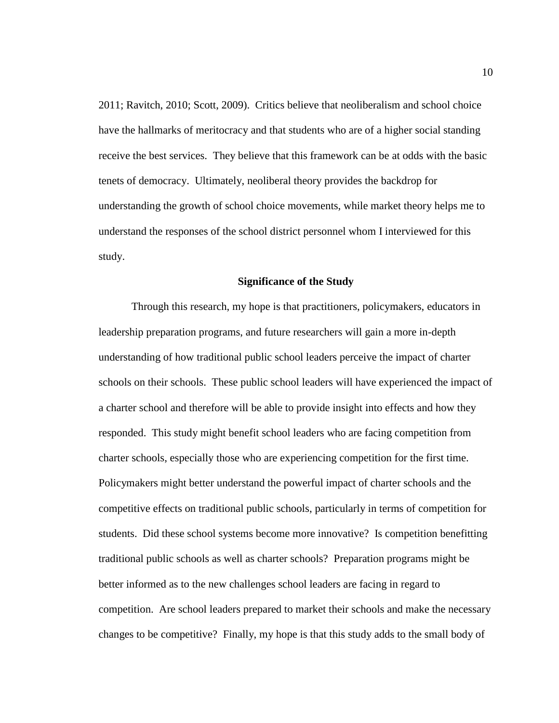2011; Ravitch, 2010; Scott, 2009). Critics believe that neoliberalism and school choice have the hallmarks of meritocracy and that students who are of a higher social standing receive the best services. They believe that this framework can be at odds with the basic tenets of democracy. Ultimately, neoliberal theory provides the backdrop for understanding the growth of school choice movements, while market theory helps me to understand the responses of the school district personnel whom I interviewed for this study.

#### **Significance of the Study**

Through this research, my hope is that practitioners, policymakers, educators in leadership preparation programs, and future researchers will gain a more in-depth understanding of how traditional public school leaders perceive the impact of charter schools on their schools. These public school leaders will have experienced the impact of a charter school and therefore will be able to provide insight into effects and how they responded. This study might benefit school leaders who are facing competition from charter schools, especially those who are experiencing competition for the first time. Policymakers might better understand the powerful impact of charter schools and the competitive effects on traditional public schools, particularly in terms of competition for students. Did these school systems become more innovative? Is competition benefitting traditional public schools as well as charter schools? Preparation programs might be better informed as to the new challenges school leaders are facing in regard to competition. Are school leaders prepared to market their schools and make the necessary changes to be competitive? Finally, my hope is that this study adds to the small body of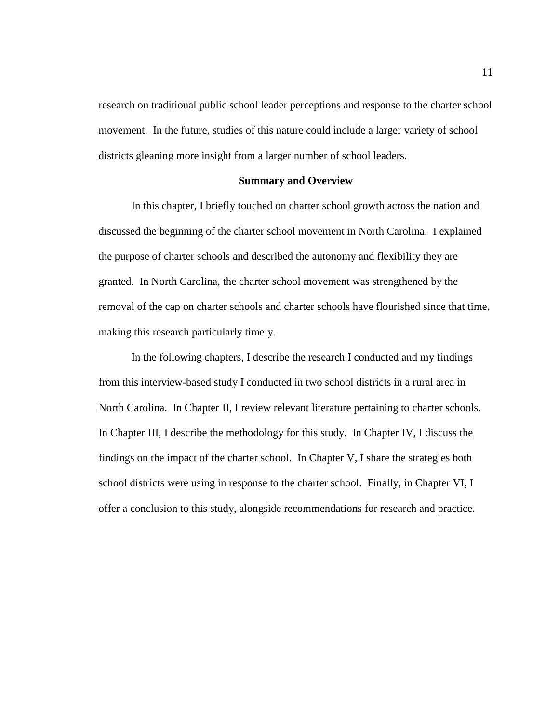research on traditional public school leader perceptions and response to the charter school movement. In the future, studies of this nature could include a larger variety of school districts gleaning more insight from a larger number of school leaders.

### **Summary and Overview**

In this chapter, I briefly touched on charter school growth across the nation and discussed the beginning of the charter school movement in North Carolina. I explained the purpose of charter schools and described the autonomy and flexibility they are granted. In North Carolina, the charter school movement was strengthened by the removal of the cap on charter schools and charter schools have flourished since that time, making this research particularly timely.

In the following chapters, I describe the research I conducted and my findings from this interview-based study I conducted in two school districts in a rural area in North Carolina. In Chapter II, I review relevant literature pertaining to charter schools. In Chapter III, I describe the methodology for this study. In Chapter IV, I discuss the findings on the impact of the charter school. In Chapter V, I share the strategies both school districts were using in response to the charter school. Finally, in Chapter VI, I offer a conclusion to this study, alongside recommendations for research and practice.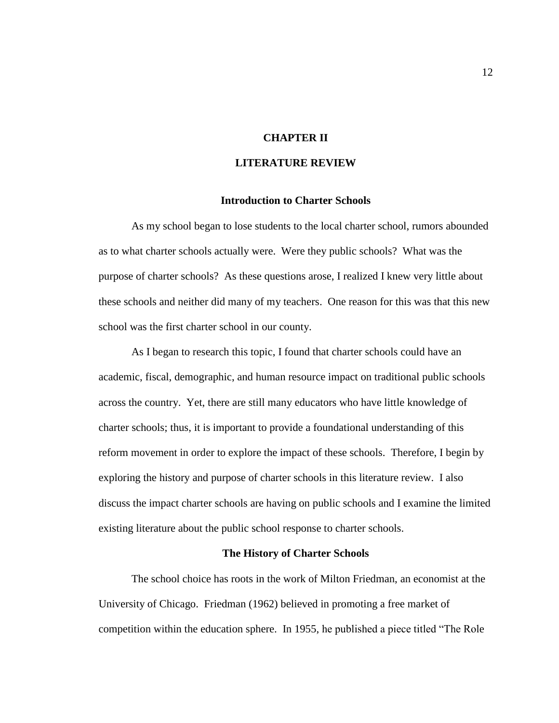# **CHAPTER II**

## **LITERATURE REVIEW**

### **Introduction to Charter Schools**

As my school began to lose students to the local charter school, rumors abounded as to what charter schools actually were. Were they public schools? What was the purpose of charter schools? As these questions arose, I realized I knew very little about these schools and neither did many of my teachers. One reason for this was that this new school was the first charter school in our county.

As I began to research this topic, I found that charter schools could have an academic, fiscal, demographic, and human resource impact on traditional public schools across the country. Yet, there are still many educators who have little knowledge of charter schools; thus, it is important to provide a foundational understanding of this reform movement in order to explore the impact of these schools. Therefore, I begin by exploring the history and purpose of charter schools in this literature review. I also discuss the impact charter schools are having on public schools and I examine the limited existing literature about the public school response to charter schools.

### **The History of Charter Schools**

The school choice has roots in the work of Milton Friedman, an economist at the University of Chicago. Friedman (1962) believed in promoting a free market of competition within the education sphere. In 1955, he published a piece titled "The Role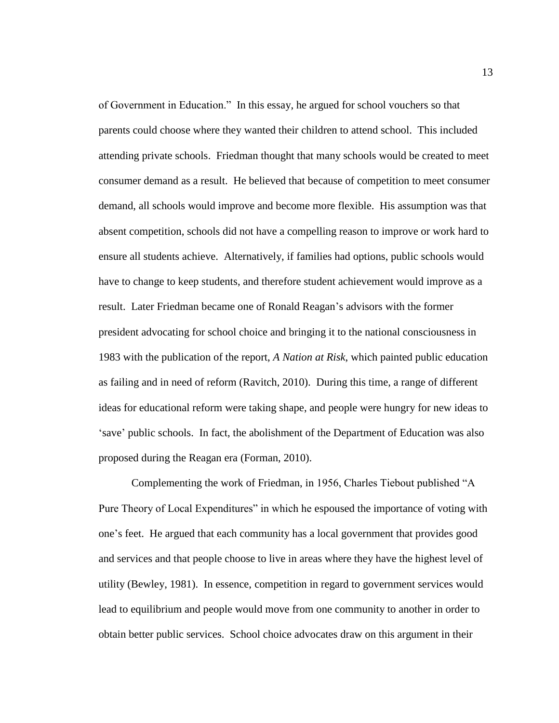of Government in Education." In this essay, he argued for school vouchers so that parents could choose where they wanted their children to attend school. This included attending private schools. Friedman thought that many schools would be created to meet consumer demand as a result. He believed that because of competition to meet consumer demand, all schools would improve and become more flexible. His assumption was that absent competition, schools did not have a compelling reason to improve or work hard to ensure all students achieve. Alternatively, if families had options, public schools would have to change to keep students, and therefore student achievement would improve as a result. Later Friedman became one of Ronald Reagan's advisors with the former president advocating for school choice and bringing it to the national consciousness in 1983 with the publication of the report, *A Nation at Risk*, which painted public education as failing and in need of reform (Ravitch, 2010). During this time, a range of different ideas for educational reform were taking shape, and people were hungry for new ideas to 'save' public schools. In fact, the abolishment of the Department of Education was also proposed during the Reagan era (Forman, 2010).

Complementing the work of Friedman, in 1956, Charles Tiebout published "A Pure Theory of Local Expenditures" in which he espoused the importance of voting with one's feet. He argued that each community has a local government that provides good and services and that people choose to live in areas where they have the highest level of utility (Bewley, 1981). In essence, competition in regard to government services would lead to equilibrium and people would move from one community to another in order to obtain better public services. School choice advocates draw on this argument in their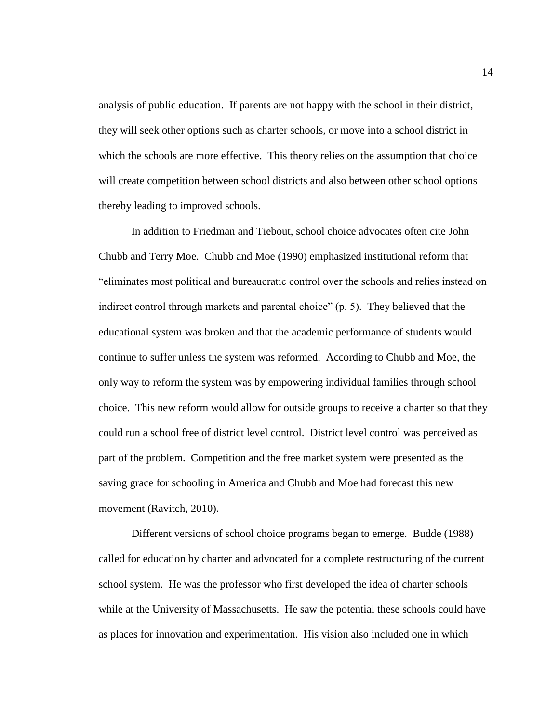analysis of public education. If parents are not happy with the school in their district, they will seek other options such as charter schools, or move into a school district in which the schools are more effective. This theory relies on the assumption that choice will create competition between school districts and also between other school options thereby leading to improved schools.

In addition to Friedman and Tiebout, school choice advocates often cite John Chubb and Terry Moe. Chubb and Moe (1990) emphasized institutional reform that "eliminates most political and bureaucratic control over the schools and relies instead on indirect control through markets and parental choice" (p. 5). They believed that the educational system was broken and that the academic performance of students would continue to suffer unless the system was reformed. According to Chubb and Moe, the only way to reform the system was by empowering individual families through school choice. This new reform would allow for outside groups to receive a charter so that they could run a school free of district level control. District level control was perceived as part of the problem. Competition and the free market system were presented as the saving grace for schooling in America and Chubb and Moe had forecast this new movement (Ravitch, 2010).

Different versions of school choice programs began to emerge. Budde (1988) called for education by charter and advocated for a complete restructuring of the current school system. He was the professor who first developed the idea of charter schools while at the University of Massachusetts. He saw the potential these schools could have as places for innovation and experimentation. His vision also included one in which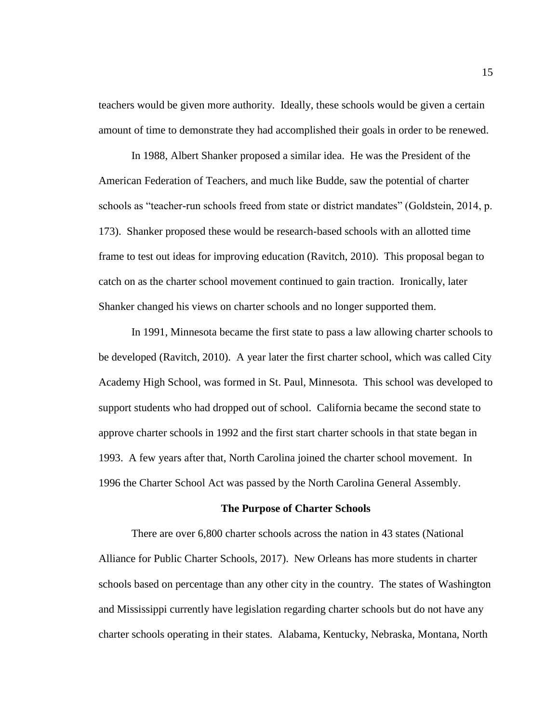teachers would be given more authority. Ideally, these schools would be given a certain amount of time to demonstrate they had accomplished their goals in order to be renewed.

In 1988, Albert Shanker proposed a similar idea. He was the President of the American Federation of Teachers, and much like Budde, saw the potential of charter schools as "teacher-run schools freed from state or district mandates" (Goldstein, 2014, p. 173). Shanker proposed these would be research-based schools with an allotted time frame to test out ideas for improving education (Ravitch, 2010). This proposal began to catch on as the charter school movement continued to gain traction. Ironically, later Shanker changed his views on charter schools and no longer supported them.

In 1991, Minnesota became the first state to pass a law allowing charter schools to be developed (Ravitch, 2010). A year later the first charter school, which was called City Academy High School, was formed in St. Paul, Minnesota. This school was developed to support students who had dropped out of school. California became the second state to approve charter schools in 1992 and the first start charter schools in that state began in 1993. A few years after that, North Carolina joined the charter school movement. In 1996 the Charter School Act was passed by the North Carolina General Assembly.

#### **The Purpose of Charter Schools**

There are over 6,800 charter schools across the nation in 43 states (National Alliance for Public Charter Schools, 2017). New Orleans has more students in charter schools based on percentage than any other city in the country. The states of Washington and Mississippi currently have legislation regarding charter schools but do not have any charter schools operating in their states. Alabama, Kentucky, Nebraska, Montana, North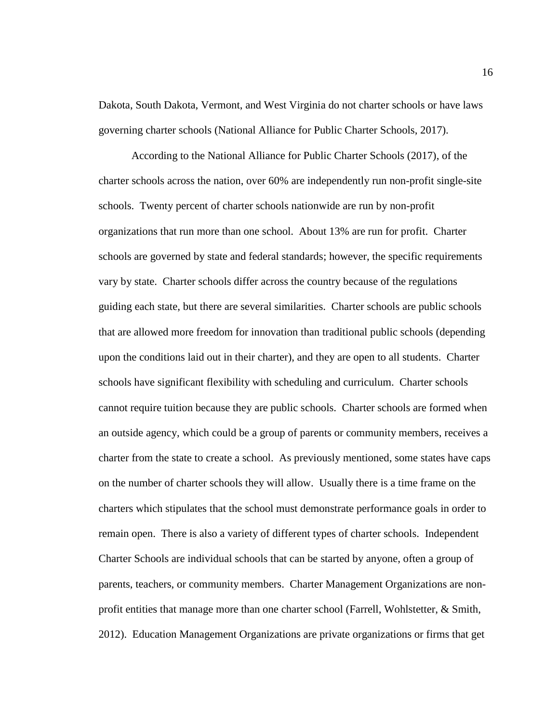Dakota, South Dakota, Vermont, and West Virginia do not charter schools or have laws governing charter schools (National Alliance for Public Charter Schools, 2017).

According to the National Alliance for Public Charter Schools (2017), of the charter schools across the nation, over 60% are independently run non-profit single-site schools. Twenty percent of charter schools nationwide are run by non-profit organizations that run more than one school. About 13% are run for profit. Charter schools are governed by state and federal standards; however, the specific requirements vary by state. Charter schools differ across the country because of the regulations guiding each state, but there are several similarities. Charter schools are public schools that are allowed more freedom for innovation than traditional public schools (depending upon the conditions laid out in their charter), and they are open to all students. Charter schools have significant flexibility with scheduling and curriculum. Charter schools cannot require tuition because they are public schools. Charter schools are formed when an outside agency, which could be a group of parents or community members, receives a charter from the state to create a school. As previously mentioned, some states have caps on the number of charter schools they will allow. Usually there is a time frame on the charters which stipulates that the school must demonstrate performance goals in order to remain open. There is also a variety of different types of charter schools. Independent Charter Schools are individual schools that can be started by anyone, often a group of parents, teachers, or community members. Charter Management Organizations are nonprofit entities that manage more than one charter school (Farrell, Wohlstetter, & Smith, 2012). Education Management Organizations are private organizations or firms that get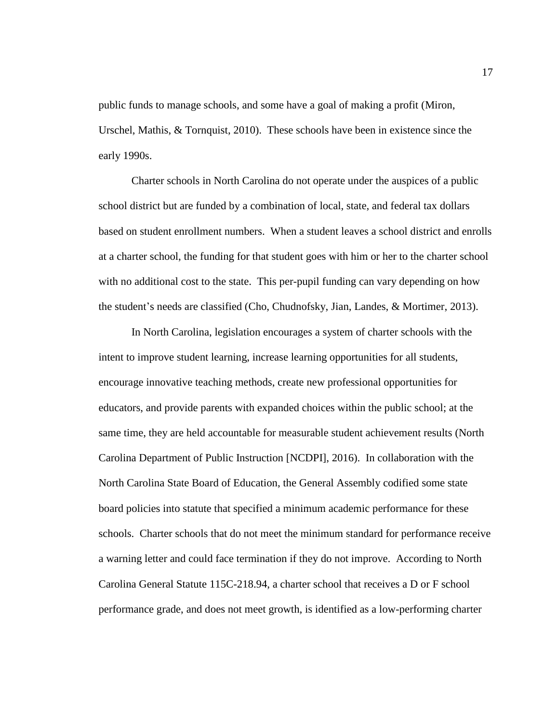public funds to manage schools, and some have a goal of making a profit (Miron, Urschel, Mathis, & Tornquist, 2010). These schools have been in existence since the early 1990s.

Charter schools in North Carolina do not operate under the auspices of a public school district but are funded by a combination of local, state, and federal tax dollars based on student enrollment numbers. When a student leaves a school district and enrolls at a charter school, the funding for that student goes with him or her to the charter school with no additional cost to the state. This per-pupil funding can vary depending on how the student's needs are classified (Cho, Chudnofsky, Jian, Landes, & Mortimer, 2013).

In North Carolina, legislation encourages a system of charter schools with the intent to improve student learning, increase learning opportunities for all students, encourage innovative teaching methods, create new professional opportunities for educators, and provide parents with expanded choices within the public school; at the same time, they are held accountable for measurable student achievement results (North Carolina Department of Public Instruction [NCDPI], 2016). In collaboration with the North Carolina State Board of Education, the General Assembly codified some state board policies into statute that specified a minimum academic performance for these schools. Charter schools that do not meet the minimum standard for performance receive a warning letter and could face termination if they do not improve. According to North Carolina General Statute 115C-218.94, a charter school that receives a D or F school performance grade, and does not meet growth, is identified as a low-performing charter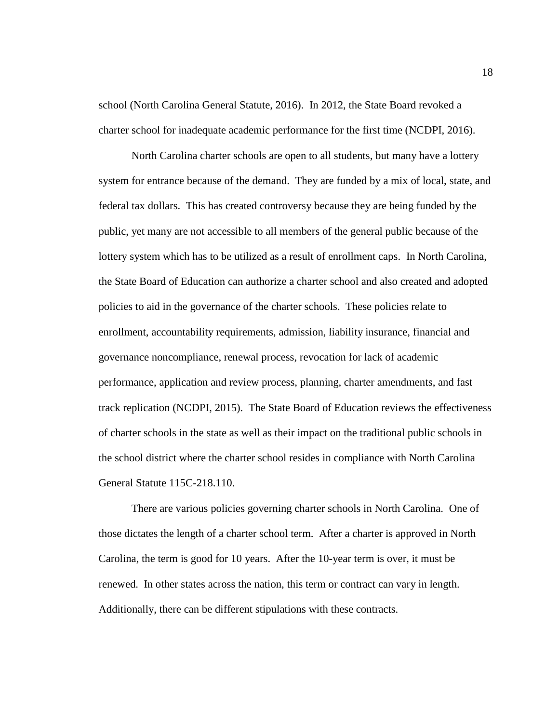school (North Carolina General Statute, 2016). In 2012, the State Board revoked a charter school for inadequate academic performance for the first time (NCDPI, 2016).

North Carolina charter schools are open to all students, but many have a lottery system for entrance because of the demand. They are funded by a mix of local, state, and federal tax dollars. This has created controversy because they are being funded by the public, yet many are not accessible to all members of the general public because of the lottery system which has to be utilized as a result of enrollment caps. In North Carolina, the State Board of Education can authorize a charter school and also created and adopted policies to aid in the governance of the charter schools. These policies relate to enrollment, accountability requirements, admission, liability insurance, financial and governance noncompliance, renewal process, revocation for lack of academic performance, application and review process, planning, charter amendments, and fast track replication (NCDPI, 2015). The State Board of Education reviews the effectiveness of charter schools in the state as well as their impact on the traditional public schools in the school district where the charter school resides in compliance with North Carolina General Statute 115C-218.110.

There are various policies governing charter schools in North Carolina. One of those dictates the length of a charter school term. After a charter is approved in North Carolina, the term is good for 10 years. After the 10-year term is over, it must be renewed. In other states across the nation, this term or contract can vary in length. Additionally, there can be different stipulations with these contracts.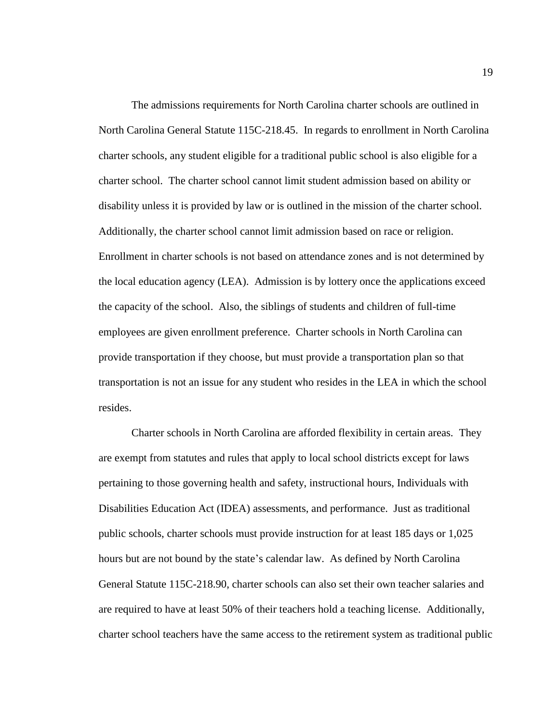The admissions requirements for North Carolina charter schools are outlined in North Carolina General Statute 115C-218.45. In regards to enrollment in North Carolina charter schools, any student eligible for a traditional public school is also eligible for a charter school. The charter school cannot limit student admission based on ability or disability unless it is provided by law or is outlined in the mission of the charter school. Additionally, the charter school cannot limit admission based on race or religion. Enrollment in charter schools is not based on attendance zones and is not determined by the local education agency (LEA). Admission is by lottery once the applications exceed the capacity of the school. Also, the siblings of students and children of full-time employees are given enrollment preference. Charter schools in North Carolina can provide transportation if they choose, but must provide a transportation plan so that transportation is not an issue for any student who resides in the LEA in which the school resides.

Charter schools in North Carolina are afforded flexibility in certain areas. They are exempt from statutes and rules that apply to local school districts except for laws pertaining to those governing health and safety, instructional hours, Individuals with Disabilities Education Act (IDEA) assessments, and performance. Just as traditional public schools, charter schools must provide instruction for at least 185 days or 1,025 hours but are not bound by the state's calendar law. As defined by North Carolina General Statute 115C-218.90, charter schools can also set their own teacher salaries and are required to have at least 50% of their teachers hold a teaching license. Additionally, charter school teachers have the same access to the retirement system as traditional public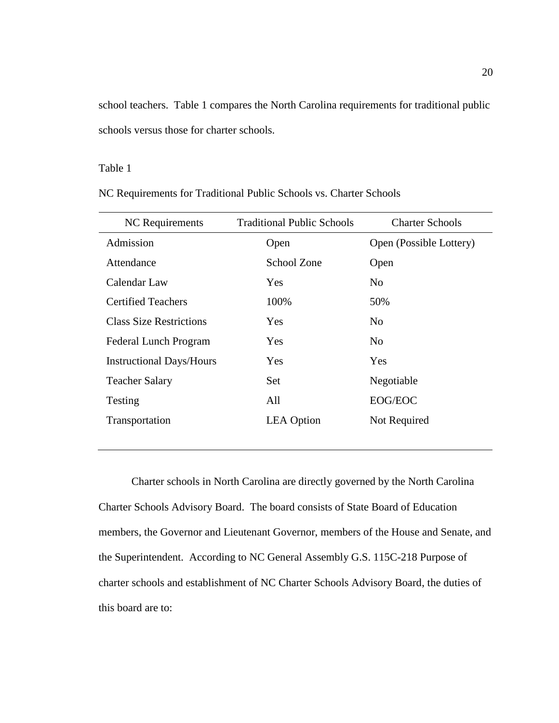school teachers. Table 1 compares the North Carolina requirements for traditional public schools versus those for charter schools.

## Table 1

NC Requirements for Traditional Public Schools vs. Charter Schools

| NC Requirements                 | <b>Traditional Public Schools</b> | <b>Charter Schools</b>  |
|---------------------------------|-----------------------------------|-------------------------|
| Admission                       | Open                              | Open (Possible Lottery) |
| Attendance                      | School Zone                       | Open                    |
| Calendar Law                    | <b>Yes</b>                        | N <sub>0</sub>          |
| <b>Certified Teachers</b>       | 100%                              | 50%                     |
| <b>Class Size Restrictions</b>  | <b>Yes</b>                        | N <sub>0</sub>          |
| <b>Federal Lunch Program</b>    | Yes                               | N <sub>0</sub>          |
| <b>Instructional Days/Hours</b> | Yes                               | Yes                     |
| <b>Teacher Salary</b>           | Set                               | Negotiable              |
| Testing                         | All                               | EOG/EOC                 |
| Transportation                  | <b>LEA</b> Option                 | Not Required            |
|                                 |                                   |                         |

Charter schools in North Carolina are directly governed by the North Carolina Charter Schools Advisory Board. The board consists of State Board of Education members, the Governor and Lieutenant Governor, members of the House and Senate, and the Superintendent. According to NC General Assembly G.S. 115C-218 Purpose of charter schools and establishment of NC Charter Schools Advisory Board, the duties of this board are to: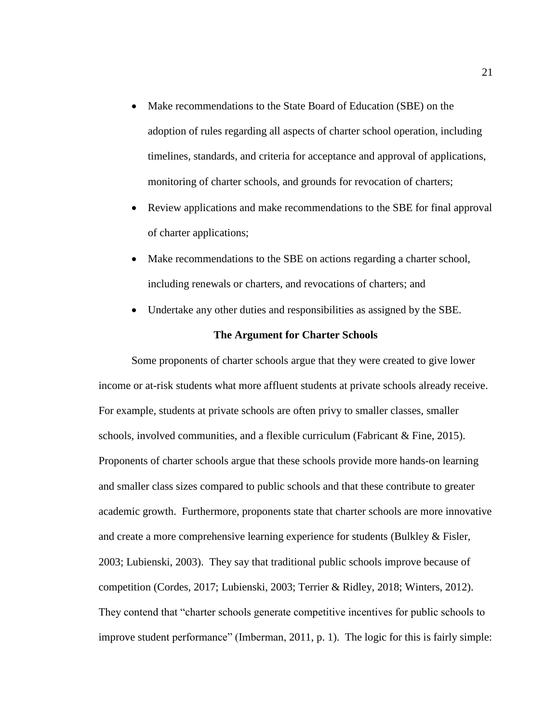- Make recommendations to the State Board of Education (SBE) on the adoption of rules regarding all aspects of charter school operation, including timelines, standards, and criteria for acceptance and approval of applications, monitoring of charter schools, and grounds for revocation of charters;
- Review applications and make recommendations to the SBE for final approval of charter applications;
- Make recommendations to the SBE on actions regarding a charter school, including renewals or charters, and revocations of charters; and
- Undertake any other duties and responsibilities as assigned by the SBE.

### **The Argument for Charter Schools**

Some proponents of charter schools argue that they were created to give lower income or at-risk students what more affluent students at private schools already receive. For example, students at private schools are often privy to smaller classes, smaller schools, involved communities, and a flexible curriculum (Fabricant & Fine, 2015). Proponents of charter schools argue that these schools provide more hands-on learning and smaller class sizes compared to public schools and that these contribute to greater academic growth. Furthermore, proponents state that charter schools are more innovative and create a more comprehensive learning experience for students (Bulkley & Fisler, 2003; Lubienski, 2003). They say that traditional public schools improve because of competition (Cordes, 2017; Lubienski, 2003; Terrier & Ridley, 2018; Winters, 2012). They contend that "charter schools generate competitive incentives for public schools to improve student performance" (Imberman, 2011, p. 1). The logic for this is fairly simple: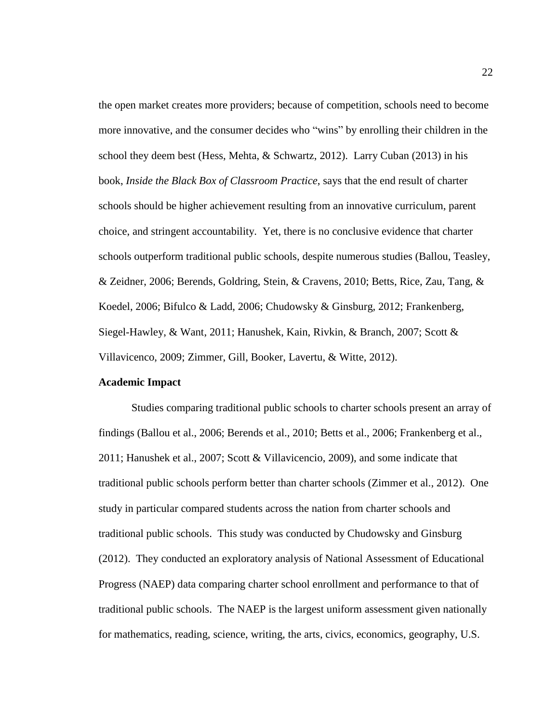the open market creates more providers; because of competition, schools need to become more innovative, and the consumer decides who "wins" by enrolling their children in the school they deem best (Hess, Mehta, & Schwartz, 2012). Larry Cuban (2013) in his book, *Inside the Black Box of Classroom Practice*, says that the end result of charter schools should be higher achievement resulting from an innovative curriculum, parent choice, and stringent accountability. Yet, there is no conclusive evidence that charter schools outperform traditional public schools, despite numerous studies (Ballou, Teasley, & Zeidner, 2006; Berends, Goldring, Stein, & Cravens, 2010; Betts, Rice, Zau, Tang, & Koedel, 2006; Bifulco & Ladd, 2006; Chudowsky & Ginsburg, 2012; Frankenberg, Siegel-Hawley, & Want, 2011; Hanushek, Kain, Rivkin, & Branch, 2007; Scott & Villavicenco, 2009; Zimmer, Gill, Booker, Lavertu, & Witte, 2012).

### **Academic Impact**

Studies comparing traditional public schools to charter schools present an array of findings (Ballou et al., 2006; Berends et al., 2010; Betts et al., 2006; Frankenberg et al., 2011; Hanushek et al., 2007; Scott & Villavicencio, 2009), and some indicate that traditional public schools perform better than charter schools (Zimmer et al., 2012). One study in particular compared students across the nation from charter schools and traditional public schools. This study was conducted by Chudowsky and Ginsburg (2012). They conducted an exploratory analysis of National Assessment of Educational Progress (NAEP) data comparing charter school enrollment and performance to that of traditional public schools. The NAEP is the largest uniform assessment given nationally for mathematics, reading, science, writing, the arts, civics, economics, geography, U.S.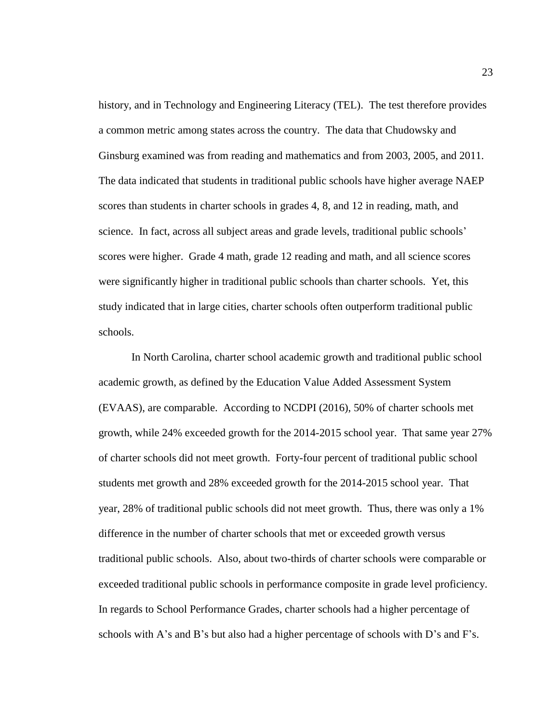history, and in Technology and Engineering Literacy (TEL). The test therefore provides a common metric among states across the country. The data that Chudowsky and Ginsburg examined was from reading and mathematics and from 2003, 2005, and 2011. The data indicated that students in traditional public schools have higher average NAEP scores than students in charter schools in grades 4, 8, and 12 in reading, math, and science. In fact, across all subject areas and grade levels, traditional public schools' scores were higher. Grade 4 math, grade 12 reading and math, and all science scores were significantly higher in traditional public schools than charter schools. Yet, this study indicated that in large cities, charter schools often outperform traditional public schools.

In North Carolina, charter school academic growth and traditional public school academic growth, as defined by the Education Value Added Assessment System (EVAAS), are comparable. According to NCDPI (2016), 50% of charter schools met growth, while 24% exceeded growth for the 2014-2015 school year. That same year 27% of charter schools did not meet growth. Forty-four percent of traditional public school students met growth and 28% exceeded growth for the 2014-2015 school year. That year, 28% of traditional public schools did not meet growth. Thus, there was only a 1% difference in the number of charter schools that met or exceeded growth versus traditional public schools. Also, about two-thirds of charter schools were comparable or exceeded traditional public schools in performance composite in grade level proficiency. In regards to School Performance Grades, charter schools had a higher percentage of schools with A's and B's but also had a higher percentage of schools with D's and  $F$ 's.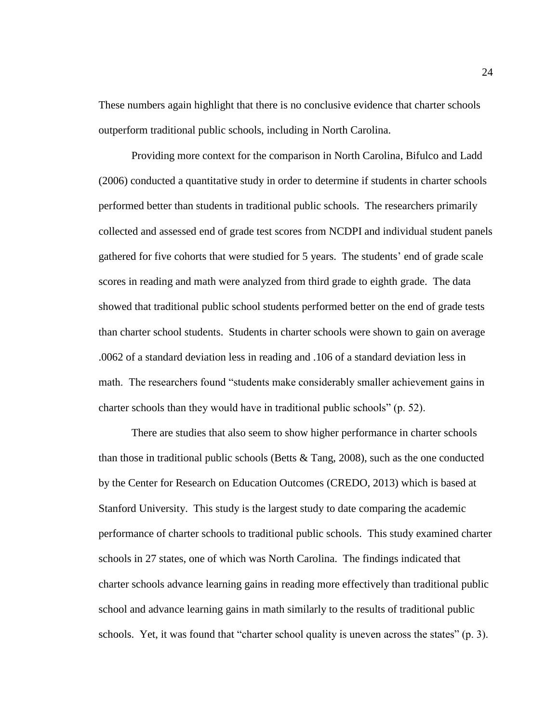These numbers again highlight that there is no conclusive evidence that charter schools outperform traditional public schools, including in North Carolina.

Providing more context for the comparison in North Carolina, Bifulco and Ladd (2006) conducted a quantitative study in order to determine if students in charter schools performed better than students in traditional public schools. The researchers primarily collected and assessed end of grade test scores from NCDPI and individual student panels gathered for five cohorts that were studied for 5 years. The students' end of grade scale scores in reading and math were analyzed from third grade to eighth grade. The data showed that traditional public school students performed better on the end of grade tests than charter school students. Students in charter schools were shown to gain on average .0062 of a standard deviation less in reading and .106 of a standard deviation less in math. The researchers found "students make considerably smaller achievement gains in charter schools than they would have in traditional public schools" (p. 52).

There are studies that also seem to show higher performance in charter schools than those in traditional public schools (Betts  $&$  Tang, 2008), such as the one conducted by the Center for Research on Education Outcomes (CREDO, 2013) which is based at Stanford University. This study is the largest study to date comparing the academic performance of charter schools to traditional public schools. This study examined charter schools in 27 states, one of which was North Carolina. The findings indicated that charter schools advance learning gains in reading more effectively than traditional public school and advance learning gains in math similarly to the results of traditional public schools. Yet, it was found that "charter school quality is uneven across the states" (p. 3).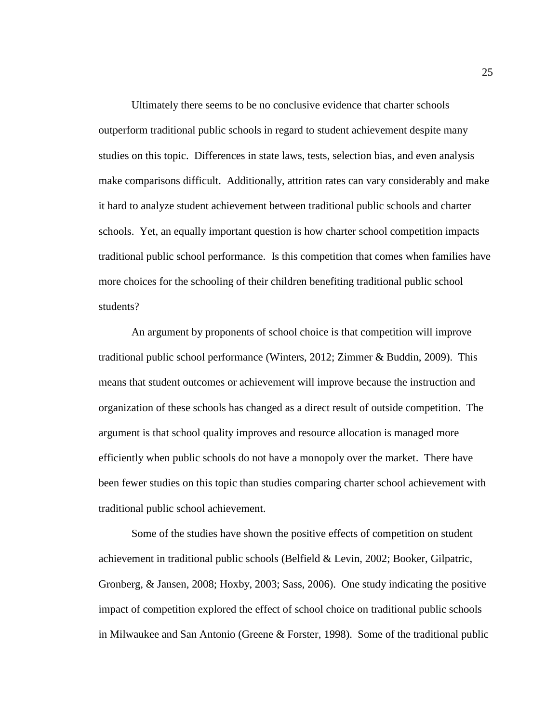Ultimately there seems to be no conclusive evidence that charter schools outperform traditional public schools in regard to student achievement despite many studies on this topic. Differences in state laws, tests, selection bias, and even analysis make comparisons difficult. Additionally, attrition rates can vary considerably and make it hard to analyze student achievement between traditional public schools and charter schools. Yet, an equally important question is how charter school competition impacts traditional public school performance. Is this competition that comes when families have more choices for the schooling of their children benefiting traditional public school students?

An argument by proponents of school choice is that competition will improve traditional public school performance (Winters, 2012; Zimmer & Buddin, 2009). This means that student outcomes or achievement will improve because the instruction and organization of these schools has changed as a direct result of outside competition. The argument is that school quality improves and resource allocation is managed more efficiently when public schools do not have a monopoly over the market. There have been fewer studies on this topic than studies comparing charter school achievement with traditional public school achievement.

Some of the studies have shown the positive effects of competition on student achievement in traditional public schools (Belfield & Levin, 2002; Booker, Gilpatric, Gronberg, & Jansen, 2008; Hoxby, 2003; Sass, 2006). One study indicating the positive impact of competition explored the effect of school choice on traditional public schools in Milwaukee and San Antonio (Greene & Forster, 1998). Some of the traditional public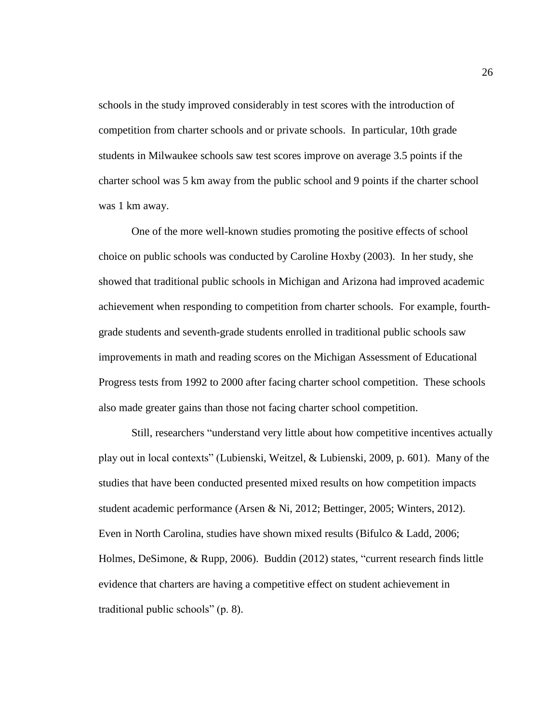schools in the study improved considerably in test scores with the introduction of competition from charter schools and or private schools. In particular, 10th grade students in Milwaukee schools saw test scores improve on average 3.5 points if the charter school was 5 km away from the public school and 9 points if the charter school was 1 km away.

One of the more well-known studies promoting the positive effects of school choice on public schools was conducted by Caroline Hoxby (2003). In her study, she showed that traditional public schools in Michigan and Arizona had improved academic achievement when responding to competition from charter schools. For example, fourthgrade students and seventh-grade students enrolled in traditional public schools saw improvements in math and reading scores on the Michigan Assessment of Educational Progress tests from 1992 to 2000 after facing charter school competition. These schools also made greater gains than those not facing charter school competition.

Still, researchers "understand very little about how competitive incentives actually play out in local contexts" (Lubienski, Weitzel, & Lubienski, 2009, p. 601). Many of the studies that have been conducted presented mixed results on how competition impacts student academic performance (Arsen & Ni, 2012; Bettinger, 2005; Winters, 2012). Even in North Carolina, studies have shown mixed results (Bifulco & Ladd, 2006; Holmes, DeSimone, & Rupp, 2006). Buddin (2012) states, "current research finds little evidence that charters are having a competitive effect on student achievement in traditional public schools" (p. 8).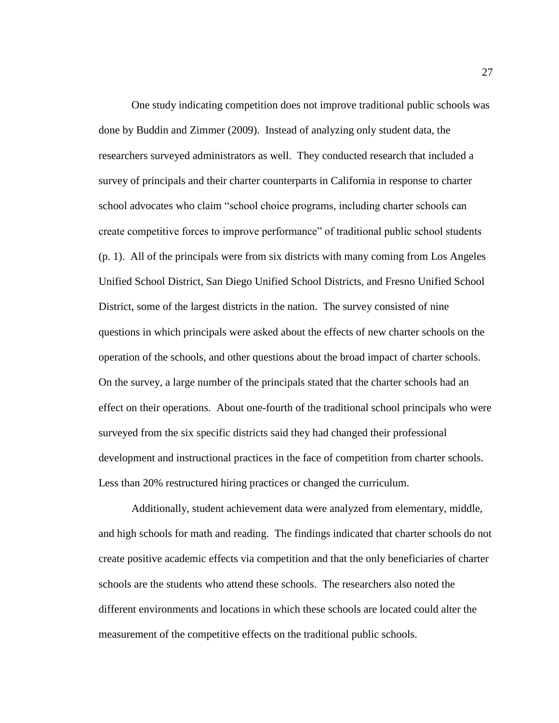One study indicating competition does not improve traditional public schools was done by Buddin and Zimmer (2009). Instead of analyzing only student data, the researchers surveyed administrators as well. They conducted research that included a survey of principals and their charter counterparts in California in response to charter school advocates who claim "school choice programs, including charter schools can create competitive forces to improve performance" of traditional public school students (p. 1). All of the principals were from six districts with many coming from Los Angeles Unified School District, San Diego Unified School Districts, and Fresno Unified School District, some of the largest districts in the nation. The survey consisted of nine questions in which principals were asked about the effects of new charter schools on the operation of the schools, and other questions about the broad impact of charter schools. On the survey, a large number of the principals stated that the charter schools had an effect on their operations. About one-fourth of the traditional school principals who were surveyed from the six specific districts said they had changed their professional development and instructional practices in the face of competition from charter schools. Less than 20% restructured hiring practices or changed the curriculum.

Additionally, student achievement data were analyzed from elementary, middle, and high schools for math and reading. The findings indicated that charter schools do not create positive academic effects via competition and that the only beneficiaries of charter schools are the students who attend these schools. The researchers also noted the different environments and locations in which these schools are located could alter the measurement of the competitive effects on the traditional public schools.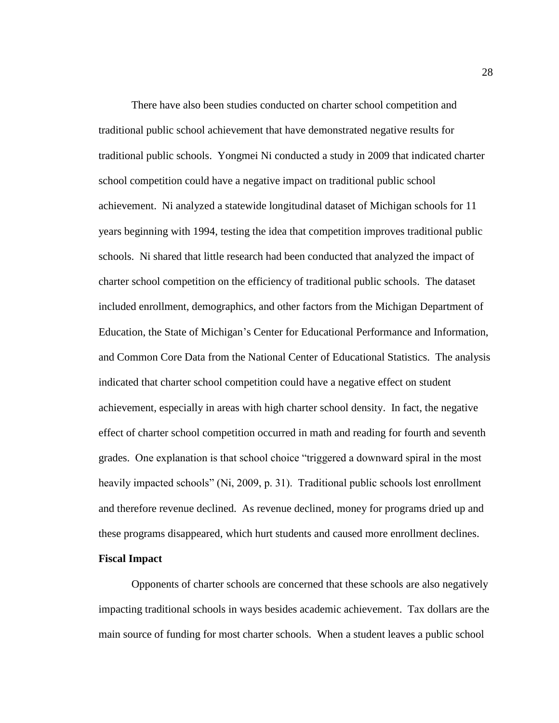There have also been studies conducted on charter school competition and traditional public school achievement that have demonstrated negative results for traditional public schools. Yongmei Ni conducted a study in 2009 that indicated charter school competition could have a negative impact on traditional public school achievement. Ni analyzed a statewide longitudinal dataset of Michigan schools for 11 years beginning with 1994, testing the idea that competition improves traditional public schools. Ni shared that little research had been conducted that analyzed the impact of charter school competition on the efficiency of traditional public schools. The dataset included enrollment, demographics, and other factors from the Michigan Department of Education, the State of Michigan's Center for Educational Performance and Information, and Common Core Data from the National Center of Educational Statistics. The analysis indicated that charter school competition could have a negative effect on student achievement, especially in areas with high charter school density. In fact, the negative effect of charter school competition occurred in math and reading for fourth and seventh grades. One explanation is that school choice "triggered a downward spiral in the most heavily impacted schools" (Ni, 2009, p. 31). Traditional public schools lost enrollment and therefore revenue declined. As revenue declined, money for programs dried up and these programs disappeared, which hurt students and caused more enrollment declines. **Fiscal Impact**

Opponents of charter schools are concerned that these schools are also negatively impacting traditional schools in ways besides academic achievement. Tax dollars are the main source of funding for most charter schools. When a student leaves a public school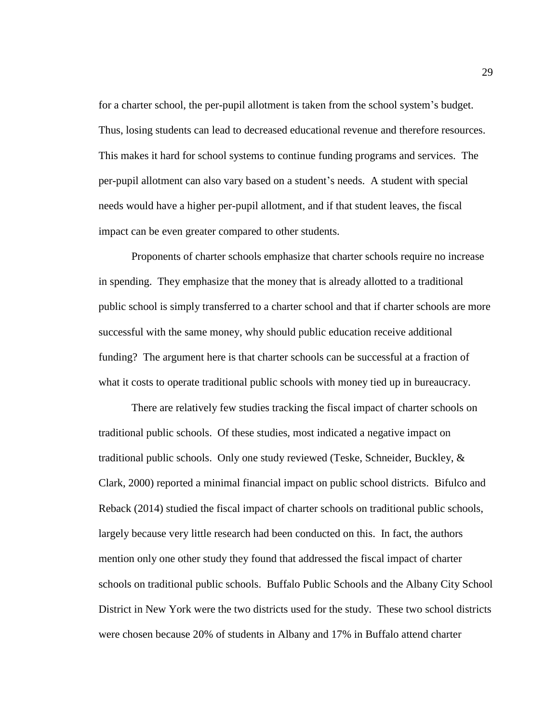for a charter school, the per-pupil allotment is taken from the school system's budget. Thus, losing students can lead to decreased educational revenue and therefore resources. This makes it hard for school systems to continue funding programs and services. The per-pupil allotment can also vary based on a student's needs. A student with special needs would have a higher per-pupil allotment, and if that student leaves, the fiscal impact can be even greater compared to other students.

Proponents of charter schools emphasize that charter schools require no increase in spending. They emphasize that the money that is already allotted to a traditional public school is simply transferred to a charter school and that if charter schools are more successful with the same money, why should public education receive additional funding? The argument here is that charter schools can be successful at a fraction of what it costs to operate traditional public schools with money tied up in bureaucracy.

There are relatively few studies tracking the fiscal impact of charter schools on traditional public schools. Of these studies, most indicated a negative impact on traditional public schools. Only one study reviewed (Teske, Schneider, Buckley, & Clark, 2000) reported a minimal financial impact on public school districts. Bifulco and Reback (2014) studied the fiscal impact of charter schools on traditional public schools, largely because very little research had been conducted on this. In fact, the authors mention only one other study they found that addressed the fiscal impact of charter schools on traditional public schools. Buffalo Public Schools and the Albany City School District in New York were the two districts used for the study. These two school districts were chosen because 20% of students in Albany and 17% in Buffalo attend charter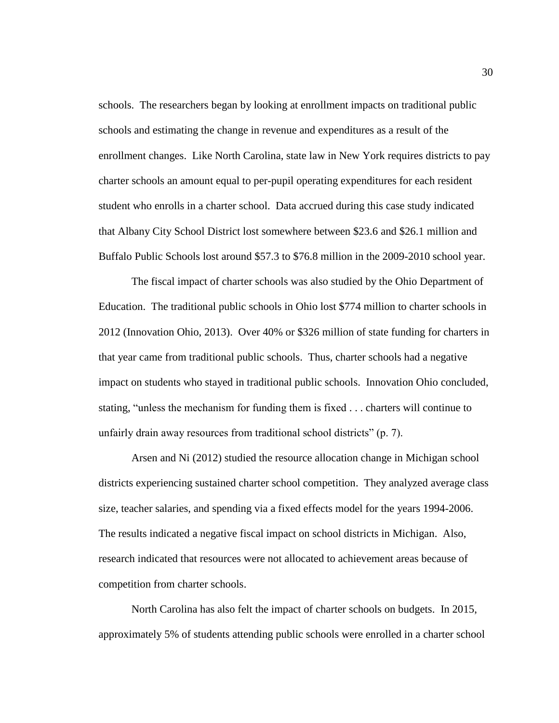schools. The researchers began by looking at enrollment impacts on traditional public schools and estimating the change in revenue and expenditures as a result of the enrollment changes. Like North Carolina, state law in New York requires districts to pay charter schools an amount equal to per-pupil operating expenditures for each resident student who enrolls in a charter school. Data accrued during this case study indicated that Albany City School District lost somewhere between \$23.6 and \$26.1 million and Buffalo Public Schools lost around \$57.3 to \$76.8 million in the 2009-2010 school year.

The fiscal impact of charter schools was also studied by the Ohio Department of Education. The traditional public schools in Ohio lost \$774 million to charter schools in 2012 (Innovation Ohio, 2013). Over 40% or \$326 million of state funding for charters in that year came from traditional public schools. Thus, charter schools had a negative impact on students who stayed in traditional public schools. Innovation Ohio concluded, stating, "unless the mechanism for funding them is fixed . . . charters will continue to unfairly drain away resources from traditional school districts" (p. 7).

Arsen and Ni (2012) studied the resource allocation change in Michigan school districts experiencing sustained charter school competition. They analyzed average class size, teacher salaries, and spending via a fixed effects model for the years 1994-2006. The results indicated a negative fiscal impact on school districts in Michigan. Also, research indicated that resources were not allocated to achievement areas because of competition from charter schools.

North Carolina has also felt the impact of charter schools on budgets. In 2015, approximately 5% of students attending public schools were enrolled in a charter school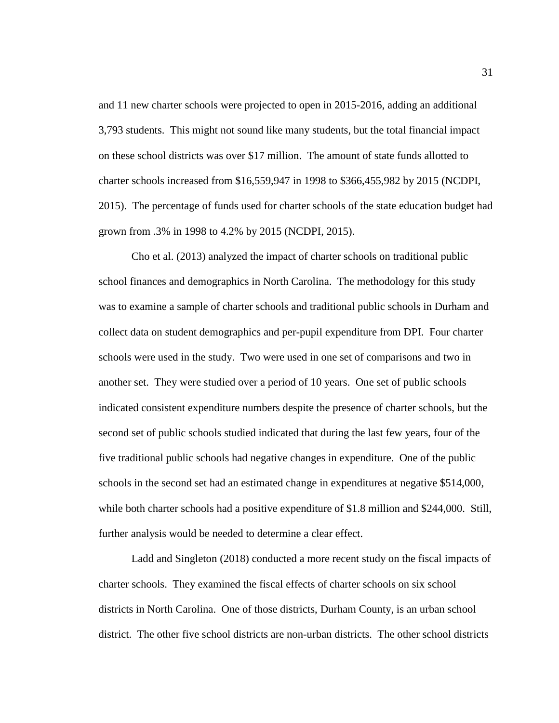and 11 new charter schools were projected to open in 2015-2016, adding an additional 3,793 students. This might not sound like many students, but the total financial impact on these school districts was over \$17 million. The amount of state funds allotted to charter schools increased from \$16,559,947 in 1998 to \$366,455,982 by 2015 (NCDPI, 2015). The percentage of funds used for charter schools of the state education budget had grown from .3% in 1998 to 4.2% by 2015 (NCDPI, 2015).

Cho et al. (2013) analyzed the impact of charter schools on traditional public school finances and demographics in North Carolina. The methodology for this study was to examine a sample of charter schools and traditional public schools in Durham and collect data on student demographics and per-pupil expenditure from DPI. Four charter schools were used in the study. Two were used in one set of comparisons and two in another set. They were studied over a period of 10 years. One set of public schools indicated consistent expenditure numbers despite the presence of charter schools, but the second set of public schools studied indicated that during the last few years, four of the five traditional public schools had negative changes in expenditure. One of the public schools in the second set had an estimated change in expenditures at negative \$514,000, while both charter schools had a positive expenditure of \$1.8 million and \$244,000. Still, further analysis would be needed to determine a clear effect.

Ladd and Singleton (2018) conducted a more recent study on the fiscal impacts of charter schools. They examined the fiscal effects of charter schools on six school districts in North Carolina. One of those districts, Durham County, is an urban school district. The other five school districts are non-urban districts. The other school districts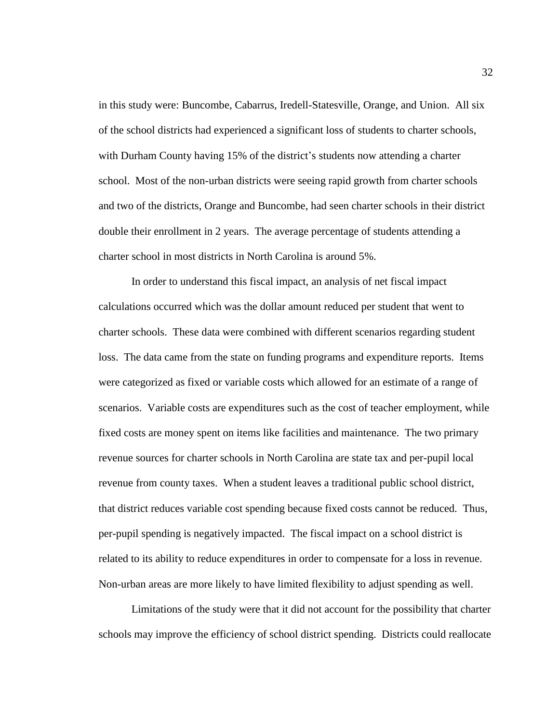in this study were: Buncombe, Cabarrus, Iredell-Statesville, Orange, and Union. All six of the school districts had experienced a significant loss of students to charter schools, with Durham County having 15% of the district's students now attending a charter school. Most of the non-urban districts were seeing rapid growth from charter schools and two of the districts, Orange and Buncombe, had seen charter schools in their district double their enrollment in 2 years. The average percentage of students attending a charter school in most districts in North Carolina is around 5%.

In order to understand this fiscal impact, an analysis of net fiscal impact calculations occurred which was the dollar amount reduced per student that went to charter schools. These data were combined with different scenarios regarding student loss. The data came from the state on funding programs and expenditure reports. Items were categorized as fixed or variable costs which allowed for an estimate of a range of scenarios. Variable costs are expenditures such as the cost of teacher employment, while fixed costs are money spent on items like facilities and maintenance. The two primary revenue sources for charter schools in North Carolina are state tax and per-pupil local revenue from county taxes. When a student leaves a traditional public school district, that district reduces variable cost spending because fixed costs cannot be reduced. Thus, per-pupil spending is negatively impacted. The fiscal impact on a school district is related to its ability to reduce expenditures in order to compensate for a loss in revenue. Non-urban areas are more likely to have limited flexibility to adjust spending as well.

Limitations of the study were that it did not account for the possibility that charter schools may improve the efficiency of school district spending. Districts could reallocate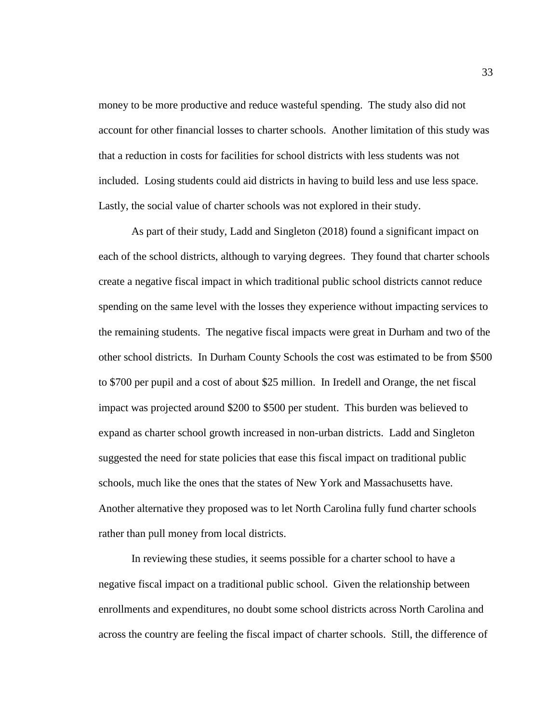money to be more productive and reduce wasteful spending. The study also did not account for other financial losses to charter schools. Another limitation of this study was that a reduction in costs for facilities for school districts with less students was not included. Losing students could aid districts in having to build less and use less space. Lastly, the social value of charter schools was not explored in their study.

As part of their study, Ladd and Singleton (2018) found a significant impact on each of the school districts, although to varying degrees. They found that charter schools create a negative fiscal impact in which traditional public school districts cannot reduce spending on the same level with the losses they experience without impacting services to the remaining students. The negative fiscal impacts were great in Durham and two of the other school districts. In Durham County Schools the cost was estimated to be from \$500 to \$700 per pupil and a cost of about \$25 million. In Iredell and Orange, the net fiscal impact was projected around \$200 to \$500 per student. This burden was believed to expand as charter school growth increased in non-urban districts. Ladd and Singleton suggested the need for state policies that ease this fiscal impact on traditional public schools, much like the ones that the states of New York and Massachusetts have. Another alternative they proposed was to let North Carolina fully fund charter schools rather than pull money from local districts.

In reviewing these studies, it seems possible for a charter school to have a negative fiscal impact on a traditional public school. Given the relationship between enrollments and expenditures, no doubt some school districts across North Carolina and across the country are feeling the fiscal impact of charter schools. Still, the difference of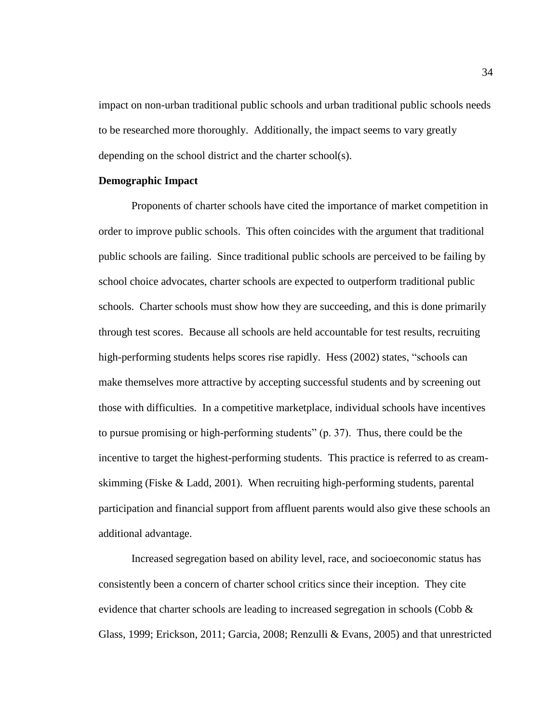impact on non-urban traditional public schools and urban traditional public schools needs to be researched more thoroughly. Additionally, the impact seems to vary greatly depending on the school district and the charter school(s).

## **Demographic Impact**

Proponents of charter schools have cited the importance of market competition in order to improve public schools. This often coincides with the argument that traditional public schools are failing. Since traditional public schools are perceived to be failing by school choice advocates, charter schools are expected to outperform traditional public schools. Charter schools must show how they are succeeding, and this is done primarily through test scores. Because all schools are held accountable for test results, recruiting high-performing students helps scores rise rapidly. Hess (2002) states, "schools can make themselves more attractive by accepting successful students and by screening out those with difficulties. In a competitive marketplace, individual schools have incentives to pursue promising or high-performing students" (p. 37). Thus, there could be the incentive to target the highest-performing students. This practice is referred to as creamskimming (Fiske & Ladd, 2001). When recruiting high-performing students, parental participation and financial support from affluent parents would also give these schools an additional advantage.

Increased segregation based on ability level, race, and socioeconomic status has consistently been a concern of charter school critics since their inception. They cite evidence that charter schools are leading to increased segregation in schools (Cobb  $\&$ Glass, 1999; Erickson, 2011; Garcia, 2008; Renzulli & Evans, 2005) and that unrestricted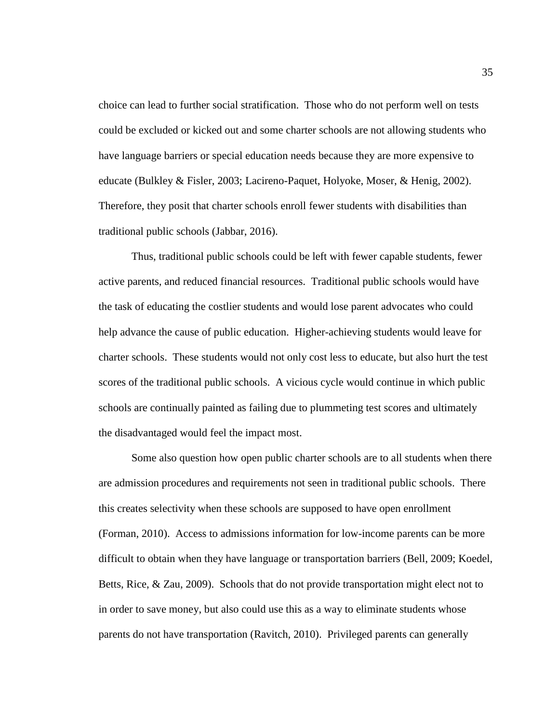choice can lead to further social stratification. Those who do not perform well on tests could be excluded or kicked out and some charter schools are not allowing students who have language barriers or special education needs because they are more expensive to educate (Bulkley & Fisler, 2003; Lacireno-Paquet, Holyoke, Moser, & Henig, 2002). Therefore, they posit that charter schools enroll fewer students with disabilities than traditional public schools (Jabbar, 2016).

Thus, traditional public schools could be left with fewer capable students, fewer active parents, and reduced financial resources. Traditional public schools would have the task of educating the costlier students and would lose parent advocates who could help advance the cause of public education. Higher-achieving students would leave for charter schools. These students would not only cost less to educate, but also hurt the test scores of the traditional public schools. A vicious cycle would continue in which public schools are continually painted as failing due to plummeting test scores and ultimately the disadvantaged would feel the impact most.

Some also question how open public charter schools are to all students when there are admission procedures and requirements not seen in traditional public schools. There this creates selectivity when these schools are supposed to have open enrollment (Forman, 2010). Access to admissions information for low-income parents can be more difficult to obtain when they have language or transportation barriers (Bell, 2009; Koedel, Betts, Rice, & Zau, 2009). Schools that do not provide transportation might elect not to in order to save money, but also could use this as a way to eliminate students whose parents do not have transportation (Ravitch, 2010). Privileged parents can generally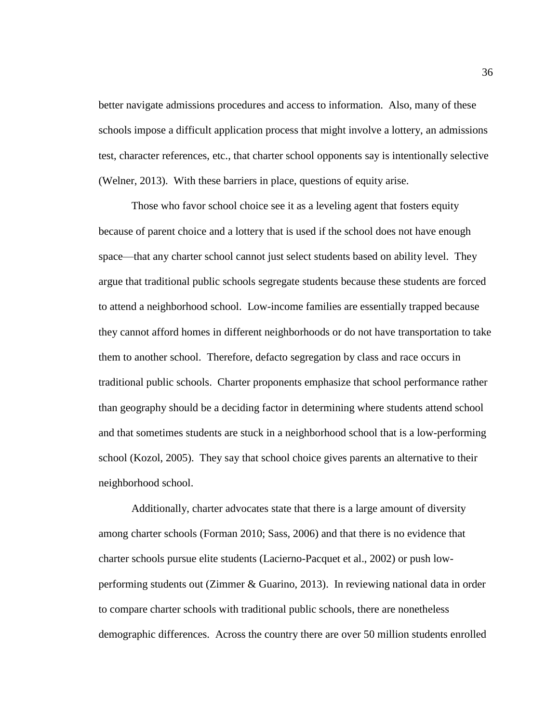better navigate admissions procedures and access to information. Also, many of these schools impose a difficult application process that might involve a lottery, an admissions test, character references, etc., that charter school opponents say is intentionally selective (Welner, 2013). With these barriers in place, questions of equity arise.

Those who favor school choice see it as a leveling agent that fosters equity because of parent choice and a lottery that is used if the school does not have enough space—that any charter school cannot just select students based on ability level. They argue that traditional public schools segregate students because these students are forced to attend a neighborhood school. Low-income families are essentially trapped because they cannot afford homes in different neighborhoods or do not have transportation to take them to another school. Therefore, defacto segregation by class and race occurs in traditional public schools. Charter proponents emphasize that school performance rather than geography should be a deciding factor in determining where students attend school and that sometimes students are stuck in a neighborhood school that is a low-performing school (Kozol, 2005). They say that school choice gives parents an alternative to their neighborhood school.

Additionally, charter advocates state that there is a large amount of diversity among charter schools (Forman 2010; Sass, 2006) and that there is no evidence that charter schools pursue elite students (Lacierno-Pacquet et al., 2002) or push lowperforming students out (Zimmer & Guarino, 2013). In reviewing national data in order to compare charter schools with traditional public schools, there are nonetheless demographic differences. Across the country there are over 50 million students enrolled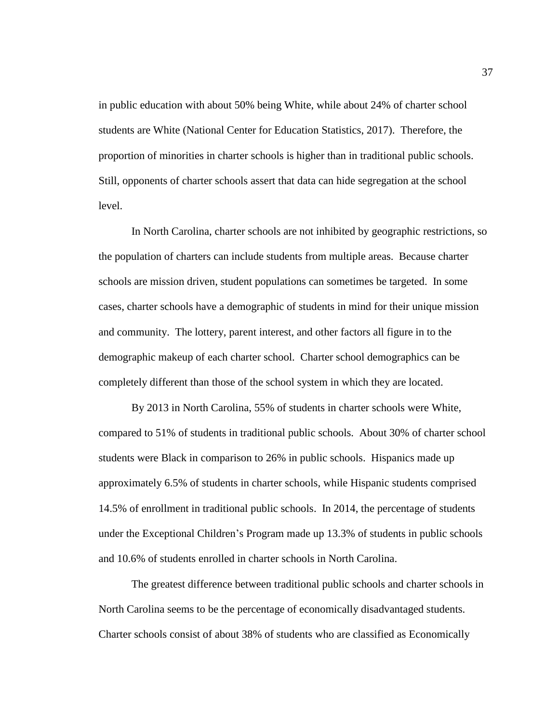in public education with about 50% being White, while about 24% of charter school students are White (National Center for Education Statistics, 2017). Therefore, the proportion of minorities in charter schools is higher than in traditional public schools. Still, opponents of charter schools assert that data can hide segregation at the school level.

In North Carolina, charter schools are not inhibited by geographic restrictions, so the population of charters can include students from multiple areas. Because charter schools are mission driven, student populations can sometimes be targeted. In some cases, charter schools have a demographic of students in mind for their unique mission and community. The lottery, parent interest, and other factors all figure in to the demographic makeup of each charter school. Charter school demographics can be completely different than those of the school system in which they are located.

By 2013 in North Carolina, 55% of students in charter schools were White, compared to 51% of students in traditional public schools. About 30% of charter school students were Black in comparison to 26% in public schools. Hispanics made up approximately 6.5% of students in charter schools, while Hispanic students comprised 14.5% of enrollment in traditional public schools. In 2014, the percentage of students under the Exceptional Children's Program made up 13.3% of students in public schools and 10.6% of students enrolled in charter schools in North Carolina.

The greatest difference between traditional public schools and charter schools in North Carolina seems to be the percentage of economically disadvantaged students. Charter schools consist of about 38% of students who are classified as Economically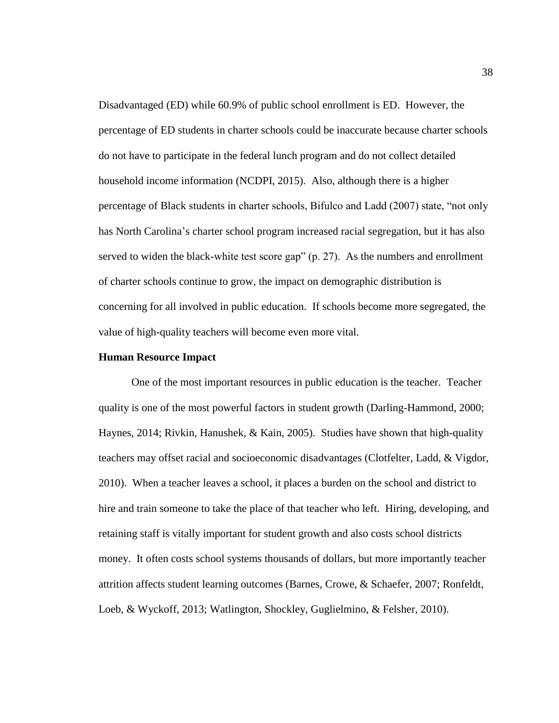Disadvantaged (ED) while 60.9% of public school enrollment is ED. However, the percentage of ED students in charter schools could be inaccurate because charter schools do not have to participate in the federal lunch program and do not collect detailed household income information (NCDPI, 2015). Also, although there is a higher percentage of Black students in charter schools, Bifulco and Ladd (2007) state, "not only has North Carolina's charter school program increased racial segregation, but it has also served to widen the black-white test score gap" (p. 27). As the numbers and enrollment of charter schools continue to grow, the impact on demographic distribution is concerning for all involved in public education. If schools become more segregated, the value of high-quality teachers will become even more vital.

#### **Human Resource Impact**

One of the most important resources in public education is the teacher. Teacher quality is one of the most powerful factors in student growth (Darling-Hammond, 2000; Haynes, 2014; Rivkin, Hanushek, & Kain, 2005). Studies have shown that high-quality teachers may offset racial and socioeconomic disadvantages (Clotfelter, Ladd, & Vigdor, 2010). When a teacher leaves a school, it places a burden on the school and district to hire and train someone to take the place of that teacher who left. Hiring, developing, and retaining staff is vitally important for student growth and also costs school districts money. It often costs school systems thousands of dollars, but more importantly teacher attrition affects student learning outcomes (Barnes, Crowe, & Schaefer, 2007; Ronfeldt, Loeb, & Wyckoff, 2013; Watlington, Shockley, Guglielmino, & Felsher, 2010).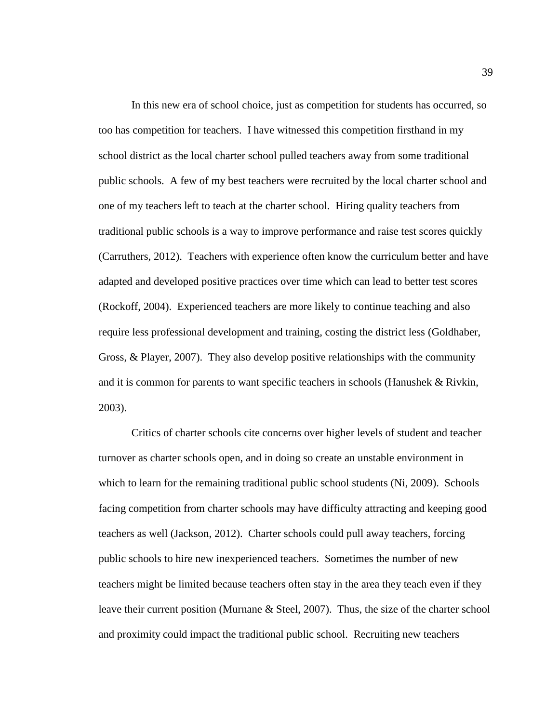In this new era of school choice, just as competition for students has occurred, so too has competition for teachers. I have witnessed this competition firsthand in my school district as the local charter school pulled teachers away from some traditional public schools. A few of my best teachers were recruited by the local charter school and one of my teachers left to teach at the charter school. Hiring quality teachers from traditional public schools is a way to improve performance and raise test scores quickly (Carruthers, 2012). Teachers with experience often know the curriculum better and have adapted and developed positive practices over time which can lead to better test scores (Rockoff, 2004). Experienced teachers are more likely to continue teaching and also require less professional development and training, costing the district less (Goldhaber, Gross, & Player, 2007). They also develop positive relationships with the community and it is common for parents to want specific teachers in schools (Hanushek & Rivkin, 2003).

Critics of charter schools cite concerns over higher levels of student and teacher turnover as charter schools open, and in doing so create an unstable environment in which to learn for the remaining traditional public school students (Ni, 2009). Schools facing competition from charter schools may have difficulty attracting and keeping good teachers as well (Jackson, 2012). Charter schools could pull away teachers, forcing public schools to hire new inexperienced teachers. Sometimes the number of new teachers might be limited because teachers often stay in the area they teach even if they leave their current position (Murnane & Steel, 2007). Thus, the size of the charter school and proximity could impact the traditional public school. Recruiting new teachers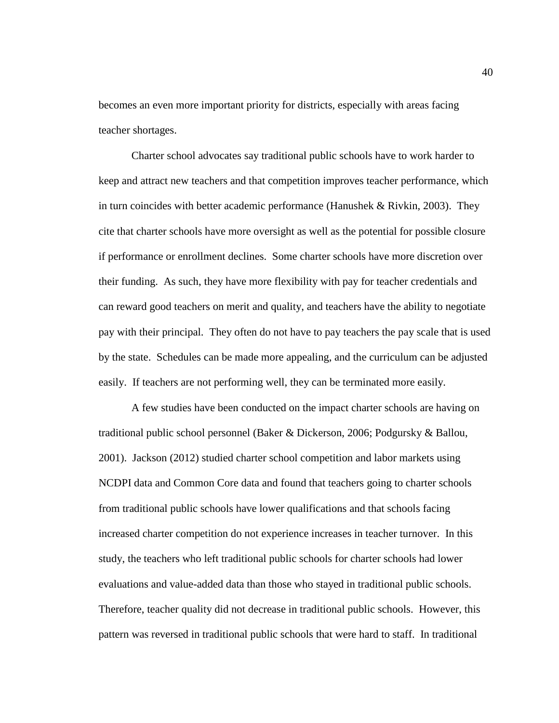becomes an even more important priority for districts, especially with areas facing teacher shortages.

Charter school advocates say traditional public schools have to work harder to keep and attract new teachers and that competition improves teacher performance, which in turn coincides with better academic performance (Hanushek & Rivkin, 2003). They cite that charter schools have more oversight as well as the potential for possible closure if performance or enrollment declines. Some charter schools have more discretion over their funding. As such, they have more flexibility with pay for teacher credentials and can reward good teachers on merit and quality, and teachers have the ability to negotiate pay with their principal. They often do not have to pay teachers the pay scale that is used by the state. Schedules can be made more appealing, and the curriculum can be adjusted easily. If teachers are not performing well, they can be terminated more easily.

A few studies have been conducted on the impact charter schools are having on traditional public school personnel (Baker & Dickerson, 2006; Podgursky & Ballou, 2001). Jackson (2012) studied charter school competition and labor markets using NCDPI data and Common Core data and found that teachers going to charter schools from traditional public schools have lower qualifications and that schools facing increased charter competition do not experience increases in teacher turnover. In this study, the teachers who left traditional public schools for charter schools had lower evaluations and value-added data than those who stayed in traditional public schools. Therefore, teacher quality did not decrease in traditional public schools. However, this pattern was reversed in traditional public schools that were hard to staff. In traditional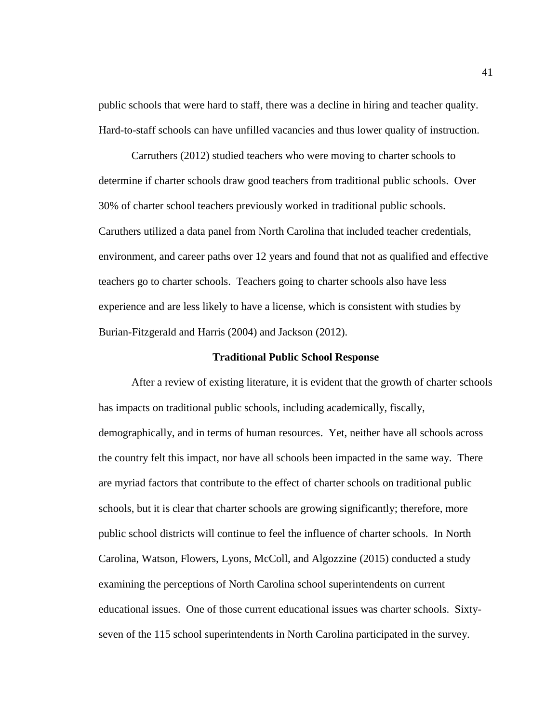public schools that were hard to staff, there was a decline in hiring and teacher quality. Hard-to-staff schools can have unfilled vacancies and thus lower quality of instruction.

Carruthers (2012) studied teachers who were moving to charter schools to determine if charter schools draw good teachers from traditional public schools. Over 30% of charter school teachers previously worked in traditional public schools. Caruthers utilized a data panel from North Carolina that included teacher credentials, environment, and career paths over 12 years and found that not as qualified and effective teachers go to charter schools. Teachers going to charter schools also have less experience and are less likely to have a license, which is consistent with studies by Burian-Fitzgerald and Harris (2004) and Jackson (2012).

## **Traditional Public School Response**

After a review of existing literature, it is evident that the growth of charter schools has impacts on traditional public schools, including academically, fiscally, demographically, and in terms of human resources. Yet, neither have all schools across the country felt this impact, nor have all schools been impacted in the same way. There are myriad factors that contribute to the effect of charter schools on traditional public schools, but it is clear that charter schools are growing significantly; therefore, more public school districts will continue to feel the influence of charter schools. In North Carolina, Watson, Flowers, Lyons, McColl, and Algozzine (2015) conducted a study examining the perceptions of North Carolina school superintendents on current educational issues. One of those current educational issues was charter schools. Sixtyseven of the 115 school superintendents in North Carolina participated in the survey.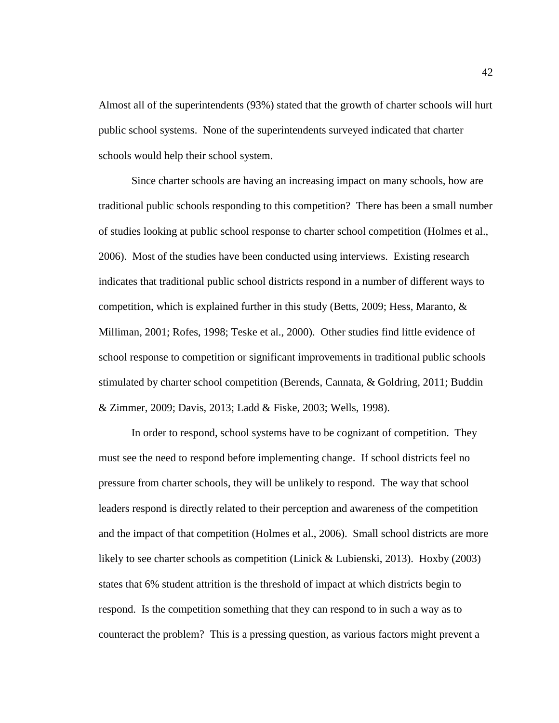Almost all of the superintendents (93%) stated that the growth of charter schools will hurt public school systems. None of the superintendents surveyed indicated that charter schools would help their school system.

Since charter schools are having an increasing impact on many schools, how are traditional public schools responding to this competition? There has been a small number of studies looking at public school response to charter school competition (Holmes et al., 2006). Most of the studies have been conducted using interviews. Existing research indicates that traditional public school districts respond in a number of different ways to competition, which is explained further in this study (Betts, 2009; Hess, Maranto, & Milliman, 2001; Rofes, 1998; Teske et al., 2000). Other studies find little evidence of school response to competition or significant improvements in traditional public schools stimulated by charter school competition (Berends, Cannata, & Goldring, 2011; Buddin & Zimmer, 2009; Davis, 2013; Ladd & Fiske, 2003; Wells, 1998).

In order to respond, school systems have to be cognizant of competition. They must see the need to respond before implementing change. If school districts feel no pressure from charter schools, they will be unlikely to respond. The way that school leaders respond is directly related to their perception and awareness of the competition and the impact of that competition (Holmes et al., 2006). Small school districts are more likely to see charter schools as competition (Linick & Lubienski, 2013). Hoxby (2003) states that 6% student attrition is the threshold of impact at which districts begin to respond. Is the competition something that they can respond to in such a way as to counteract the problem? This is a pressing question, as various factors might prevent a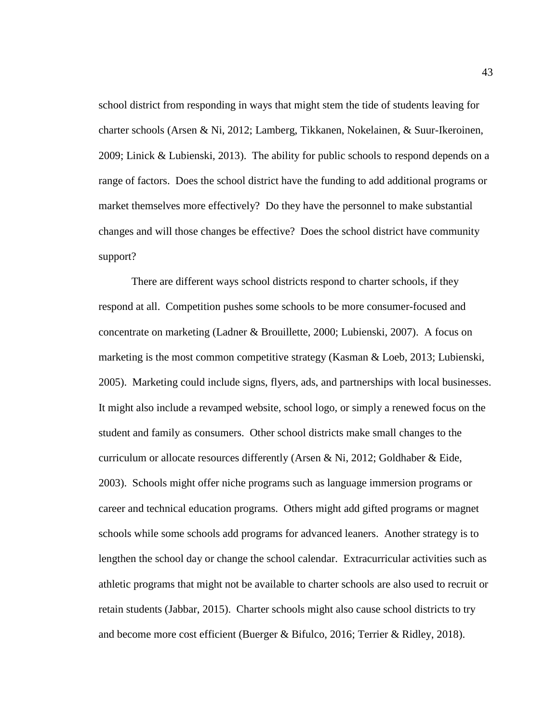school district from responding in ways that might stem the tide of students leaving for charter schools (Arsen & Ni, 2012; Lamberg, Tikkanen, Nokelainen, & Suur-Ikeroinen, 2009; Linick & Lubienski, 2013). The ability for public schools to respond depends on a range of factors. Does the school district have the funding to add additional programs or market themselves more effectively? Do they have the personnel to make substantial changes and will those changes be effective? Does the school district have community support?

There are different ways school districts respond to charter schools, if they respond at all. Competition pushes some schools to be more consumer-focused and concentrate on marketing (Ladner & Brouillette, 2000; Lubienski, 2007). A focus on marketing is the most common competitive strategy (Kasman & Loeb, 2013; Lubienski, 2005). Marketing could include signs, flyers, ads, and partnerships with local businesses. It might also include a revamped website, school logo, or simply a renewed focus on the student and family as consumers. Other school districts make small changes to the curriculum or allocate resources differently (Arsen & Ni, 2012; Goldhaber & Eide, 2003). Schools might offer niche programs such as language immersion programs or career and technical education programs. Others might add gifted programs or magnet schools while some schools add programs for advanced leaners. Another strategy is to lengthen the school day or change the school calendar. Extracurricular activities such as athletic programs that might not be available to charter schools are also used to recruit or retain students (Jabbar, 2015). Charter schools might also cause school districts to try and become more cost efficient (Buerger & Bifulco, 2016; Terrier & Ridley, 2018).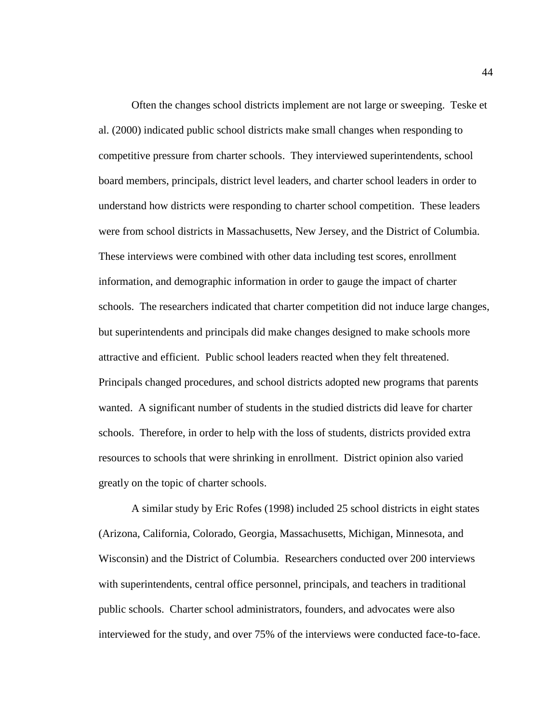Often the changes school districts implement are not large or sweeping. Teske et al. (2000) indicated public school districts make small changes when responding to competitive pressure from charter schools. They interviewed superintendents, school board members, principals, district level leaders, and charter school leaders in order to understand how districts were responding to charter school competition. These leaders were from school districts in Massachusetts, New Jersey, and the District of Columbia. These interviews were combined with other data including test scores, enrollment information, and demographic information in order to gauge the impact of charter schools. The researchers indicated that charter competition did not induce large changes, but superintendents and principals did make changes designed to make schools more attractive and efficient. Public school leaders reacted when they felt threatened. Principals changed procedures, and school districts adopted new programs that parents wanted. A significant number of students in the studied districts did leave for charter schools. Therefore, in order to help with the loss of students, districts provided extra resources to schools that were shrinking in enrollment. District opinion also varied greatly on the topic of charter schools.

A similar study by Eric Rofes (1998) included 25 school districts in eight states (Arizona, California, Colorado, Georgia, Massachusetts, Michigan, Minnesota, and Wisconsin) and the District of Columbia. Researchers conducted over 200 interviews with superintendents, central office personnel, principals, and teachers in traditional public schools. Charter school administrators, founders, and advocates were also interviewed for the study, and over 75% of the interviews were conducted face-to-face.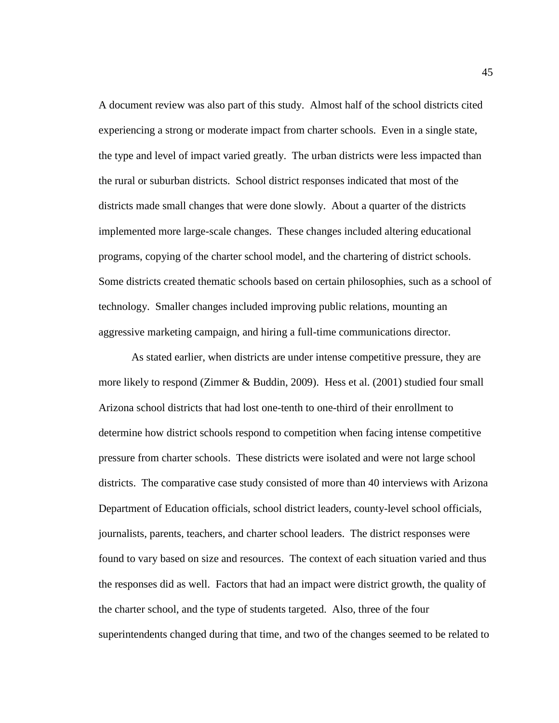A document review was also part of this study. Almost half of the school districts cited experiencing a strong or moderate impact from charter schools. Even in a single state, the type and level of impact varied greatly. The urban districts were less impacted than the rural or suburban districts. School district responses indicated that most of the districts made small changes that were done slowly. About a quarter of the districts implemented more large-scale changes. These changes included altering educational programs, copying of the charter school model, and the chartering of district schools. Some districts created thematic schools based on certain philosophies, such as a school of technology. Smaller changes included improving public relations, mounting an aggressive marketing campaign, and hiring a full-time communications director.

As stated earlier, when districts are under intense competitive pressure, they are more likely to respond (Zimmer & Buddin, 2009). Hess et al. (2001) studied four small Arizona school districts that had lost one-tenth to one-third of their enrollment to determine how district schools respond to competition when facing intense competitive pressure from charter schools. These districts were isolated and were not large school districts. The comparative case study consisted of more than 40 interviews with Arizona Department of Education officials, school district leaders, county-level school officials, journalists, parents, teachers, and charter school leaders. The district responses were found to vary based on size and resources. The context of each situation varied and thus the responses did as well. Factors that had an impact were district growth, the quality of the charter school, and the type of students targeted. Also, three of the four superintendents changed during that time, and two of the changes seemed to be related to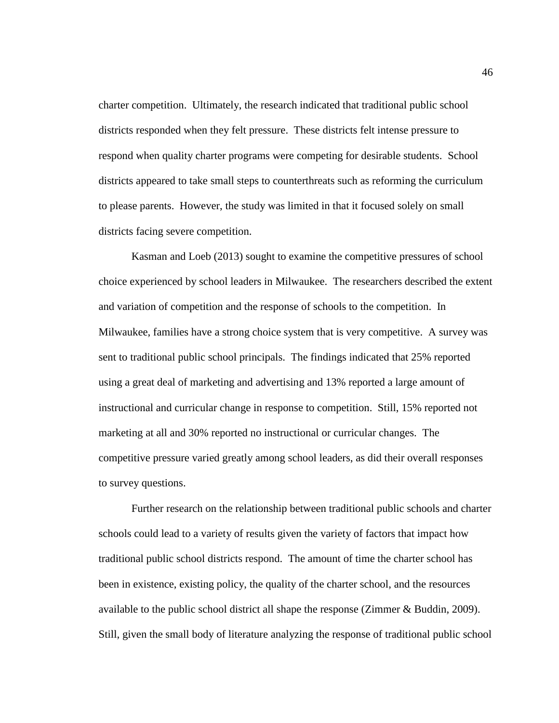charter competition. Ultimately, the research indicated that traditional public school districts responded when they felt pressure. These districts felt intense pressure to respond when quality charter programs were competing for desirable students. School districts appeared to take small steps to counterthreats such as reforming the curriculum to please parents. However, the study was limited in that it focused solely on small districts facing severe competition.

Kasman and Loeb (2013) sought to examine the competitive pressures of school choice experienced by school leaders in Milwaukee. The researchers described the extent and variation of competition and the response of schools to the competition. In Milwaukee, families have a strong choice system that is very competitive. A survey was sent to traditional public school principals. The findings indicated that 25% reported using a great deal of marketing and advertising and 13% reported a large amount of instructional and curricular change in response to competition. Still, 15% reported not marketing at all and 30% reported no instructional or curricular changes. The competitive pressure varied greatly among school leaders, as did their overall responses to survey questions.

Further research on the relationship between traditional public schools and charter schools could lead to a variety of results given the variety of factors that impact how traditional public school districts respond. The amount of time the charter school has been in existence, existing policy, the quality of the charter school, and the resources available to the public school district all shape the response (Zimmer & Buddin, 2009). Still, given the small body of literature analyzing the response of traditional public school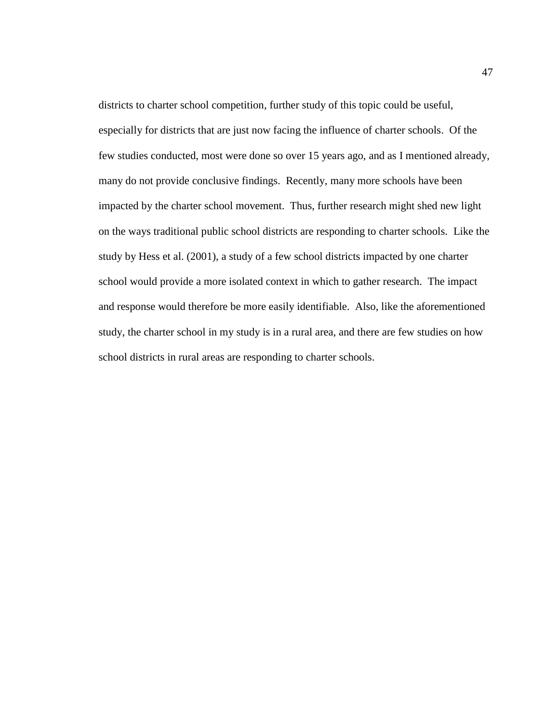districts to charter school competition, further study of this topic could be useful, especially for districts that are just now facing the influence of charter schools. Of the few studies conducted, most were done so over 15 years ago, and as I mentioned already, many do not provide conclusive findings. Recently, many more schools have been impacted by the charter school movement. Thus, further research might shed new light on the ways traditional public school districts are responding to charter schools. Like the study by Hess et al. (2001), a study of a few school districts impacted by one charter school would provide a more isolated context in which to gather research. The impact and response would therefore be more easily identifiable. Also, like the aforementioned study, the charter school in my study is in a rural area, and there are few studies on how school districts in rural areas are responding to charter schools.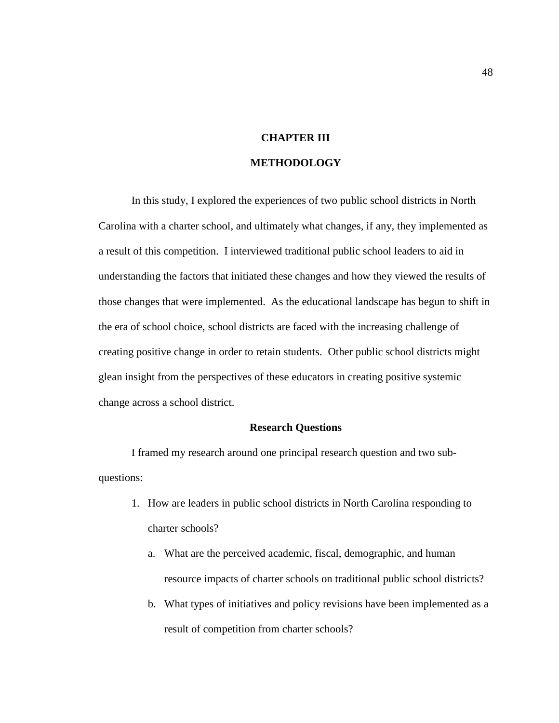# **CHAPTER III**

# **METHODOLOGY**

In this study, I explored the experiences of two public school districts in North Carolina with a charter school, and ultimately what changes, if any, they implemented as a result of this competition. I interviewed traditional public school leaders to aid in understanding the factors that initiated these changes and how they viewed the results of those changes that were implemented. As the educational landscape has begun to shift in the era of school choice, school districts are faced with the increasing challenge of creating positive change in order to retain students. Other public school districts might glean insight from the perspectives of these educators in creating positive systemic change across a school district.

# **Research Questions**

I framed my research around one principal research question and two subquestions:

- 1. How are leaders in public school districts in North Carolina responding to charter schools?
	- a. What are the perceived academic, fiscal, demographic, and human resource impacts of charter schools on traditional public school districts?
	- b. What types of initiatives and policy revisions have been implemented as a result of competition from charter schools?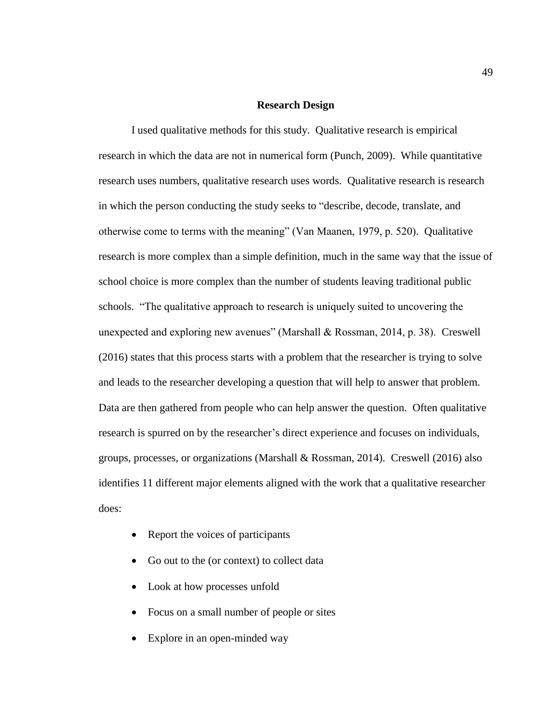## **Research Design**

I used qualitative methods for this study. Qualitative research is empirical research in which the data are not in numerical form (Punch, 2009). While quantitative research uses numbers, qualitative research uses words. Qualitative research is research in which the person conducting the study seeks to "describe, decode, translate, and otherwise come to terms with the meaning" (Van Maanen, 1979, p. 520). Qualitative research is more complex than a simple definition, much in the same way that the issue of school choice is more complex than the number of students leaving traditional public schools. "The qualitative approach to research is uniquely suited to uncovering the unexpected and exploring new avenues" (Marshall & Rossman, 2014, p. 38). Creswell (2016) states that this process starts with a problem that the researcher is trying to solve and leads to the researcher developing a question that will help to answer that problem. Data are then gathered from people who can help answer the question. Often qualitative research is spurred on by the researcher's direct experience and focuses on individuals, groups, processes, or organizations (Marshall & Rossman, 2014). Creswell (2016) also identifies 11 different major elements aligned with the work that a qualitative researcher does:

- Report the voices of participants
- Go out to the (or context) to collect data
- Look at how processes unfold
- Focus on a small number of people or sites
- Explore in an open-minded way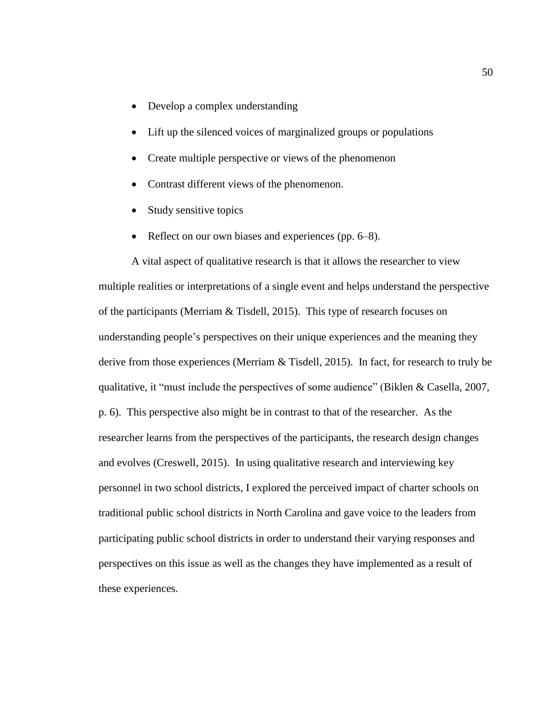- Develop a complex understanding
- Lift up the silenced voices of marginalized groups or populations
- Create multiple perspective or views of the phenomenon
- Contrast different views of the phenomenon.
- Study sensitive topics
- Reflect on our own biases and experiences (pp. 6–8).

A vital aspect of qualitative research is that it allows the researcher to view multiple realities or interpretations of a single event and helps understand the perspective of the participants (Merriam & Tisdell, 2015). This type of research focuses on understanding people's perspectives on their unique experiences and the meaning they derive from those experiences (Merriam & Tisdell, 2015). In fact, for research to truly be qualitative, it "must include the perspectives of some audience" (Biklen & Casella, 2007, p. 6). This perspective also might be in contrast to that of the researcher. As the researcher learns from the perspectives of the participants, the research design changes and evolves (Creswell, 2015). In using qualitative research and interviewing key personnel in two school districts, I explored the perceived impact of charter schools on traditional public school districts in North Carolina and gave voice to the leaders from participating public school districts in order to understand their varying responses and perspectives on this issue as well as the changes they have implemented as a result of these experiences.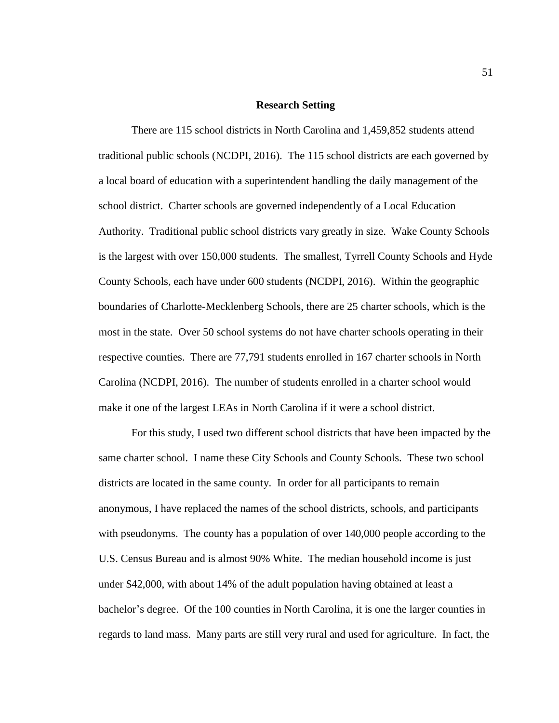#### **Research Setting**

There are 115 school districts in North Carolina and 1,459,852 students attend traditional public schools (NCDPI, 2016). The 115 school districts are each governed by a local board of education with a superintendent handling the daily management of the school district. Charter schools are governed independently of a Local Education Authority. Traditional public school districts vary greatly in size. Wake County Schools is the largest with over 150,000 students. The smallest, Tyrrell County Schools and Hyde County Schools, each have under 600 students (NCDPI, 2016). Within the geographic boundaries of Charlotte-Mecklenberg Schools, there are 25 charter schools, which is the most in the state. Over 50 school systems do not have charter schools operating in their respective counties. There are 77,791 students enrolled in 167 charter schools in North Carolina (NCDPI, 2016). The number of students enrolled in a charter school would make it one of the largest LEAs in North Carolina if it were a school district.

For this study, I used two different school districts that have been impacted by the same charter school. I name these City Schools and County Schools. These two school districts are located in the same county. In order for all participants to remain anonymous, I have replaced the names of the school districts, schools, and participants with pseudonyms. The county has a population of over 140,000 people according to the U.S. Census Bureau and is almost 90% White. The median household income is just under \$42,000, with about 14% of the adult population having obtained at least a bachelor's degree. Of the 100 counties in North Carolina, it is one the larger counties in regards to land mass. Many parts are still very rural and used for agriculture. In fact, the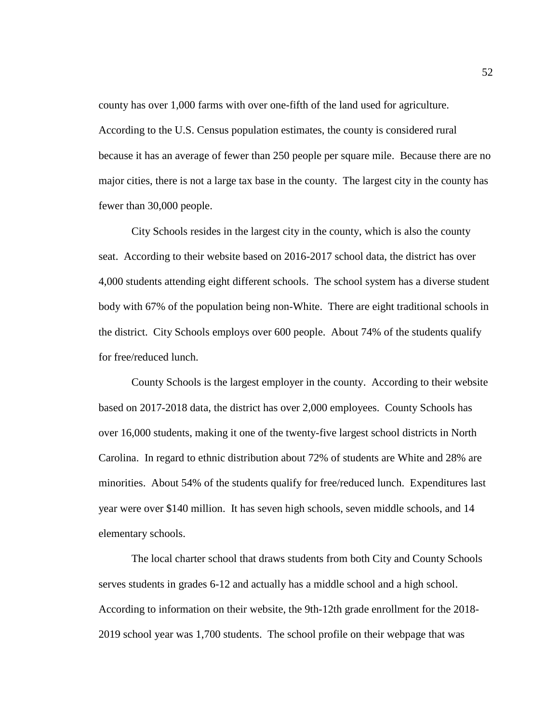county has over 1,000 farms with over one-fifth of the land used for agriculture. According to the U.S. Census population estimates, the county is considered rural because it has an average of fewer than 250 people per square mile. Because there are no major cities, there is not a large tax base in the county. The largest city in the county has fewer than 30,000 people.

City Schools resides in the largest city in the county, which is also the county seat. According to their website based on 2016-2017 school data, the district has over 4,000 students attending eight different schools. The school system has a diverse student body with 67% of the population being non-White. There are eight traditional schools in the district. City Schools employs over 600 people. About 74% of the students qualify for free/reduced lunch.

County Schools is the largest employer in the county. According to their website based on 2017-2018 data, the district has over 2,000 employees. County Schools has over 16,000 students, making it one of the twenty-five largest school districts in North Carolina. In regard to ethnic distribution about 72% of students are White and 28% are minorities. About 54% of the students qualify for free/reduced lunch. Expenditures last year were over \$140 million. It has seven high schools, seven middle schools, and 14 elementary schools.

The local charter school that draws students from both City and County Schools serves students in grades 6-12 and actually has a middle school and a high school. According to information on their website, the 9th-12th grade enrollment for the 2018- 2019 school year was 1,700 students. The school profile on their webpage that was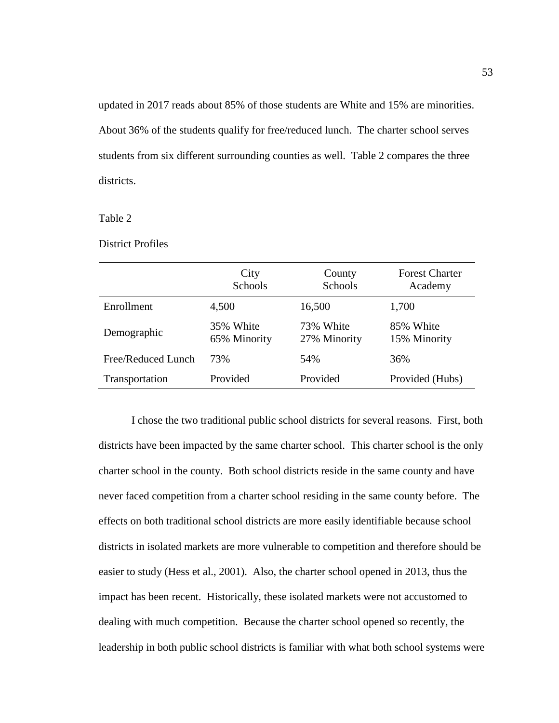updated in 2017 reads about 85% of those students are White and 15% are minorities. About 36% of the students qualify for free/reduced lunch. The charter school serves students from six different surrounding counties as well. Table 2 compares the three districts.

Table 2

District Profiles

|                    | City<br>Schools           | County<br>Schools         | <b>Forest Charter</b><br>Academy |
|--------------------|---------------------------|---------------------------|----------------------------------|
| Enrollment         | 4,500                     | 16,500                    | 1,700                            |
| Demographic        | 35% White<br>65% Minority | 73% White<br>27% Minority | 85% White<br>15% Minority        |
| Free/Reduced Lunch | 73%                       | 54%                       | 36%                              |
| Transportation     | Provided                  | Provided                  | Provided (Hubs)                  |

I chose the two traditional public school districts for several reasons. First, both districts have been impacted by the same charter school. This charter school is the only charter school in the county. Both school districts reside in the same county and have never faced competition from a charter school residing in the same county before. The effects on both traditional school districts are more easily identifiable because school districts in isolated markets are more vulnerable to competition and therefore should be easier to study (Hess et al., 2001). Also, the charter school opened in 2013, thus the impact has been recent. Historically, these isolated markets were not accustomed to dealing with much competition. Because the charter school opened so recently, the leadership in both public school districts is familiar with what both school systems were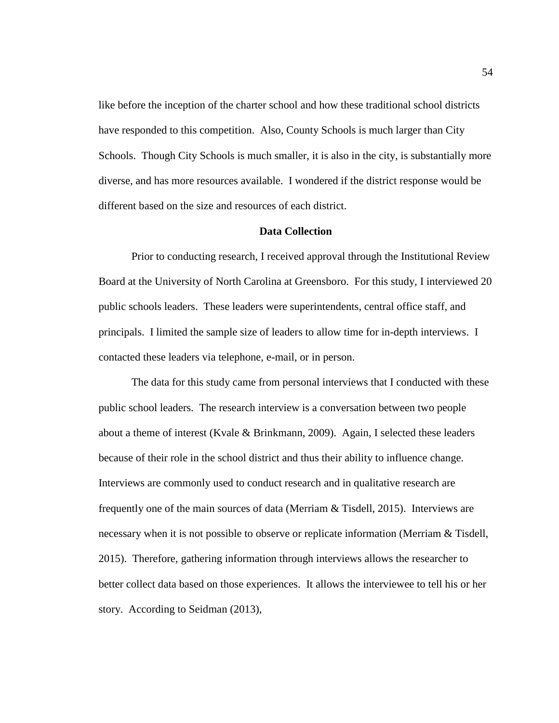like before the inception of the charter school and how these traditional school districts have responded to this competition. Also, County Schools is much larger than City Schools. Though City Schools is much smaller, it is also in the city, is substantially more diverse, and has more resources available. I wondered if the district response would be different based on the size and resources of each district.

## **Data Collection**

Prior to conducting research, I received approval through the Institutional Review Board at the University of North Carolina at Greensboro. For this study, I interviewed 20 public schools leaders. These leaders were superintendents, central office staff, and principals. I limited the sample size of leaders to allow time for in-depth interviews. I contacted these leaders via telephone, e-mail, or in person.

The data for this study came from personal interviews that I conducted with these public school leaders. The research interview is a conversation between two people about a theme of interest (Kvale & Brinkmann, 2009). Again, I selected these leaders because of their role in the school district and thus their ability to influence change. Interviews are commonly used to conduct research and in qualitative research are frequently one of the main sources of data (Merriam & Tisdell, 2015). Interviews are necessary when it is not possible to observe or replicate information (Merriam & Tisdell, 2015). Therefore, gathering information through interviews allows the researcher to better collect data based on those experiences. It allows the interviewee to tell his or her story. According to Seidman (2013),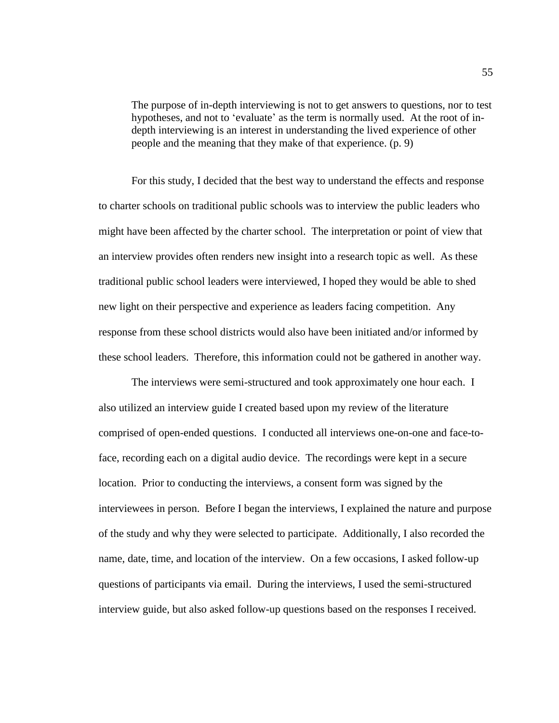The purpose of in-depth interviewing is not to get answers to questions, nor to test hypotheses, and not to 'evaluate' as the term is normally used. At the root of indepth interviewing is an interest in understanding the lived experience of other people and the meaning that they make of that experience. (p. 9)

For this study, I decided that the best way to understand the effects and response to charter schools on traditional public schools was to interview the public leaders who might have been affected by the charter school. The interpretation or point of view that an interview provides often renders new insight into a research topic as well. As these traditional public school leaders were interviewed, I hoped they would be able to shed new light on their perspective and experience as leaders facing competition. Any response from these school districts would also have been initiated and/or informed by these school leaders. Therefore, this information could not be gathered in another way.

The interviews were semi-structured and took approximately one hour each. I also utilized an interview guide I created based upon my review of the literature comprised of open-ended questions. I conducted all interviews one-on-one and face-toface, recording each on a digital audio device. The recordings were kept in a secure location. Prior to conducting the interviews, a consent form was signed by the interviewees in person. Before I began the interviews, I explained the nature and purpose of the study and why they were selected to participate. Additionally, I also recorded the name, date, time, and location of the interview. On a few occasions, I asked follow-up questions of participants via email. During the interviews, I used the semi-structured interview guide, but also asked follow-up questions based on the responses I received.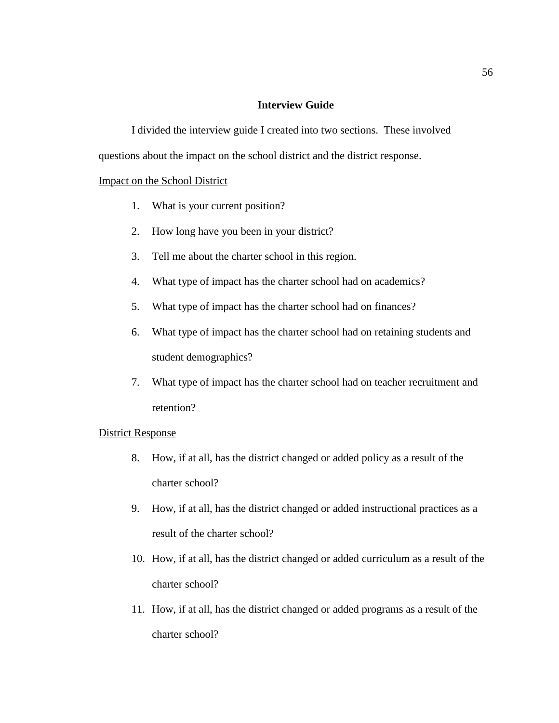## **Interview Guide**

I divided the interview guide I created into two sections. These involved questions about the impact on the school district and the district response.

## Impact on the School District

- 1. What is your current position?
- 2. How long have you been in your district?
- 3. Tell me about the charter school in this region.
- 4. What type of impact has the charter school had on academics?
- 5. What type of impact has the charter school had on finances?
- 6. What type of impact has the charter school had on retaining students and student demographics?
- 7. What type of impact has the charter school had on teacher recruitment and retention?

## District Response

- 8. How, if at all, has the district changed or added policy as a result of the charter school?
- 9. How, if at all, has the district changed or added instructional practices as a result of the charter school?
- 10. How, if at all, has the district changed or added curriculum as a result of the charter school?
- 11. How, if at all, has the district changed or added programs as a result of the charter school?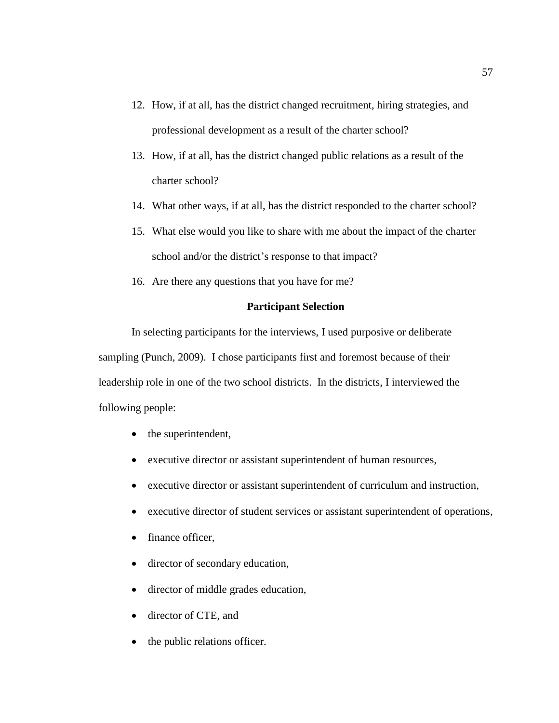- 12. How, if at all, has the district changed recruitment, hiring strategies, and professional development as a result of the charter school?
- 13. How, if at all, has the district changed public relations as a result of the charter school?
- 14. What other ways, if at all, has the district responded to the charter school?
- 15. What else would you like to share with me about the impact of the charter school and/or the district's response to that impact?
- 16. Are there any questions that you have for me?

## **Participant Selection**

In selecting participants for the interviews, I used purposive or deliberate sampling (Punch, 2009). I chose participants first and foremost because of their leadership role in one of the two school districts. In the districts, I interviewed the following people:

- the superintendent,
- executive director or assistant superintendent of human resources,
- executive director or assistant superintendent of curriculum and instruction,
- executive director of student services or assistant superintendent of operations,
- finance officer,
- director of secondary education,
- director of middle grades education,
- director of CTE, and
- the public relations officer.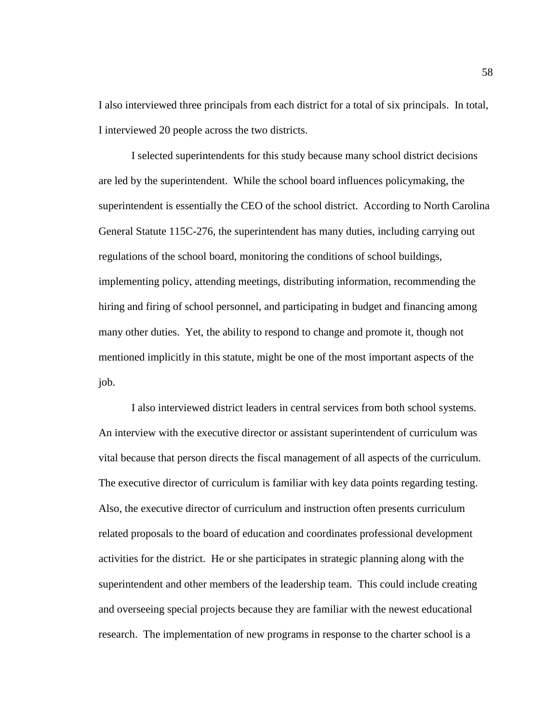I also interviewed three principals from each district for a total of six principals. In total, I interviewed 20 people across the two districts.

I selected superintendents for this study because many school district decisions are led by the superintendent. While the school board influences policymaking, the superintendent is essentially the CEO of the school district. According to North Carolina General Statute 115C-276, the superintendent has many duties, including carrying out regulations of the school board, monitoring the conditions of school buildings, implementing policy, attending meetings, distributing information, recommending the hiring and firing of school personnel, and participating in budget and financing among many other duties. Yet, the ability to respond to change and promote it, though not mentioned implicitly in this statute, might be one of the most important aspects of the job.

I also interviewed district leaders in central services from both school systems. An interview with the executive director or assistant superintendent of curriculum was vital because that person directs the fiscal management of all aspects of the curriculum. The executive director of curriculum is familiar with key data points regarding testing. Also, the executive director of curriculum and instruction often presents curriculum related proposals to the board of education and coordinates professional development activities for the district. He or she participates in strategic planning along with the superintendent and other members of the leadership team. This could include creating and overseeing special projects because they are familiar with the newest educational research. The implementation of new programs in response to the charter school is a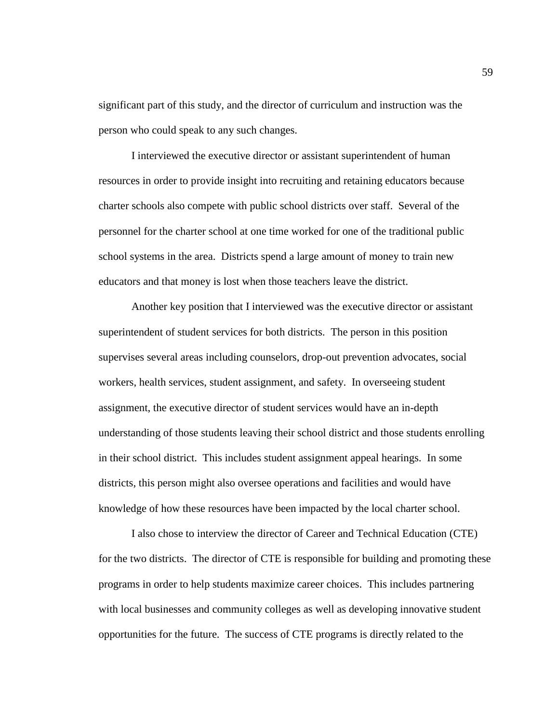significant part of this study, and the director of curriculum and instruction was the person who could speak to any such changes.

I interviewed the executive director or assistant superintendent of human resources in order to provide insight into recruiting and retaining educators because charter schools also compete with public school districts over staff. Several of the personnel for the charter school at one time worked for one of the traditional public school systems in the area. Districts spend a large amount of money to train new educators and that money is lost when those teachers leave the district.

Another key position that I interviewed was the executive director or assistant superintendent of student services for both districts. The person in this position supervises several areas including counselors, drop-out prevention advocates, social workers, health services, student assignment, and safety. In overseeing student assignment, the executive director of student services would have an in-depth understanding of those students leaving their school district and those students enrolling in their school district. This includes student assignment appeal hearings. In some districts, this person might also oversee operations and facilities and would have knowledge of how these resources have been impacted by the local charter school.

I also chose to interview the director of Career and Technical Education (CTE) for the two districts. The director of CTE is responsible for building and promoting these programs in order to help students maximize career choices. This includes partnering with local businesses and community colleges as well as developing innovative student opportunities for the future. The success of CTE programs is directly related to the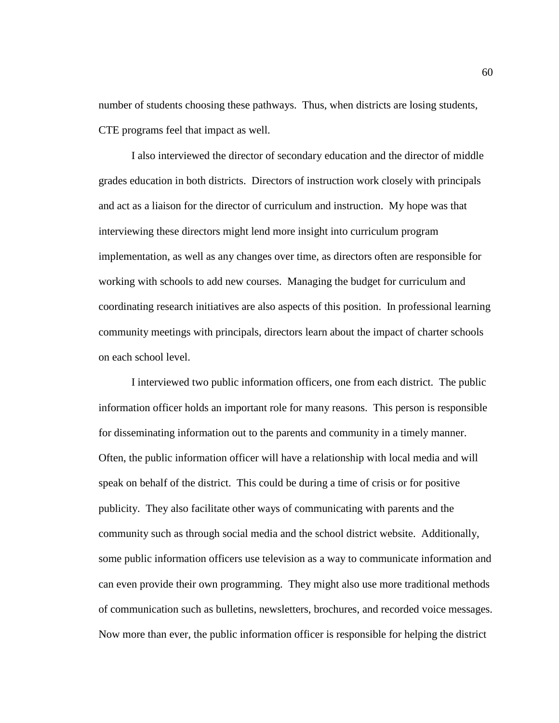number of students choosing these pathways. Thus, when districts are losing students, CTE programs feel that impact as well.

I also interviewed the director of secondary education and the director of middle grades education in both districts. Directors of instruction work closely with principals and act as a liaison for the director of curriculum and instruction. My hope was that interviewing these directors might lend more insight into curriculum program implementation, as well as any changes over time, as directors often are responsible for working with schools to add new courses. Managing the budget for curriculum and coordinating research initiatives are also aspects of this position. In professional learning community meetings with principals, directors learn about the impact of charter schools on each school level.

I interviewed two public information officers, one from each district. The public information officer holds an important role for many reasons. This person is responsible for disseminating information out to the parents and community in a timely manner. Often, the public information officer will have a relationship with local media and will speak on behalf of the district. This could be during a time of crisis or for positive publicity. They also facilitate other ways of communicating with parents and the community such as through social media and the school district website. Additionally, some public information officers use television as a way to communicate information and can even provide their own programming. They might also use more traditional methods of communication such as bulletins, newsletters, brochures, and recorded voice messages. Now more than ever, the public information officer is responsible for helping the district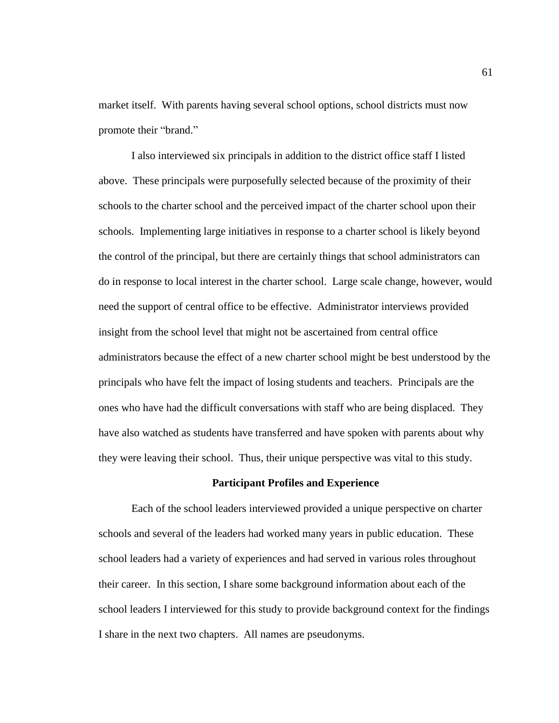market itself. With parents having several school options, school districts must now promote their "brand."

I also interviewed six principals in addition to the district office staff I listed above. These principals were purposefully selected because of the proximity of their schools to the charter school and the perceived impact of the charter school upon their schools. Implementing large initiatives in response to a charter school is likely beyond the control of the principal, but there are certainly things that school administrators can do in response to local interest in the charter school. Large scale change, however, would need the support of central office to be effective. Administrator interviews provided insight from the school level that might not be ascertained from central office administrators because the effect of a new charter school might be best understood by the principals who have felt the impact of losing students and teachers. Principals are the ones who have had the difficult conversations with staff who are being displaced. They have also watched as students have transferred and have spoken with parents about why they were leaving their school. Thus, their unique perspective was vital to this study.

#### **Participant Profiles and Experience**

Each of the school leaders interviewed provided a unique perspective on charter schools and several of the leaders had worked many years in public education.These school leaders had a variety of experiences and had served in various roles throughout their career.In this section, I share some background information about each of the school leaders I interviewed for this study to provide background context for the findings I share in the next two chapters. All names are pseudonyms.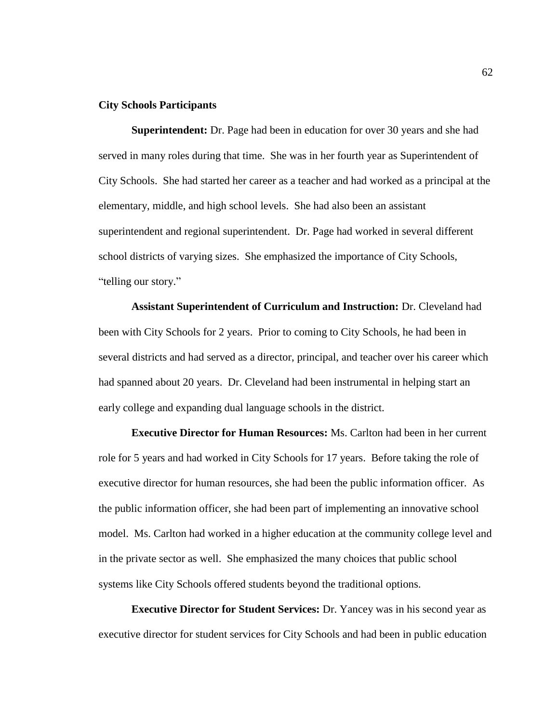## **City Schools Participants**

**Superintendent:** Dr. Page had been in education for over 30 years and she had served in many roles during that time. She was in her fourth year as Superintendent of City Schools. She had started her career as a teacher and had worked as a principal at the elementary, middle, and high school levels. She had also been an assistant superintendent and regional superintendent. Dr. Page had worked in several different school districts of varying sizes. She emphasized the importance of City Schools, "telling our story."

**Assistant Superintendent of Curriculum and Instruction:** Dr. Cleveland had been with City Schools for 2 years. Prior to coming to City Schools, he had been in several districts and had served as a director, principal, and teacher over his career which had spanned about 20 years. Dr. Cleveland had been instrumental in helping start an early college and expanding dual language schools in the district.

**Executive Director for Human Resources:** Ms. Carlton had been in her current role for 5 years and had worked in City Schools for 17 years. Before taking the role of executive director for human resources, she had been the public information officer. As the public information officer, she had been part of implementing an innovative school model. Ms. Carlton had worked in a higher education at the community college level and in the private sector as well. She emphasized the many choices that public school systems like City Schools offered students beyond the traditional options.

**Executive Director for Student Services:** Dr. Yancey was in his second year as executive director for student services for City Schools and had been in public education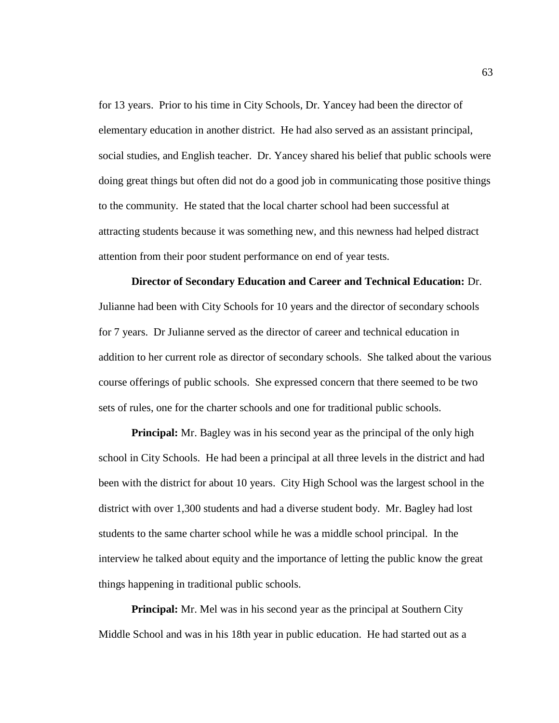for 13 years. Prior to his time in City Schools, Dr. Yancey had been the director of elementary education in another district. He had also served as an assistant principal, social studies, and English teacher. Dr. Yancey shared his belief that public schools were doing great things but often did not do a good job in communicating those positive things to the community. He stated that the local charter school had been successful at attracting students because it was something new, and this newness had helped distract attention from their poor student performance on end of year tests.

**Director of Secondary Education and Career and Technical Education:** Dr. Julianne had been with City Schools for 10 years and the director of secondary schools for 7 years. Dr Julianne served as the director of career and technical education in addition to her current role as director of secondary schools. She talked about the various course offerings of public schools. She expressed concern that there seemed to be two sets of rules, one for the charter schools and one for traditional public schools.

**Principal:** Mr. Bagley was in his second year as the principal of the only high school in City Schools. He had been a principal at all three levels in the district and had been with the district for about 10 years. City High School was the largest school in the district with over 1,300 students and had a diverse student body. Mr. Bagley had lost students to the same charter school while he was a middle school principal. In the interview he talked about equity and the importance of letting the public know the great things happening in traditional public schools.

**Principal:** Mr. Mel was in his second year as the principal at Southern City Middle School and was in his 18th year in public education. He had started out as a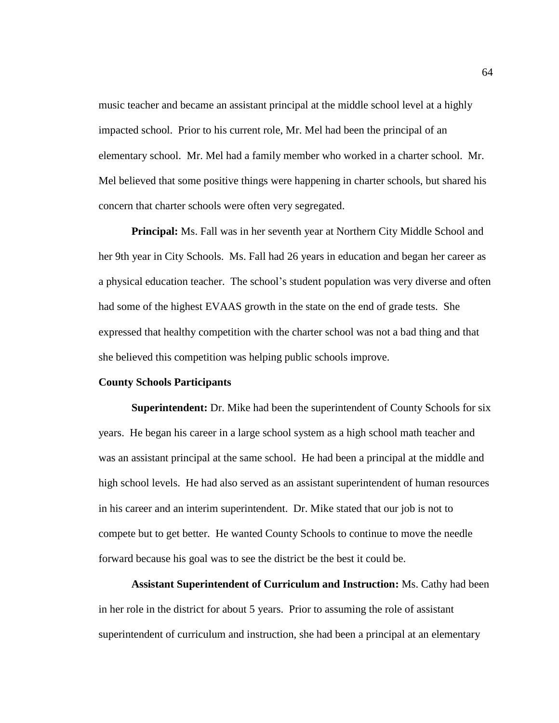music teacher and became an assistant principal at the middle school level at a highly impacted school. Prior to his current role, Mr. Mel had been the principal of an elementary school. Mr. Mel had a family member who worked in a charter school. Mr. Mel believed that some positive things were happening in charter schools, but shared his concern that charter schools were often very segregated.

**Principal:** Ms. Fall was in her seventh year at Northern City Middle School and her 9th year in City Schools. Ms. Fall had 26 years in education and began her career as a physical education teacher. The school's student population was very diverse and often had some of the highest EVAAS growth in the state on the end of grade tests. She expressed that healthy competition with the charter school was not a bad thing and that she believed this competition was helping public schools improve.

## **County Schools Participants**

**Superintendent:** Dr. Mike had been the superintendent of County Schools for six years. He began his career in a large school system as a high school math teacher and was an assistant principal at the same school. He had been a principal at the middle and high school levels. He had also served as an assistant superintendent of human resources in his career and an interim superintendent. Dr. Mike stated that our job is not to compete but to get better. He wanted County Schools to continue to move the needle forward because his goal was to see the district be the best it could be.

**Assistant Superintendent of Curriculum and Instruction:** Ms. Cathy had been in her role in the district for about 5 years. Prior to assuming the role of assistant superintendent of curriculum and instruction, she had been a principal at an elementary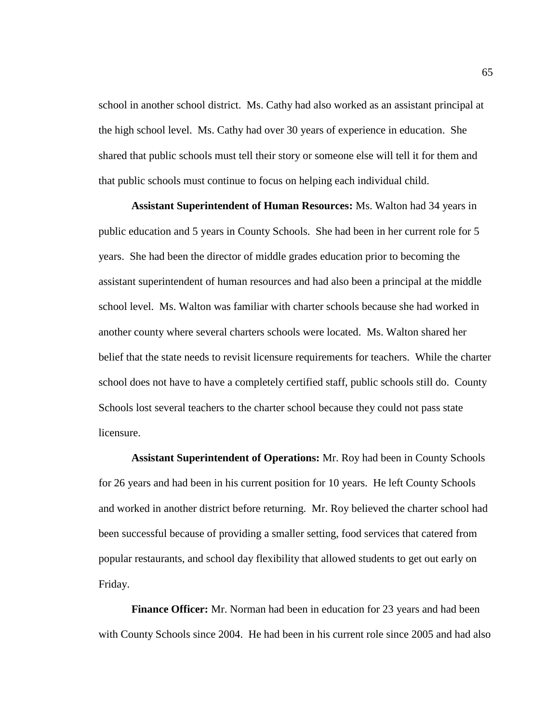school in another school district. Ms. Cathy had also worked as an assistant principal at the high school level. Ms. Cathy had over 30 years of experience in education. She shared that public schools must tell their story or someone else will tell it for them and that public schools must continue to focus on helping each individual child.

**Assistant Superintendent of Human Resources:** Ms. Walton had 34 years in public education and 5 years in County Schools. She had been in her current role for 5 years. She had been the director of middle grades education prior to becoming the assistant superintendent of human resources and had also been a principal at the middle school level. Ms. Walton was familiar with charter schools because she had worked in another county where several charters schools were located. Ms. Walton shared her belief that the state needs to revisit licensure requirements for teachers. While the charter school does not have to have a completely certified staff, public schools still do. County Schools lost several teachers to the charter school because they could not pass state licensure.

**Assistant Superintendent of Operations:** Mr. Roy had been in County Schools for 26 years and had been in his current position for 10 years. He left County Schools and worked in another district before returning. Mr. Roy believed the charter school had been successful because of providing a smaller setting, food services that catered from popular restaurants, and school day flexibility that allowed students to get out early on Friday.

**Finance Officer:** Mr. Norman had been in education for 23 years and had been with County Schools since 2004. He had been in his current role since 2005 and had also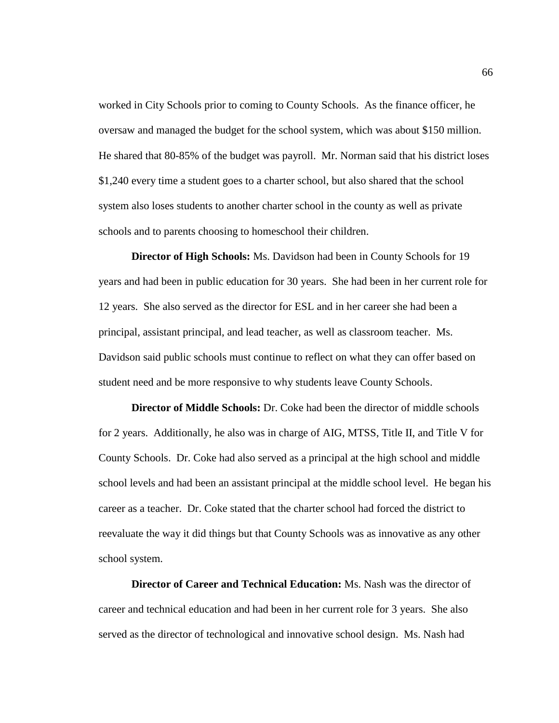worked in City Schools prior to coming to County Schools. As the finance officer, he oversaw and managed the budget for the school system, which was about \$150 million. He shared that 80-85% of the budget was payroll. Mr. Norman said that his district loses \$1,240 every time a student goes to a charter school, but also shared that the school system also loses students to another charter school in the county as well as private schools and to parents choosing to homeschool their children.

**Director of High Schools:** Ms. Davidson had been in County Schools for 19 years and had been in public education for 30 years. She had been in her current role for 12 years. She also served as the director for ESL and in her career she had been a principal, assistant principal, and lead teacher, as well as classroom teacher. Ms. Davidson said public schools must continue to reflect on what they can offer based on student need and be more responsive to why students leave County Schools.

**Director of Middle Schools:** Dr. Coke had been the director of middle schools for 2 years. Additionally, he also was in charge of AIG, MTSS, Title II, and Title V for County Schools. Dr. Coke had also served as a principal at the high school and middle school levels and had been an assistant principal at the middle school level. He began his career as a teacher. Dr. Coke stated that the charter school had forced the district to reevaluate the way it did things but that County Schools was as innovative as any other school system.

**Director of Career and Technical Education:** Ms. Nash was the director of career and technical education and had been in her current role for 3 years. She also served as the director of technological and innovative school design. Ms. Nash had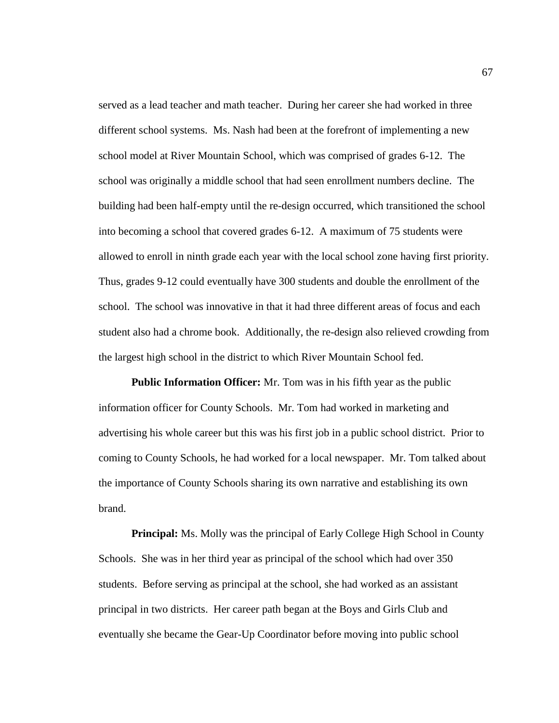served as a lead teacher and math teacher. During her career she had worked in three different school systems. Ms. Nash had been at the forefront of implementing a new school model at River Mountain School, which was comprised of grades 6-12. The school was originally a middle school that had seen enrollment numbers decline. The building had been half-empty until the re-design occurred, which transitioned the school into becoming a school that covered grades 6-12. A maximum of 75 students were allowed to enroll in ninth grade each year with the local school zone having first priority. Thus, grades 9-12 could eventually have 300 students and double the enrollment of the school. The school was innovative in that it had three different areas of focus and each student also had a chrome book. Additionally, the re-design also relieved crowding from the largest high school in the district to which River Mountain School fed.

**Public Information Officer:** Mr. Tom was in his fifth year as the public information officer for County Schools. Mr. Tom had worked in marketing and advertising his whole career but this was his first job in a public school district. Prior to coming to County Schools, he had worked for a local newspaper. Mr. Tom talked about the importance of County Schools sharing its own narrative and establishing its own brand.

**Principal:** Ms. Molly was the principal of Early College High School in County Schools. She was in her third year as principal of the school which had over 350 students. Before serving as principal at the school, she had worked as an assistant principal in two districts. Her career path began at the Boys and Girls Club and eventually she became the Gear-Up Coordinator before moving into public school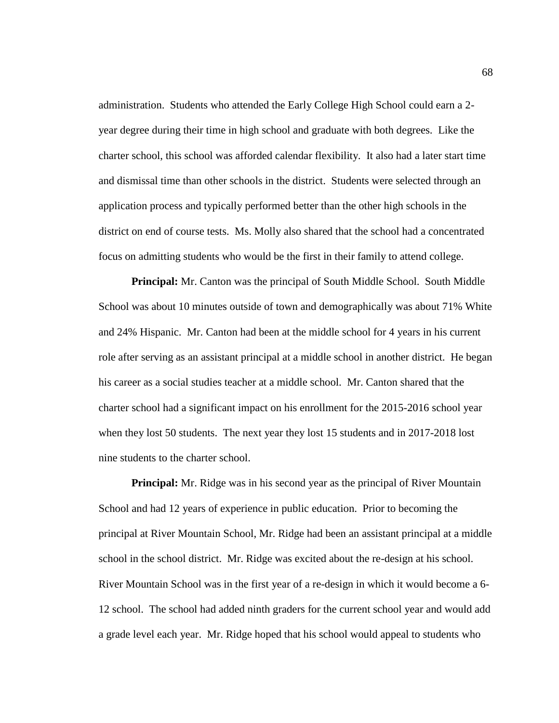administration. Students who attended the Early College High School could earn a 2 year degree during their time in high school and graduate with both degrees. Like the charter school, this school was afforded calendar flexibility. It also had a later start time and dismissal time than other schools in the district. Students were selected through an application process and typically performed better than the other high schools in the district on end of course tests. Ms. Molly also shared that the school had a concentrated focus on admitting students who would be the first in their family to attend college.

**Principal:** Mr. Canton was the principal of South Middle School. South Middle School was about 10 minutes outside of town and demographically was about 71% White and 24% Hispanic. Mr. Canton had been at the middle school for 4 years in his current role after serving as an assistant principal at a middle school in another district. He began his career as a social studies teacher at a middle school. Mr. Canton shared that the charter school had a significant impact on his enrollment for the 2015-2016 school year when they lost 50 students. The next year they lost 15 students and in 2017-2018 lost nine students to the charter school.

**Principal:** Mr. Ridge was in his second year as the principal of River Mountain School and had 12 years of experience in public education. Prior to becoming the principal at River Mountain School, Mr. Ridge had been an assistant principal at a middle school in the school district. Mr. Ridge was excited about the re-design at his school. River Mountain School was in the first year of a re-design in which it would become a 6- 12 school. The school had added ninth graders for the current school year and would add a grade level each year. Mr. Ridge hoped that his school would appeal to students who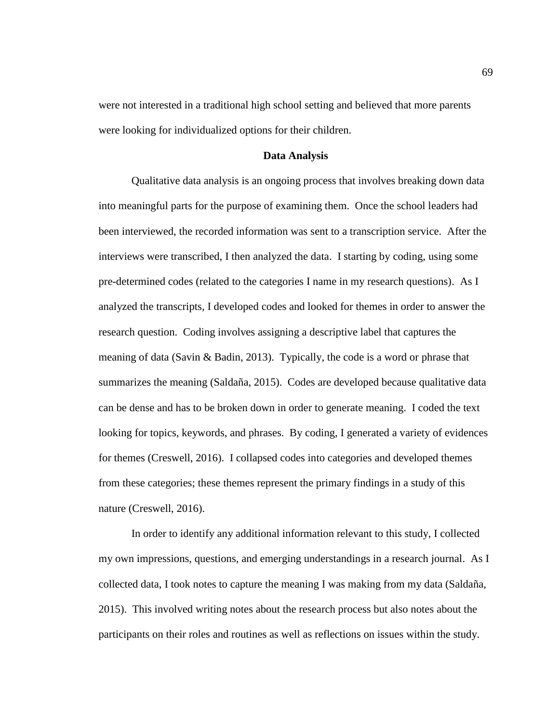were not interested in a traditional high school setting and believed that more parents were looking for individualized options for their children.

## **Data Analysis**

Qualitative data analysis is an ongoing process that involves breaking down data into meaningful parts for the purpose of examining them. Once the school leaders had been interviewed, the recorded information was sent to a transcription service. After the interviews were transcribed, I then analyzed the data. I starting by coding, using some pre-determined codes (related to the categories I name in my research questions). As I analyzed the transcripts, I developed codes and looked for themes in order to answer the research question. Coding involves assigning a descriptive label that captures the meaning of data (Savin & Badin, 2013). Typically, the code is a word or phrase that summarizes the meaning (Saldaña, 2015). Codes are developed because qualitative data can be dense and has to be broken down in order to generate meaning. I coded the text looking for topics, keywords, and phrases. By coding, I generated a variety of evidences for themes (Creswell, 2016). I collapsed codes into categories and developed themes from these categories; these themes represent the primary findings in a study of this nature (Creswell, 2016).

In order to identify any additional information relevant to this study, I collected my own impressions, questions, and emerging understandings in a research journal. As I collected data, I took notes to capture the meaning I was making from my data (Saldaña, 2015). This involved writing notes about the research process but also notes about the participants on their roles and routines as well as reflections on issues within the study.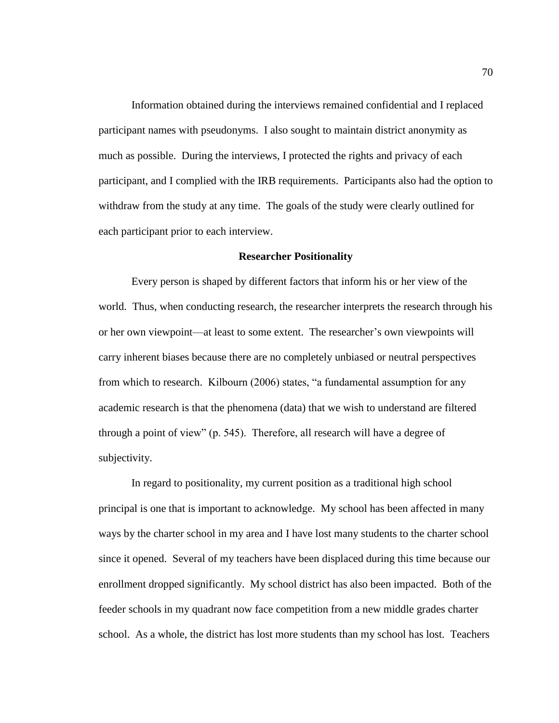Information obtained during the interviews remained confidential and I replaced participant names with pseudonyms. I also sought to maintain district anonymity as much as possible. During the interviews, I protected the rights and privacy of each participant, and I complied with the IRB requirements. Participants also had the option to withdraw from the study at any time. The goals of the study were clearly outlined for each participant prior to each interview.

#### **Researcher Positionality**

Every person is shaped by different factors that inform his or her view of the world. Thus, when conducting research, the researcher interprets the research through his or her own viewpoint—at least to some extent. The researcher's own viewpoints will carry inherent biases because there are no completely unbiased or neutral perspectives from which to research. Kilbourn (2006) states, "a fundamental assumption for any academic research is that the phenomena (data) that we wish to understand are filtered through a point of view" (p. 545). Therefore, all research will have a degree of subjectivity.

In regard to positionality, my current position as a traditional high school principal is one that is important to acknowledge. My school has been affected in many ways by the charter school in my area and I have lost many students to the charter school since it opened. Several of my teachers have been displaced during this time because our enrollment dropped significantly. My school district has also been impacted. Both of the feeder schools in my quadrant now face competition from a new middle grades charter school. As a whole, the district has lost more students than my school has lost. Teachers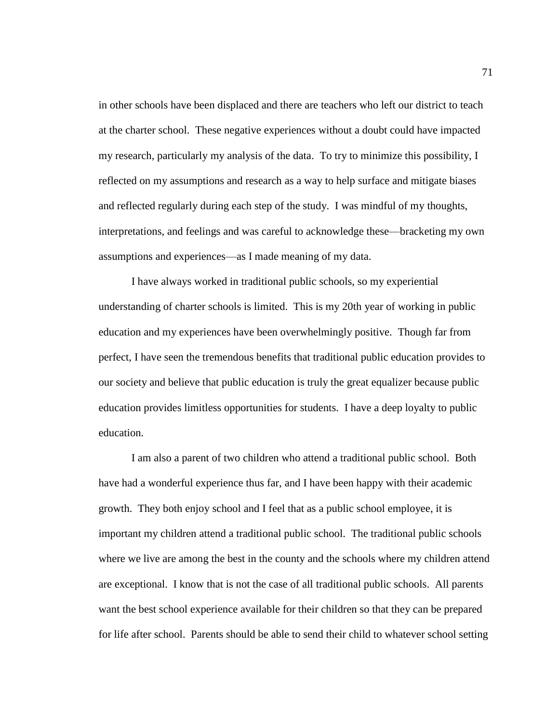in other schools have been displaced and there are teachers who left our district to teach at the charter school. These negative experiences without a doubt could have impacted my research, particularly my analysis of the data. To try to minimize this possibility, I reflected on my assumptions and research as a way to help surface and mitigate biases and reflected regularly during each step of the study. I was mindful of my thoughts, interpretations, and feelings and was careful to acknowledge these—bracketing my own assumptions and experiences—as I made meaning of my data.

I have always worked in traditional public schools, so my experiential understanding of charter schools is limited. This is my 20th year of working in public education and my experiences have been overwhelmingly positive. Though far from perfect, I have seen the tremendous benefits that traditional public education provides to our society and believe that public education is truly the great equalizer because public education provides limitless opportunities for students. I have a deep loyalty to public education.

I am also a parent of two children who attend a traditional public school. Both have had a wonderful experience thus far, and I have been happy with their academic growth. They both enjoy school and I feel that as a public school employee, it is important my children attend a traditional public school. The traditional public schools where we live are among the best in the county and the schools where my children attend are exceptional. I know that is not the case of all traditional public schools. All parents want the best school experience available for their children so that they can be prepared for life after school. Parents should be able to send their child to whatever school setting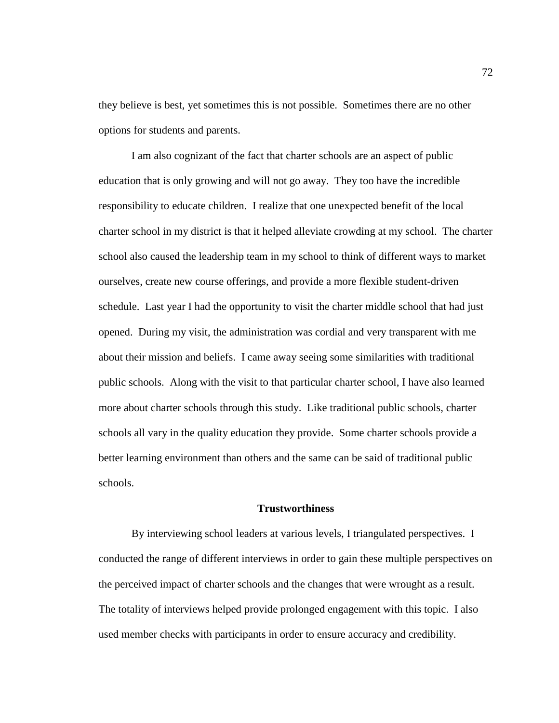they believe is best, yet sometimes this is not possible. Sometimes there are no other options for students and parents.

I am also cognizant of the fact that charter schools are an aspect of public education that is only growing and will not go away. They too have the incredible responsibility to educate children. I realize that one unexpected benefit of the local charter school in my district is that it helped alleviate crowding at my school. The charter school also caused the leadership team in my school to think of different ways to market ourselves, create new course offerings, and provide a more flexible student-driven schedule. Last year I had the opportunity to visit the charter middle school that had just opened. During my visit, the administration was cordial and very transparent with me about their mission and beliefs. I came away seeing some similarities with traditional public schools. Along with the visit to that particular charter school, I have also learned more about charter schools through this study. Like traditional public schools, charter schools all vary in the quality education they provide. Some charter schools provide a better learning environment than others and the same can be said of traditional public schools.

# **Trustworthiness**

By interviewing school leaders at various levels, I triangulated perspectives. I conducted the range of different interviews in order to gain these multiple perspectives on the perceived impact of charter schools and the changes that were wrought as a result. The totality of interviews helped provide prolonged engagement with this topic. I also used member checks with participants in order to ensure accuracy and credibility.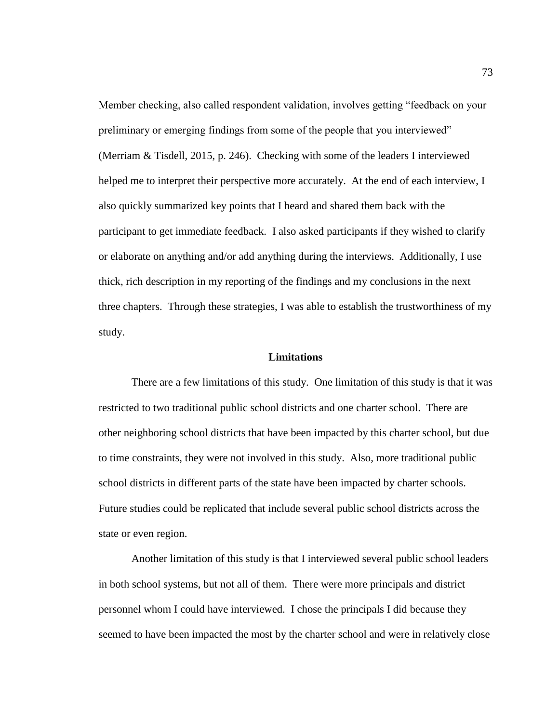Member checking, also called respondent validation, involves getting "feedback on your preliminary or emerging findings from some of the people that you interviewed" (Merriam & Tisdell, 2015, p. 246). Checking with some of the leaders I interviewed helped me to interpret their perspective more accurately. At the end of each interview, I also quickly summarized key points that I heard and shared them back with the participant to get immediate feedback. I also asked participants if they wished to clarify or elaborate on anything and/or add anything during the interviews. Additionally, I use thick, rich description in my reporting of the findings and my conclusions in the next three chapters. Through these strategies, I was able to establish the trustworthiness of my study.

#### **Limitations**

There are a few limitations of this study. One limitation of this study is that it was restricted to two traditional public school districts and one charter school. There are other neighboring school districts that have been impacted by this charter school, but due to time constraints, they were not involved in this study. Also, more traditional public school districts in different parts of the state have been impacted by charter schools. Future studies could be replicated that include several public school districts across the state or even region.

Another limitation of this study is that I interviewed several public school leaders in both school systems, but not all of them. There were more principals and district personnel whom I could have interviewed. I chose the principals I did because they seemed to have been impacted the most by the charter school and were in relatively close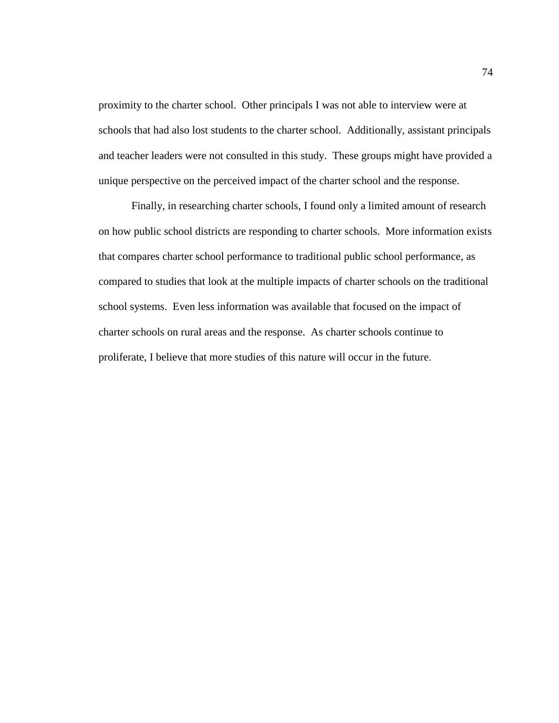proximity to the charter school. Other principals I was not able to interview were at schools that had also lost students to the charter school. Additionally, assistant principals and teacher leaders were not consulted in this study. These groups might have provided a unique perspective on the perceived impact of the charter school and the response.

Finally, in researching charter schools, I found only a limited amount of research on how public school districts are responding to charter schools. More information exists that compares charter school performance to traditional public school performance, as compared to studies that look at the multiple impacts of charter schools on the traditional school systems. Even less information was available that focused on the impact of charter schools on rural areas and the response. As charter schools continue to proliferate, I believe that more studies of this nature will occur in the future.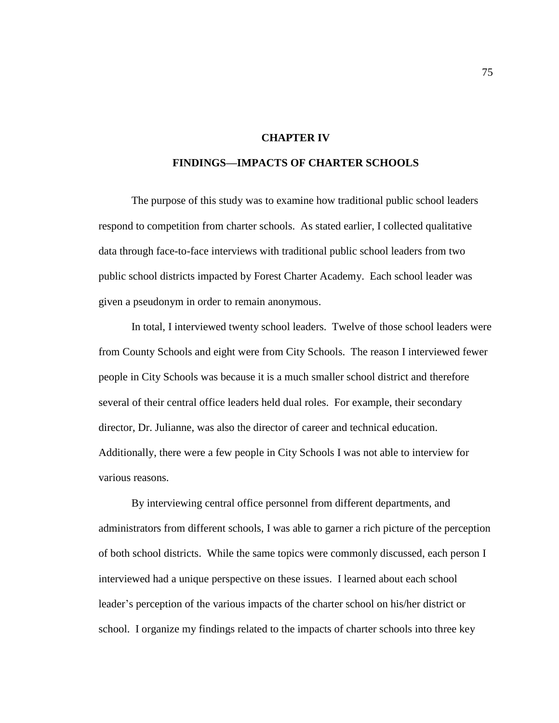# **CHAPTER IV**

# **FINDINGS—IMPACTS OF CHARTER SCHOOLS**

The purpose of this study was to examine how traditional public school leaders respond to competition from charter schools. As stated earlier, I collected qualitative data through face-to-face interviews with traditional public school leaders from two public school districts impacted by Forest Charter Academy. Each school leader was given a pseudonym in order to remain anonymous.

In total, I interviewed twenty school leaders. Twelve of those school leaders were from County Schools and eight were from City Schools. The reason I interviewed fewer people in City Schools was because it is a much smaller school district and therefore several of their central office leaders held dual roles. For example, their secondary director, Dr. Julianne, was also the director of career and technical education. Additionally, there were a few people in City Schools I was not able to interview for various reasons.

By interviewing central office personnel from different departments, and administrators from different schools, I was able to garner a rich picture of the perception of both school districts. While the same topics were commonly discussed, each person I interviewed had a unique perspective on these issues. I learned about each school leader's perception of the various impacts of the charter school on his/her district or school. I organize my findings related to the impacts of charter schools into three key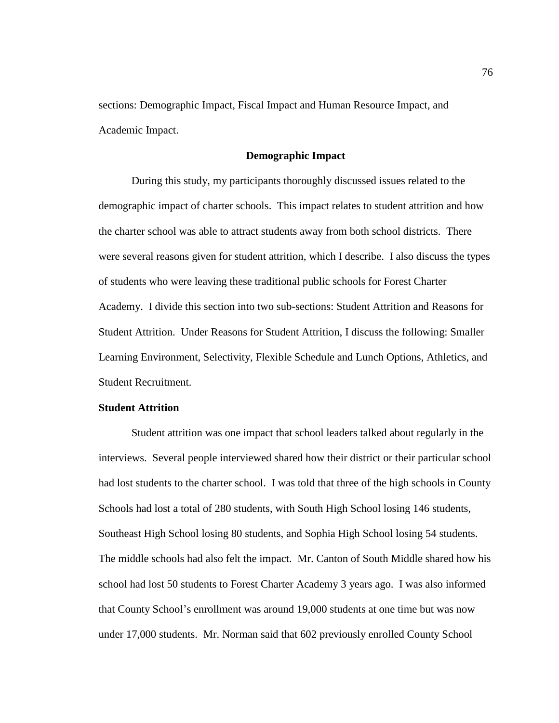sections: Demographic Impact, Fiscal Impact and Human Resource Impact, and Academic Impact.

## **Demographic Impact**

During this study, my participants thoroughly discussed issues related to the demographic impact of charter schools. This impact relates to student attrition and how the charter school was able to attract students away from both school districts. There were several reasons given for student attrition, which I describe. I also discuss the types of students who were leaving these traditional public schools for Forest Charter Academy. I divide this section into two sub-sections: Student Attrition and Reasons for Student Attrition. Under Reasons for Student Attrition, I discuss the following: Smaller Learning Environment, Selectivity, Flexible Schedule and Lunch Options, Athletics, and Student Recruitment.

# **Student Attrition**

Student attrition was one impact that school leaders talked about regularly in the interviews. Several people interviewed shared how their district or their particular school had lost students to the charter school. I was told that three of the high schools in County Schools had lost a total of 280 students, with South High School losing 146 students, Southeast High School losing 80 students, and Sophia High School losing 54 students. The middle schools had also felt the impact. Mr. Canton of South Middle shared how his school had lost 50 students to Forest Charter Academy 3 years ago. I was also informed that County School's enrollment was around 19,000 students at one time but was now under 17,000 students. Mr. Norman said that 602 previously enrolled County School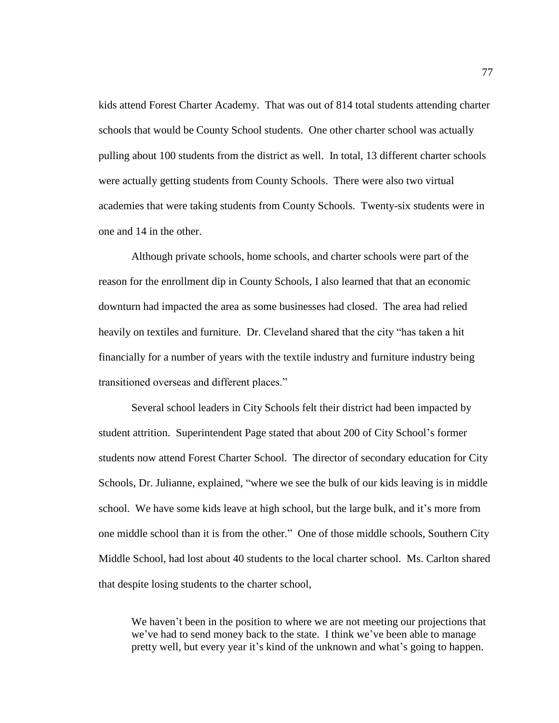kids attend Forest Charter Academy. That was out of 814 total students attending charter schools that would be County School students. One other charter school was actually pulling about 100 students from the district as well. In total, 13 different charter schools were actually getting students from County Schools. There were also two virtual academies that were taking students from County Schools. Twenty-six students were in one and 14 in the other.

Although private schools, home schools, and charter schools were part of the reason for the enrollment dip in County Schools, I also learned that that an economic downturn had impacted the area as some businesses had closed. The area had relied heavily on textiles and furniture. Dr. Cleveland shared that the city "has taken a hit financially for a number of years with the textile industry and furniture industry being transitioned overseas and different places."

Several school leaders in City Schools felt their district had been impacted by student attrition. Superintendent Page stated that about 200 of City School's former students now attend Forest Charter School. The director of secondary education for City Schools, Dr. Julianne, explained, "where we see the bulk of our kids leaving is in middle school. We have some kids leave at high school, but the large bulk, and it's more from one middle school than it is from the other." One of those middle schools, Southern City Middle School, had lost about 40 students to the local charter school. Ms. Carlton shared that despite losing students to the charter school,

We haven't been in the position to where we are not meeting our projections that we've had to send money back to the state. I think we've been able to manage pretty well, but every year it's kind of the unknown and what's going to happen.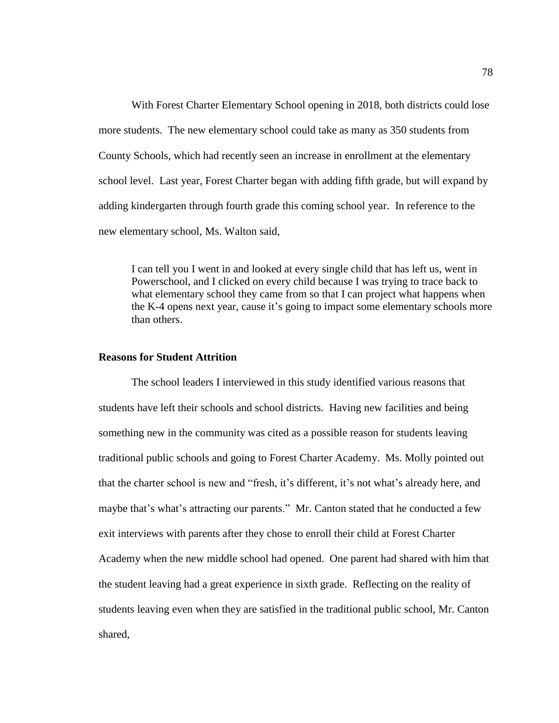With Forest Charter Elementary School opening in 2018, both districts could lose more students. The new elementary school could take as many as 350 students from County Schools, which had recently seen an increase in enrollment at the elementary school level. Last year, Forest Charter began with adding fifth grade, but will expand by adding kindergarten through fourth grade this coming school year. In reference to the new elementary school, Ms. Walton said,

I can tell you I went in and looked at every single child that has left us, went in Powerschool, and I clicked on every child because I was trying to trace back to what elementary school they came from so that I can project what happens when the K-4 opens next year, cause it's going to impact some elementary schools more than others.

#### **Reasons for Student Attrition**

The school leaders I interviewed in this study identified various reasons that students have left their schools and school districts. Having new facilities and being something new in the community was cited as a possible reason for students leaving traditional public schools and going to Forest Charter Academy. Ms. Molly pointed out that the charter school is new and "fresh, it's different, it's not what's already here, and maybe that's what's attracting our parents." Mr. Canton stated that he conducted a few exit interviews with parents after they chose to enroll their child at Forest Charter Academy when the new middle school had opened. One parent had shared with him that the student leaving had a great experience in sixth grade. Reflecting on the reality of students leaving even when they are satisfied in the traditional public school, Mr. Canton shared,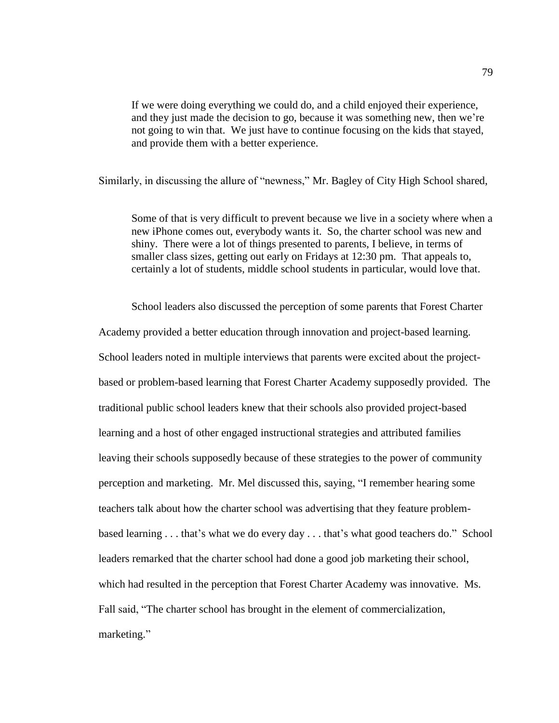If we were doing everything we could do, and a child enjoyed their experience, and they just made the decision to go, because it was something new, then we're not going to win that. We just have to continue focusing on the kids that stayed, and provide them with a better experience.

Similarly, in discussing the allure of "newness," Mr. Bagley of City High School shared,

Some of that is very difficult to prevent because we live in a society where when a new iPhone comes out, everybody wants it. So, the charter school was new and shiny. There were a lot of things presented to parents, I believe, in terms of smaller class sizes, getting out early on Fridays at 12:30 pm. That appeals to, certainly a lot of students, middle school students in particular, would love that.

School leaders also discussed the perception of some parents that Forest Charter Academy provided a better education through innovation and project-based learning. School leaders noted in multiple interviews that parents were excited about the projectbased or problem-based learning that Forest Charter Academy supposedly provided. The traditional public school leaders knew that their schools also provided project-based learning and a host of other engaged instructional strategies and attributed families leaving their schools supposedly because of these strategies to the power of community perception and marketing. Mr. Mel discussed this, saying, "I remember hearing some teachers talk about how the charter school was advertising that they feature problembased learning . . . that's what we do every day . . . that's what good teachers do." School leaders remarked that the charter school had done a good job marketing their school, which had resulted in the perception that Forest Charter Academy was innovative. Ms. Fall said, "The charter school has brought in the element of commercialization, marketing."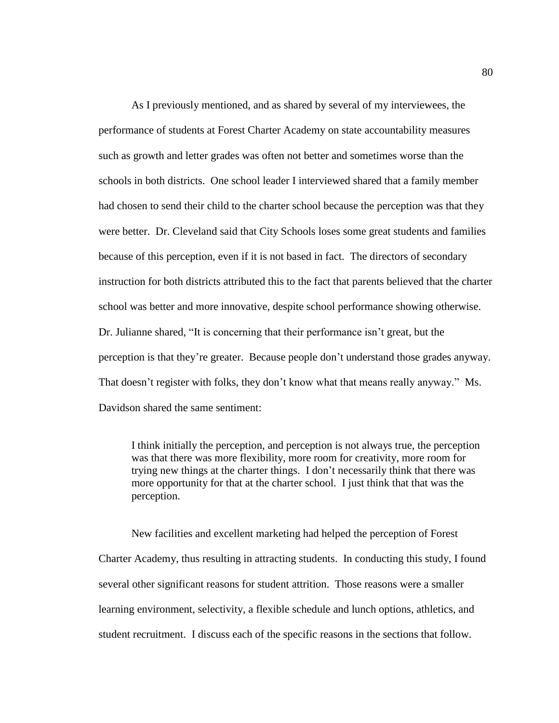As I previously mentioned, and as shared by several of my interviewees, the performance of students at Forest Charter Academy on state accountability measures such as growth and letter grades was often not better and sometimes worse than the schools in both districts. One school leader I interviewed shared that a family member had chosen to send their child to the charter school because the perception was that they were better. Dr. Cleveland said that City Schools loses some great students and families because of this perception, even if it is not based in fact. The directors of secondary instruction for both districts attributed this to the fact that parents believed that the charter school was better and more innovative, despite school performance showing otherwise. Dr. Julianne shared, "It is concerning that their performance isn't great, but the perception is that they're greater. Because people don't understand those grades anyway. That doesn't register with folks, they don't know what that means really anyway." Ms. Davidson shared the same sentiment:

I think initially the perception, and perception is not always true, the perception was that there was more flexibility, more room for creativity, more room for trying new things at the charter things. I don't necessarily think that there was more opportunity for that at the charter school. I just think that that was the perception.

New facilities and excellent marketing had helped the perception of Forest Charter Academy, thus resulting in attracting students. In conducting this study, I found several other significant reasons for student attrition. Those reasons were a smaller learning environment, selectivity, a flexible schedule and lunch options, athletics, and student recruitment. I discuss each of the specific reasons in the sections that follow.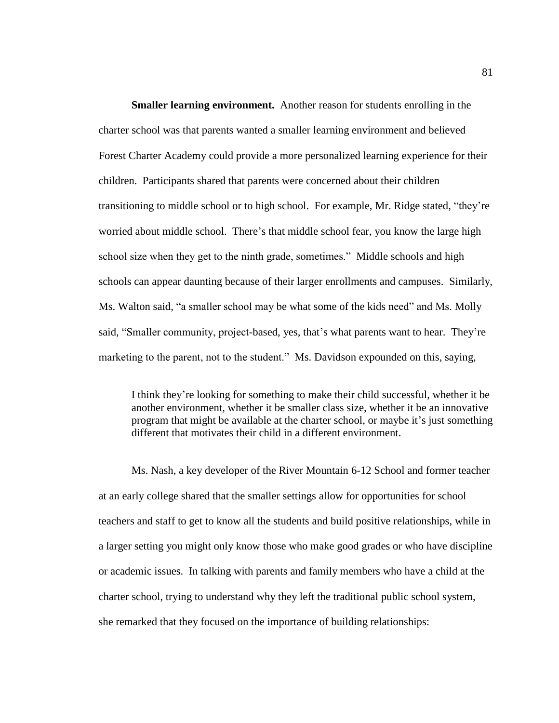**Smaller learning environment.** Another reason for students enrolling in the charter school was that parents wanted a smaller learning environment and believed Forest Charter Academy could provide a more personalized learning experience for their children. Participants shared that parents were concerned about their children transitioning to middle school or to high school. For example, Mr. Ridge stated, "they're worried about middle school. There's that middle school fear, you know the large high school size when they get to the ninth grade, sometimes." Middle schools and high schools can appear daunting because of their larger enrollments and campuses. Similarly, Ms. Walton said, "a smaller school may be what some of the kids need" and Ms. Molly said, "Smaller community, project-based, yes, that's what parents want to hear. They're marketing to the parent, not to the student." Ms. Davidson expounded on this, saying,

I think they're looking for something to make their child successful, whether it be another environment, whether it be smaller class size, whether it be an innovative program that might be available at the charter school, or maybe it's just something different that motivates their child in a different environment.

Ms. Nash, a key developer of the River Mountain 6-12 School and former teacher at an early college shared that the smaller settings allow for opportunities for school teachers and staff to get to know all the students and build positive relationships, while in a larger setting you might only know those who make good grades or who have discipline or academic issues. In talking with parents and family members who have a child at the charter school, trying to understand why they left the traditional public school system, she remarked that they focused on the importance of building relationships: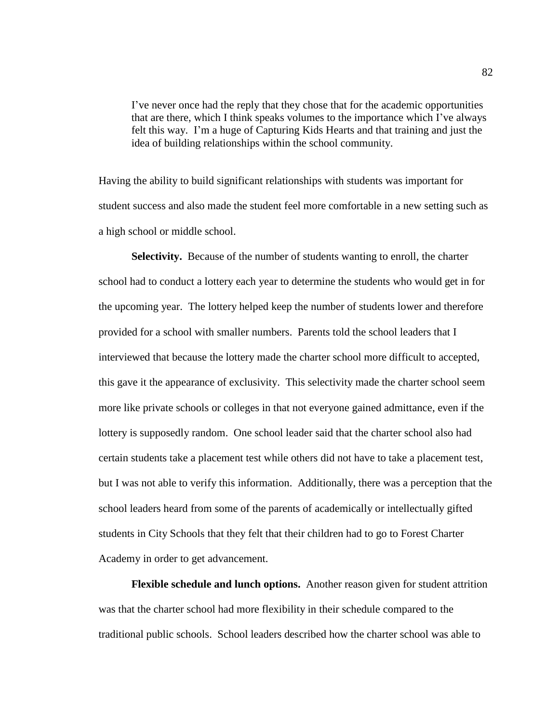I've never once had the reply that they chose that for the academic opportunities that are there, which I think speaks volumes to the importance which I've always felt this way. I'm a huge of Capturing Kids Hearts and that training and just the idea of building relationships within the school community.

Having the ability to build significant relationships with students was important for student success and also made the student feel more comfortable in a new setting such as a high school or middle school.

**Selectivity.** Because of the number of students wanting to enroll, the charter school had to conduct a lottery each year to determine the students who would get in for the upcoming year. The lottery helped keep the number of students lower and therefore provided for a school with smaller numbers. Parents told the school leaders that I interviewed that because the lottery made the charter school more difficult to accepted, this gave it the appearance of exclusivity. This selectivity made the charter school seem more like private schools or colleges in that not everyone gained admittance, even if the lottery is supposedly random. One school leader said that the charter school also had certain students take a placement test while others did not have to take a placement test, but I was not able to verify this information. Additionally, there was a perception that the school leaders heard from some of the parents of academically or intellectually gifted students in City Schools that they felt that their children had to go to Forest Charter Academy in order to get advancement.

**Flexible schedule and lunch options.** Another reason given for student attrition was that the charter school had more flexibility in their schedule compared to the traditional public schools. School leaders described how the charter school was able to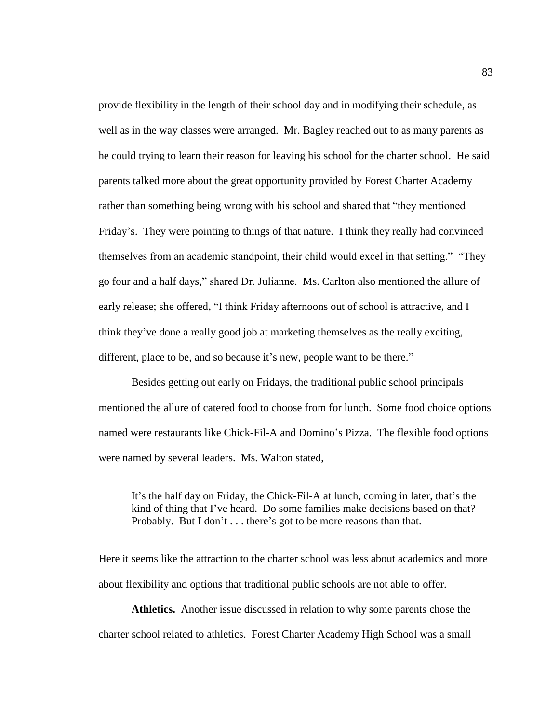provide flexibility in the length of their school day and in modifying their schedule, as well as in the way classes were arranged. Mr. Bagley reached out to as many parents as he could trying to learn their reason for leaving his school for the charter school. He said parents talked more about the great opportunity provided by Forest Charter Academy rather than something being wrong with his school and shared that "they mentioned Friday's. They were pointing to things of that nature. I think they really had convinced themselves from an academic standpoint, their child would excel in that setting." "They go four and a half days," shared Dr. Julianne. Ms. Carlton also mentioned the allure of early release; she offered, "I think Friday afternoons out of school is attractive, and I think they've done a really good job at marketing themselves as the really exciting, different, place to be, and so because it's new, people want to be there."

Besides getting out early on Fridays, the traditional public school principals mentioned the allure of catered food to choose from for lunch. Some food choice options named were restaurants like Chick-Fil-A and Domino's Pizza. The flexible food options were named by several leaders. Ms. Walton stated,

It's the half day on Friday, the Chick-Fil-A at lunch, coming in later, that's the kind of thing that I've heard. Do some families make decisions based on that? Probably. But I don't . . . there's got to be more reasons than that.

Here it seems like the attraction to the charter school was less about academics and more about flexibility and options that traditional public schools are not able to offer.

**Athletics.** Another issue discussed in relation to why some parents chose the charter school related to athletics. Forest Charter Academy High School was a small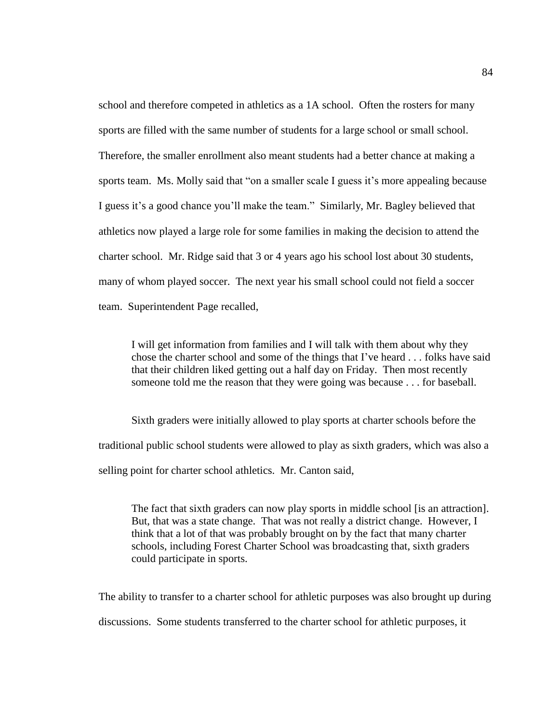school and therefore competed in athletics as a 1A school. Often the rosters for many sports are filled with the same number of students for a large school or small school. Therefore, the smaller enrollment also meant students had a better chance at making a sports team. Ms. Molly said that "on a smaller scale I guess it's more appealing because I guess it's a good chance you'll make the team." Similarly, Mr. Bagley believed that athletics now played a large role for some families in making the decision to attend the charter school. Mr. Ridge said that 3 or 4 years ago his school lost about 30 students, many of whom played soccer. The next year his small school could not field a soccer team. Superintendent Page recalled,

I will get information from families and I will talk with them about why they chose the charter school and some of the things that I've heard . . . folks have said that their children liked getting out a half day on Friday. Then most recently someone told me the reason that they were going was because . . . for baseball.

Sixth graders were initially allowed to play sports at charter schools before the traditional public school students were allowed to play as sixth graders, which was also a selling point for charter school athletics. Mr. Canton said,

The fact that sixth graders can now play sports in middle school [is an attraction]. But, that was a state change. That was not really a district change. However, I think that a lot of that was probably brought on by the fact that many charter schools, including Forest Charter School was broadcasting that, sixth graders could participate in sports.

The ability to transfer to a charter school for athletic purposes was also brought up during discussions. Some students transferred to the charter school for athletic purposes, it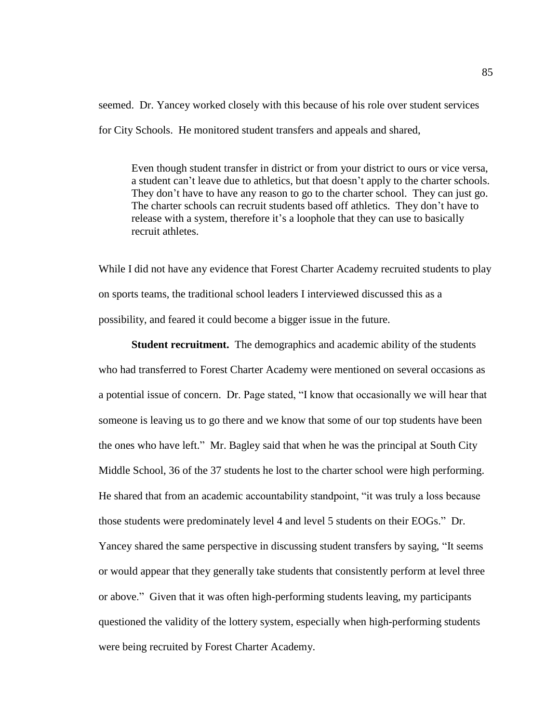seemed. Dr. Yancey worked closely with this because of his role over student services for City Schools. He monitored student transfers and appeals and shared,

Even though student transfer in district or from your district to ours or vice versa, a student can't leave due to athletics, but that doesn't apply to the charter schools. They don't have to have any reason to go to the charter school. They can just go. The charter schools can recruit students based off athletics. They don't have to release with a system, therefore it's a loophole that they can use to basically recruit athletes.

While I did not have any evidence that Forest Charter Academy recruited students to play on sports teams, the traditional school leaders I interviewed discussed this as a possibility, and feared it could become a bigger issue in the future.

**Student recruitment.** The demographics and academic ability of the students who had transferred to Forest Charter Academy were mentioned on several occasions as a potential issue of concern. Dr. Page stated, "I know that occasionally we will hear that someone is leaving us to go there and we know that some of our top students have been the ones who have left." Mr. Bagley said that when he was the principal at South City Middle School, 36 of the 37 students he lost to the charter school were high performing. He shared that from an academic accountability standpoint, "it was truly a loss because those students were predominately level 4 and level 5 students on their EOGs." Dr. Yancey shared the same perspective in discussing student transfers by saying, "It seems or would appear that they generally take students that consistently perform at level three or above." Given that it was often high-performing students leaving, my participants questioned the validity of the lottery system, especially when high-performing students were being recruited by Forest Charter Academy.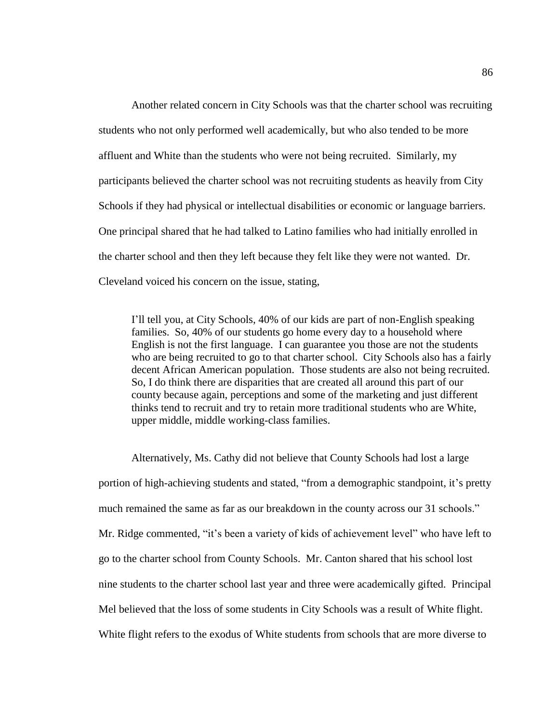Another related concern in City Schools was that the charter school was recruiting students who not only performed well academically, but who also tended to be more affluent and White than the students who were not being recruited. Similarly, my participants believed the charter school was not recruiting students as heavily from City Schools if they had physical or intellectual disabilities or economic or language barriers. One principal shared that he had talked to Latino families who had initially enrolled in the charter school and then they left because they felt like they were not wanted. Dr. Cleveland voiced his concern on the issue, stating,

I'll tell you, at City Schools, 40% of our kids are part of non-English speaking families. So, 40% of our students go home every day to a household where English is not the first language. I can guarantee you those are not the students who are being recruited to go to that charter school. City Schools also has a fairly decent African American population. Those students are also not being recruited. So, I do think there are disparities that are created all around this part of our county because again, perceptions and some of the marketing and just different thinks tend to recruit and try to retain more traditional students who are White, upper middle, middle working-class families.

Alternatively, Ms. Cathy did not believe that County Schools had lost a large portion of high-achieving students and stated, "from a demographic standpoint, it's pretty much remained the same as far as our breakdown in the county across our 31 schools." Mr. Ridge commented, "it's been a variety of kids of achievement level" who have left to go to the charter school from County Schools. Mr. Canton shared that his school lost nine students to the charter school last year and three were academically gifted. Principal Mel believed that the loss of some students in City Schools was a result of White flight. White flight refers to the exodus of White students from schools that are more diverse to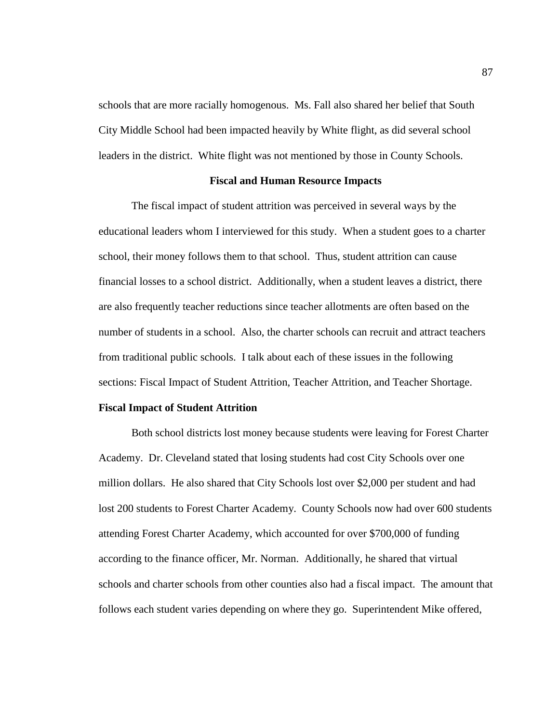schools that are more racially homogenous. Ms. Fall also shared her belief that South City Middle School had been impacted heavily by White flight, as did several school leaders in the district. White flight was not mentioned by those in County Schools.

## **Fiscal and Human Resource Impacts**

The fiscal impact of student attrition was perceived in several ways by the educational leaders whom I interviewed for this study. When a student goes to a charter school, their money follows them to that school. Thus, student attrition can cause financial losses to a school district. Additionally, when a student leaves a district, there are also frequently teacher reductions since teacher allotments are often based on the number of students in a school. Also, the charter schools can recruit and attract teachers from traditional public schools. I talk about each of these issues in the following sections: Fiscal Impact of Student Attrition, Teacher Attrition, and Teacher Shortage.

## **Fiscal Impact of Student Attrition**

Both school districts lost money because students were leaving for Forest Charter Academy. Dr. Cleveland stated that losing students had cost City Schools over one million dollars. He also shared that City Schools lost over \$2,000 per student and had lost 200 students to Forest Charter Academy. County Schools now had over 600 students attending Forest Charter Academy, which accounted for over \$700,000 of funding according to the finance officer, Mr. Norman. Additionally, he shared that virtual schools and charter schools from other counties also had a fiscal impact. The amount that follows each student varies depending on where they go. Superintendent Mike offered,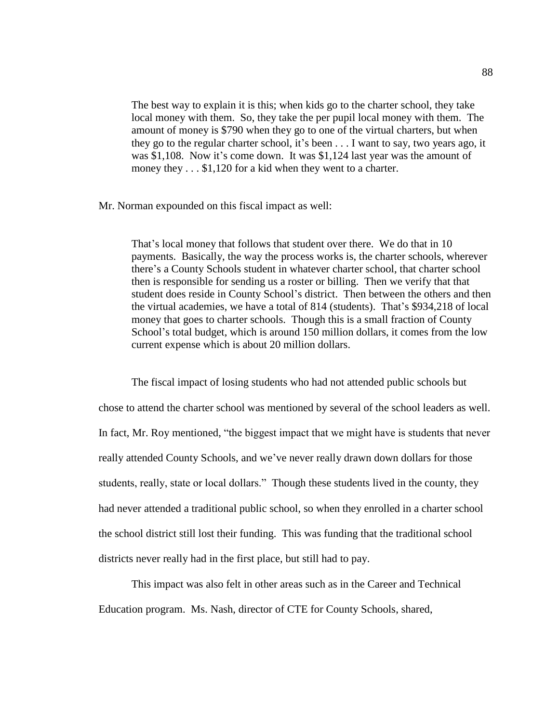The best way to explain it is this; when kids go to the charter school, they take local money with them. So, they take the per pupil local money with them. The amount of money is \$790 when they go to one of the virtual charters, but when they go to the regular charter school, it's been . . . I want to say, two years ago, it was \$1,108. Now it's come down. It was \$1,124 last year was the amount of money they  $\dots$  \$1,120 for a kid when they went to a charter.

Mr. Norman expounded on this fiscal impact as well:

That's local money that follows that student over there. We do that in 10 payments. Basically, the way the process works is, the charter schools, wherever there's a County Schools student in whatever charter school, that charter school then is responsible for sending us a roster or billing. Then we verify that that student does reside in County School's district. Then between the others and then the virtual academies, we have a total of 814 (students). That's \$934,218 of local money that goes to charter schools. Though this is a small fraction of County School's total budget, which is around 150 million dollars, it comes from the low current expense which is about 20 million dollars.

The fiscal impact of losing students who had not attended public schools but chose to attend the charter school was mentioned by several of the school leaders as well. In fact, Mr. Roy mentioned, "the biggest impact that we might have is students that never really attended County Schools, and we've never really drawn down dollars for those students, really, state or local dollars." Though these students lived in the county, they had never attended a traditional public school, so when they enrolled in a charter school the school district still lost their funding. This was funding that the traditional school districts never really had in the first place, but still had to pay.

This impact was also felt in other areas such as in the Career and Technical Education program. Ms. Nash, director of CTE for County Schools, shared,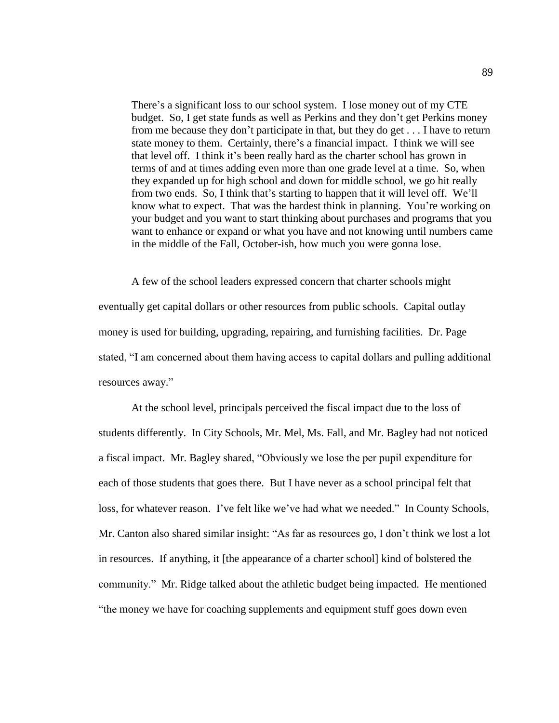There's a significant loss to our school system. I lose money out of my CTE budget. So, I get state funds as well as Perkins and they don't get Perkins money from me because they don't participate in that, but they do get . . . I have to return state money to them. Certainly, there's a financial impact. I think we will see that level off. I think it's been really hard as the charter school has grown in terms of and at times adding even more than one grade level at a time. So, when they expanded up for high school and down for middle school, we go hit really from two ends. So, I think that's starting to happen that it will level off. We'll know what to expect. That was the hardest think in planning. You're working on your budget and you want to start thinking about purchases and programs that you want to enhance or expand or what you have and not knowing until numbers came in the middle of the Fall, October-ish, how much you were gonna lose.

A few of the school leaders expressed concern that charter schools might eventually get capital dollars or other resources from public schools. Capital outlay money is used for building, upgrading, repairing, and furnishing facilities. Dr. Page stated, "I am concerned about them having access to capital dollars and pulling additional resources away."

At the school level, principals perceived the fiscal impact due to the loss of students differently. In City Schools, Mr. Mel, Ms. Fall, and Mr. Bagley had not noticed a fiscal impact. Mr. Bagley shared, "Obviously we lose the per pupil expenditure for each of those students that goes there. But I have never as a school principal felt that loss, for whatever reason. I've felt like we've had what we needed." In County Schools, Mr. Canton also shared similar insight: "As far as resources go, I don't think we lost a lot in resources. If anything, it [the appearance of a charter school] kind of bolstered the community." Mr. Ridge talked about the athletic budget being impacted. He mentioned "the money we have for coaching supplements and equipment stuff goes down even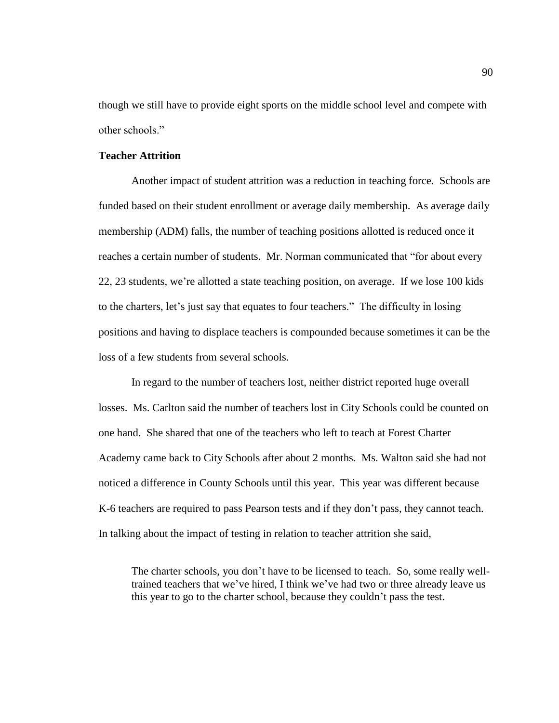though we still have to provide eight sports on the middle school level and compete with other schools."

# **Teacher Attrition**

Another impact of student attrition was a reduction in teaching force. Schools are funded based on their student enrollment or average daily membership. As average daily membership (ADM) falls, the number of teaching positions allotted is reduced once it reaches a certain number of students. Mr. Norman communicated that "for about every 22, 23 students, we're allotted a state teaching position, on average. If we lose 100 kids to the charters, let's just say that equates to four teachers." The difficulty in losing positions and having to displace teachers is compounded because sometimes it can be the loss of a few students from several schools.

In regard to the number of teachers lost, neither district reported huge overall losses. Ms. Carlton said the number of teachers lost in City Schools could be counted on one hand. She shared that one of the teachers who left to teach at Forest Charter Academy came back to City Schools after about 2 months. Ms. Walton said she had not noticed a difference in County Schools until this year. This year was different because K-6 teachers are required to pass Pearson tests and if they don't pass, they cannot teach. In talking about the impact of testing in relation to teacher attrition she said,

The charter schools, you don't have to be licensed to teach. So, some really welltrained teachers that we've hired, I think we've had two or three already leave us this year to go to the charter school, because they couldn't pass the test.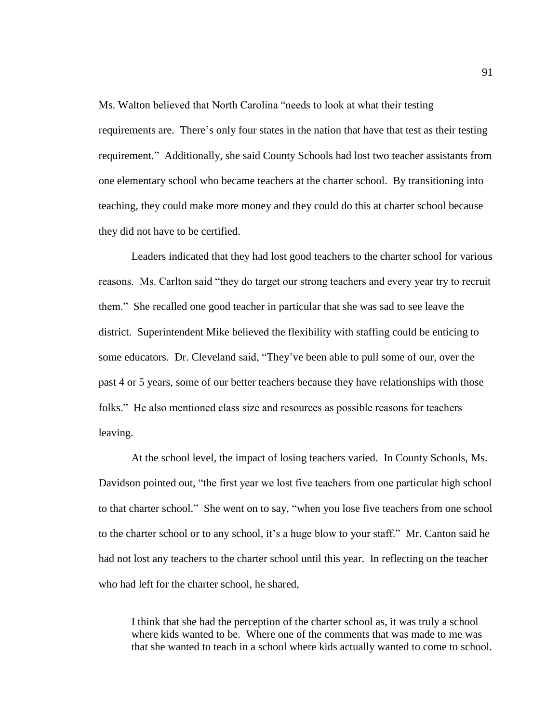Ms. Walton believed that North Carolina "needs to look at what their testing requirements are. There's only four states in the nation that have that test as their testing requirement." Additionally, she said County Schools had lost two teacher assistants from one elementary school who became teachers at the charter school. By transitioning into teaching, they could make more money and they could do this at charter school because they did not have to be certified.

Leaders indicated that they had lost good teachers to the charter school for various reasons. Ms. Carlton said "they do target our strong teachers and every year try to recruit them." She recalled one good teacher in particular that she was sad to see leave the district. Superintendent Mike believed the flexibility with staffing could be enticing to some educators. Dr. Cleveland said, "They've been able to pull some of our, over the past 4 or 5 years, some of our better teachers because they have relationships with those folks." He also mentioned class size and resources as possible reasons for teachers leaving.

At the school level, the impact of losing teachers varied. In County Schools, Ms. Davidson pointed out, "the first year we lost five teachers from one particular high school to that charter school." She went on to say, "when you lose five teachers from one school to the charter school or to any school, it's a huge blow to your staff." Mr. Canton said he had not lost any teachers to the charter school until this year. In reflecting on the teacher who had left for the charter school, he shared,

I think that she had the perception of the charter school as, it was truly a school where kids wanted to be. Where one of the comments that was made to me was that she wanted to teach in a school where kids actually wanted to come to school.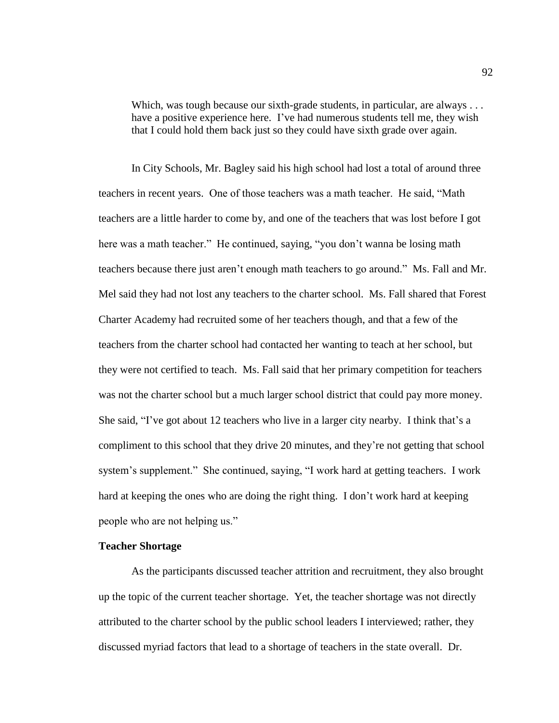Which, was tough because our sixth-grade students, in particular, are always ... have a positive experience here. I've had numerous students tell me, they wish that I could hold them back just so they could have sixth grade over again.

In City Schools, Mr. Bagley said his high school had lost a total of around three teachers in recent years. One of those teachers was a math teacher. He said, "Math teachers are a little harder to come by, and one of the teachers that was lost before I got here was a math teacher." He continued, saying, "you don't wanna be losing math teachers because there just aren't enough math teachers to go around." Ms. Fall and Mr. Mel said they had not lost any teachers to the charter school. Ms. Fall shared that Forest Charter Academy had recruited some of her teachers though, and that a few of the teachers from the charter school had contacted her wanting to teach at her school, but they were not certified to teach. Ms. Fall said that her primary competition for teachers was not the charter school but a much larger school district that could pay more money. She said, "I've got about 12 teachers who live in a larger city nearby. I think that's a compliment to this school that they drive 20 minutes, and they're not getting that school system's supplement." She continued, saying, "I work hard at getting teachers. I work hard at keeping the ones who are doing the right thing. I don't work hard at keeping people who are not helping us."

#### **Teacher Shortage**

As the participants discussed teacher attrition and recruitment, they also brought up the topic of the current teacher shortage. Yet, the teacher shortage was not directly attributed to the charter school by the public school leaders I interviewed; rather, they discussed myriad factors that lead to a shortage of teachers in the state overall. Dr.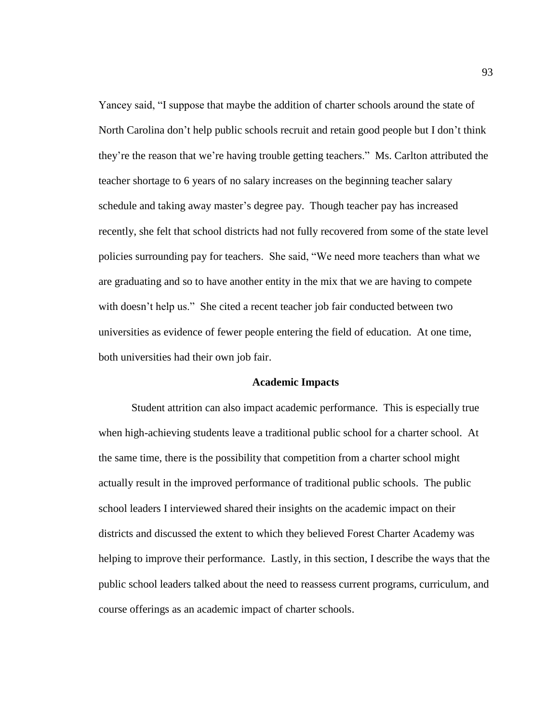Yancey said, "I suppose that maybe the addition of charter schools around the state of North Carolina don't help public schools recruit and retain good people but I don't think they're the reason that we're having trouble getting teachers." Ms. Carlton attributed the teacher shortage to 6 years of no salary increases on the beginning teacher salary schedule and taking away master's degree pay. Though teacher pay has increased recently, she felt that school districts had not fully recovered from some of the state level policies surrounding pay for teachers. She said, "We need more teachers than what we are graduating and so to have another entity in the mix that we are having to compete with doesn't help us." She cited a recent teacher job fair conducted between two universities as evidence of fewer people entering the field of education. At one time, both universities had their own job fair.

#### **Academic Impacts**

Student attrition can also impact academic performance. This is especially true when high-achieving students leave a traditional public school for a charter school. At the same time, there is the possibility that competition from a charter school might actually result in the improved performance of traditional public schools. The public school leaders I interviewed shared their insights on the academic impact on their districts and discussed the extent to which they believed Forest Charter Academy was helping to improve their performance. Lastly, in this section, I describe the ways that the public school leaders talked about the need to reassess current programs, curriculum, and course offerings as an academic impact of charter schools.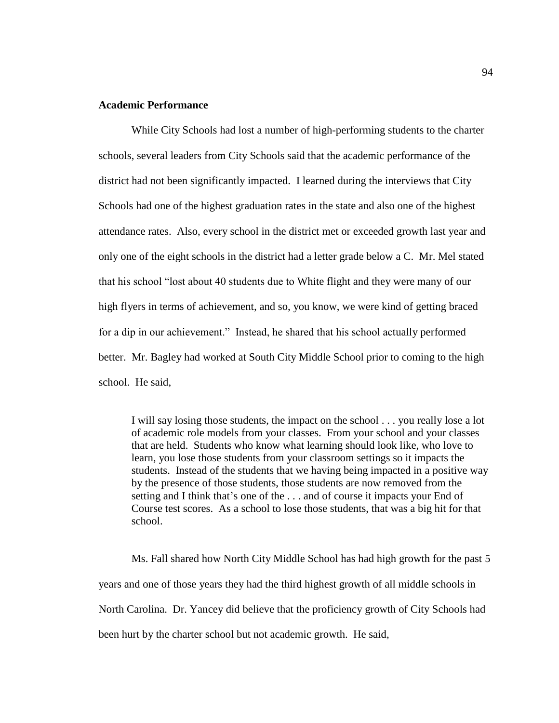# **Academic Performance**

While City Schools had lost a number of high-performing students to the charter schools, several leaders from City Schools said that the academic performance of the district had not been significantly impacted. I learned during the interviews that City Schools had one of the highest graduation rates in the state and also one of the highest attendance rates. Also, every school in the district met or exceeded growth last year and only one of the eight schools in the district had a letter grade below a C. Mr. Mel stated that his school "lost about 40 students due to White flight and they were many of our high flyers in terms of achievement, and so, you know, we were kind of getting braced for a dip in our achievement." Instead, he shared that his school actually performed better. Mr. Bagley had worked at South City Middle School prior to coming to the high school. He said,

I will say losing those students, the impact on the school . . . you really lose a lot of academic role models from your classes. From your school and your classes that are held. Students who know what learning should look like, who love to learn, you lose those students from your classroom settings so it impacts the students. Instead of the students that we having being impacted in a positive way by the presence of those students, those students are now removed from the setting and I think that's one of the . . . and of course it impacts your End of Course test scores. As a school to lose those students, that was a big hit for that school.

Ms. Fall shared how North City Middle School has had high growth for the past 5 years and one of those years they had the third highest growth of all middle schools in North Carolina. Dr. Yancey did believe that the proficiency growth of City Schools had been hurt by the charter school but not academic growth. He said,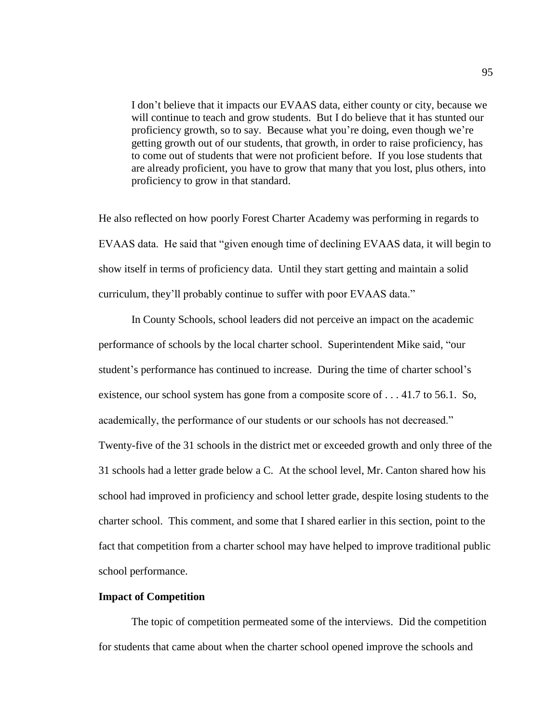I don't believe that it impacts our EVAAS data, either county or city, because we will continue to teach and grow students. But I do believe that it has stunted our proficiency growth, so to say. Because what you're doing, even though we're getting growth out of our students, that growth, in order to raise proficiency, has to come out of students that were not proficient before. If you lose students that are already proficient, you have to grow that many that you lost, plus others, into proficiency to grow in that standard.

He also reflected on how poorly Forest Charter Academy was performing in regards to EVAAS data. He said that "given enough time of declining EVAAS data, it will begin to show itself in terms of proficiency data. Until they start getting and maintain a solid curriculum, they'll probably continue to suffer with poor EVAAS data."

In County Schools, school leaders did not perceive an impact on the academic performance of schools by the local charter school. Superintendent Mike said, "our student's performance has continued to increase. During the time of charter school's existence, our school system has gone from a composite score of . . . 41.7 to 56.1. So, academically, the performance of our students or our schools has not decreased." Twenty-five of the 31 schools in the district met or exceeded growth and only three of the 31 schools had a letter grade below a C. At the school level, Mr. Canton shared how his school had improved in proficiency and school letter grade, despite losing students to the charter school. This comment, and some that I shared earlier in this section, point to the fact that competition from a charter school may have helped to improve traditional public school performance.

# **Impact of Competition**

The topic of competition permeated some of the interviews. Did the competition for students that came about when the charter school opened improve the schools and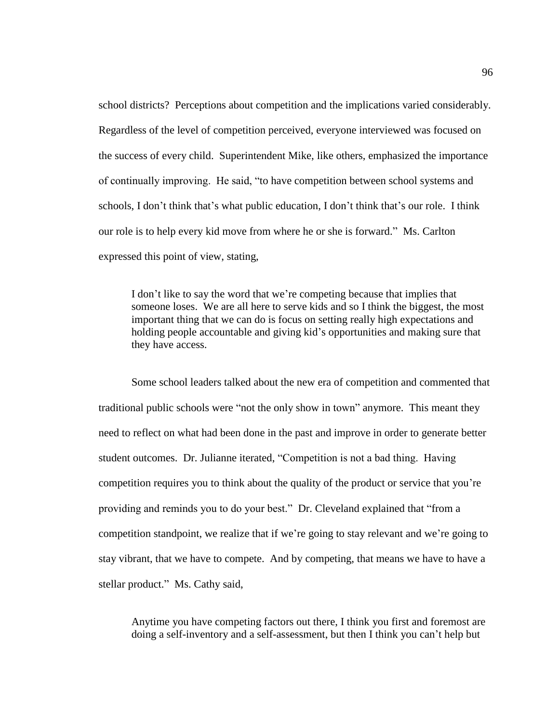school districts? Perceptions about competition and the implications varied considerably. Regardless of the level of competition perceived, everyone interviewed was focused on the success of every child. Superintendent Mike, like others, emphasized the importance of continually improving. He said, "to have competition between school systems and schools, I don't think that's what public education, I don't think that's our role. I think our role is to help every kid move from where he or she is forward." Ms. Carlton expressed this point of view, stating,

I don't like to say the word that we're competing because that implies that someone loses. We are all here to serve kids and so I think the biggest, the most important thing that we can do is focus on setting really high expectations and holding people accountable and giving kid's opportunities and making sure that they have access.

Some school leaders talked about the new era of competition and commented that traditional public schools were "not the only show in town" anymore. This meant they need to reflect on what had been done in the past and improve in order to generate better student outcomes. Dr. Julianne iterated, "Competition is not a bad thing. Having competition requires you to think about the quality of the product or service that you're providing and reminds you to do your best." Dr. Cleveland explained that "from a competition standpoint, we realize that if we're going to stay relevant and we're going to stay vibrant, that we have to compete. And by competing, that means we have to have a stellar product." Ms. Cathy said,

Anytime you have competing factors out there, I think you first and foremost are doing a self-inventory and a self-assessment, but then I think you can't help but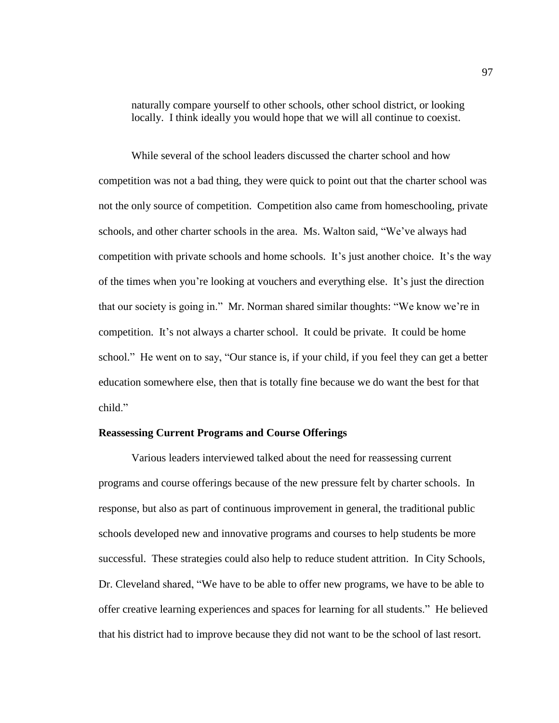naturally compare yourself to other schools, other school district, or looking locally. I think ideally you would hope that we will all continue to coexist.

While several of the school leaders discussed the charter school and how competition was not a bad thing, they were quick to point out that the charter school was not the only source of competition. Competition also came from homeschooling, private schools, and other charter schools in the area. Ms. Walton said, "We've always had competition with private schools and home schools. It's just another choice. It's the way of the times when you're looking at vouchers and everything else. It's just the direction that our society is going in." Mr. Norman shared similar thoughts: "We know we're in competition. It's not always a charter school. It could be private. It could be home school." He went on to say, "Our stance is, if your child, if you feel they can get a better education somewhere else, then that is totally fine because we do want the best for that child."

#### **Reassessing Current Programs and Course Offerings**

Various leaders interviewed talked about the need for reassessing current programs and course offerings because of the new pressure felt by charter schools. In response, but also as part of continuous improvement in general, the traditional public schools developed new and innovative programs and courses to help students be more successful. These strategies could also help to reduce student attrition. In City Schools, Dr. Cleveland shared, "We have to be able to offer new programs, we have to be able to offer creative learning experiences and spaces for learning for all students." He believed that his district had to improve because they did not want to be the school of last resort.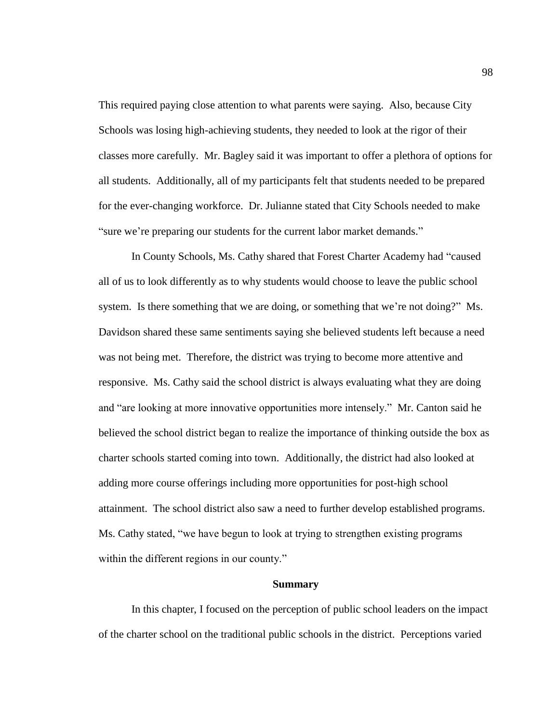This required paying close attention to what parents were saying. Also, because City Schools was losing high-achieving students, they needed to look at the rigor of their classes more carefully. Mr. Bagley said it was important to offer a plethora of options for all students. Additionally, all of my participants felt that students needed to be prepared for the ever-changing workforce. Dr. Julianne stated that City Schools needed to make "sure we're preparing our students for the current labor market demands."

In County Schools, Ms. Cathy shared that Forest Charter Academy had "caused all of us to look differently as to why students would choose to leave the public school system. Is there something that we are doing, or something that we're not doing?" Ms. Davidson shared these same sentiments saying she believed students left because a need was not being met. Therefore, the district was trying to become more attentive and responsive. Ms. Cathy said the school district is always evaluating what they are doing and "are looking at more innovative opportunities more intensely." Mr. Canton said he believed the school district began to realize the importance of thinking outside the box as charter schools started coming into town. Additionally, the district had also looked at adding more course offerings including more opportunities for post-high school attainment. The school district also saw a need to further develop established programs. Ms. Cathy stated, "we have begun to look at trying to strengthen existing programs within the different regions in our county."

## **Summary**

In this chapter, I focused on the perception of public school leaders on the impact of the charter school on the traditional public schools in the district. Perceptions varied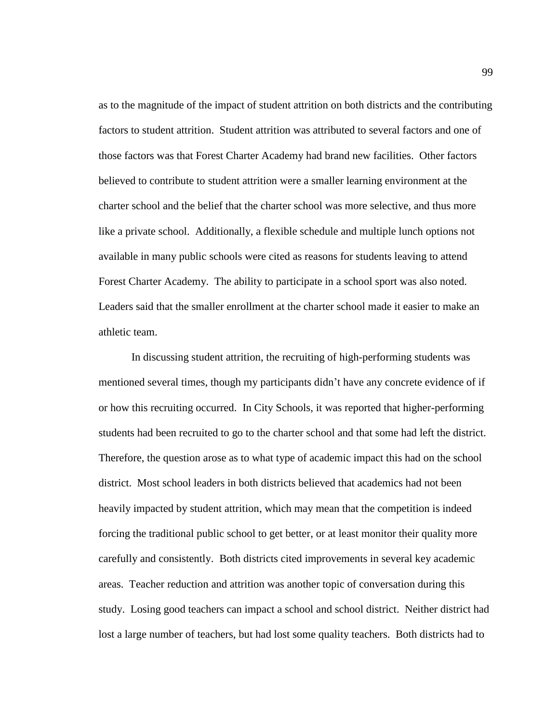as to the magnitude of the impact of student attrition on both districts and the contributing factors to student attrition. Student attrition was attributed to several factors and one of those factors was that Forest Charter Academy had brand new facilities. Other factors believed to contribute to student attrition were a smaller learning environment at the charter school and the belief that the charter school was more selective, and thus more like a private school. Additionally, a flexible schedule and multiple lunch options not available in many public schools were cited as reasons for students leaving to attend Forest Charter Academy. The ability to participate in a school sport was also noted. Leaders said that the smaller enrollment at the charter school made it easier to make an athletic team.

In discussing student attrition, the recruiting of high-performing students was mentioned several times, though my participants didn't have any concrete evidence of if or how this recruiting occurred. In City Schools, it was reported that higher-performing students had been recruited to go to the charter school and that some had left the district. Therefore, the question arose as to what type of academic impact this had on the school district. Most school leaders in both districts believed that academics had not been heavily impacted by student attrition, which may mean that the competition is indeed forcing the traditional public school to get better, or at least monitor their quality more carefully and consistently. Both districts cited improvements in several key academic areas. Teacher reduction and attrition was another topic of conversation during this study. Losing good teachers can impact a school and school district. Neither district had lost a large number of teachers, but had lost some quality teachers. Both districts had to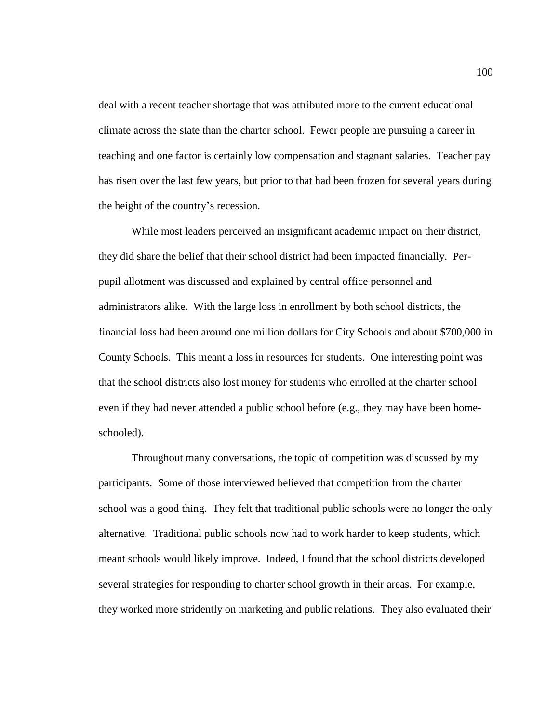deal with a recent teacher shortage that was attributed more to the current educational climate across the state than the charter school. Fewer people are pursuing a career in teaching and one factor is certainly low compensation and stagnant salaries. Teacher pay has risen over the last few years, but prior to that had been frozen for several years during the height of the country's recession.

While most leaders perceived an insignificant academic impact on their district, they did share the belief that their school district had been impacted financially. Perpupil allotment was discussed and explained by central office personnel and administrators alike. With the large loss in enrollment by both school districts, the financial loss had been around one million dollars for City Schools and about \$700,000 in County Schools. This meant a loss in resources for students. One interesting point was that the school districts also lost money for students who enrolled at the charter school even if they had never attended a public school before (e.g., they may have been homeschooled).

Throughout many conversations, the topic of competition was discussed by my participants. Some of those interviewed believed that competition from the charter school was a good thing. They felt that traditional public schools were no longer the only alternative. Traditional public schools now had to work harder to keep students, which meant schools would likely improve. Indeed, I found that the school districts developed several strategies for responding to charter school growth in their areas. For example, they worked more stridently on marketing and public relations. They also evaluated their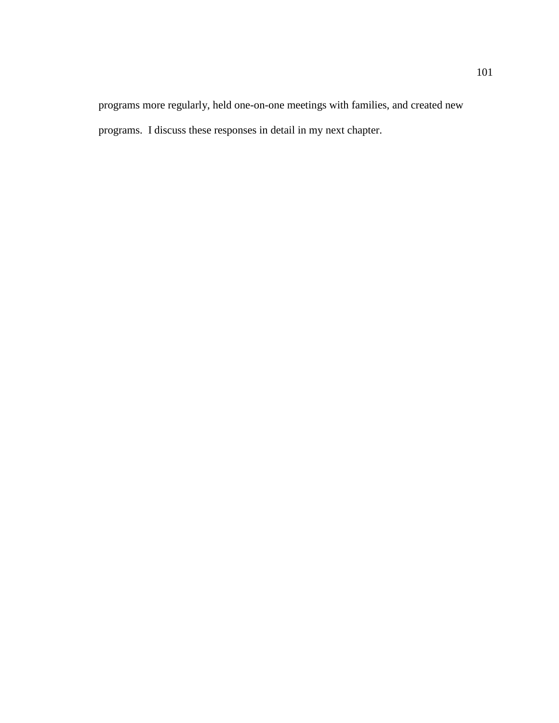programs more regularly, held one-on-one meetings with families, and created new programs. I discuss these responses in detail in my next chapter.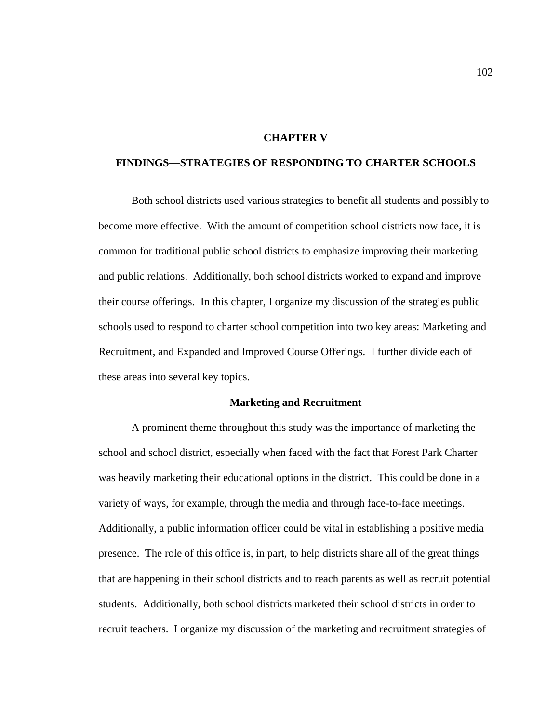#### **CHAPTER V**

# **FINDINGS—STRATEGIES OF RESPONDING TO CHARTER SCHOOLS**

Both school districts used various strategies to benefit all students and possibly to become more effective. With the amount of competition school districts now face, it is common for traditional public school districts to emphasize improving their marketing and public relations. Additionally, both school districts worked to expand and improve their course offerings. In this chapter, I organize my discussion of the strategies public schools used to respond to charter school competition into two key areas: Marketing and Recruitment, and Expanded and Improved Course Offerings. I further divide each of these areas into several key topics.

#### **Marketing and Recruitment**

A prominent theme throughout this study was the importance of marketing the school and school district, especially when faced with the fact that Forest Park Charter was heavily marketing their educational options in the district. This could be done in a variety of ways, for example, through the media and through face-to-face meetings. Additionally, a public information officer could be vital in establishing a positive media presence. The role of this office is, in part, to help districts share all of the great things that are happening in their school districts and to reach parents as well as recruit potential students. Additionally, both school districts marketed their school districts in order to recruit teachers. I organize my discussion of the marketing and recruitment strategies of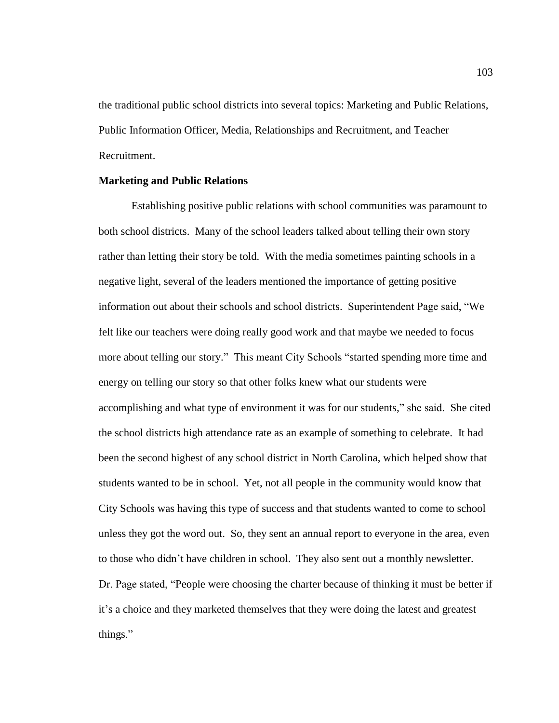the traditional public school districts into several topics: Marketing and Public Relations, Public Information Officer, Media, Relationships and Recruitment, and Teacher Recruitment.

# **Marketing and Public Relations**

Establishing positive public relations with school communities was paramount to both school districts. Many of the school leaders talked about telling their own story rather than letting their story be told. With the media sometimes painting schools in a negative light, several of the leaders mentioned the importance of getting positive information out about their schools and school districts. Superintendent Page said, "We felt like our teachers were doing really good work and that maybe we needed to focus more about telling our story." This meant City Schools "started spending more time and energy on telling our story so that other folks knew what our students were accomplishing and what type of environment it was for our students," she said. She cited the school districts high attendance rate as an example of something to celebrate. It had been the second highest of any school district in North Carolina, which helped show that students wanted to be in school. Yet, not all people in the community would know that City Schools was having this type of success and that students wanted to come to school unless they got the word out. So, they sent an annual report to everyone in the area, even to those who didn't have children in school. They also sent out a monthly newsletter. Dr. Page stated, "People were choosing the charter because of thinking it must be better if it's a choice and they marketed themselves that they were doing the latest and greatest things."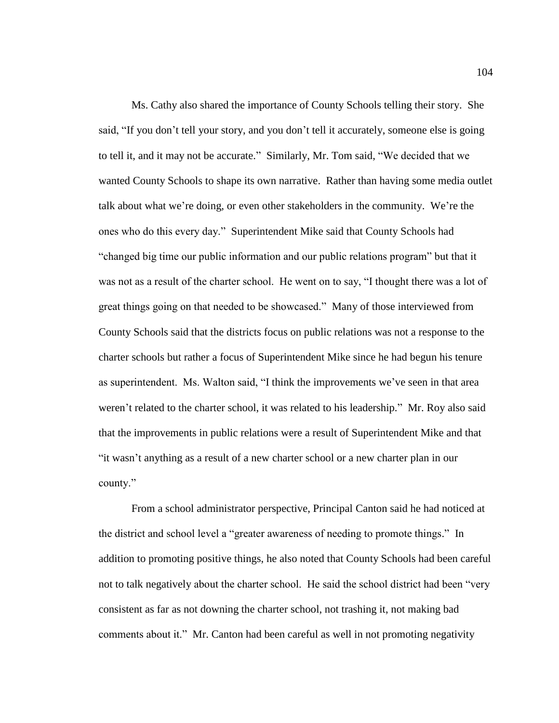Ms. Cathy also shared the importance of County Schools telling their story. She said, "If you don't tell your story, and you don't tell it accurately, someone else is going to tell it, and it may not be accurate." Similarly, Mr. Tom said, "We decided that we wanted County Schools to shape its own narrative. Rather than having some media outlet talk about what we're doing, or even other stakeholders in the community. We're the ones who do this every day." Superintendent Mike said that County Schools had "changed big time our public information and our public relations program" but that it was not as a result of the charter school. He went on to say, "I thought there was a lot of great things going on that needed to be showcased." Many of those interviewed from County Schools said that the districts focus on public relations was not a response to the charter schools but rather a focus of Superintendent Mike since he had begun his tenure as superintendent. Ms. Walton said, "I think the improvements we've seen in that area weren't related to the charter school, it was related to his leadership." Mr. Roy also said that the improvements in public relations were a result of Superintendent Mike and that "it wasn't anything as a result of a new charter school or a new charter plan in our county."

From a school administrator perspective, Principal Canton said he had noticed at the district and school level a "greater awareness of needing to promote things." In addition to promoting positive things, he also noted that County Schools had been careful not to talk negatively about the charter school. He said the school district had been "very consistent as far as not downing the charter school, not trashing it, not making bad comments about it." Mr. Canton had been careful as well in not promoting negativity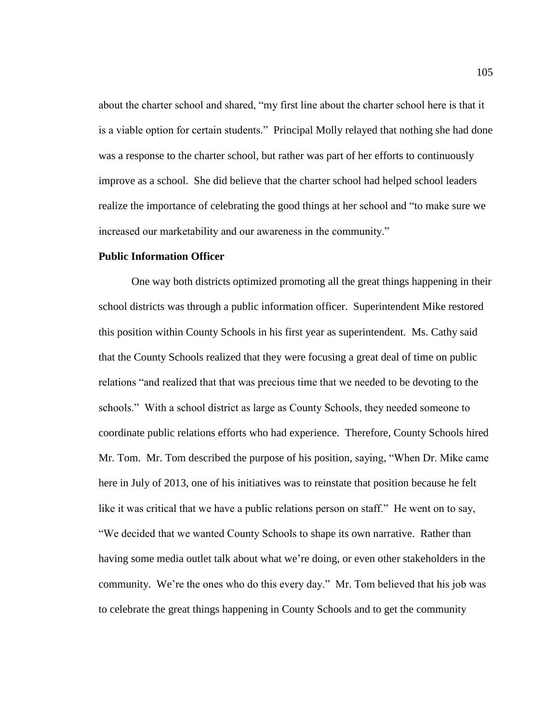about the charter school and shared, "my first line about the charter school here is that it is a viable option for certain students." Principal Molly relayed that nothing she had done was a response to the charter school, but rather was part of her efforts to continuously improve as a school. She did believe that the charter school had helped school leaders realize the importance of celebrating the good things at her school and "to make sure we increased our marketability and our awareness in the community."

# **Public Information Officer**

One way both districts optimized promoting all the great things happening in their school districts was through a public information officer. Superintendent Mike restored this position within County Schools in his first year as superintendent. Ms. Cathy said that the County Schools realized that they were focusing a great deal of time on public relations "and realized that that was precious time that we needed to be devoting to the schools." With a school district as large as County Schools, they needed someone to coordinate public relations efforts who had experience. Therefore, County Schools hired Mr. Tom. Mr. Tom described the purpose of his position, saying, "When Dr. Mike came here in July of 2013, one of his initiatives was to reinstate that position because he felt like it was critical that we have a public relations person on staff." He went on to say, "We decided that we wanted County Schools to shape its own narrative. Rather than having some media outlet talk about what we're doing, or even other stakeholders in the community. We're the ones who do this every day." Mr. Tom believed that his job was to celebrate the great things happening in County Schools and to get the community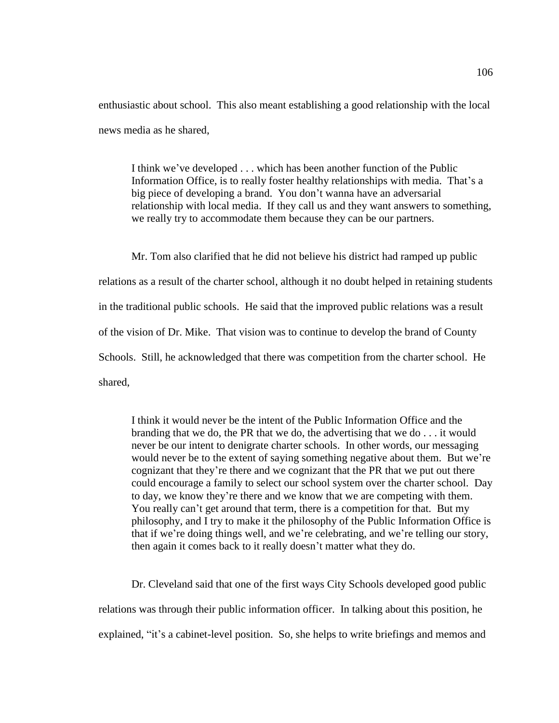enthusiastic about school. This also meant establishing a good relationship with the local news media as he shared,

I think we've developed . . . which has been another function of the Public Information Office, is to really foster healthy relationships with media. That's a big piece of developing a brand. You don't wanna have an adversarial relationship with local media. If they call us and they want answers to something, we really try to accommodate them because they can be our partners.

Mr. Tom also clarified that he did not believe his district had ramped up public relations as a result of the charter school, although it no doubt helped in retaining students in the traditional public schools. He said that the improved public relations was a result of the vision of Dr. Mike. That vision was to continue to develop the brand of County Schools. Still, he acknowledged that there was competition from the charter school. He shared,

I think it would never be the intent of the Public Information Office and the branding that we do, the PR that we do, the advertising that we do . . . it would never be our intent to denigrate charter schools. In other words, our messaging would never be to the extent of saying something negative about them. But we're cognizant that they're there and we cognizant that the PR that we put out there could encourage a family to select our school system over the charter school. Day to day, we know they're there and we know that we are competing with them. You really can't get around that term, there is a competition for that. But my philosophy, and I try to make it the philosophy of the Public Information Office is that if we're doing things well, and we're celebrating, and we're telling our story, then again it comes back to it really doesn't matter what they do.

Dr. Cleveland said that one of the first ways City Schools developed good public relations was through their public information officer. In talking about this position, he explained, "it's a cabinet-level position. So, she helps to write briefings and memos and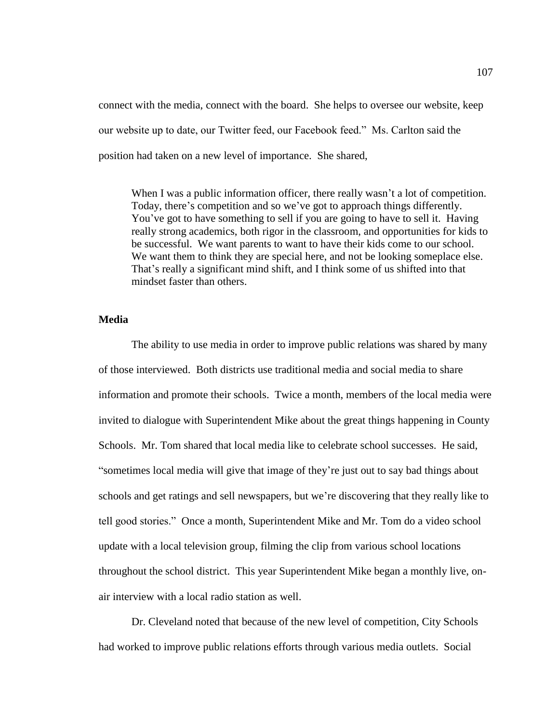connect with the media, connect with the board. She helps to oversee our website, keep our website up to date, our Twitter feed, our Facebook feed." Ms. Carlton said the position had taken on a new level of importance. She shared,

When I was a public information officer, there really wasn't a lot of competition. Today, there's competition and so we've got to approach things differently. You've got to have something to sell if you are going to have to sell it. Having really strong academics, both rigor in the classroom, and opportunities for kids to be successful. We want parents to want to have their kids come to our school. We want them to think they are special here, and not be looking someplace else. That's really a significant mind shift, and I think some of us shifted into that mindset faster than others.

# **Media**

The ability to use media in order to improve public relations was shared by many of those interviewed. Both districts use traditional media and social media to share information and promote their schools. Twice a month, members of the local media were invited to dialogue with Superintendent Mike about the great things happening in County Schools. Mr. Tom shared that local media like to celebrate school successes. He said, "sometimes local media will give that image of they're just out to say bad things about schools and get ratings and sell newspapers, but we're discovering that they really like to tell good stories." Once a month, Superintendent Mike and Mr. Tom do a video school update with a local television group, filming the clip from various school locations throughout the school district. This year Superintendent Mike began a monthly live, onair interview with a local radio station as well.

Dr. Cleveland noted that because of the new level of competition, City Schools had worked to improve public relations efforts through various media outlets. Social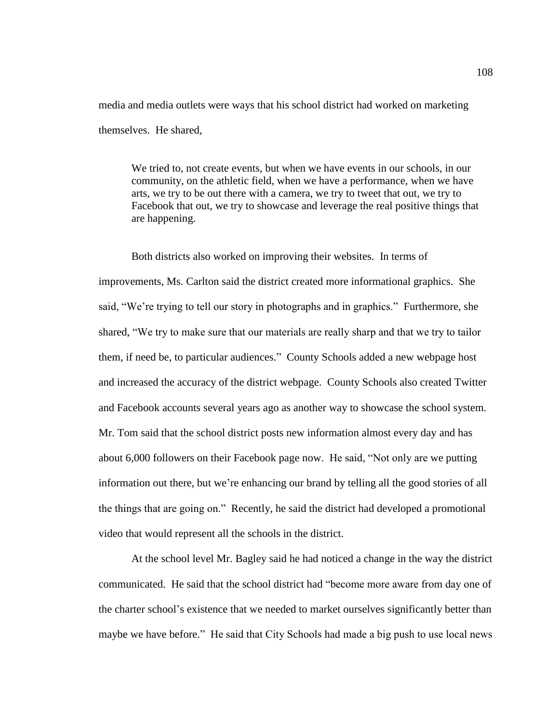media and media outlets were ways that his school district had worked on marketing themselves. He shared,

We tried to, not create events, but when we have events in our schools, in our community, on the athletic field, when we have a performance, when we have arts, we try to be out there with a camera, we try to tweet that out, we try to Facebook that out, we try to showcase and leverage the real positive things that are happening.

Both districts also worked on improving their websites. In terms of improvements, Ms. Carlton said the district created more informational graphics. She said, "We're trying to tell our story in photographs and in graphics." Furthermore, she shared, "We try to make sure that our materials are really sharp and that we try to tailor them, if need be, to particular audiences." County Schools added a new webpage host and increased the accuracy of the district webpage. County Schools also created Twitter and Facebook accounts several years ago as another way to showcase the school system. Mr. Tom said that the school district posts new information almost every day and has about 6,000 followers on their Facebook page now. He said, "Not only are we putting information out there, but we're enhancing our brand by telling all the good stories of all the things that are going on." Recently, he said the district had developed a promotional video that would represent all the schools in the district.

At the school level Mr. Bagley said he had noticed a change in the way the district communicated. He said that the school district had "become more aware from day one of the charter school's existence that we needed to market ourselves significantly better than maybe we have before." He said that City Schools had made a big push to use local news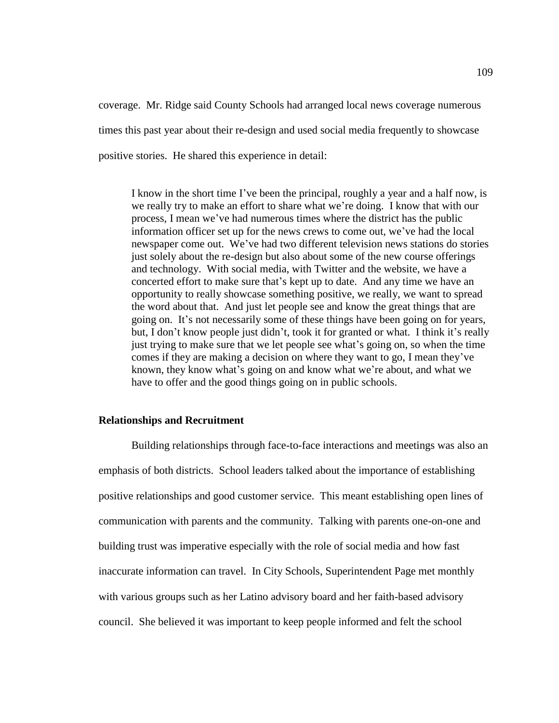coverage. Mr. Ridge said County Schools had arranged local news coverage numerous times this past year about their re-design and used social media frequently to showcase positive stories. He shared this experience in detail:

I know in the short time I've been the principal, roughly a year and a half now, is we really try to make an effort to share what we're doing. I know that with our process, I mean we've had numerous times where the district has the public information officer set up for the news crews to come out, we've had the local newspaper come out. We've had two different television news stations do stories just solely about the re-design but also about some of the new course offerings and technology. With social media, with Twitter and the website, we have a concerted effort to make sure that's kept up to date. And any time we have an opportunity to really showcase something positive, we really, we want to spread the word about that. And just let people see and know the great things that are going on. It's not necessarily some of these things have been going on for years, but, I don't know people just didn't, took it for granted or what. I think it's really just trying to make sure that we let people see what's going on, so when the time comes if they are making a decision on where they want to go, I mean they've known, they know what's going on and know what we're about, and what we have to offer and the good things going on in public schools.

#### **Relationships and Recruitment**

Building relationships through face-to-face interactions and meetings was also an emphasis of both districts. School leaders talked about the importance of establishing positive relationships and good customer service. This meant establishing open lines of communication with parents and the community. Talking with parents one-on-one and building trust was imperative especially with the role of social media and how fast inaccurate information can travel. In City Schools, Superintendent Page met monthly with various groups such as her Latino advisory board and her faith-based advisory council. She believed it was important to keep people informed and felt the school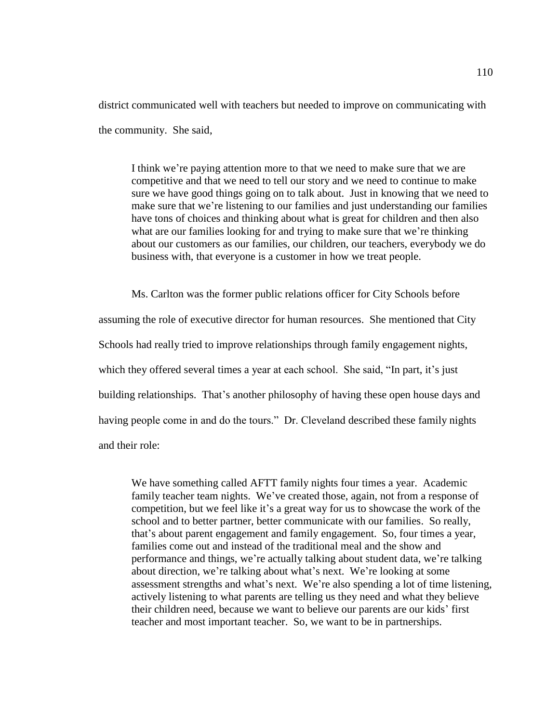district communicated well with teachers but needed to improve on communicating with the community. She said,

I think we're paying attention more to that we need to make sure that we are competitive and that we need to tell our story and we need to continue to make sure we have good things going on to talk about. Just in knowing that we need to make sure that we're listening to our families and just understanding our families have tons of choices and thinking about what is great for children and then also what are our families looking for and trying to make sure that we're thinking about our customers as our families, our children, our teachers, everybody we do business with, that everyone is a customer in how we treat people.

Ms. Carlton was the former public relations officer for City Schools before assuming the role of executive director for human resources. She mentioned that City Schools had really tried to improve relationships through family engagement nights, which they offered several times a year at each school. She said, "In part, it's just building relationships. That's another philosophy of having these open house days and having people come in and do the tours." Dr. Cleveland described these family nights and their role:

We have something called AFTT family nights four times a year. Academic family teacher team nights. We've created those, again, not from a response of competition, but we feel like it's a great way for us to showcase the work of the school and to better partner, better communicate with our families. So really, that's about parent engagement and family engagement. So, four times a year, families come out and instead of the traditional meal and the show and performance and things, we're actually talking about student data, we're talking about direction, we're talking about what's next. We're looking at some assessment strengths and what's next. We're also spending a lot of time listening, actively listening to what parents are telling us they need and what they believe their children need, because we want to believe our parents are our kids' first teacher and most important teacher. So, we want to be in partnerships.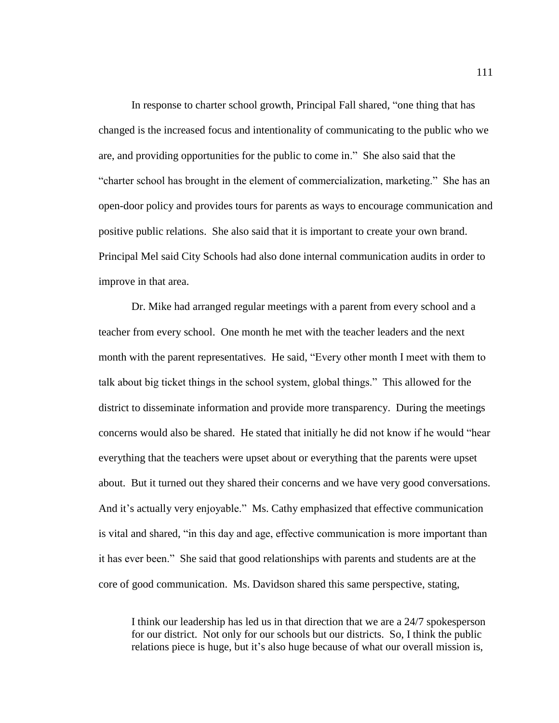In response to charter school growth, Principal Fall shared, "one thing that has changed is the increased focus and intentionality of communicating to the public who we are, and providing opportunities for the public to come in." She also said that the "charter school has brought in the element of commercialization, marketing." She has an open-door policy and provides tours for parents as ways to encourage communication and positive public relations. She also said that it is important to create your own brand. Principal Mel said City Schools had also done internal communication audits in order to improve in that area.

Dr. Mike had arranged regular meetings with a parent from every school and a teacher from every school. One month he met with the teacher leaders and the next month with the parent representatives. He said, "Every other month I meet with them to talk about big ticket things in the school system, global things." This allowed for the district to disseminate information and provide more transparency. During the meetings concerns would also be shared. He stated that initially he did not know if he would "hear everything that the teachers were upset about or everything that the parents were upset about. But it turned out they shared their concerns and we have very good conversations. And it's actually very enjoyable." Ms. Cathy emphasized that effective communication is vital and shared, "in this day and age, effective communication is more important than it has ever been." She said that good relationships with parents and students are at the core of good communication. Ms. Davidson shared this same perspective, stating,

I think our leadership has led us in that direction that we are a 24/7 spokesperson for our district. Not only for our schools but our districts. So, I think the public relations piece is huge, but it's also huge because of what our overall mission is,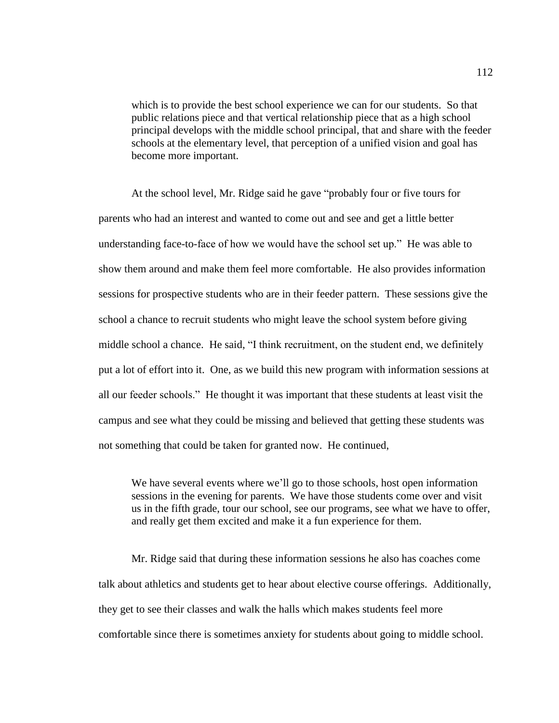which is to provide the best school experience we can for our students. So that public relations piece and that vertical relationship piece that as a high school principal develops with the middle school principal, that and share with the feeder schools at the elementary level, that perception of a unified vision and goal has become more important.

At the school level, Mr. Ridge said he gave "probably four or five tours for parents who had an interest and wanted to come out and see and get a little better understanding face-to-face of how we would have the school set up." He was able to show them around and make them feel more comfortable. He also provides information sessions for prospective students who are in their feeder pattern. These sessions give the school a chance to recruit students who might leave the school system before giving middle school a chance. He said, "I think recruitment, on the student end, we definitely put a lot of effort into it. One, as we build this new program with information sessions at all our feeder schools." He thought it was important that these students at least visit the campus and see what they could be missing and believed that getting these students was not something that could be taken for granted now. He continued,

We have several events where we'll go to those schools, host open information sessions in the evening for parents. We have those students come over and visit us in the fifth grade, tour our school, see our programs, see what we have to offer, and really get them excited and make it a fun experience for them.

Mr. Ridge said that during these information sessions he also has coaches come talk about athletics and students get to hear about elective course offerings. Additionally, they get to see their classes and walk the halls which makes students feel more comfortable since there is sometimes anxiety for students about going to middle school.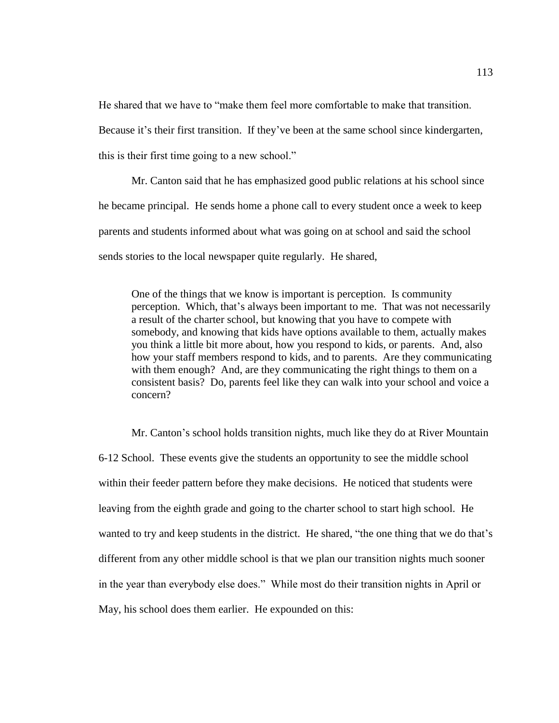He shared that we have to "make them feel more comfortable to make that transition.

Because it's their first transition. If they've been at the same school since kindergarten,

this is their first time going to a new school."

Mr. Canton said that he has emphasized good public relations at his school since he became principal. He sends home a phone call to every student once a week to keep parents and students informed about what was going on at school and said the school sends stories to the local newspaper quite regularly. He shared,

One of the things that we know is important is perception. Is community perception. Which, that's always been important to me. That was not necessarily a result of the charter school, but knowing that you have to compete with somebody, and knowing that kids have options available to them, actually makes you think a little bit more about, how you respond to kids, or parents. And, also how your staff members respond to kids, and to parents. Are they communicating with them enough? And, are they communicating the right things to them on a consistent basis? Do, parents feel like they can walk into your school and voice a concern?

Mr. Canton's school holds transition nights, much like they do at River Mountain 6-12 School. These events give the students an opportunity to see the middle school within their feeder pattern before they make decisions. He noticed that students were leaving from the eighth grade and going to the charter school to start high school. He wanted to try and keep students in the district. He shared, "the one thing that we do that's different from any other middle school is that we plan our transition nights much sooner in the year than everybody else does." While most do their transition nights in April or May, his school does them earlier. He expounded on this: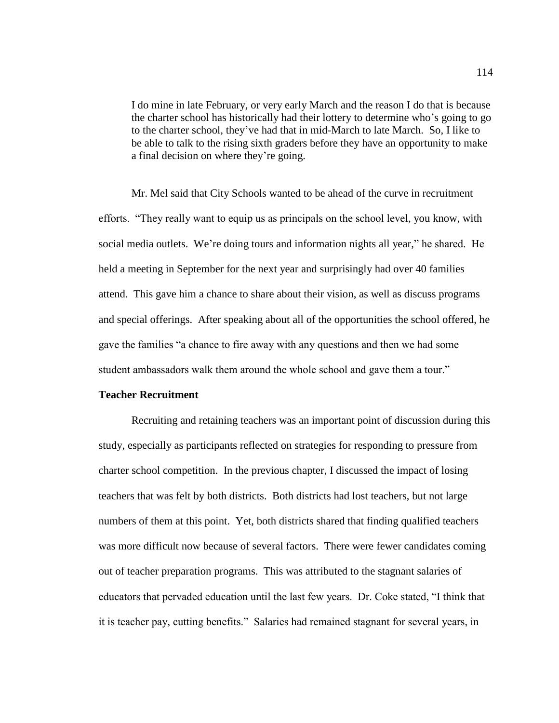I do mine in late February, or very early March and the reason I do that is because the charter school has historically had their lottery to determine who's going to go to the charter school, they've had that in mid-March to late March. So, I like to be able to talk to the rising sixth graders before they have an opportunity to make a final decision on where they're going.

Mr. Mel said that City Schools wanted to be ahead of the curve in recruitment efforts. "They really want to equip us as principals on the school level, you know, with social media outlets. We're doing tours and information nights all year," he shared. He held a meeting in September for the next year and surprisingly had over 40 families attend. This gave him a chance to share about their vision, as well as discuss programs and special offerings. After speaking about all of the opportunities the school offered, he gave the families "a chance to fire away with any questions and then we had some student ambassadors walk them around the whole school and gave them a tour."

## **Teacher Recruitment**

Recruiting and retaining teachers was an important point of discussion during this study, especially as participants reflected on strategies for responding to pressure from charter school competition. In the previous chapter, I discussed the impact of losing teachers that was felt by both districts. Both districts had lost teachers, but not large numbers of them at this point. Yet, both districts shared that finding qualified teachers was more difficult now because of several factors. There were fewer candidates coming out of teacher preparation programs. This was attributed to the stagnant salaries of educators that pervaded education until the last few years. Dr. Coke stated, "I think that it is teacher pay, cutting benefits." Salaries had remained stagnant for several years, in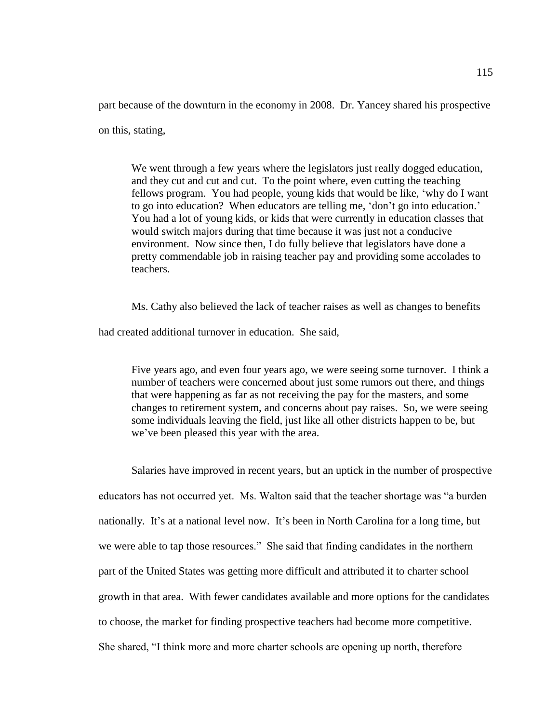part because of the downturn in the economy in 2008. Dr. Yancey shared his prospective

on this, stating,

We went through a few years where the legislators just really dogged education, and they cut and cut and cut. To the point where, even cutting the teaching fellows program. You had people, young kids that would be like, 'why do I want to go into education? When educators are telling me, 'don't go into education.' You had a lot of young kids, or kids that were currently in education classes that would switch majors during that time because it was just not a conducive environment. Now since then, I do fully believe that legislators have done a pretty commendable job in raising teacher pay and providing some accolades to teachers.

Ms. Cathy also believed the lack of teacher raises as well as changes to benefits

had created additional turnover in education. She said,

Five years ago, and even four years ago, we were seeing some turnover. I think a number of teachers were concerned about just some rumors out there, and things that were happening as far as not receiving the pay for the masters, and some changes to retirement system, and concerns about pay raises. So, we were seeing some individuals leaving the field, just like all other districts happen to be, but we've been pleased this year with the area.

Salaries have improved in recent years, but an uptick in the number of prospective educators has not occurred yet. Ms. Walton said that the teacher shortage was "a burden nationally. It's at a national level now. It's been in North Carolina for a long time, but we were able to tap those resources." She said that finding candidates in the northern part of the United States was getting more difficult and attributed it to charter school growth in that area. With fewer candidates available and more options for the candidates to choose, the market for finding prospective teachers had become more competitive. She shared, "I think more and more charter schools are opening up north, therefore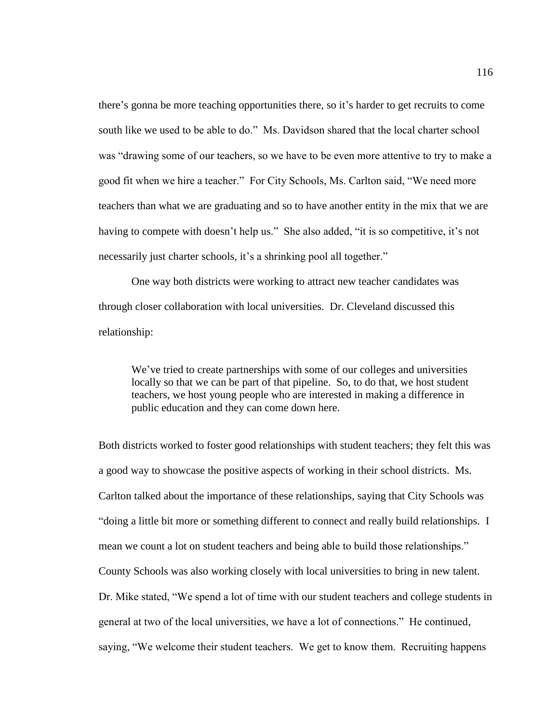there's gonna be more teaching opportunities there, so it's harder to get recruits to come south like we used to be able to do." Ms. Davidson shared that the local charter school was "drawing some of our teachers, so we have to be even more attentive to try to make a good fit when we hire a teacher." For City Schools, Ms. Carlton said, "We need more teachers than what we are graduating and so to have another entity in the mix that we are having to compete with doesn't help us." She also added, "it is so competitive, it's not necessarily just charter schools, it's a shrinking pool all together."

One way both districts were working to attract new teacher candidates was through closer collaboration with local universities. Dr. Cleveland discussed this relationship:

We've tried to create partnerships with some of our colleges and universities locally so that we can be part of that pipeline. So, to do that, we host student teachers, we host young people who are interested in making a difference in public education and they can come down here.

Both districts worked to foster good relationships with student teachers; they felt this was a good way to showcase the positive aspects of working in their school districts. Ms. Carlton talked about the importance of these relationships, saying that City Schools was "doing a little bit more or something different to connect and really build relationships. I mean we count a lot on student teachers and being able to build those relationships." County Schools was also working closely with local universities to bring in new talent. Dr. Mike stated, "We spend a lot of time with our student teachers and college students in general at two of the local universities, we have a lot of connections." He continued, saying, "We welcome their student teachers. We get to know them. Recruiting happens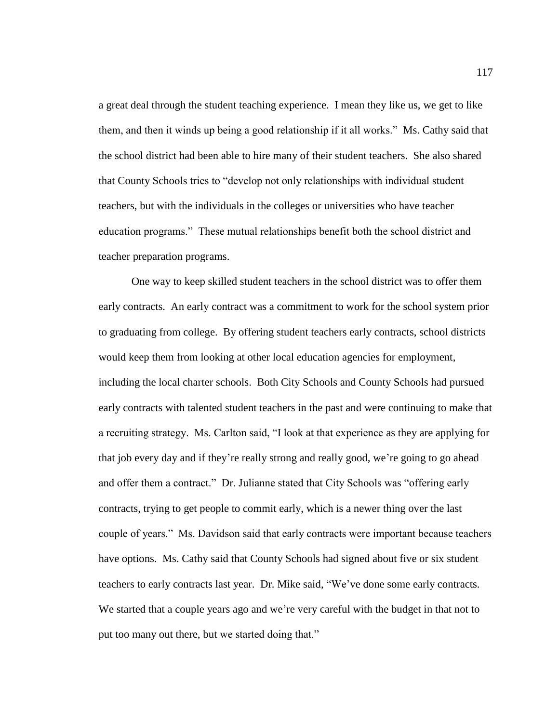a great deal through the student teaching experience. I mean they like us, we get to like them, and then it winds up being a good relationship if it all works." Ms. Cathy said that the school district had been able to hire many of their student teachers. She also shared that County Schools tries to "develop not only relationships with individual student teachers, but with the individuals in the colleges or universities who have teacher education programs." These mutual relationships benefit both the school district and teacher preparation programs.

One way to keep skilled student teachers in the school district was to offer them early contracts. An early contract was a commitment to work for the school system prior to graduating from college. By offering student teachers early contracts, school districts would keep them from looking at other local education agencies for employment, including the local charter schools. Both City Schools and County Schools had pursued early contracts with talented student teachers in the past and were continuing to make that a recruiting strategy. Ms. Carlton said, "I look at that experience as they are applying for that job every day and if they're really strong and really good, we're going to go ahead and offer them a contract." Dr. Julianne stated that City Schools was "offering early contracts, trying to get people to commit early, which is a newer thing over the last couple of years." Ms. Davidson said that early contracts were important because teachers have options. Ms. Cathy said that County Schools had signed about five or six student teachers to early contracts last year. Dr. Mike said, "We've done some early contracts. We started that a couple years ago and we're very careful with the budget in that not to put too many out there, but we started doing that."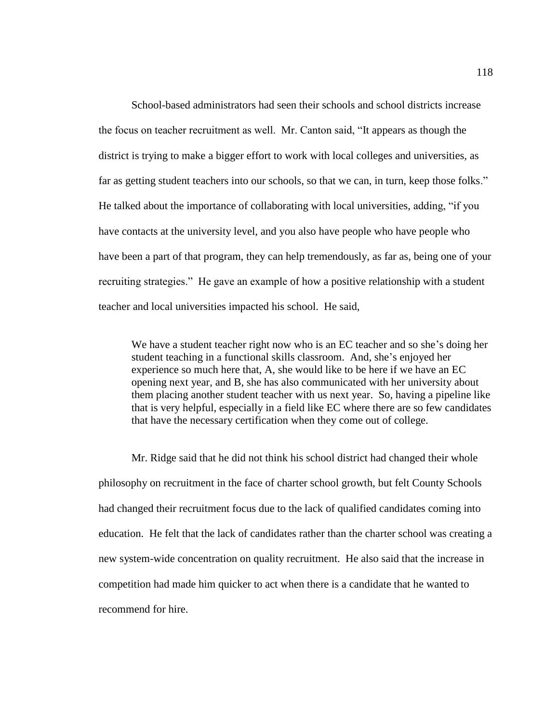School-based administrators had seen their schools and school districts increase the focus on teacher recruitment as well. Mr. Canton said, "It appears as though the district is trying to make a bigger effort to work with local colleges and universities, as far as getting student teachers into our schools, so that we can, in turn, keep those folks." He talked about the importance of collaborating with local universities, adding, "if you have contacts at the university level, and you also have people who have people who have been a part of that program, they can help tremendously, as far as, being one of your recruiting strategies." He gave an example of how a positive relationship with a student teacher and local universities impacted his school. He said,

We have a student teacher right now who is an EC teacher and so she's doing her student teaching in a functional skills classroom. And, she's enjoyed her experience so much here that, A, she would like to be here if we have an EC opening next year, and B, she has also communicated with her university about them placing another student teacher with us next year. So, having a pipeline like that is very helpful, especially in a field like EC where there are so few candidates that have the necessary certification when they come out of college.

Mr. Ridge said that he did not think his school district had changed their whole philosophy on recruitment in the face of charter school growth, but felt County Schools had changed their recruitment focus due to the lack of qualified candidates coming into education. He felt that the lack of candidates rather than the charter school was creating a new system-wide concentration on quality recruitment. He also said that the increase in competition had made him quicker to act when there is a candidate that he wanted to recommend for hire.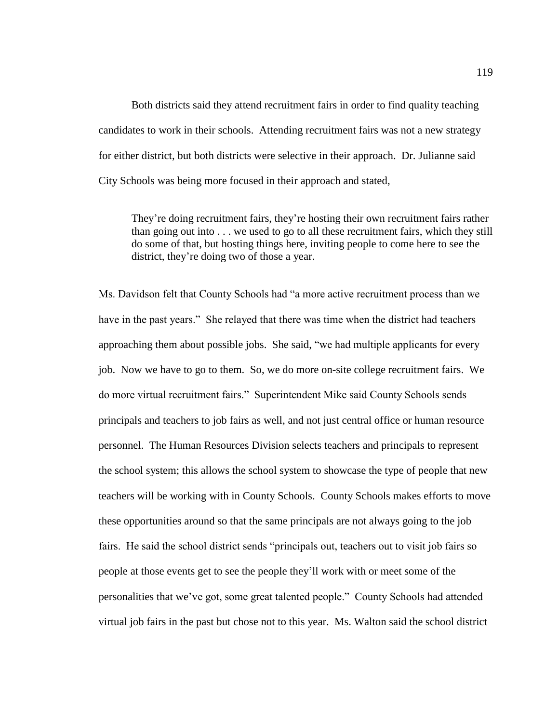Both districts said they attend recruitment fairs in order to find quality teaching candidates to work in their schools. Attending recruitment fairs was not a new strategy for either district, but both districts were selective in their approach. Dr. Julianne said City Schools was being more focused in their approach and stated,

They're doing recruitment fairs, they're hosting their own recruitment fairs rather than going out into . . . we used to go to all these recruitment fairs, which they still do some of that, but hosting things here, inviting people to come here to see the district, they're doing two of those a year.

Ms. Davidson felt that County Schools had "a more active recruitment process than we have in the past years." She relayed that there was time when the district had teachers approaching them about possible jobs. She said, "we had multiple applicants for every job. Now we have to go to them. So, we do more on-site college recruitment fairs. We do more virtual recruitment fairs." Superintendent Mike said County Schools sends principals and teachers to job fairs as well, and not just central office or human resource personnel. The Human Resources Division selects teachers and principals to represent the school system; this allows the school system to showcase the type of people that new teachers will be working with in County Schools. County Schools makes efforts to move these opportunities around so that the same principals are not always going to the job fairs. He said the school district sends "principals out, teachers out to visit job fairs so people at those events get to see the people they'll work with or meet some of the personalities that we've got, some great talented people." County Schools had attended virtual job fairs in the past but chose not to this year. Ms. Walton said the school district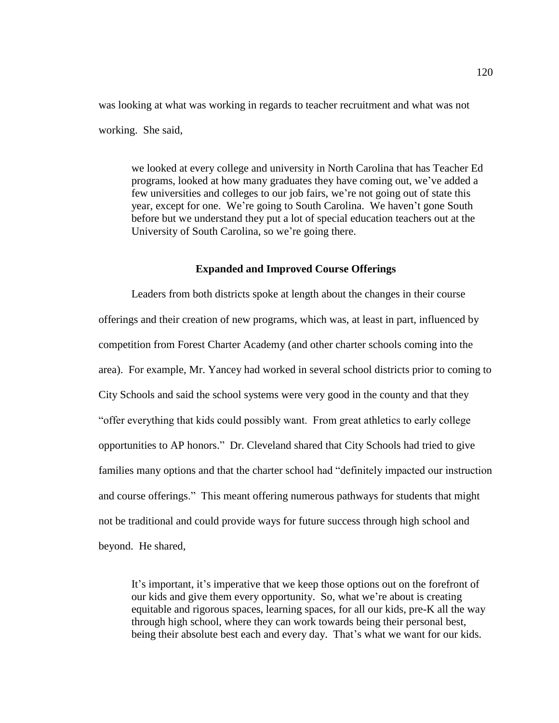was looking at what was working in regards to teacher recruitment and what was not working. She said,

we looked at every college and university in North Carolina that has Teacher Ed programs, looked at how many graduates they have coming out, we've added a few universities and colleges to our job fairs, we're not going out of state this year, except for one. We're going to South Carolina. We haven't gone South before but we understand they put a lot of special education teachers out at the University of South Carolina, so we're going there.

# **Expanded and Improved Course Offerings**

Leaders from both districts spoke at length about the changes in their course offerings and their creation of new programs, which was, at least in part, influenced by competition from Forest Charter Academy (and other charter schools coming into the area). For example, Mr. Yancey had worked in several school districts prior to coming to City Schools and said the school systems were very good in the county and that they "offer everything that kids could possibly want. From great athletics to early college opportunities to AP honors." Dr. Cleveland shared that City Schools had tried to give families many options and that the charter school had "definitely impacted our instruction and course offerings." This meant offering numerous pathways for students that might not be traditional and could provide ways for future success through high school and beyond. He shared,

It's important, it's imperative that we keep those options out on the forefront of our kids and give them every opportunity. So, what we're about is creating equitable and rigorous spaces, learning spaces, for all our kids, pre-K all the way through high school, where they can work towards being their personal best, being their absolute best each and every day. That's what we want for our kids.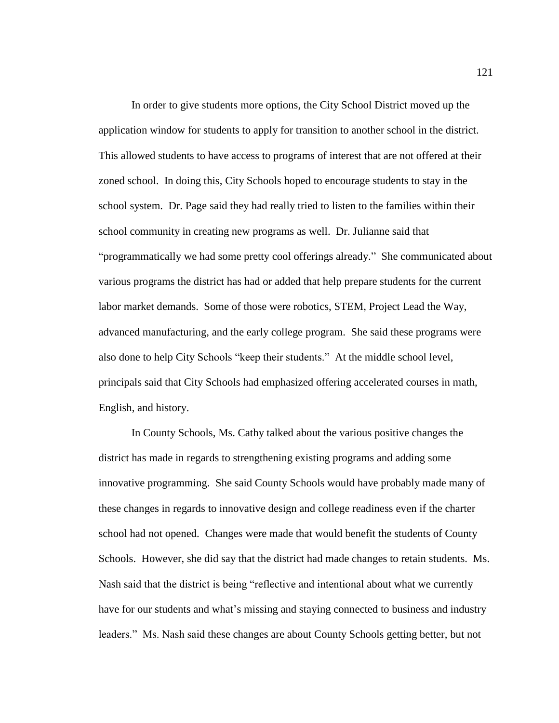In order to give students more options, the City School District moved up the application window for students to apply for transition to another school in the district. This allowed students to have access to programs of interest that are not offered at their zoned school. In doing this, City Schools hoped to encourage students to stay in the school system. Dr. Page said they had really tried to listen to the families within their school community in creating new programs as well. Dr. Julianne said that "programmatically we had some pretty cool offerings already." She communicated about various programs the district has had or added that help prepare students for the current labor market demands. Some of those were robotics, STEM, Project Lead the Way, advanced manufacturing, and the early college program. She said these programs were also done to help City Schools "keep their students." At the middle school level, principals said that City Schools had emphasized offering accelerated courses in math, English, and history.

In County Schools, Ms. Cathy talked about the various positive changes the district has made in regards to strengthening existing programs and adding some innovative programming. She said County Schools would have probably made many of these changes in regards to innovative design and college readiness even if the charter school had not opened. Changes were made that would benefit the students of County Schools. However, she did say that the district had made changes to retain students. Ms. Nash said that the district is being "reflective and intentional about what we currently have for our students and what's missing and staying connected to business and industry leaders." Ms. Nash said these changes are about County Schools getting better, but not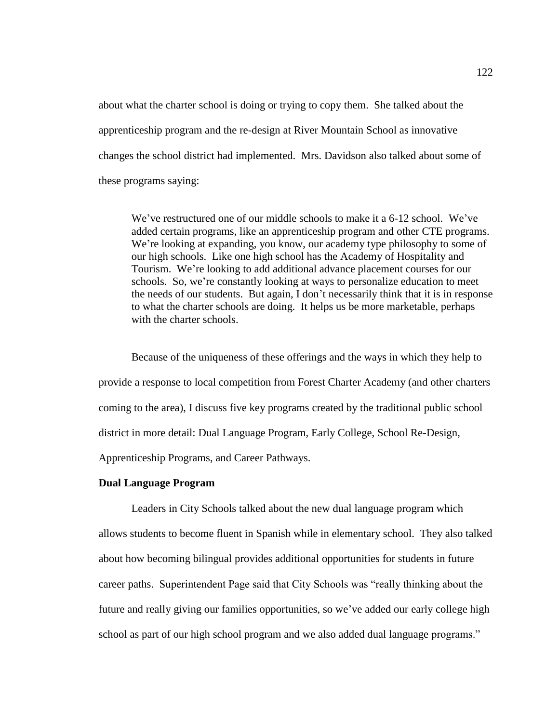about what the charter school is doing or trying to copy them. She talked about the apprenticeship program and the re-design at River Mountain School as innovative changes the school district had implemented. Mrs. Davidson also talked about some of these programs saying:

We've restructured one of our middle schools to make it a 6-12 school. We've added certain programs, like an apprenticeship program and other CTE programs. We're looking at expanding, you know, our academy type philosophy to some of our high schools. Like one high school has the Academy of Hospitality and Tourism. We're looking to add additional advance placement courses for our schools. So, we're constantly looking at ways to personalize education to meet the needs of our students. But again, I don't necessarily think that it is in response to what the charter schools are doing. It helps us be more marketable, perhaps with the charter schools.

Because of the uniqueness of these offerings and the ways in which they help to provide a response to local competition from Forest Charter Academy (and other charters coming to the area), I discuss five key programs created by the traditional public school district in more detail: Dual Language Program, Early College, School Re-Design, Apprenticeship Programs, and Career Pathways.

## **Dual Language Program**

Leaders in City Schools talked about the new dual language program which allows students to become fluent in Spanish while in elementary school. They also talked about how becoming bilingual provides additional opportunities for students in future career paths. Superintendent Page said that City Schools was "really thinking about the future and really giving our families opportunities, so we've added our early college high school as part of our high school program and we also added dual language programs."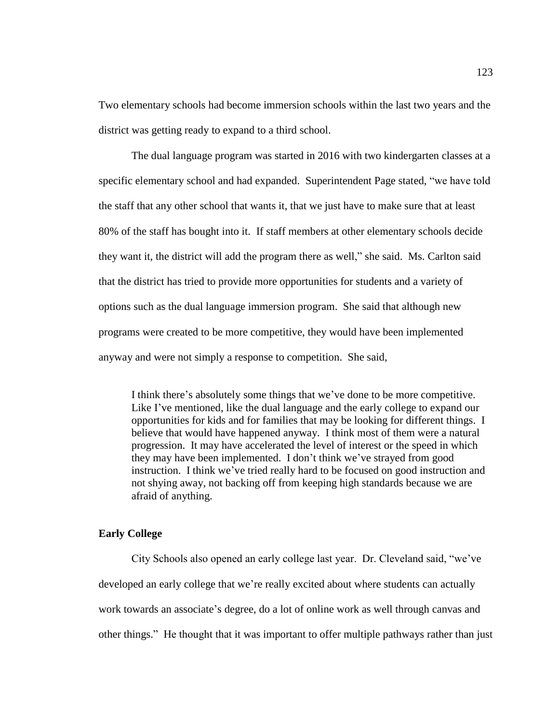Two elementary schools had become immersion schools within the last two years and the district was getting ready to expand to a third school.

The dual language program was started in 2016 with two kindergarten classes at a specific elementary school and had expanded. Superintendent Page stated, "we have told the staff that any other school that wants it, that we just have to make sure that at least 80% of the staff has bought into it. If staff members at other elementary schools decide they want it, the district will add the program there as well," she said. Ms. Carlton said that the district has tried to provide more opportunities for students and a variety of options such as the dual language immersion program. She said that although new programs were created to be more competitive, they would have been implemented anyway and were not simply a response to competition. She said,

I think there's absolutely some things that we've done to be more competitive. Like I've mentioned, like the dual language and the early college to expand our opportunities for kids and for families that may be looking for different things. I believe that would have happened anyway. I think most of them were a natural progression. It may have accelerated the level of interest or the speed in which they may have been implemented. I don't think we've strayed from good instruction. I think we've tried really hard to be focused on good instruction and not shying away, not backing off from keeping high standards because we are afraid of anything.

# **Early College**

City Schools also opened an early college last year. Dr. Cleveland said, "we've developed an early college that we're really excited about where students can actually work towards an associate's degree, do a lot of online work as well through canvas and other things." He thought that it was important to offer multiple pathways rather than just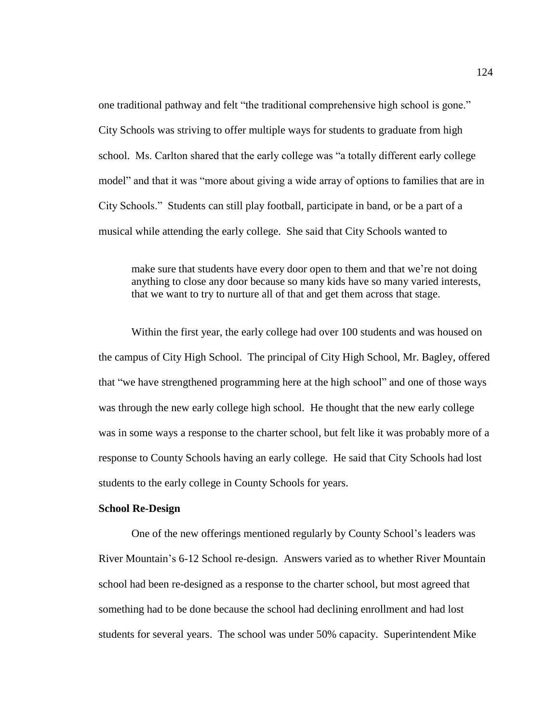one traditional pathway and felt "the traditional comprehensive high school is gone." City Schools was striving to offer multiple ways for students to graduate from high school. Ms. Carlton shared that the early college was "a totally different early college model" and that it was "more about giving a wide array of options to families that are in City Schools." Students can still play football, participate in band, or be a part of a musical while attending the early college. She said that City Schools wanted to

make sure that students have every door open to them and that we're not doing anything to close any door because so many kids have so many varied interests, that we want to try to nurture all of that and get them across that stage.

Within the first year, the early college had over 100 students and was housed on the campus of City High School. The principal of City High School, Mr. Bagley, offered that "we have strengthened programming here at the high school" and one of those ways was through the new early college high school. He thought that the new early college was in some ways a response to the charter school, but felt like it was probably more of a response to County Schools having an early college. He said that City Schools had lost students to the early college in County Schools for years.

## **School Re-Design**

One of the new offerings mentioned regularly by County School's leaders was River Mountain's 6-12 School re-design. Answers varied as to whether River Mountain school had been re-designed as a response to the charter school, but most agreed that something had to be done because the school had declining enrollment and had lost students for several years. The school was under 50% capacity. Superintendent Mike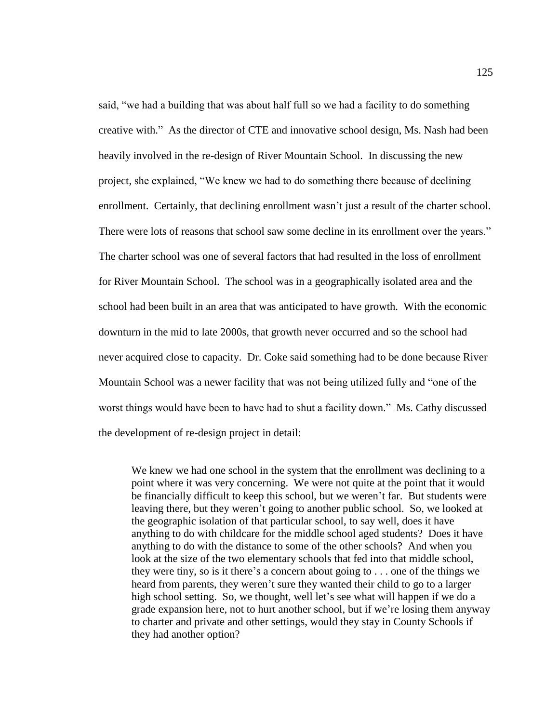said, "we had a building that was about half full so we had a facility to do something creative with." As the director of CTE and innovative school design, Ms. Nash had been heavily involved in the re-design of River Mountain School. In discussing the new project, she explained, "We knew we had to do something there because of declining enrollment. Certainly, that declining enrollment wasn't just a result of the charter school. There were lots of reasons that school saw some decline in its enrollment over the years." The charter school was one of several factors that had resulted in the loss of enrollment for River Mountain School. The school was in a geographically isolated area and the school had been built in an area that was anticipated to have growth. With the economic downturn in the mid to late 2000s, that growth never occurred and so the school had never acquired close to capacity. Dr. Coke said something had to be done because River Mountain School was a newer facility that was not being utilized fully and "one of the worst things would have been to have had to shut a facility down." Ms. Cathy discussed the development of re-design project in detail:

We knew we had one school in the system that the enrollment was declining to a point where it was very concerning. We were not quite at the point that it would be financially difficult to keep this school, but we weren't far. But students were leaving there, but they weren't going to another public school. So, we looked at the geographic isolation of that particular school, to say well, does it have anything to do with childcare for the middle school aged students? Does it have anything to do with the distance to some of the other schools? And when you look at the size of the two elementary schools that fed into that middle school, they were tiny, so is it there's a concern about going to . . . one of the things we heard from parents, they weren't sure they wanted their child to go to a larger high school setting. So, we thought, well let's see what will happen if we do a grade expansion here, not to hurt another school, but if we're losing them anyway to charter and private and other settings, would they stay in County Schools if they had another option?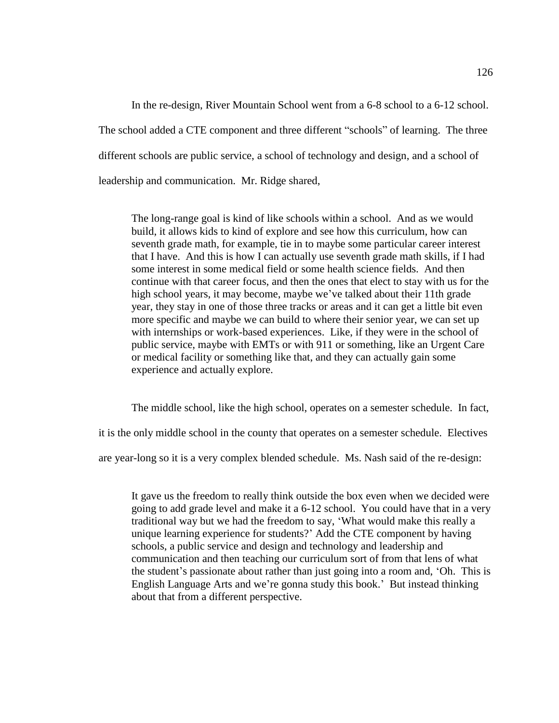In the re-design, River Mountain School went from a 6-8 school to a 6-12 school. The school added a CTE component and three different "schools" of learning. The three different schools are public service, a school of technology and design, and a school of leadership and communication. Mr. Ridge shared,

The long-range goal is kind of like schools within a school. And as we would build, it allows kids to kind of explore and see how this curriculum, how can seventh grade math, for example, tie in to maybe some particular career interest that I have. And this is how I can actually use seventh grade math skills, if I had some interest in some medical field or some health science fields. And then continue with that career focus, and then the ones that elect to stay with us for the high school years, it may become, maybe we've talked about their 11th grade year, they stay in one of those three tracks or areas and it can get a little bit even more specific and maybe we can build to where their senior year, we can set up with internships or work-based experiences. Like, if they were in the school of public service, maybe with EMTs or with 911 or something, like an Urgent Care or medical facility or something like that, and they can actually gain some experience and actually explore.

The middle school, like the high school, operates on a semester schedule. In fact,

it is the only middle school in the county that operates on a semester schedule. Electives

are year-long so it is a very complex blended schedule. Ms. Nash said of the re-design:

It gave us the freedom to really think outside the box even when we decided were going to add grade level and make it a 6-12 school. You could have that in a very traditional way but we had the freedom to say, 'What would make this really a unique learning experience for students?' Add the CTE component by having schools, a public service and design and technology and leadership and communication and then teaching our curriculum sort of from that lens of what the student's passionate about rather than just going into a room and, 'Oh. This is English Language Arts and we're gonna study this book.' But instead thinking about that from a different perspective.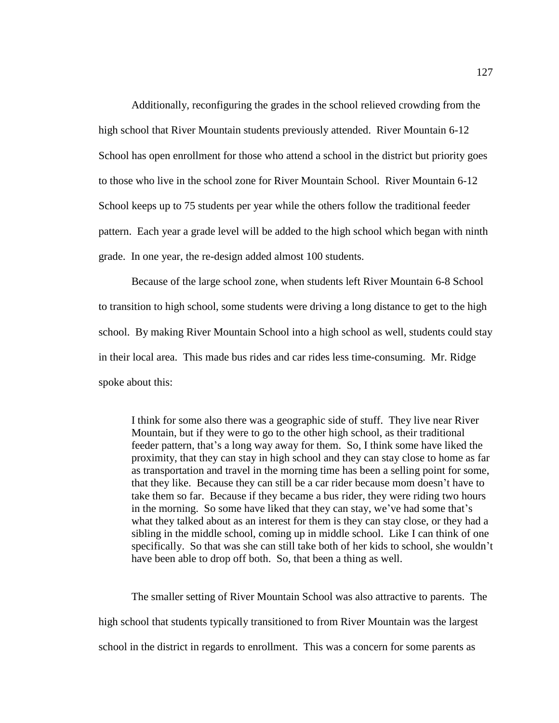Additionally, reconfiguring the grades in the school relieved crowding from the high school that River Mountain students previously attended. River Mountain 6-12 School has open enrollment for those who attend a school in the district but priority goes to those who live in the school zone for River Mountain School. River Mountain 6-12 School keeps up to 75 students per year while the others follow the traditional feeder pattern. Each year a grade level will be added to the high school which began with ninth grade. In one year, the re-design added almost 100 students.

Because of the large school zone, when students left River Mountain 6-8 School to transition to high school, some students were driving a long distance to get to the high school. By making River Mountain School into a high school as well, students could stay in their local area. This made bus rides and car rides less time-consuming. Mr. Ridge spoke about this:

I think for some also there was a geographic side of stuff. They live near River Mountain, but if they were to go to the other high school, as their traditional feeder pattern, that's a long way away for them. So, I think some have liked the proximity, that they can stay in high school and they can stay close to home as far as transportation and travel in the morning time has been a selling point for some, that they like. Because they can still be a car rider because mom doesn't have to take them so far. Because if they became a bus rider, they were riding two hours in the morning. So some have liked that they can stay, we've had some that's what they talked about as an interest for them is they can stay close, or they had a sibling in the middle school, coming up in middle school. Like I can think of one specifically. So that was she can still take both of her kids to school, she wouldn't have been able to drop off both. So, that been a thing as well.

The smaller setting of River Mountain School was also attractive to parents. The high school that students typically transitioned to from River Mountain was the largest school in the district in regards to enrollment. This was a concern for some parents as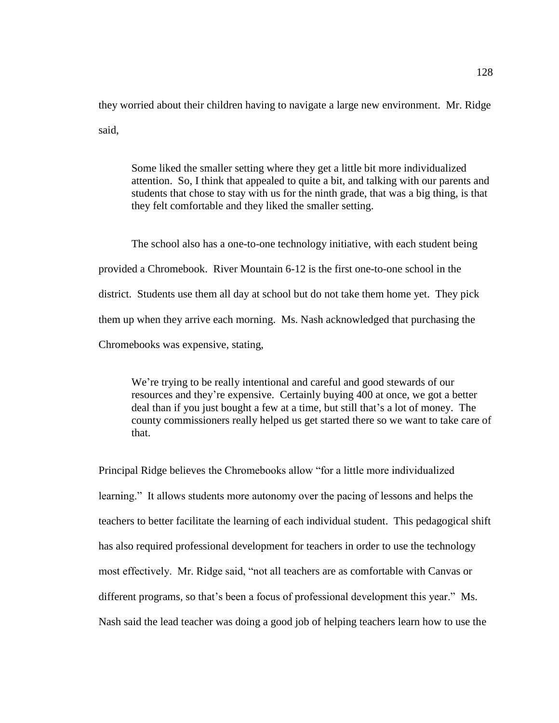they worried about their children having to navigate a large new environment. Mr. Ridge said,

Some liked the smaller setting where they get a little bit more individualized attention. So, I think that appealed to quite a bit, and talking with our parents and students that chose to stay with us for the ninth grade, that was a big thing, is that they felt comfortable and they liked the smaller setting.

The school also has a one-to-one technology initiative, with each student being provided a Chromebook. River Mountain 6-12 is the first one-to-one school in the district. Students use them all day at school but do not take them home yet. They pick them up when they arrive each morning. Ms. Nash acknowledged that purchasing the Chromebooks was expensive, stating,

We're trying to be really intentional and careful and good stewards of our resources and they're expensive. Certainly buying 400 at once, we got a better deal than if you just bought a few at a time, but still that's a lot of money. The county commissioners really helped us get started there so we want to take care of that.

Principal Ridge believes the Chromebooks allow "for a little more individualized learning." It allows students more autonomy over the pacing of lessons and helps the teachers to better facilitate the learning of each individual student. This pedagogical shift has also required professional development for teachers in order to use the technology most effectively. Mr. Ridge said, "not all teachers are as comfortable with Canvas or different programs, so that's been a focus of professional development this year." Ms. Nash said the lead teacher was doing a good job of helping teachers learn how to use the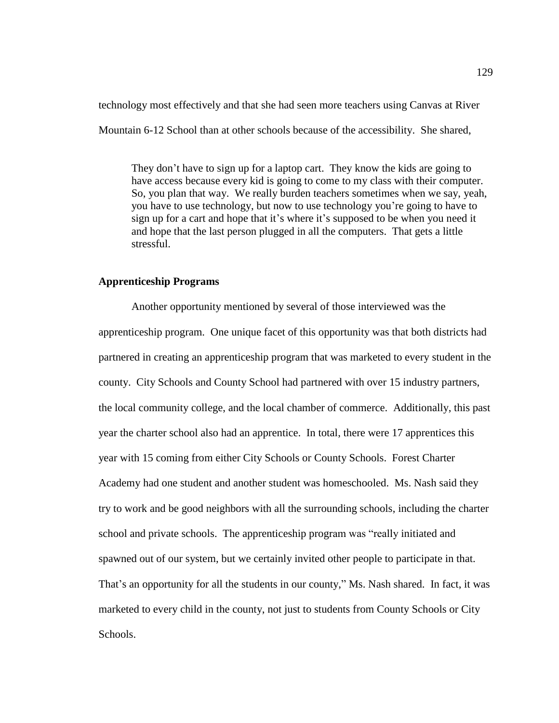technology most effectively and that she had seen more teachers using Canvas at River Mountain 6-12 School than at other schools because of the accessibility. She shared,

They don't have to sign up for a laptop cart. They know the kids are going to have access because every kid is going to come to my class with their computer. So, you plan that way. We really burden teachers sometimes when we say, yeah, you have to use technology, but now to use technology you're going to have to sign up for a cart and hope that it's where it's supposed to be when you need it and hope that the last person plugged in all the computers. That gets a little stressful.

# **Apprenticeship Programs**

Another opportunity mentioned by several of those interviewed was the apprenticeship program. One unique facet of this opportunity was that both districts had partnered in creating an apprenticeship program that was marketed to every student in the county. City Schools and County School had partnered with over 15 industry partners, the local community college, and the local chamber of commerce. Additionally, this past year the charter school also had an apprentice. In total, there were 17 apprentices this year with 15 coming from either City Schools or County Schools. Forest Charter Academy had one student and another student was homeschooled. Ms. Nash said they try to work and be good neighbors with all the surrounding schools, including the charter school and private schools. The apprenticeship program was "really initiated and spawned out of our system, but we certainly invited other people to participate in that. That's an opportunity for all the students in our county," Ms. Nash shared. In fact, it was marketed to every child in the county, not just to students from County Schools or City Schools.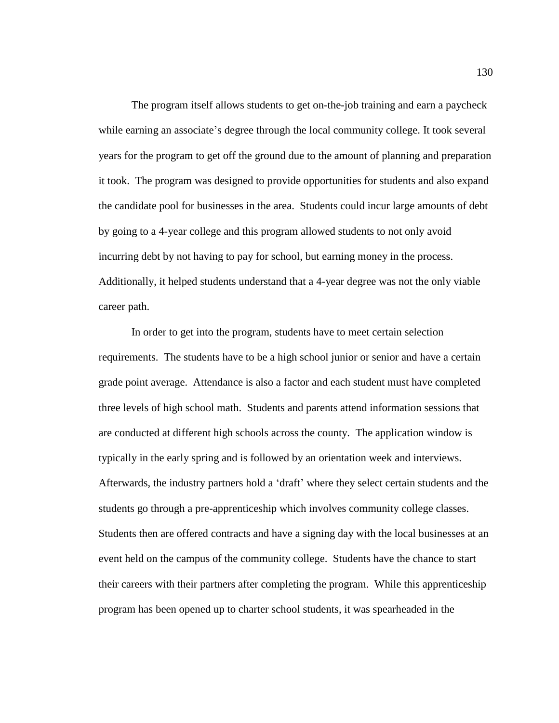The program itself allows students to get on-the-job training and earn a paycheck while earning an associate's degree through the local community college. It took several years for the program to get off the ground due to the amount of planning and preparation it took. The program was designed to provide opportunities for students and also expand the candidate pool for businesses in the area. Students could incur large amounts of debt by going to a 4-year college and this program allowed students to not only avoid incurring debt by not having to pay for school, but earning money in the process. Additionally, it helped students understand that a 4-year degree was not the only viable career path.

In order to get into the program, students have to meet certain selection requirements. The students have to be a high school junior or senior and have a certain grade point average. Attendance is also a factor and each student must have completed three levels of high school math. Students and parents attend information sessions that are conducted at different high schools across the county. The application window is typically in the early spring and is followed by an orientation week and interviews. Afterwards, the industry partners hold a 'draft' where they select certain students and the students go through a pre-apprenticeship which involves community college classes. Students then are offered contracts and have a signing day with the local businesses at an event held on the campus of the community college. Students have the chance to start their careers with their partners after completing the program. While this apprenticeship program has been opened up to charter school students, it was spearheaded in the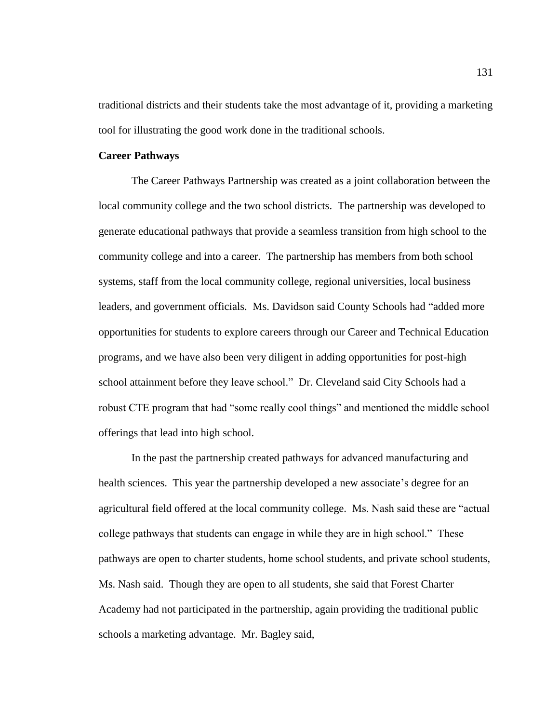traditional districts and their students take the most advantage of it, providing a marketing tool for illustrating the good work done in the traditional schools.

## **Career Pathways**

The Career Pathways Partnership was created as a joint collaboration between the local community college and the two school districts. The partnership was developed to generate educational pathways that provide a seamless transition from high school to the community college and into a career. The partnership has members from both school systems, staff from the local community college, regional universities, local business leaders, and government officials. Ms. Davidson said County Schools had "added more opportunities for students to explore careers through our Career and Technical Education programs, and we have also been very diligent in adding opportunities for post-high school attainment before they leave school." Dr. Cleveland said City Schools had a robust CTE program that had "some really cool things" and mentioned the middle school offerings that lead into high school.

In the past the partnership created pathways for advanced manufacturing and health sciences. This year the partnership developed a new associate's degree for an agricultural field offered at the local community college. Ms. Nash said these are "actual college pathways that students can engage in while they are in high school." These pathways are open to charter students, home school students, and private school students, Ms. Nash said. Though they are open to all students, she said that Forest Charter Academy had not participated in the partnership, again providing the traditional public schools a marketing advantage. Mr. Bagley said,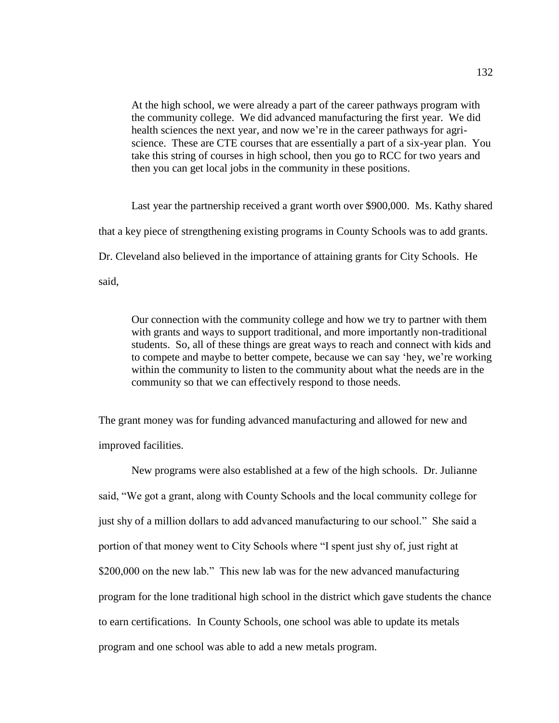At the high school, we were already a part of the career pathways program with the community college. We did advanced manufacturing the first year. We did health sciences the next year, and now we're in the career pathways for agriscience. These are CTE courses that are essentially a part of a six-year plan. You take this string of courses in high school, then you go to RCC for two years and then you can get local jobs in the community in these positions.

Last year the partnership received a grant worth over \$900,000. Ms. Kathy shared that a key piece of strengthening existing programs in County Schools was to add grants. Dr. Cleveland also believed in the importance of attaining grants for City Schools. He said,

Our connection with the community college and how we try to partner with them with grants and ways to support traditional, and more importantly non-traditional students. So, all of these things are great ways to reach and connect with kids and to compete and maybe to better compete, because we can say 'hey, we're working within the community to listen to the community about what the needs are in the community so that we can effectively respond to those needs.

The grant money was for funding advanced manufacturing and allowed for new and improved facilities.

New programs were also established at a few of the high schools. Dr. Julianne said, "We got a grant, along with County Schools and the local community college for just shy of a million dollars to add advanced manufacturing to our school." She said a portion of that money went to City Schools where "I spent just shy of, just right at \$200,000 on the new lab." This new lab was for the new advanced manufacturing program for the lone traditional high school in the district which gave students the chance to earn certifications. In County Schools, one school was able to update its metals program and one school was able to add a new metals program.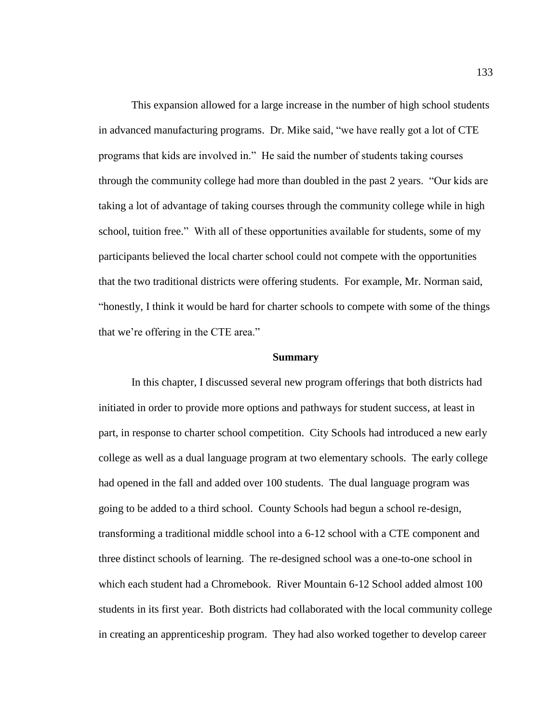This expansion allowed for a large increase in the number of high school students in advanced manufacturing programs. Dr. Mike said, "we have really got a lot of CTE programs that kids are involved in." He said the number of students taking courses through the community college had more than doubled in the past 2 years. "Our kids are taking a lot of advantage of taking courses through the community college while in high school, tuition free." With all of these opportunities available for students, some of my participants believed the local charter school could not compete with the opportunities that the two traditional districts were offering students. For example, Mr. Norman said, "honestly, I think it would be hard for charter schools to compete with some of the things that we're offering in the CTE area."

#### **Summary**

In this chapter, I discussed several new program offerings that both districts had initiated in order to provide more options and pathways for student success, at least in part, in response to charter school competition. City Schools had introduced a new early college as well as a dual language program at two elementary schools. The early college had opened in the fall and added over 100 students. The dual language program was going to be added to a third school. County Schools had begun a school re-design, transforming a traditional middle school into a 6-12 school with a CTE component and three distinct schools of learning. The re-designed school was a one-to-one school in which each student had a Chromebook. River Mountain 6-12 School added almost 100 students in its first year. Both districts had collaborated with the local community college in creating an apprenticeship program. They had also worked together to develop career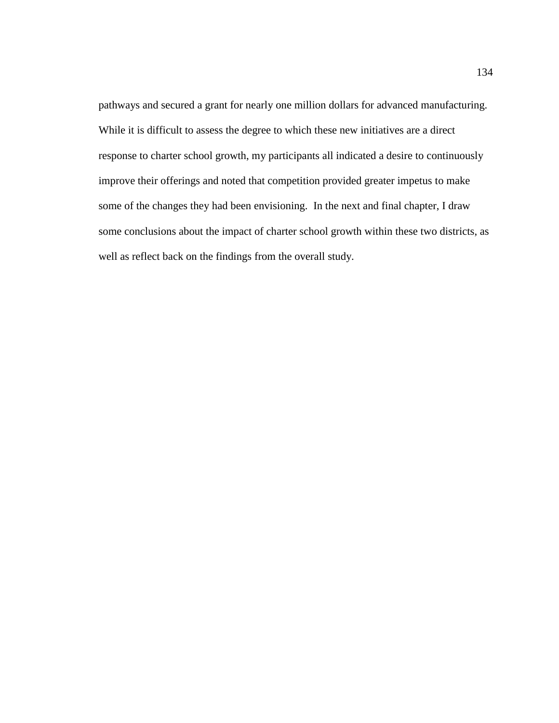pathways and secured a grant for nearly one million dollars for advanced manufacturing. While it is difficult to assess the degree to which these new initiatives are a direct response to charter school growth, my participants all indicated a desire to continuously improve their offerings and noted that competition provided greater impetus to make some of the changes they had been envisioning. In the next and final chapter, I draw some conclusions about the impact of charter school growth within these two districts, as well as reflect back on the findings from the overall study.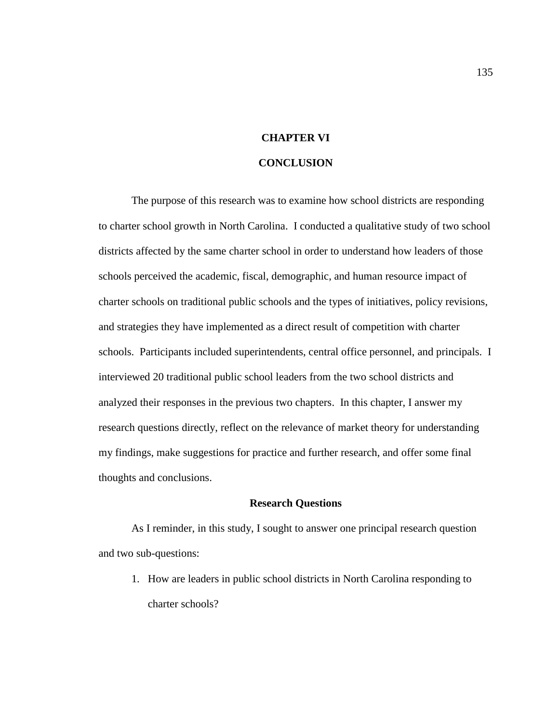# **CHAPTER VI**

# **CONCLUSION**

The purpose of this research was to examine how school districts are responding to charter school growth in North Carolina. I conducted a qualitative study of two school districts affected by the same charter school in order to understand how leaders of those schools perceived the academic, fiscal, demographic, and human resource impact of charter schools on traditional public schools and the types of initiatives, policy revisions, and strategies they have implemented as a direct result of competition with charter schools. Participants included superintendents, central office personnel, and principals. I interviewed 20 traditional public school leaders from the two school districts and analyzed their responses in the previous two chapters. In this chapter, I answer my research questions directly, reflect on the relevance of market theory for understanding my findings, make suggestions for practice and further research, and offer some final thoughts and conclusions.

## **Research Questions**

As I reminder, in this study, I sought to answer one principal research question and two sub-questions:

1. How are leaders in public school districts in North Carolina responding to charter schools?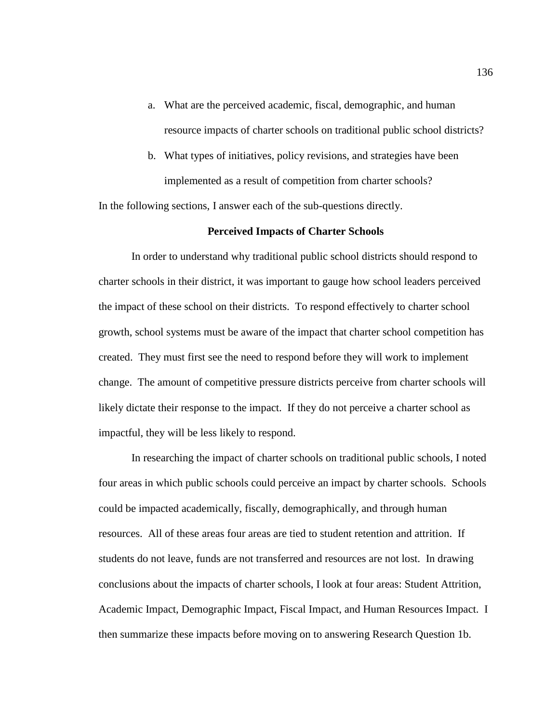- a. What are the perceived academic, fiscal, demographic, and human resource impacts of charter schools on traditional public school districts?
- b. What types of initiatives, policy revisions, and strategies have been implemented as a result of competition from charter schools?

In the following sections, I answer each of the sub-questions directly.

## **Perceived Impacts of Charter Schools**

In order to understand why traditional public school districts should respond to charter schools in their district, it was important to gauge how school leaders perceived the impact of these school on their districts. To respond effectively to charter school growth, school systems must be aware of the impact that charter school competition has created. They must first see the need to respond before they will work to implement change. The amount of competitive pressure districts perceive from charter schools will likely dictate their response to the impact. If they do not perceive a charter school as impactful, they will be less likely to respond.

In researching the impact of charter schools on traditional public schools, I noted four areas in which public schools could perceive an impact by charter schools. Schools could be impacted academically, fiscally, demographically, and through human resources. All of these areas four areas are tied to student retention and attrition. If students do not leave, funds are not transferred and resources are not lost. In drawing conclusions about the impacts of charter schools, I look at four areas: Student Attrition, Academic Impact, Demographic Impact, Fiscal Impact, and Human Resources Impact. I then summarize these impacts before moving on to answering Research Question 1b.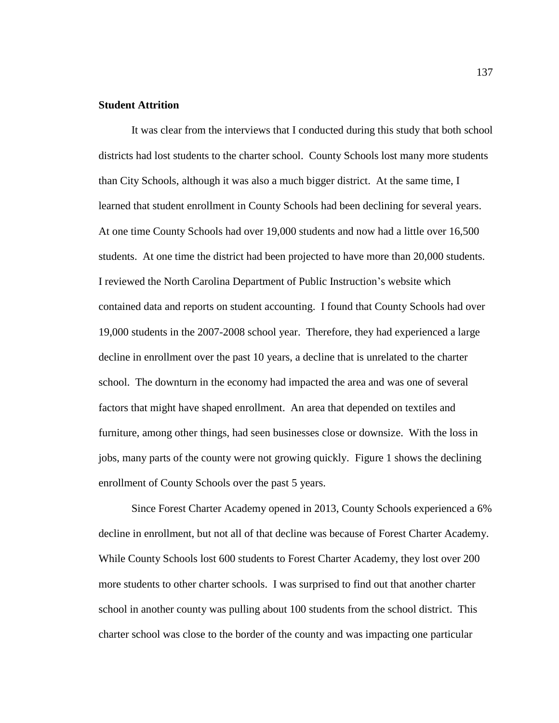# **Student Attrition**

It was clear from the interviews that I conducted during this study that both school districts had lost students to the charter school. County Schools lost many more students than City Schools, although it was also a much bigger district. At the same time, I learned that student enrollment in County Schools had been declining for several years. At one time County Schools had over 19,000 students and now had a little over 16,500 students. At one time the district had been projected to have more than 20,000 students. I reviewed the North Carolina Department of Public Instruction's website which contained data and reports on student accounting. I found that County Schools had over 19,000 students in the 2007-2008 school year. Therefore, they had experienced a large decline in enrollment over the past 10 years, a decline that is unrelated to the charter school. The downturn in the economy had impacted the area and was one of several factors that might have shaped enrollment. An area that depended on textiles and furniture, among other things, had seen businesses close or downsize. With the loss in jobs, many parts of the county were not growing quickly. Figure 1 shows the declining enrollment of County Schools over the past 5 years.

Since Forest Charter Academy opened in 2013, County Schools experienced a 6% decline in enrollment, but not all of that decline was because of Forest Charter Academy. While County Schools lost 600 students to Forest Charter Academy, they lost over 200 more students to other charter schools. I was surprised to find out that another charter school in another county was pulling about 100 students from the school district. This charter school was close to the border of the county and was impacting one particular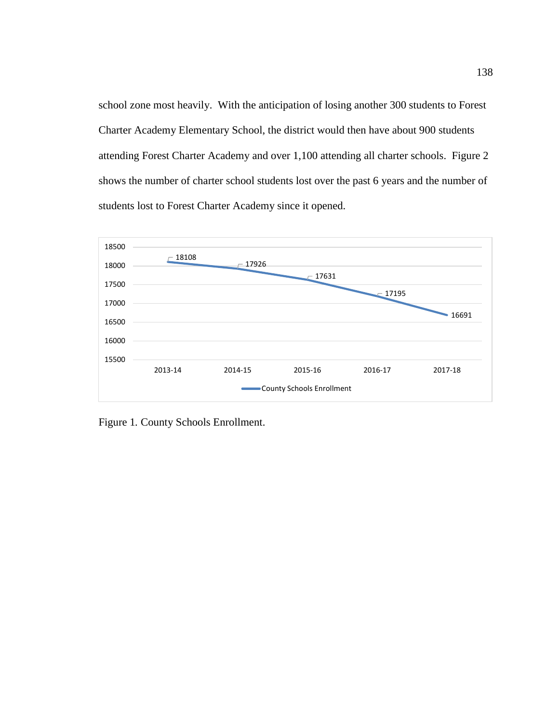school zone most heavily. With the anticipation of losing another 300 students to Forest Charter Academy Elementary School, the district would then have about 900 students attending Forest Charter Academy and over 1,100 attending all charter schools. Figure 2 shows the number of charter school students lost over the past 6 years and the number of students lost to Forest Charter Academy since it opened.



Figure 1*.* County Schools Enrollment.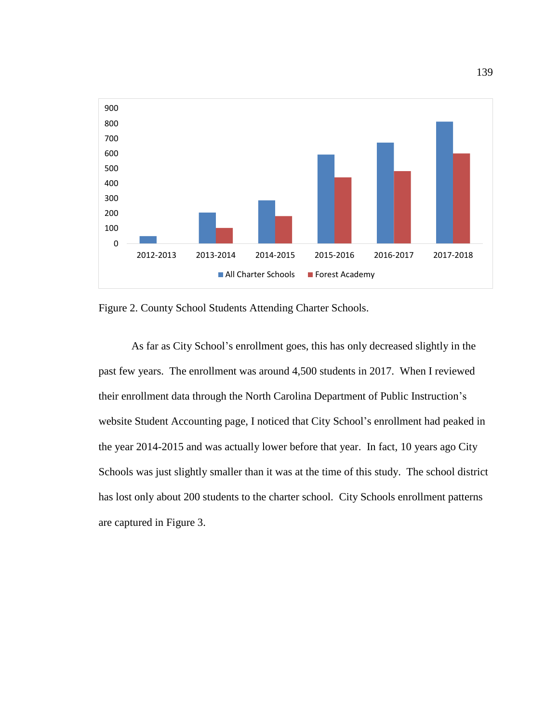

Figure 2. County School Students Attending Charter Schools.

As far as City School's enrollment goes, this has only decreased slightly in the past few years. The enrollment was around 4,500 students in 2017. When I reviewed their enrollment data through the North Carolina Department of Public Instruction's website Student Accounting page, I noticed that City School's enrollment had peaked in the year 2014-2015 and was actually lower before that year. In fact, 10 years ago City Schools was just slightly smaller than it was at the time of this study. The school district has lost only about 200 students to the charter school. City Schools enrollment patterns are captured in Figure 3.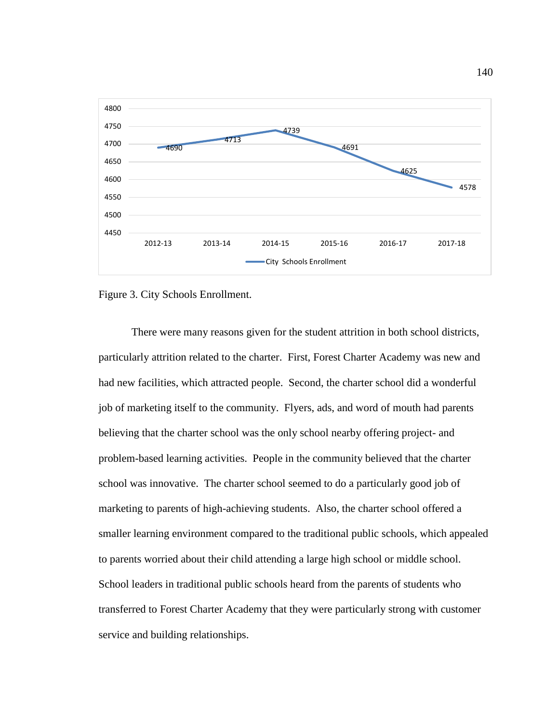

Figure 3. City Schools Enrollment.

There were many reasons given for the student attrition in both school districts, particularly attrition related to the charter. First, Forest Charter Academy was new and had new facilities, which attracted people. Second, the charter school did a wonderful job of marketing itself to the community. Flyers, ads, and word of mouth had parents believing that the charter school was the only school nearby offering project- and problem-based learning activities. People in the community believed that the charter school was innovative. The charter school seemed to do a particularly good job of marketing to parents of high-achieving students. Also, the charter school offered a smaller learning environment compared to the traditional public schools, which appealed to parents worried about their child attending a large high school or middle school. School leaders in traditional public schools heard from the parents of students who transferred to Forest Charter Academy that they were particularly strong with customer service and building relationships.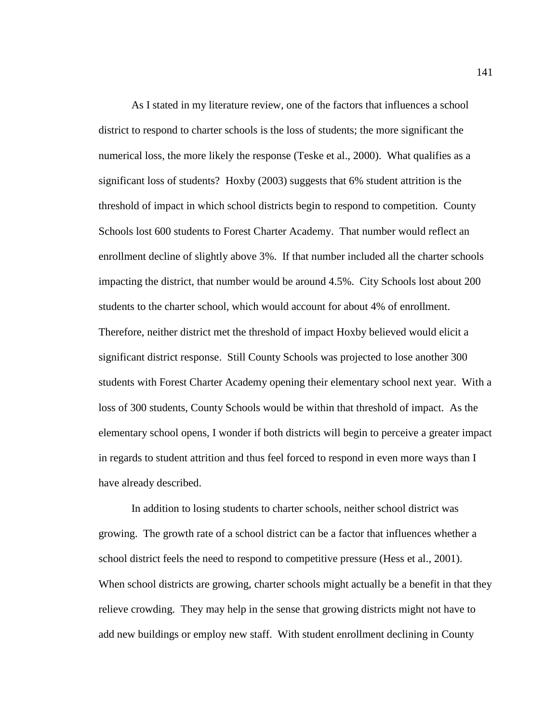As I stated in my literature review, one of the factors that influences a school district to respond to charter schools is the loss of students; the more significant the numerical loss, the more likely the response (Teske et al., 2000). What qualifies as a significant loss of students? Hoxby (2003) suggests that 6% student attrition is the threshold of impact in which school districts begin to respond to competition. County Schools lost 600 students to Forest Charter Academy. That number would reflect an enrollment decline of slightly above 3%. If that number included all the charter schools impacting the district, that number would be around 4.5%. City Schools lost about 200 students to the charter school, which would account for about 4% of enrollment. Therefore, neither district met the threshold of impact Hoxby believed would elicit a significant district response. Still County Schools was projected to lose another 300 students with Forest Charter Academy opening their elementary school next year. With a loss of 300 students, County Schools would be within that threshold of impact. As the elementary school opens, I wonder if both districts will begin to perceive a greater impact in regards to student attrition and thus feel forced to respond in even more ways than I have already described.

In addition to losing students to charter schools, neither school district was growing. The growth rate of a school district can be a factor that influences whether a school district feels the need to respond to competitive pressure (Hess et al., 2001). When school districts are growing, charter schools might actually be a benefit in that they relieve crowding. They may help in the sense that growing districts might not have to add new buildings or employ new staff. With student enrollment declining in County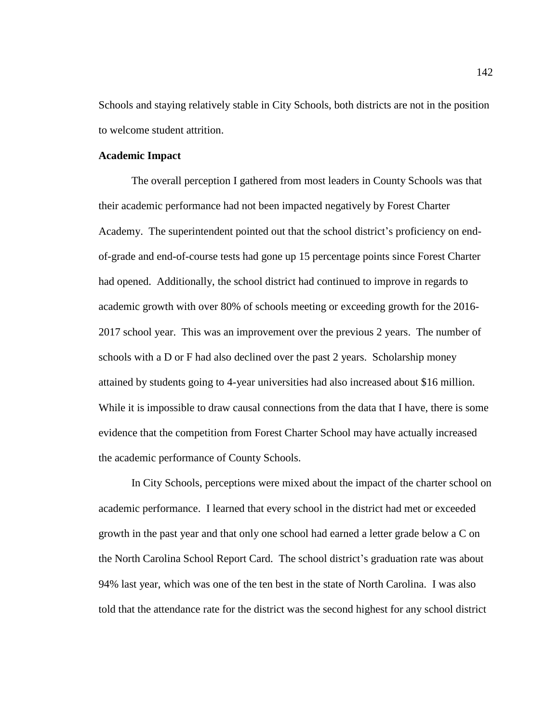Schools and staying relatively stable in City Schools, both districts are not in the position to welcome student attrition.

# **Academic Impact**

The overall perception I gathered from most leaders in County Schools was that their academic performance had not been impacted negatively by Forest Charter Academy. The superintendent pointed out that the school district's proficiency on endof-grade and end-of-course tests had gone up 15 percentage points since Forest Charter had opened. Additionally, the school district had continued to improve in regards to academic growth with over 80% of schools meeting or exceeding growth for the 2016- 2017 school year. This was an improvement over the previous 2 years. The number of schools with a D or F had also declined over the past 2 years. Scholarship money attained by students going to 4-year universities had also increased about \$16 million. While it is impossible to draw causal connections from the data that I have, there is some evidence that the competition from Forest Charter School may have actually increased the academic performance of County Schools.

In City Schools, perceptions were mixed about the impact of the charter school on academic performance. I learned that every school in the district had met or exceeded growth in the past year and that only one school had earned a letter grade below a C on the North Carolina School Report Card. The school district's graduation rate was about 94% last year, which was one of the ten best in the state of North Carolina. I was also told that the attendance rate for the district was the second highest for any school district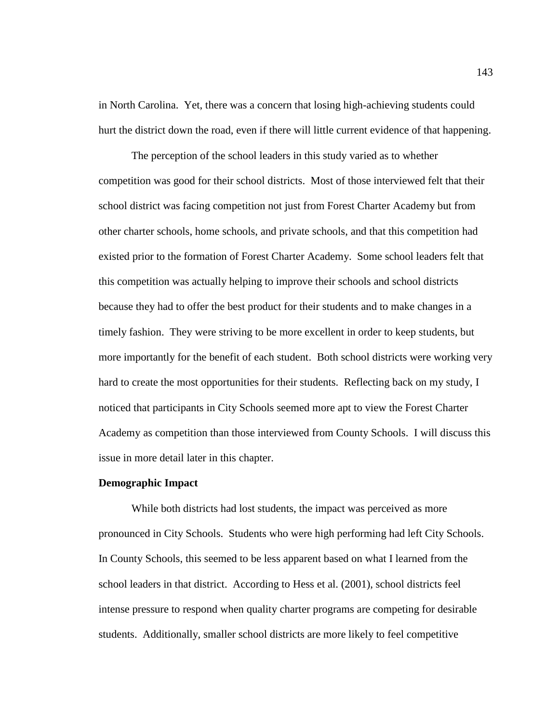in North Carolina. Yet, there was a concern that losing high-achieving students could hurt the district down the road, even if there will little current evidence of that happening.

The perception of the school leaders in this study varied as to whether competition was good for their school districts. Most of those interviewed felt that their school district was facing competition not just from Forest Charter Academy but from other charter schools, home schools, and private schools, and that this competition had existed prior to the formation of Forest Charter Academy. Some school leaders felt that this competition was actually helping to improve their schools and school districts because they had to offer the best product for their students and to make changes in a timely fashion. They were striving to be more excellent in order to keep students, but more importantly for the benefit of each student. Both school districts were working very hard to create the most opportunities for their students. Reflecting back on my study, I noticed that participants in City Schools seemed more apt to view the Forest Charter Academy as competition than those interviewed from County Schools. I will discuss this issue in more detail later in this chapter.

## **Demographic Impact**

While both districts had lost students, the impact was perceived as more pronounced in City Schools. Students who were high performing had left City Schools. In County Schools, this seemed to be less apparent based on what I learned from the school leaders in that district. According to Hess et al. (2001), school districts feel intense pressure to respond when quality charter programs are competing for desirable students. Additionally, smaller school districts are more likely to feel competitive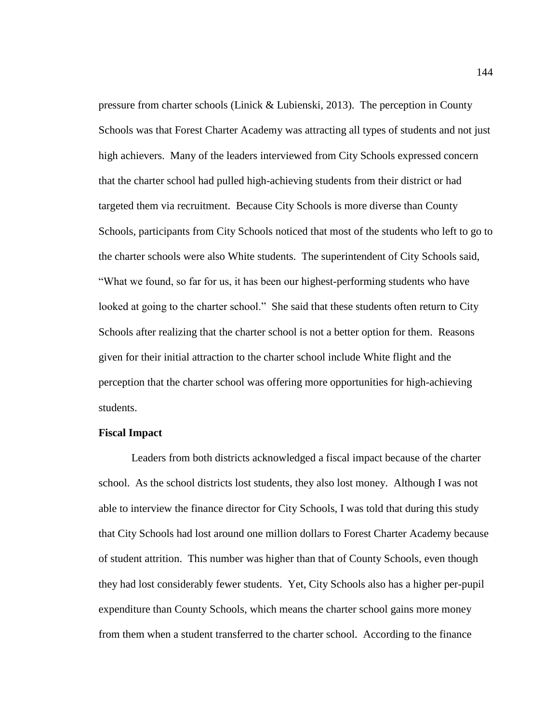pressure from charter schools (Linick & Lubienski, 2013). The perception in County Schools was that Forest Charter Academy was attracting all types of students and not just high achievers. Many of the leaders interviewed from City Schools expressed concern that the charter school had pulled high-achieving students from their district or had targeted them via recruitment. Because City Schools is more diverse than County Schools, participants from City Schools noticed that most of the students who left to go to the charter schools were also White students. The superintendent of City Schools said, "What we found, so far for us, it has been our highest-performing students who have looked at going to the charter school." She said that these students often return to City Schools after realizing that the charter school is not a better option for them. Reasons given for their initial attraction to the charter school include White flight and the perception that the charter school was offering more opportunities for high-achieving students.

## **Fiscal Impact**

Leaders from both districts acknowledged a fiscal impact because of the charter school. As the school districts lost students, they also lost money. Although I was not able to interview the finance director for City Schools, I was told that during this study that City Schools had lost around one million dollars to Forest Charter Academy because of student attrition. This number was higher than that of County Schools, even though they had lost considerably fewer students. Yet, City Schools also has a higher per-pupil expenditure than County Schools, which means the charter school gains more money from them when a student transferred to the charter school. According to the finance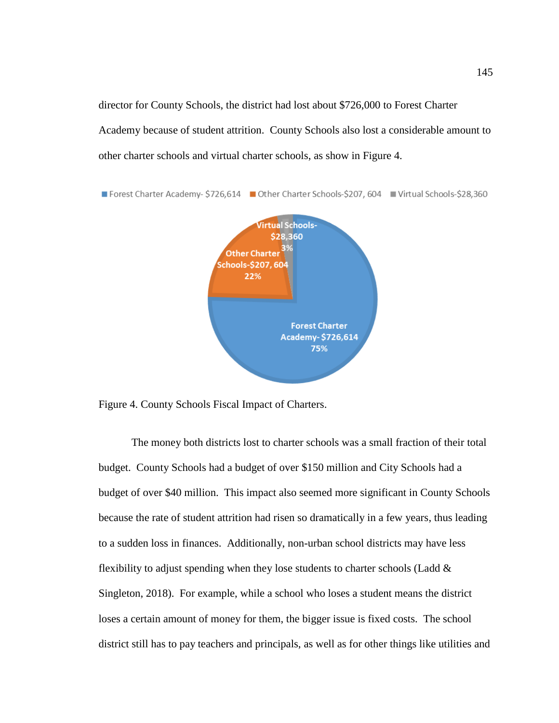director for County Schools, the district had lost about \$726,000 to Forest Charter Academy because of student attrition. County Schools also lost a considerable amount to other charter schools and virtual charter schools, as show in Figure 4.



Figure 4. County Schools Fiscal Impact of Charters.

The money both districts lost to charter schools was a small fraction of their total budget. County Schools had a budget of over \$150 million and City Schools had a budget of over \$40 million. This impact also seemed more significant in County Schools because the rate of student attrition had risen so dramatically in a few years, thus leading to a sudden loss in finances. Additionally, non-urban school districts may have less flexibility to adjust spending when they lose students to charter schools (Ladd  $\&$ Singleton, 2018). For example, while a school who loses a student means the district loses a certain amount of money for them, the bigger issue is fixed costs. The school district still has to pay teachers and principals, as well as for other things like utilities and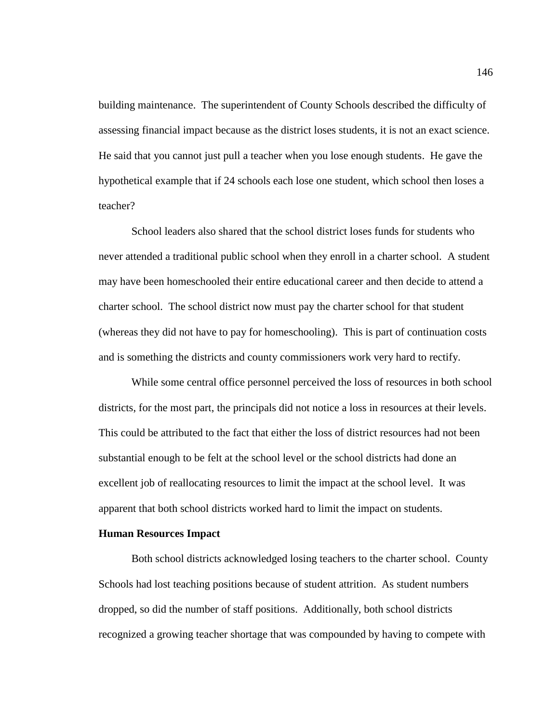building maintenance. The superintendent of County Schools described the difficulty of assessing financial impact because as the district loses students, it is not an exact science. He said that you cannot just pull a teacher when you lose enough students. He gave the hypothetical example that if 24 schools each lose one student, which school then loses a teacher?

School leaders also shared that the school district loses funds for students who never attended a traditional public school when they enroll in a charter school. A student may have been homeschooled their entire educational career and then decide to attend a charter school. The school district now must pay the charter school for that student (whereas they did not have to pay for homeschooling). This is part of continuation costs and is something the districts and county commissioners work very hard to rectify.

While some central office personnel perceived the loss of resources in both school districts, for the most part, the principals did not notice a loss in resources at their levels. This could be attributed to the fact that either the loss of district resources had not been substantial enough to be felt at the school level or the school districts had done an excellent job of reallocating resources to limit the impact at the school level. It was apparent that both school districts worked hard to limit the impact on students.

## **Human Resources Impact**

Both school districts acknowledged losing teachers to the charter school. County Schools had lost teaching positions because of student attrition. As student numbers dropped, so did the number of staff positions. Additionally, both school districts recognized a growing teacher shortage that was compounded by having to compete with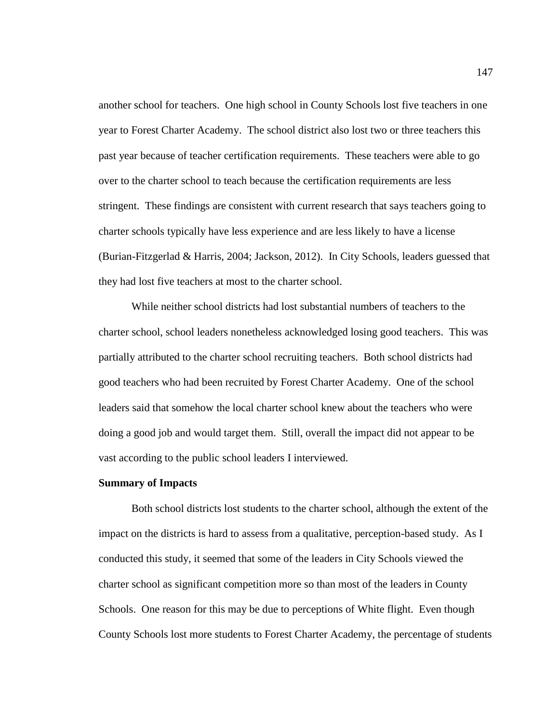another school for teachers. One high school in County Schools lost five teachers in one year to Forest Charter Academy. The school district also lost two or three teachers this past year because of teacher certification requirements. These teachers were able to go over to the charter school to teach because the certification requirements are less stringent. These findings are consistent with current research that says teachers going to charter schools typically have less experience and are less likely to have a license (Burian-Fitzgerlad & Harris, 2004; Jackson, 2012). In City Schools, leaders guessed that they had lost five teachers at most to the charter school.

While neither school districts had lost substantial numbers of teachers to the charter school, school leaders nonetheless acknowledged losing good teachers. This was partially attributed to the charter school recruiting teachers. Both school districts had good teachers who had been recruited by Forest Charter Academy. One of the school leaders said that somehow the local charter school knew about the teachers who were doing a good job and would target them. Still, overall the impact did not appear to be vast according to the public school leaders I interviewed.

#### **Summary of Impacts**

Both school districts lost students to the charter school, although the extent of the impact on the districts is hard to assess from a qualitative, perception-based study. As I conducted this study, it seemed that some of the leaders in City Schools viewed the charter school as significant competition more so than most of the leaders in County Schools. One reason for this may be due to perceptions of White flight. Even though County Schools lost more students to Forest Charter Academy, the percentage of students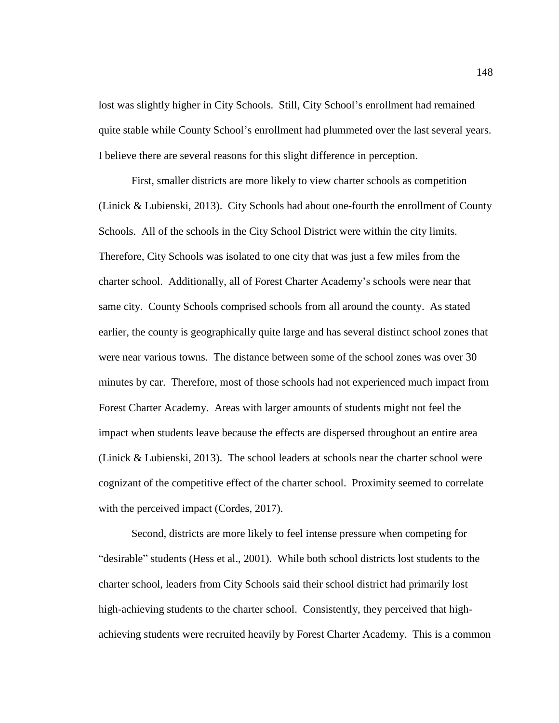lost was slightly higher in City Schools. Still, City School's enrollment had remained quite stable while County School's enrollment had plummeted over the last several years. I believe there are several reasons for this slight difference in perception.

First, smaller districts are more likely to view charter schools as competition (Linick & Lubienski, 2013). City Schools had about one-fourth the enrollment of County Schools. All of the schools in the City School District were within the city limits. Therefore, City Schools was isolated to one city that was just a few miles from the charter school. Additionally, all of Forest Charter Academy's schools were near that same city. County Schools comprised schools from all around the county. As stated earlier, the county is geographically quite large and has several distinct school zones that were near various towns. The distance between some of the school zones was over 30 minutes by car. Therefore, most of those schools had not experienced much impact from Forest Charter Academy. Areas with larger amounts of students might not feel the impact when students leave because the effects are dispersed throughout an entire area (Linick & Lubienski, 2013). The school leaders at schools near the charter school were cognizant of the competitive effect of the charter school. Proximity seemed to correlate with the perceived impact (Cordes, 2017).

Second, districts are more likely to feel intense pressure when competing for "desirable" students (Hess et al., 2001). While both school districts lost students to the charter school, leaders from City Schools said their school district had primarily lost high-achieving students to the charter school. Consistently, they perceived that highachieving students were recruited heavily by Forest Charter Academy. This is a common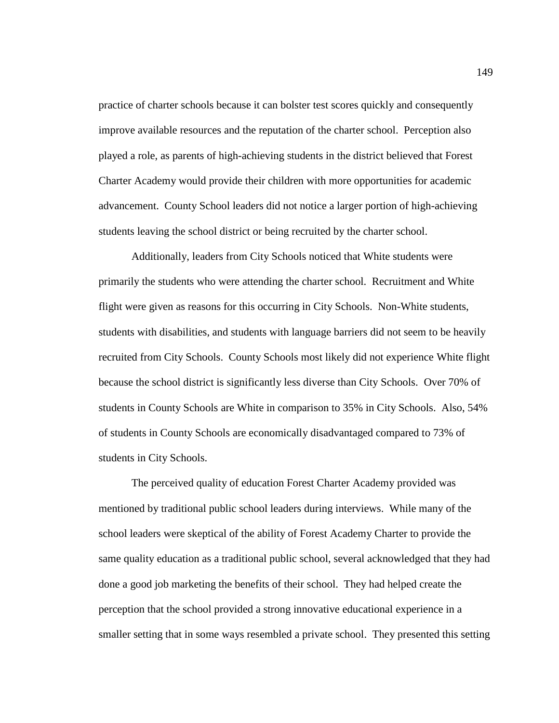practice of charter schools because it can bolster test scores quickly and consequently improve available resources and the reputation of the charter school. Perception also played a role, as parents of high-achieving students in the district believed that Forest Charter Academy would provide their children with more opportunities for academic advancement. County School leaders did not notice a larger portion of high-achieving students leaving the school district or being recruited by the charter school.

Additionally, leaders from City Schools noticed that White students were primarily the students who were attending the charter school. Recruitment and White flight were given as reasons for this occurring in City Schools. Non-White students, students with disabilities, and students with language barriers did not seem to be heavily recruited from City Schools. County Schools most likely did not experience White flight because the school district is significantly less diverse than City Schools. Over 70% of students in County Schools are White in comparison to 35% in City Schools. Also, 54% of students in County Schools are economically disadvantaged compared to 73% of students in City Schools.

The perceived quality of education Forest Charter Academy provided was mentioned by traditional public school leaders during interviews. While many of the school leaders were skeptical of the ability of Forest Academy Charter to provide the same quality education as a traditional public school, several acknowledged that they had done a good job marketing the benefits of their school. They had helped create the perception that the school provided a strong innovative educational experience in a smaller setting that in some ways resembled a private school. They presented this setting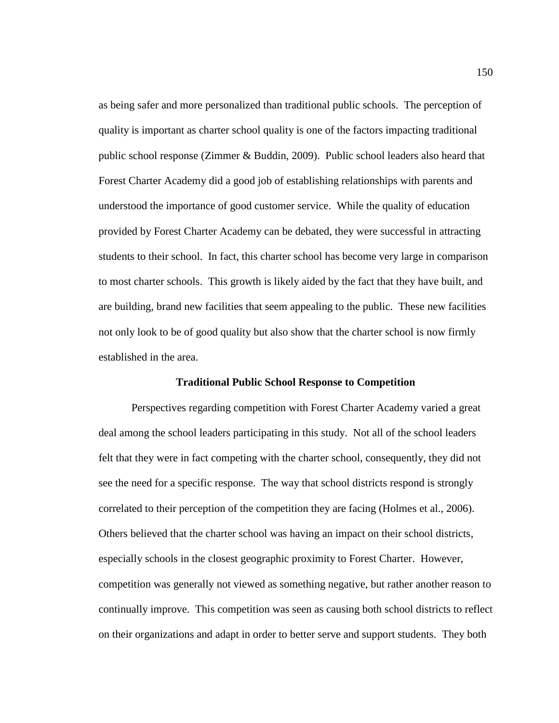as being safer and more personalized than traditional public schools. The perception of quality is important as charter school quality is one of the factors impacting traditional public school response (Zimmer & Buddin, 2009). Public school leaders also heard that Forest Charter Academy did a good job of establishing relationships with parents and understood the importance of good customer service. While the quality of education provided by Forest Charter Academy can be debated, they were successful in attracting students to their school. In fact, this charter school has become very large in comparison to most charter schools. This growth is likely aided by the fact that they have built, and are building, brand new facilities that seem appealing to the public. These new facilities not only look to be of good quality but also show that the charter school is now firmly established in the area.

#### **Traditional Public School Response to Competition**

Perspectives regarding competition with Forest Charter Academy varied a great deal among the school leaders participating in this study. Not all of the school leaders felt that they were in fact competing with the charter school, consequently, they did not see the need for a specific response. The way that school districts respond is strongly correlated to their perception of the competition they are facing (Holmes et al., 2006). Others believed that the charter school was having an impact on their school districts, especially schools in the closest geographic proximity to Forest Charter. However, competition was generally not viewed as something negative, but rather another reason to continually improve. This competition was seen as causing both school districts to reflect on their organizations and adapt in order to better serve and support students. They both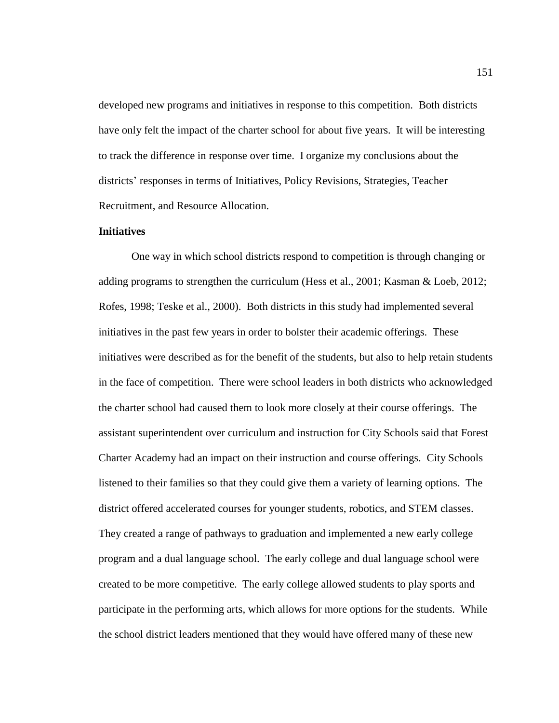developed new programs and initiatives in response to this competition. Both districts have only felt the impact of the charter school for about five years. It will be interesting to track the difference in response over time. I organize my conclusions about the districts' responses in terms of Initiatives, Policy Revisions, Strategies, Teacher Recruitment, and Resource Allocation.

## **Initiatives**

One way in which school districts respond to competition is through changing or adding programs to strengthen the curriculum (Hess et al., 2001; Kasman & Loeb, 2012; Rofes, 1998; Teske et al., 2000). Both districts in this study had implemented several initiatives in the past few years in order to bolster their academic offerings. These initiatives were described as for the benefit of the students, but also to help retain students in the face of competition. There were school leaders in both districts who acknowledged the charter school had caused them to look more closely at their course offerings. The assistant superintendent over curriculum and instruction for City Schools said that Forest Charter Academy had an impact on their instruction and course offerings. City Schools listened to their families so that they could give them a variety of learning options. The district offered accelerated courses for younger students, robotics, and STEM classes. They created a range of pathways to graduation and implemented a new early college program and a dual language school. The early college and dual language school were created to be more competitive. The early college allowed students to play sports and participate in the performing arts, which allows for more options for the students. While the school district leaders mentioned that they would have offered many of these new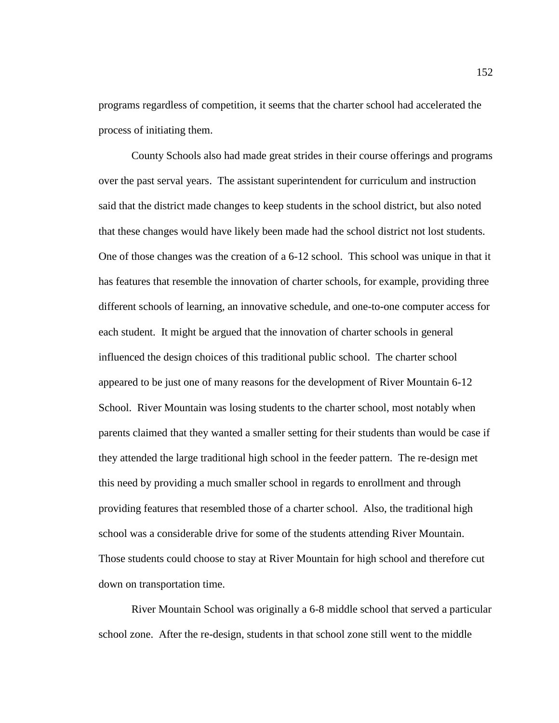programs regardless of competition, it seems that the charter school had accelerated the process of initiating them.

County Schools also had made great strides in their course offerings and programs over the past serval years. The assistant superintendent for curriculum and instruction said that the district made changes to keep students in the school district, but also noted that these changes would have likely been made had the school district not lost students. One of those changes was the creation of a 6-12 school. This school was unique in that it has features that resemble the innovation of charter schools, for example, providing three different schools of learning, an innovative schedule, and one-to-one computer access for each student. It might be argued that the innovation of charter schools in general influenced the design choices of this traditional public school. The charter school appeared to be just one of many reasons for the development of River Mountain 6-12 School. River Mountain was losing students to the charter school, most notably when parents claimed that they wanted a smaller setting for their students than would be case if they attended the large traditional high school in the feeder pattern. The re-design met this need by providing a much smaller school in regards to enrollment and through providing features that resembled those of a charter school. Also, the traditional high school was a considerable drive for some of the students attending River Mountain. Those students could choose to stay at River Mountain for high school and therefore cut down on transportation time.

River Mountain School was originally a 6-8 middle school that served a particular school zone. After the re-design, students in that school zone still went to the middle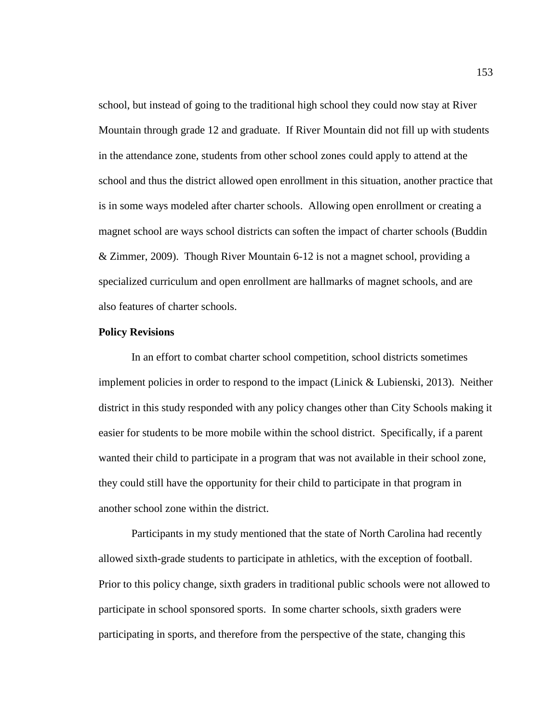school, but instead of going to the traditional high school they could now stay at River Mountain through grade 12 and graduate. If River Mountain did not fill up with students in the attendance zone, students from other school zones could apply to attend at the school and thus the district allowed open enrollment in this situation, another practice that is in some ways modeled after charter schools. Allowing open enrollment or creating a magnet school are ways school districts can soften the impact of charter schools (Buddin & Zimmer, 2009). Though River Mountain 6-12 is not a magnet school, providing a specialized curriculum and open enrollment are hallmarks of magnet schools, and are also features of charter schools.

## **Policy Revisions**

In an effort to combat charter school competition, school districts sometimes implement policies in order to respond to the impact (Linick  $&$  Lubienski, 2013). Neither district in this study responded with any policy changes other than City Schools making it easier for students to be more mobile within the school district. Specifically, if a parent wanted their child to participate in a program that was not available in their school zone, they could still have the opportunity for their child to participate in that program in another school zone within the district.

Participants in my study mentioned that the state of North Carolina had recently allowed sixth-grade students to participate in athletics, with the exception of football. Prior to this policy change, sixth graders in traditional public schools were not allowed to participate in school sponsored sports. In some charter schools, sixth graders were participating in sports, and therefore from the perspective of the state, changing this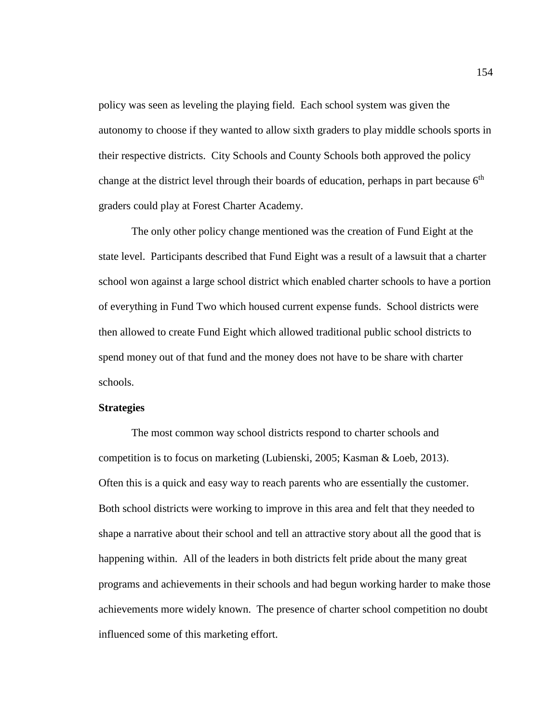policy was seen as leveling the playing field. Each school system was given the autonomy to choose if they wanted to allow sixth graders to play middle schools sports in their respective districts. City Schools and County Schools both approved the policy change at the district level through their boards of education, perhaps in part because  $6<sup>th</sup>$ graders could play at Forest Charter Academy.

The only other policy change mentioned was the creation of Fund Eight at the state level. Participants described that Fund Eight was a result of a lawsuit that a charter school won against a large school district which enabled charter schools to have a portion of everything in Fund Two which housed current expense funds. School districts were then allowed to create Fund Eight which allowed traditional public school districts to spend money out of that fund and the money does not have to be share with charter schools.

## **Strategies**

The most common way school districts respond to charter schools and competition is to focus on marketing (Lubienski, 2005; Kasman & Loeb, 2013). Often this is a quick and easy way to reach parents who are essentially the customer. Both school districts were working to improve in this area and felt that they needed to shape a narrative about their school and tell an attractive story about all the good that is happening within. All of the leaders in both districts felt pride about the many great programs and achievements in their schools and had begun working harder to make those achievements more widely known. The presence of charter school competition no doubt influenced some of this marketing effort.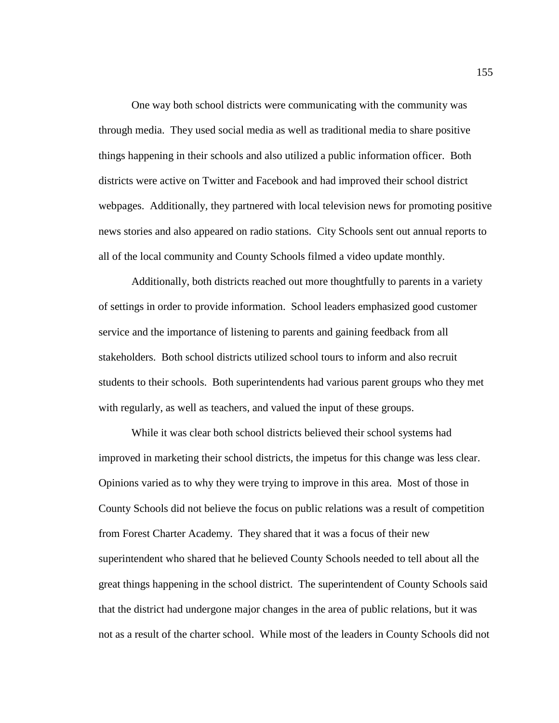One way both school districts were communicating with the community was through media. They used social media as well as traditional media to share positive things happening in their schools and also utilized a public information officer. Both districts were active on Twitter and Facebook and had improved their school district webpages. Additionally, they partnered with local television news for promoting positive news stories and also appeared on radio stations. City Schools sent out annual reports to all of the local community and County Schools filmed a video update monthly.

Additionally, both districts reached out more thoughtfully to parents in a variety of settings in order to provide information. School leaders emphasized good customer service and the importance of listening to parents and gaining feedback from all stakeholders. Both school districts utilized school tours to inform and also recruit students to their schools. Both superintendents had various parent groups who they met with regularly, as well as teachers, and valued the input of these groups.

While it was clear both school districts believed their school systems had improved in marketing their school districts, the impetus for this change was less clear. Opinions varied as to why they were trying to improve in this area. Most of those in County Schools did not believe the focus on public relations was a result of competition from Forest Charter Academy. They shared that it was a focus of their new superintendent who shared that he believed County Schools needed to tell about all the great things happening in the school district. The superintendent of County Schools said that the district had undergone major changes in the area of public relations, but it was not as a result of the charter school. While most of the leaders in County Schools did not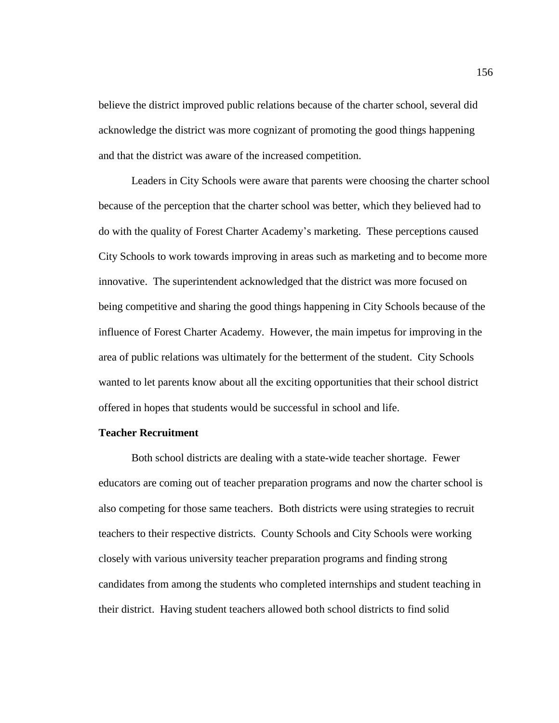believe the district improved public relations because of the charter school, several did acknowledge the district was more cognizant of promoting the good things happening and that the district was aware of the increased competition.

Leaders in City Schools were aware that parents were choosing the charter school because of the perception that the charter school was better, which they believed had to do with the quality of Forest Charter Academy's marketing. These perceptions caused City Schools to work towards improving in areas such as marketing and to become more innovative. The superintendent acknowledged that the district was more focused on being competitive and sharing the good things happening in City Schools because of the influence of Forest Charter Academy. However, the main impetus for improving in the area of public relations was ultimately for the betterment of the student. City Schools wanted to let parents know about all the exciting opportunities that their school district offered in hopes that students would be successful in school and life.

# **Teacher Recruitment**

Both school districts are dealing with a state-wide teacher shortage. Fewer educators are coming out of teacher preparation programs and now the charter school is also competing for those same teachers. Both districts were using strategies to recruit teachers to their respective districts. County Schools and City Schools were working closely with various university teacher preparation programs and finding strong candidates from among the students who completed internships and student teaching in their district. Having student teachers allowed both school districts to find solid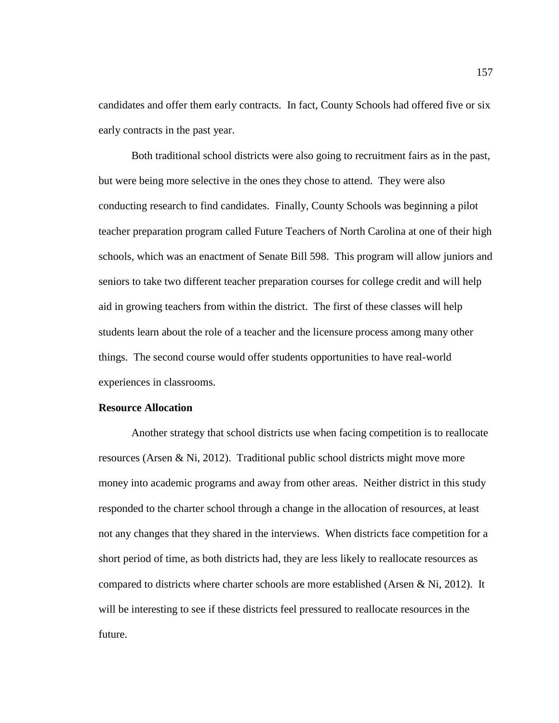candidates and offer them early contracts. In fact, County Schools had offered five or six early contracts in the past year.

Both traditional school districts were also going to recruitment fairs as in the past, but were being more selective in the ones they chose to attend. They were also conducting research to find candidates. Finally, County Schools was beginning a pilot teacher preparation program called Future Teachers of North Carolina at one of their high schools, which was an enactment of Senate Bill 598. This program will allow juniors and seniors to take two different teacher preparation courses for college credit and will help aid in growing teachers from within the district. The first of these classes will help students learn about the role of a teacher and the licensure process among many other things. The second course would offer students opportunities to have real-world experiences in classrooms.

# **Resource Allocation**

Another strategy that school districts use when facing competition is to reallocate resources (Arsen & Ni, 2012). Traditional public school districts might move more money into academic programs and away from other areas. Neither district in this study responded to the charter school through a change in the allocation of resources, at least not any changes that they shared in the interviews. When districts face competition for a short period of time, as both districts had, they are less likely to reallocate resources as compared to districts where charter schools are more established (Arsen & Ni, 2012). It will be interesting to see if these districts feel pressured to reallocate resources in the future.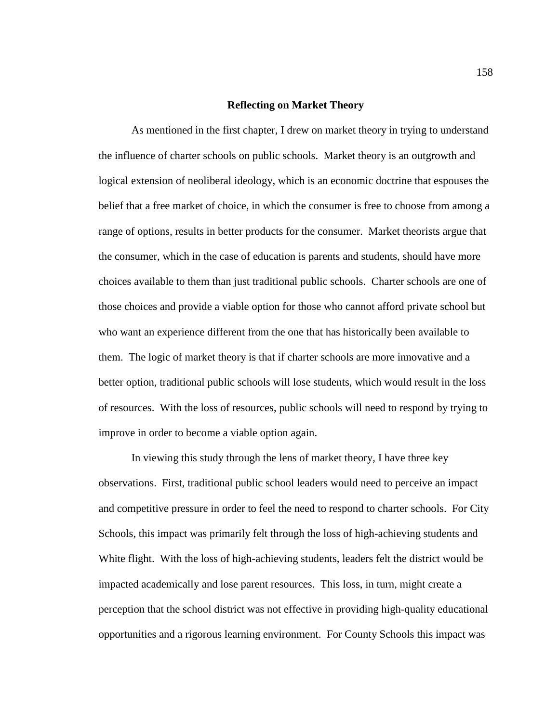#### **Reflecting on Market Theory**

As mentioned in the first chapter, I drew on market theory in trying to understand the influence of charter schools on public schools. Market theory is an outgrowth and logical extension of neoliberal ideology, which is an economic doctrine that espouses the belief that a free market of choice, in which the consumer is free to choose from among a range of options, results in better products for the consumer. Market theorists argue that the consumer, which in the case of education is parents and students, should have more choices available to them than just traditional public schools. Charter schools are one of those choices and provide a viable option for those who cannot afford private school but who want an experience different from the one that has historically been available to them. The logic of market theory is that if charter schools are more innovative and a better option, traditional public schools will lose students, which would result in the loss of resources. With the loss of resources, public schools will need to respond by trying to improve in order to become a viable option again.

In viewing this study through the lens of market theory, I have three key observations. First, traditional public school leaders would need to perceive an impact and competitive pressure in order to feel the need to respond to charter schools. For City Schools, this impact was primarily felt through the loss of high-achieving students and White flight. With the loss of high-achieving students, leaders felt the district would be impacted academically and lose parent resources. This loss, in turn, might create a perception that the school district was not effective in providing high-quality educational opportunities and a rigorous learning environment. For County Schools this impact was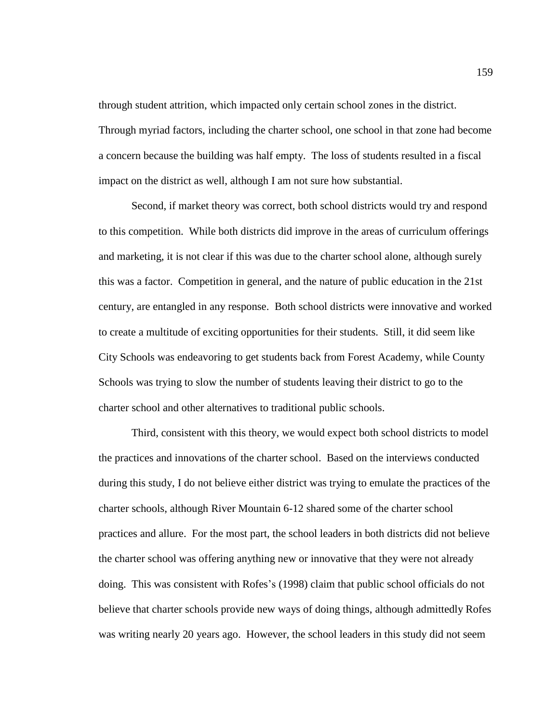through student attrition, which impacted only certain school zones in the district. Through myriad factors, including the charter school, one school in that zone had become a concern because the building was half empty. The loss of students resulted in a fiscal impact on the district as well, although I am not sure how substantial.

Second, if market theory was correct, both school districts would try and respond to this competition. While both districts did improve in the areas of curriculum offerings and marketing, it is not clear if this was due to the charter school alone, although surely this was a factor. Competition in general, and the nature of public education in the 21st century, are entangled in any response. Both school districts were innovative and worked to create a multitude of exciting opportunities for their students. Still, it did seem like City Schools was endeavoring to get students back from Forest Academy, while County Schools was trying to slow the number of students leaving their district to go to the charter school and other alternatives to traditional public schools.

Third, consistent with this theory, we would expect both school districts to model the practices and innovations of the charter school. Based on the interviews conducted during this study, I do not believe either district was trying to emulate the practices of the charter schools, although River Mountain 6-12 shared some of the charter school practices and allure. For the most part, the school leaders in both districts did not believe the charter school was offering anything new or innovative that they were not already doing. This was consistent with Rofes's (1998) claim that public school officials do not believe that charter schools provide new ways of doing things, although admittedly Rofes was writing nearly 20 years ago. However, the school leaders in this study did not seem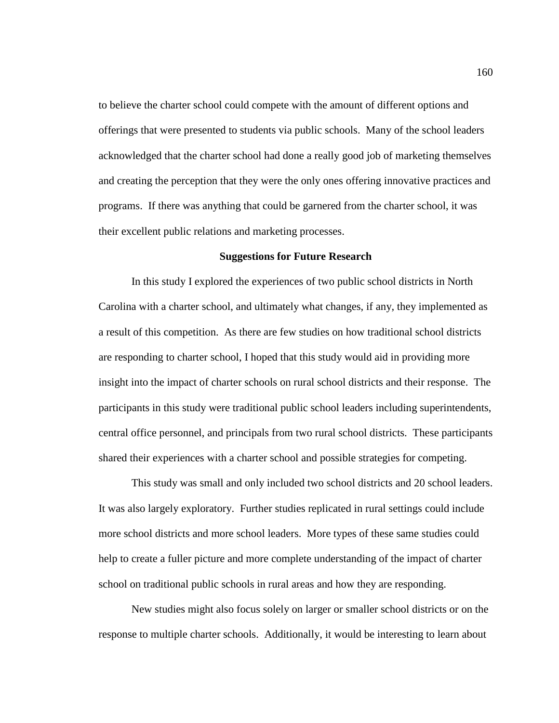to believe the charter school could compete with the amount of different options and offerings that were presented to students via public schools. Many of the school leaders acknowledged that the charter school had done a really good job of marketing themselves and creating the perception that they were the only ones offering innovative practices and programs. If there was anything that could be garnered from the charter school, it was their excellent public relations and marketing processes.

# **Suggestions for Future Research**

In this study I explored the experiences of two public school districts in North Carolina with a charter school, and ultimately what changes, if any, they implemented as a result of this competition. As there are few studies on how traditional school districts are responding to charter school, I hoped that this study would aid in providing more insight into the impact of charter schools on rural school districts and their response. The participants in this study were traditional public school leaders including superintendents, central office personnel, and principals from two rural school districts. These participants shared their experiences with a charter school and possible strategies for competing.

This study was small and only included two school districts and 20 school leaders. It was also largely exploratory. Further studies replicated in rural settings could include more school districts and more school leaders. More types of these same studies could help to create a fuller picture and more complete understanding of the impact of charter school on traditional public schools in rural areas and how they are responding.

New studies might also focus solely on larger or smaller school districts or on the response to multiple charter schools. Additionally, it would be interesting to learn about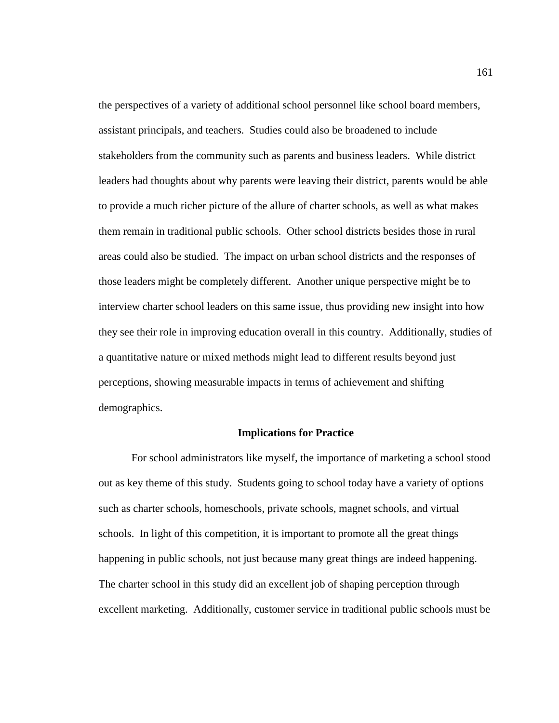the perspectives of a variety of additional school personnel like school board members, assistant principals, and teachers. Studies could also be broadened to include stakeholders from the community such as parents and business leaders. While district leaders had thoughts about why parents were leaving their district, parents would be able to provide a much richer picture of the allure of charter schools, as well as what makes them remain in traditional public schools. Other school districts besides those in rural areas could also be studied. The impact on urban school districts and the responses of those leaders might be completely different. Another unique perspective might be to interview charter school leaders on this same issue, thus providing new insight into how they see their role in improving education overall in this country. Additionally, studies of a quantitative nature or mixed methods might lead to different results beyond just perceptions, showing measurable impacts in terms of achievement and shifting demographics.

#### **Implications for Practice**

For school administrators like myself, the importance of marketing a school stood out as key theme of this study. Students going to school today have a variety of options such as charter schools, homeschools, private schools, magnet schools, and virtual schools. In light of this competition, it is important to promote all the great things happening in public schools, not just because many great things are indeed happening. The charter school in this study did an excellent job of shaping perception through excellent marketing. Additionally, customer service in traditional public schools must be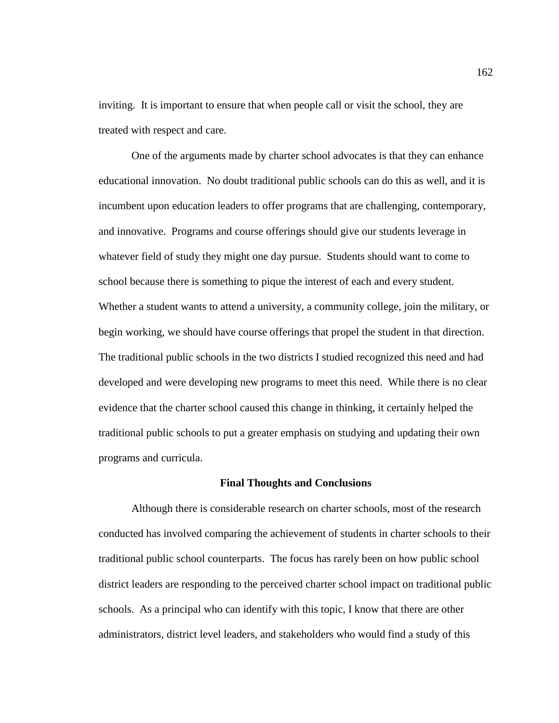inviting. It is important to ensure that when people call or visit the school, they are treated with respect and care.

One of the arguments made by charter school advocates is that they can enhance educational innovation. No doubt traditional public schools can do this as well, and it is incumbent upon education leaders to offer programs that are challenging, contemporary, and innovative. Programs and course offerings should give our students leverage in whatever field of study they might one day pursue. Students should want to come to school because there is something to pique the interest of each and every student. Whether a student wants to attend a university, a community college, join the military, or begin working, we should have course offerings that propel the student in that direction. The traditional public schools in the two districts I studied recognized this need and had developed and were developing new programs to meet this need. While there is no clear evidence that the charter school caused this change in thinking, it certainly helped the traditional public schools to put a greater emphasis on studying and updating their own programs and curricula.

#### **Final Thoughts and Conclusions**

Although there is considerable research on charter schools, most of the research conducted has involved comparing the achievement of students in charter schools to their traditional public school counterparts. The focus has rarely been on how public school district leaders are responding to the perceived charter school impact on traditional public schools. As a principal who can identify with this topic, I know that there are other administrators, district level leaders, and stakeholders who would find a study of this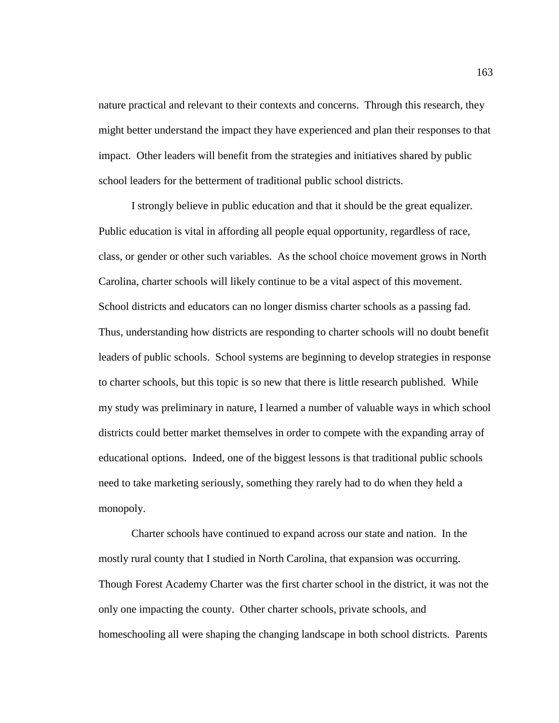nature practical and relevant to their contexts and concerns. Through this research, they might better understand the impact they have experienced and plan their responses to that impact. Other leaders will benefit from the strategies and initiatives shared by public school leaders for the betterment of traditional public school districts.

I strongly believe in public education and that it should be the great equalizer. Public education is vital in affording all people equal opportunity, regardless of race, class, or gender or other such variables. As the school choice movement grows in North Carolina, charter schools will likely continue to be a vital aspect of this movement. School districts and educators can no longer dismiss charter schools as a passing fad. Thus, understanding how districts are responding to charter schools will no doubt benefit leaders of public schools. School systems are beginning to develop strategies in response to charter schools, but this topic is so new that there is little research published. While my study was preliminary in nature, I learned a number of valuable ways in which school districts could better market themselves in order to compete with the expanding array of educational options. Indeed, one of the biggest lessons is that traditional public schools need to take marketing seriously, something they rarely had to do when they held a monopoly.

Charter schools have continued to expand across our state and nation. In the mostly rural county that I studied in North Carolina, that expansion was occurring. Though Forest Academy Charter was the first charter school in the district, it was not the only one impacting the county. Other charter schools, private schools, and homeschooling all were shaping the changing landscape in both school districts. Parents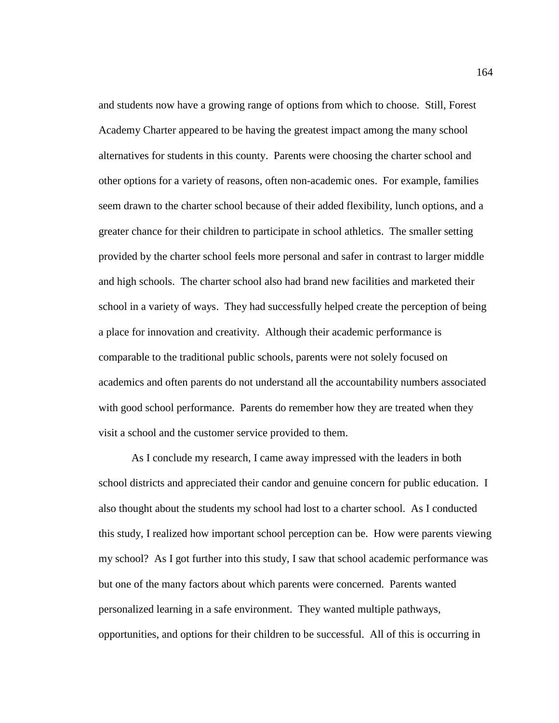and students now have a growing range of options from which to choose. Still, Forest Academy Charter appeared to be having the greatest impact among the many school alternatives for students in this county. Parents were choosing the charter school and other options for a variety of reasons, often non-academic ones. For example, families seem drawn to the charter school because of their added flexibility, lunch options, and a greater chance for their children to participate in school athletics. The smaller setting provided by the charter school feels more personal and safer in contrast to larger middle and high schools. The charter school also had brand new facilities and marketed their school in a variety of ways. They had successfully helped create the perception of being a place for innovation and creativity. Although their academic performance is comparable to the traditional public schools, parents were not solely focused on academics and often parents do not understand all the accountability numbers associated with good school performance. Parents do remember how they are treated when they visit a school and the customer service provided to them.

As I conclude my research, I came away impressed with the leaders in both school districts and appreciated their candor and genuine concern for public education. I also thought about the students my school had lost to a charter school. As I conducted this study, I realized how important school perception can be. How were parents viewing my school? As I got further into this study, I saw that school academic performance was but one of the many factors about which parents were concerned. Parents wanted personalized learning in a safe environment. They wanted multiple pathways, opportunities, and options for their children to be successful. All of this is occurring in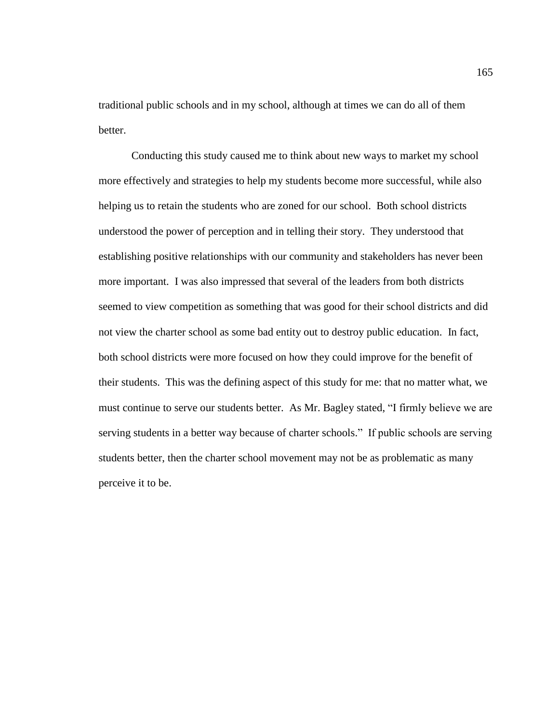traditional public schools and in my school, although at times we can do all of them better.

Conducting this study caused me to think about new ways to market my school more effectively and strategies to help my students become more successful, while also helping us to retain the students who are zoned for our school. Both school districts understood the power of perception and in telling their story. They understood that establishing positive relationships with our community and stakeholders has never been more important. I was also impressed that several of the leaders from both districts seemed to view competition as something that was good for their school districts and did not view the charter school as some bad entity out to destroy public education. In fact, both school districts were more focused on how they could improve for the benefit of their students. This was the defining aspect of this study for me: that no matter what, we must continue to serve our students better. As Mr. Bagley stated, "I firmly believe we are serving students in a better way because of charter schools." If public schools are serving students better, then the charter school movement may not be as problematic as many perceive it to be.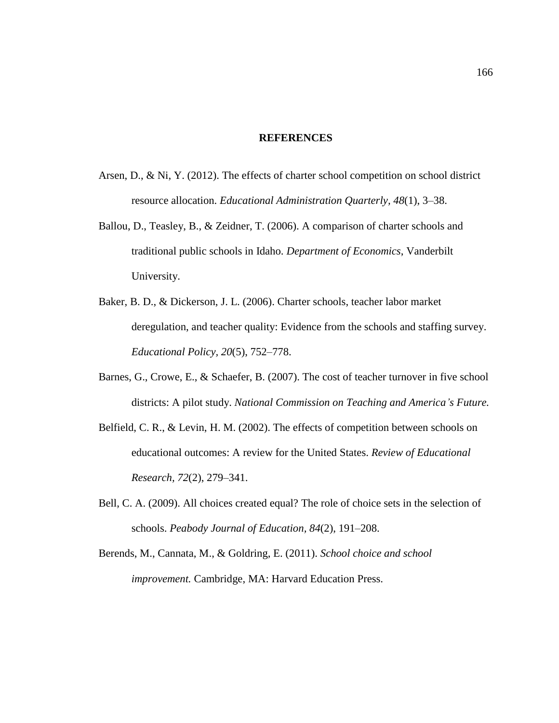#### **REFERENCES**

- Arsen, D., & Ni, Y. (2012). The effects of charter school competition on school district resource allocation. *Educational Administration Quarterly, 48*(1), 3–38.
- Ballou, D., Teasley, B., & Zeidner, T. (2006). A comparison of charter schools and traditional public schools in Idaho. *Department of Economics*, Vanderbilt University.
- Baker, B. D., & Dickerson, J. L. (2006). Charter schools, teacher labor market deregulation, and teacher quality: Evidence from the schools and staffing survey. *Educational Policy, 20*(5), 752–778.
- Barnes, G., Crowe, E., & Schaefer, B. (2007). The cost of teacher turnover in five school districts: A pilot study. *National Commission on Teaching and America's Future.*
- Belfield, C. R., & Levin, H. M. (2002). The effects of competition between schools on educational outcomes: A review for the United States. *Review of Educational Research, 72*(2), 279–341.
- Bell, C. A. (2009). All choices created equal? The role of choice sets in the selection of schools. *Peabody Journal of Education, 84*(2), 191–208.
- Berends, M., Cannata, M., & Goldring, E. (2011). *School choice and school improvement.* Cambridge, MA: Harvard Education Press.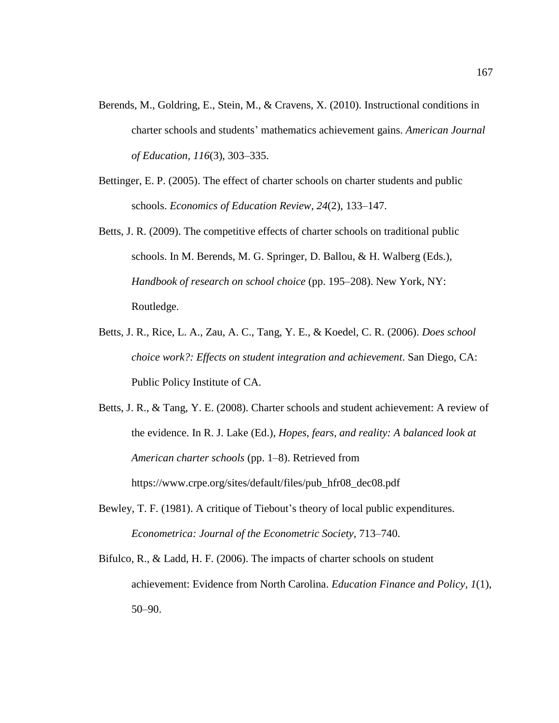- Berends, M., Goldring, E., Stein, M., & Cravens, X. (2010). Instructional conditions in charter schools and students' mathematics achievement gains. *American Journal of Education, 116*(3), 303–335.
- Bettinger, E. P. (2005). The effect of charter schools on charter students and public schools. *Economics of Education Review, 24*(2), 133–147.
- Betts, J. R. (2009). The competitive effects of charter schools on traditional public schools. In M. Berends, M. G. Springer, D. Ballou, & H. Walberg (Eds.), *Handbook of research on school choice* (pp. 195–208). New York, NY: Routledge.
- Betts, J. R., Rice, L. A., Zau, A. C., Tang, Y. E., & Koedel, C. R. (2006). *Does school choice work?: Effects on student integration and achievement*. San Diego, CA: Public Policy Institute of CA.

Betts, J. R., & Tang, Y. E. (2008). Charter schools and student achievement: A review of the evidence. In R. J. Lake (Ed.), *Hopes, fears, and reality: A balanced look at American charter schools* (pp. 1–8). Retrieved from https://www.crpe.org/sites/default/files/pub\_hfr08\_dec08.pdf

- Bewley, T. F. (1981). A critique of Tiebout's theory of local public expenditures. *Econometrica: Journal of the Econometric Society,* 713–740.
- Bifulco, R., & Ladd, H. F. (2006). The impacts of charter schools on student achievement: Evidence from North Carolina. *Education Finance and Policy, 1*(1), 50–90.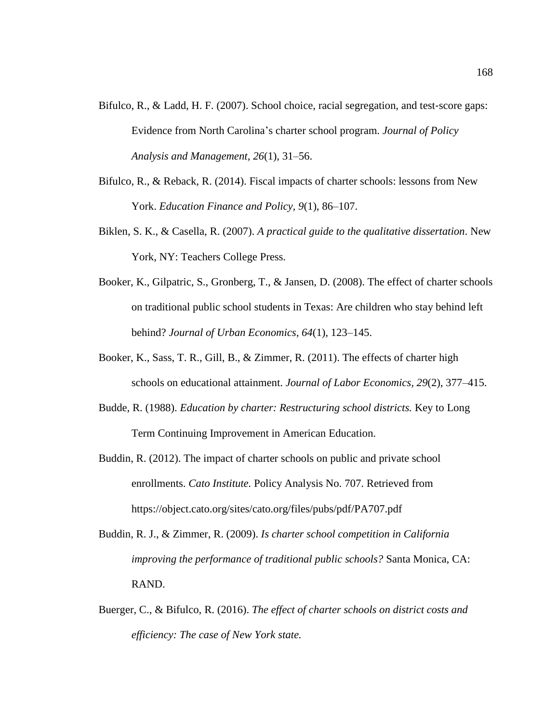- Bifulco, R., & Ladd, H. F. (2007). School choice, racial segregation, and test-score gaps: Evidence from North Carolina's charter school program. *Journal of Policy Analysis and Management, 26*(1), 31–56.
- Bifulco, R., & Reback, R. (2014). Fiscal impacts of charter schools: lessons from New York. *Education Finance and Policy, 9*(1), 86–107.
- Biklen, S. K., & Casella, R. (2007). *A practical guide to the qualitative dissertation*. New York, NY: Teachers College Press.
- Booker, K., Gilpatric, S., Gronberg, T., & Jansen, D. (2008). The effect of charter schools on traditional public school students in Texas: Are children who stay behind left behind? *Journal of Urban Economics, 64*(1), 123–145.
- Booker, K., Sass, T. R., Gill, B., & Zimmer, R. (2011). The effects of charter high schools on educational attainment. *Journal of Labor Economics, 29*(2), 377–415.
- Budde, R. (1988). *Education by charter: Restructuring school districts.* Key to Long Term Continuing Improvement in American Education.
- Buddin, R. (2012). The impact of charter schools on public and private school enrollments. *Cato Institute.* Policy Analysis No. 707. Retrieved from https://object.cato.org/sites/cato.org/files/pubs/pdf/PA707.pdf
- Buddin, R. J., & Zimmer, R. (2009). *Is charter school competition in California improving the performance of traditional public schools?* Santa Monica, CA: RAND.
- Buerger, C., & Bifulco, R. (2016). *The effect of charter schools on district costs and efficiency: The case of New York state.*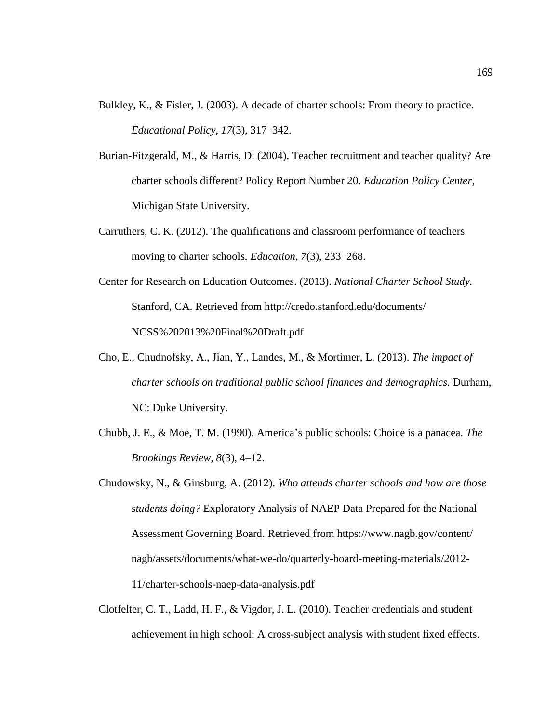- Bulkley, K., & Fisler, J. (2003). A decade of charter schools: From theory to practice. *Educational Policy, 17*(3), 317–342.
- Burian-Fitzgerald, M., & Harris, D. (2004). Teacher recruitment and teacher quality? Are charter schools different? Policy Report Number 20. *Education Policy Center*, Michigan State University.
- Carruthers, C. K. (2012). The qualifications and classroom performance of teachers moving to charter schools*. Education, 7*(3), 233–268.
- Center for Research on Education Outcomes. (2013). *National Charter School Study.* Stanford, CA. Retrieved from http://credo.stanford.edu/documents/ NCSS%202013%20Final%20Draft.pdf
- Cho, E., Chudnofsky, A., Jian, Y., Landes, M., & Mortimer, L. (2013). *The impact of charter schools on traditional public school finances and demographics.* Durham, NC: Duke University.
- Chubb, J. E., & Moe, T. M. (1990). America's public schools: Choice is a panacea. *The Brookings Review, 8*(3), 4–12.
- Chudowsky, N., & Ginsburg, A. (2012). *Who attends charter schools and how are those students doing?* Exploratory Analysis of NAEP Data Prepared for the National Assessment Governing Board. Retrieved from https://www.nagb.gov/content/ nagb/assets/documents/what-we-do/quarterly-board-meeting-materials/2012- 11/charter-schools-naep-data-analysis.pdf
- Clotfelter, C. T., Ladd, H. F., & Vigdor, J. L. (2010). Teacher credentials and student achievement in high school: A cross-subject analysis with student fixed effects.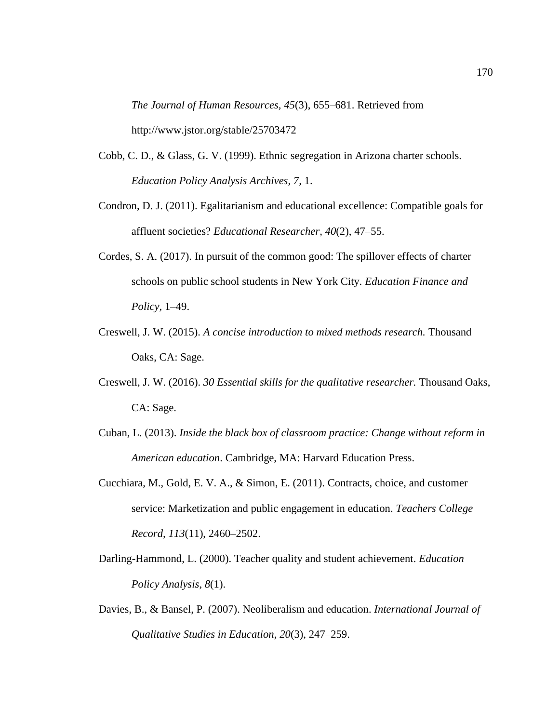*The Journal of Human Resources, 45*(3), 655–681. Retrieved from http://www.jstor.org/stable/25703472

- Cobb, C. D., & Glass, G. V. (1999). Ethnic segregation in Arizona charter schools. *Education Policy Analysis Archives, 7,* 1.
- Condron, D. J. (2011). Egalitarianism and educational excellence: Compatible goals for affluent societies? *Educational Researcher, 40*(2), 47–55.
- Cordes, S. A. (2017). In pursuit of the common good: The spillover effects of charter schools on public school students in New York City. *Education Finance and Policy,* 1–49.
- Creswell, J. W. (2015). *A concise introduction to mixed methods research.* Thousand Oaks, CA: Sage.
- Creswell, J. W. (2016). *30 Essential skills for the qualitative researcher.* Thousand Oaks, CA: Sage.
- Cuban, L. (2013). *Inside the black box of classroom practice: Change without reform in American education*. Cambridge, MA: Harvard Education Press.
- Cucchiara, M., Gold, E. V. A., & Simon, E. (2011). Contracts, choice, and customer service: Marketization and public engagement in education. *Teachers College Record, 113*(11), 2460–2502.
- Darling-Hammond, L. (2000). Teacher quality and student achievement. *Education Policy Analysis, 8*(1).
- Davies, B., & Bansel, P. (2007). Neoliberalism and education. *International Journal of Qualitative Studies in Education, 20*(3), 247–259.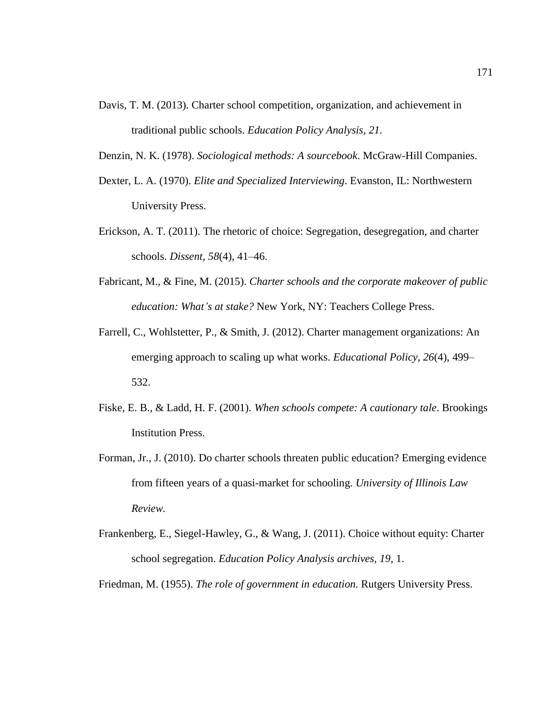- Davis, T. M. (2013). Charter school competition, organization, and achievement in traditional public schools. *Education Policy Analysis, 21.*
- Denzin, N. K. (1978). *Sociological methods: A sourcebook*. McGraw-Hill Companies.
- Dexter, L. A. (1970). *Elite and Specialized Interviewing*. Evanston, IL: Northwestern University Press.
- Erickson, A. T. (2011). The rhetoric of choice: Segregation, desegregation, and charter schools. *Dissent, 58*(4), 41–46.
- Fabricant, M., & Fine, M. (2015). *Charter schools and the corporate makeover of public education: What's at stake?* New York, NY: Teachers College Press.
- Farrell, C., Wohlstetter, P., & Smith, J. (2012). Charter management organizations: An emerging approach to scaling up what works. *Educational Policy, 26*(4), 499– 532.
- Fiske, E. B., & Ladd, H. F. (2001). *When schools compete: A cautionary tale*. Brookings Institution Press.
- Forman, Jr., J. (2010). Do charter schools threaten public education? Emerging evidence from fifteen years of a quasi-market for schooling. *University of Illinois Law Review.*
- Frankenberg, E., Siegel-Hawley, G., & Wang, J. (2011). Choice without equity: Charter school segregation. *Education Policy Analysis archives, 19,* 1.

Friedman, M. (1955). *The role of government in education.* Rutgers University Press.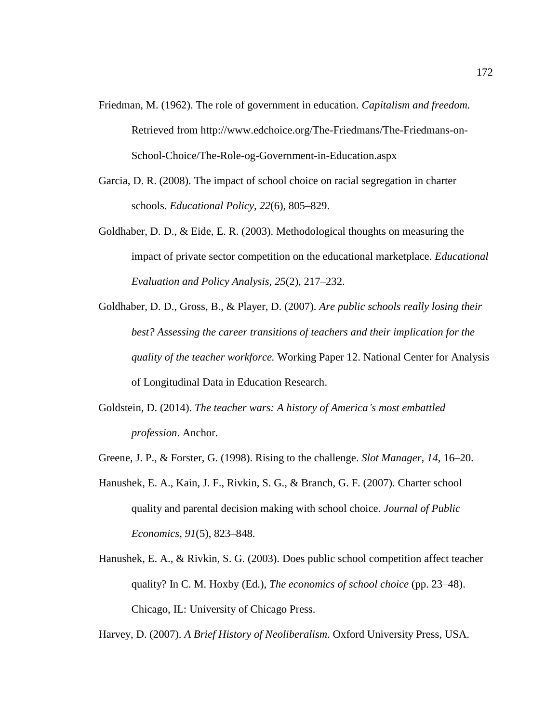- Friedman, M. (1962). The role of government in education. *Capitalism and freedom.*  Retrieved from http://www.edchoice.org/The-Friedmans/The-Friedmans-on-School-Choice/The-Role-og-Government-in-Education.aspx
- Garcia, D. R. (2008). The impact of school choice on racial segregation in charter schools. *Educational Policy, 22*(6), 805–829.
- Goldhaber, D. D., & Eide, E. R. (2003). Methodological thoughts on measuring the impact of private sector competition on the educational marketplace. *Educational Evaluation and Policy Analysis, 25*(2), 217–232.
- Goldhaber, D. D., Gross, B., & Player, D. (2007). *Are public schools really losing their best? Assessing the career transitions of teachers and their implication for the quality of the teacher workforce.* Working Paper 12. National Center for Analysis of Longitudinal Data in Education Research.
- Goldstein, D. (2014). *The teacher wars: A history of America's most embattled profession*. Anchor.
- Greene, J. P., & Forster, G. (1998). Rising to the challenge. *Slot Manager, 14,* 16–20.
- Hanushek, E. A., Kain, J. F., Rivkin, S. G., & Branch, G. F. (2007). Charter school quality and parental decision making with school choice. *Journal of Public Economics, 91*(5), 823–848.
- Hanushek, E. A., & Rivkin, S. G. (2003). Does public school competition affect teacher quality? In C. M. Hoxby (Ed.), *The economics of school choice* (pp. 23–48). Chicago, IL: University of Chicago Press.

Harvey, D. (2007). *A Brief History of Neoliberalism*. Oxford University Press, USA.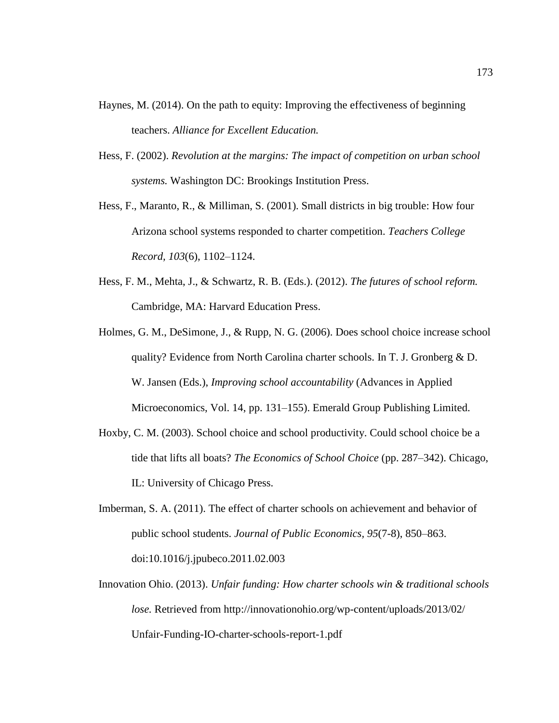- Haynes, M. (2014). On the path to equity: Improving the effectiveness of beginning teachers. *Alliance for Excellent Education.*
- Hess, F. (2002). *Revolution at the margins: The impact of competition on urban school systems.* Washington DC: Brookings Institution Press.
- Hess, F., Maranto, R., & Milliman, S. (2001). Small districts in big trouble: How four Arizona school systems responded to charter competition. *Teachers College Record, 103*(6), 1102–1124.
- Hess, F. M., Mehta, J., & Schwartz, R. B. (Eds.). (2012). *The futures of school reform.* Cambridge, MA: Harvard Education Press.
- Holmes, G. M., DeSimone, J., & Rupp, N. G. (2006). Does school choice increase school quality? Evidence from North Carolina charter schools. In T. J. Gronberg & D. W. Jansen (Eds.), *Improving school accountability* (Advances in Applied Microeconomics, Vol. 14, pp. 131–155). Emerald Group Publishing Limited.
- Hoxby, C. M. (2003). School choice and school productivity. Could school choice be a tide that lifts all boats? *The Economics of School Choice* (pp. 287–342). Chicago, IL: University of Chicago Press.
- Imberman, S. A. (2011). The effect of charter schools on achievement and behavior of public school students. *Journal of Public Economics, 95*(7-8), 850–863. doi:10.1016/j.jpubeco.2011.02.003
- Innovation Ohio. (2013). *Unfair funding: How charter schools win & traditional schools lose.* Retrieved from http://innovationohio.org/wp-content/uploads/2013/02/ Unfair-Funding-IO-charter-schools-report-1.pdf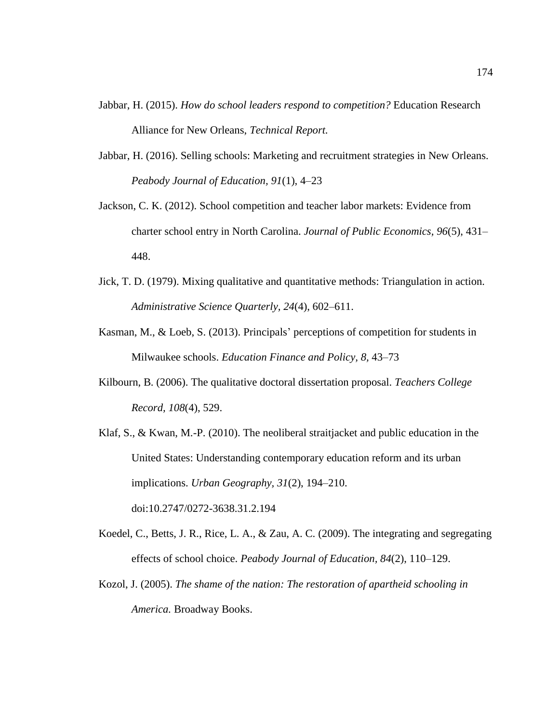- Jabbar, H. (2015). *How do school leaders respond to competition?* Education Research Alliance for New Orleans, *Technical Report.*
- Jabbar, H. (2016). Selling schools: Marketing and recruitment strategies in New Orleans. *Peabody Journal of Education, 91*(1), 4–23
- Jackson, C. K. (2012). School competition and teacher labor markets: Evidence from charter school entry in North Carolina. *Journal of Public Economics, 96*(5), 431– 448.
- Jick, T. D. (1979). Mixing qualitative and quantitative methods: Triangulation in action. *Administrative Science Quarterly, 24*(4), 602–611.
- Kasman, M., & Loeb, S. (2013). Principals' perceptions of competition for students in Milwaukee schools. *Education Finance and Policy, 8,* 43–73
- Kilbourn, B. (2006). The qualitative doctoral dissertation proposal. *Teachers College Record, 108*(4), 529.
- Klaf, S., & Kwan, M.-P. (2010). The neoliberal straitjacket and public education in the United States: Understanding contemporary education reform and its urban implications. *Urban Geography, 31*(2), 194–210. doi:10.2747/0272-3638.31.2.194
- Koedel, C., Betts, J. R., Rice, L. A., & Zau, A. C. (2009). The integrating and segregating effects of school choice. *Peabody Journal of Education, 84*(2), 110–129.
- Kozol, J. (2005). *The shame of the nation: The restoration of apartheid schooling in America.* Broadway Books.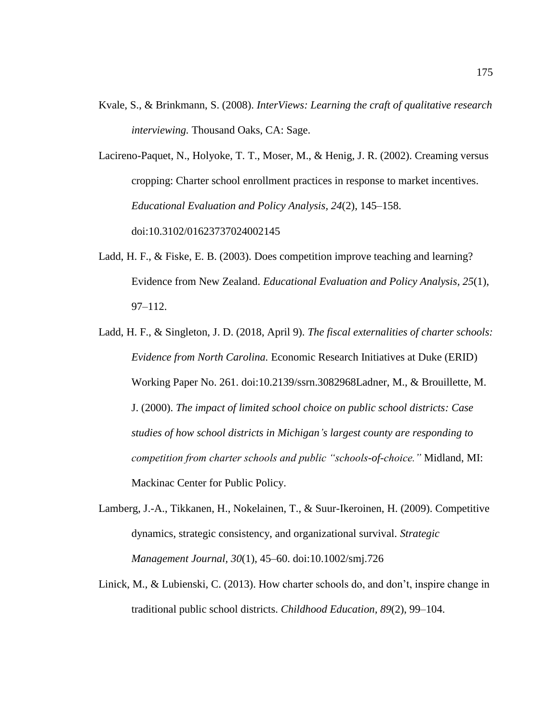Kvale, S., & Brinkmann, S. (2008). *InterViews: Learning the craft of qualitative research interviewing.* Thousand Oaks, CA: Sage.

Lacireno-Paquet, N., Holyoke, T. T., Moser, M., & Henig, J. R. (2002). Creaming versus cropping: Charter school enrollment practices in response to market incentives. *Educational Evaluation and Policy Analysis, 24*(2), 145–158. doi:10.3102/01623737024002145

- Ladd, H. F., & Fiske, E. B. (2003). Does competition improve teaching and learning? Evidence from New Zealand. *Educational Evaluation and Policy Analysis, 25*(1), 97–112.
- Ladd, H. F., & Singleton, J. D. (2018, April 9). *The fiscal externalities of charter schools: Evidence from North Carolina.* Economic Research Initiatives at Duke (ERID) Working Paper No. 261. doi:10.2139/ssrn.3082968Ladner, M., & Brouillette, M. J. (2000). *The impact of limited school choice on public school districts: Case studies of how school districts in Michigan's largest county are responding to competition from charter schools and public "schools-of-choice."* Midland, MI: Mackinac Center for Public Policy.
- Lamberg, J.-A., Tikkanen, H., Nokelainen, T., & Suur-Ikeroinen, H. (2009). Competitive dynamics, strategic consistency, and organizational survival. *Strategic Management Journal, 30*(1), 45–60. doi:10.1002/smj.726
- Linick, M., & Lubienski, C. (2013). How charter schools do, and don't, inspire change in traditional public school districts. *Childhood Education, 89*(2), 99–104.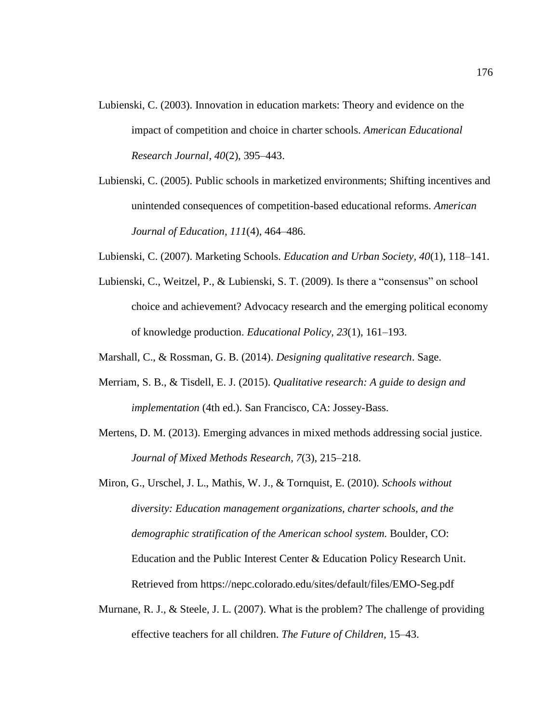- Lubienski, C. (2003). Innovation in education markets: Theory and evidence on the impact of competition and choice in charter schools. *American Educational Research Journal, 40*(2), 395–443.
- Lubienski, C. (2005). Public schools in marketized environments; Shifting incentives and unintended consequences of competition-based educational reforms. *American Journal of Education, 111*(4), 464–486.
- Lubienski, C. (2007). Marketing Schools. *Education and Urban Society, 40*(1), 118–141.
- Lubienski, C., Weitzel, P., & Lubienski, S. T. (2009). Is there a "consensus" on school choice and achievement? Advocacy research and the emerging political economy of knowledge production. *Educational Policy, 23*(1), 161–193.
- Marshall, C., & Rossman, G. B. (2014). *Designing qualitative research*. Sage.
- Merriam, S. B., & Tisdell, E. J. (2015). *Qualitative research: A guide to design and implementation* (4th ed.). San Francisco, CA: Jossey-Bass.
- Mertens, D. M. (2013). Emerging advances in mixed methods addressing social justice. *Journal of Mixed Methods Research, 7*(3), 215–218.

Miron, G., Urschel, J. L., Mathis, W. J., & Tornquist, E. (2010). *Schools without diversity: Education management organizations, charter schools, and the demographic stratification of the American school system.* Boulder, CO: Education and the Public Interest Center & Education Policy Research Unit. Retrieved from https://nepc.colorado.edu/sites/default/files/EMO-Seg.pdf

Murnane, R. J., & Steele, J. L. (2007). What is the problem? The challenge of providing effective teachers for all children. *The Future of Children,* 15–43.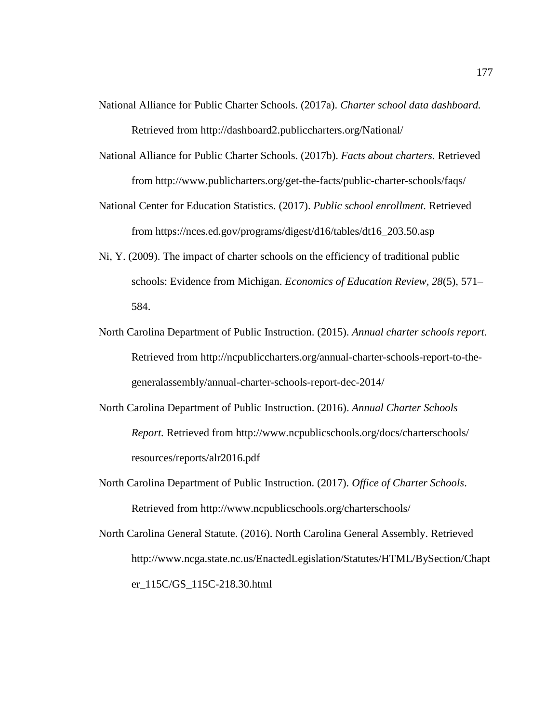- National Alliance for Public Charter Schools. (2017a). *Charter school data dashboard.* Retrieved from http://dashboard2.publiccharters.org/National/
- National Alliance for Public Charter Schools. (2017b). *Facts about charters.* Retrieved from http://www.publicharters.org/get-the-facts/public-charter-schools/faqs/
- National Center for Education Statistics. (2017). *Public school enrollment.* Retrieved from https://nces.ed.gov/programs/digest/d16/tables/dt16\_203.50.asp
- Ni, Y. (2009). The impact of charter schools on the efficiency of traditional public schools: Evidence from Michigan. *Economics of Education Review, 28*(5), 571– 584.
- North Carolina Department of Public Instruction. (2015). *Annual charter schools report.* Retrieved from http://ncpubliccharters.org/annual-charter-schools-report-to-thegeneralassembly/annual-charter-schools-report-dec-2014/
- North Carolina Department of Public Instruction. (2016). *Annual Charter Schools Report.* Retrieved from http://www.ncpublicschools.org/docs/charterschools/ resources/reports/alr2016.pdf
- North Carolina Department of Public Instruction. (2017). *Office of Charter Schools*. Retrieved from http://www.ncpublicschools.org/charterschools/
- North Carolina General Statute. (2016). North Carolina General Assembly. Retrieved http://www.ncga.state.nc.us/EnactedLegislation/Statutes/HTML/BySection/Chapt er\_115C/GS\_115C-218.30.html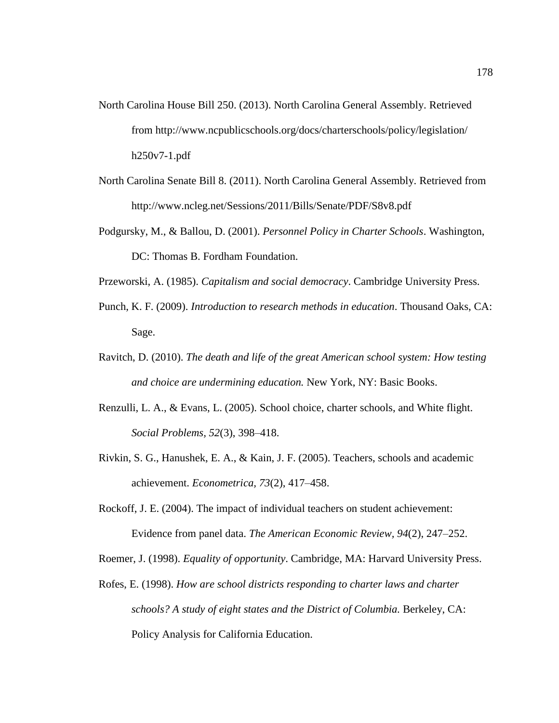- North Carolina House Bill 250. (2013). North Carolina General Assembly. Retrieved from http://www.ncpublicschools.org/docs/charterschools/policy/legislation/ h250v7-1.pdf
- North Carolina Senate Bill 8. (2011). North Carolina General Assembly. Retrieved from http://www.ncleg.net/Sessions/2011/Bills/Senate/PDF/S8v8.pdf
- Podgursky, M., & Ballou, D. (2001). *Personnel Policy in Charter Schools*. Washington, DC: Thomas B. Fordham Foundation.

Przeworski, A. (1985). *Capitalism and social democracy*. Cambridge University Press.

- Punch, K. F. (2009). *Introduction to research methods in education*. Thousand Oaks, CA: Sage.
- Ravitch, D. (2010). *The death and life of the great American school system: How testing and choice are undermining education.* New York, NY: Basic Books.
- Renzulli, L. A., & Evans, L. (2005). School choice, charter schools, and White flight. *Social Problems, 52*(3), 398–418.
- Rivkin, S. G., Hanushek, E. A., & Kain, J. F. (2005). Teachers, schools and academic achievement. *Econometrica, 73*(2), 417–458.
- Rockoff, J. E. (2004). The impact of individual teachers on student achievement: Evidence from panel data. *The American Economic Review, 94*(2), 247–252.

Roemer, J. (1998). *Equality of opportunity*. Cambridge, MA: Harvard University Press.

Rofes, E. (1998). *How are school districts responding to charter laws and charter schools? A study of eight states and the District of Columbia.* Berkeley, CA: Policy Analysis for California Education.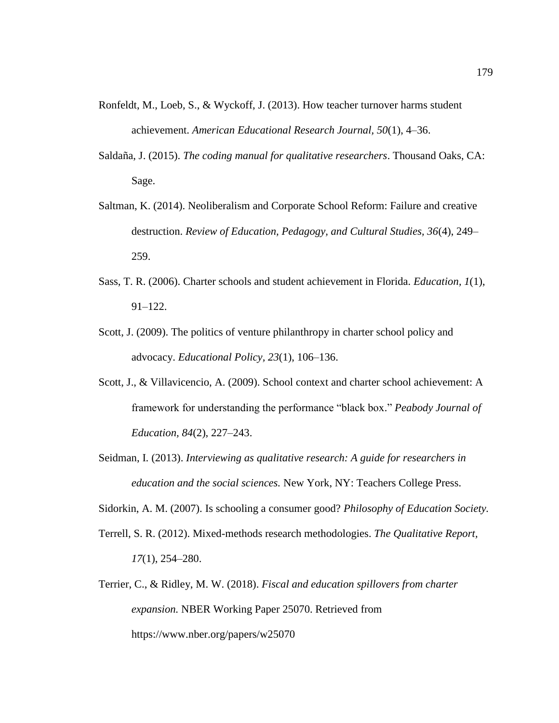- Ronfeldt, M., Loeb, S., & Wyckoff, J. (2013). How teacher turnover harms student achievement. *American Educational Research Journal, 50*(1), 4–36.
- Saldaña, J. (2015). *The coding manual for qualitative researchers*. Thousand Oaks, CA: Sage.
- Saltman, K. (2014). Neoliberalism and Corporate School Reform: Failure and creative destruction. *Review of Education, Pedagogy, and Cultural Studies, 36*(4), 249– 259.
- Sass, T. R. (2006). Charter schools and student achievement in Florida. *Education, 1*(1), 91–122.
- Scott, J. (2009). The politics of venture philanthropy in charter school policy and advocacy. *Educational Policy, 23*(1), 106–136.
- Scott, J., & Villavicencio, A. (2009). School context and charter school achievement: A framework for understanding the performance "black box." *Peabody Journal of Education, 84*(2), 227–243.
- Seidman, I. (2013). *Interviewing as qualitative research: A guide for researchers in education and the social sciences.* New York, NY: Teachers College Press.
- Sidorkin, A. M. (2007). Is schooling a consumer good? *Philosophy of Education Society.*
- Terrell, S. R. (2012). Mixed-methods research methodologies. *The Qualitative Report, 17*(1), 254–280.
- Terrier, C., & Ridley, M. W. (2018). *Fiscal and education spillovers from charter expansion.* NBER Working Paper 25070. Retrieved from https://www.nber.org/papers/w25070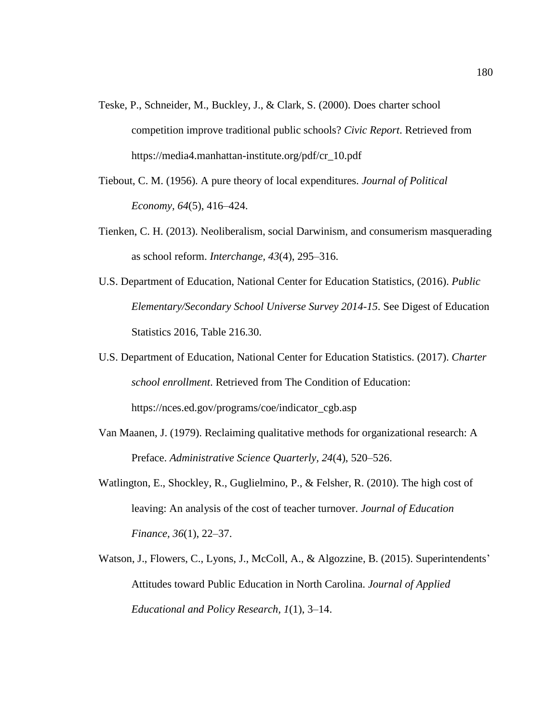- Teske, P., Schneider, M., Buckley, J., & Clark, S. (2000). Does charter school competition improve traditional public schools? *Civic Report*. Retrieved from https://media4.manhattan-institute.org/pdf/cr\_10.pdf
- Tiebout, C. M. (1956). A pure theory of local expenditures. *Journal of Political Economy, 64*(5), 416–424.
- Tienken, C. H. (2013). Neoliberalism, social Darwinism, and consumerism masquerading as school reform. *Interchange, 43*(4), 295–316.
- U.S. Department of Education, National Center for Education Statistics, (2016). *Public Elementary/Secondary School Universe Survey 2014-15*. See Digest of Education Statistics 2016, Table 216.30.
- U.S. Department of Education, National Center for Education Statistics. (2017). *Charter school enrollment*. Retrieved from The Condition of Education: https://nces.ed.gov/programs/coe/indicator\_cgb.asp
- Van Maanen, J. (1979). Reclaiming qualitative methods for organizational research: A Preface. *Administrative Science Quarterly, 24*(4), 520–526.
- Watlington, E., Shockley, R., Guglielmino, P., & Felsher, R. (2010). The high cost of leaving: An analysis of the cost of teacher turnover. *Journal of Education Finance, 36*(1), 22–37.
- Watson, J., Flowers, C., Lyons, J., McColl, A., & Algozzine, B. (2015). Superintendents' Attitudes toward Public Education in North Carolina. *Journal of Applied Educational and Policy Research, 1*(1), 3–14.